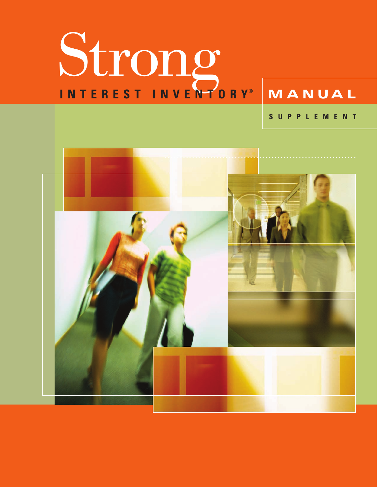# Strong **I N T E R E S T I N V E N T O R Y ® M A N U A L**

**S U P P L E M E N T**

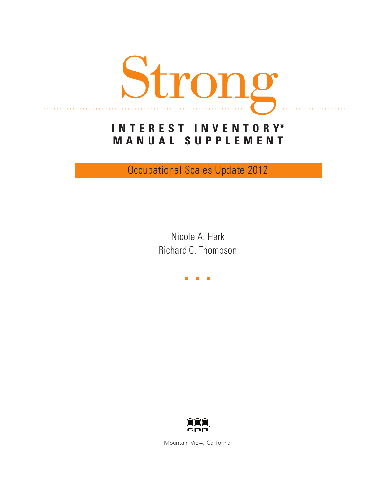

# **I N T E R E S T I N V E N T O R Y® M A N U A L S U P P L E M E N T**

Occupational Scales Update 2012

Nicole A. Herk Richard C. Thompson

...



Mountain View, California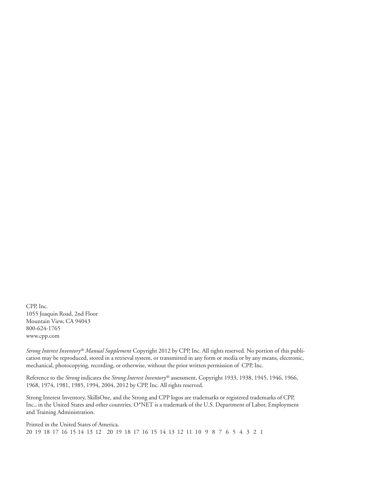CPP, Inc. 1055 Joaquin Road, 2nd Floor Mountain View, CA 94043 800-624-1765 www.cpp.com

*Strong Interest Inventory® Manual Supplement* Copyright 2012 by CPP, Inc. All rights reserved. No portion of this publication may be reproduced, stored in a retrieval system, or transmitted in any form or media or by any means, electronic, mechanical, photocopying, recording, or otherwise, without the prior written permission of CPP, Inc.

Reference to the *Strong* indicates the *Strong Interest Inventory®* assessment, Copyright 1933, 1938, 1945, 1946, 1966, 1968, 1974, 1981, 1985, 1994, 2004, 2012 by CPP, Inc. All rights reserved.

Strong Interest Inventory, SkillsOne, and the Strong and CPP logos are trademarks or registered trademarks of CPP, Inc., in the United States and other countries. O\*NET is a trademark of the U.S. Department of Labor, Employment and Training Administration.

Printed in the United States of America. 20 19 18 17 16 15 14 13 12 20 19 18 17 16 15 14 13 12 11 10 9 8 7 6 5 4 3 2 1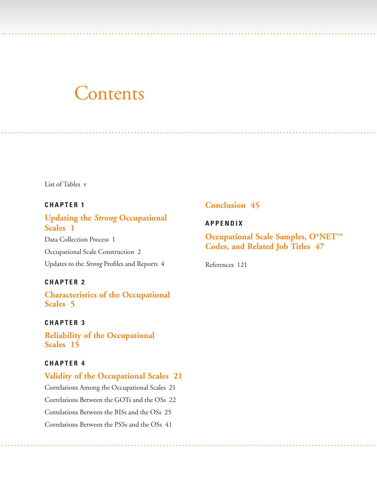# **Contents**

List of [Tables](#page-5-0) v

## **C H A P T E R 1**

# **Updating the** *Strong* **[Occupational](#page-7-0) Scales 1**

Data [Collection](#page-7-0) Process 1 [Occupational](#page-8-0) Scale Construction 2 [Updates](#page-10-0) to the *Strong* Profiles and Reports 4

### **C H A P T E R 2**

**[Characteristics](#page-11-0) of the Occupational Scales 5**

### **C H A P T E R 3**

**Reliability of the [Occupational](#page-21-0) Scales 15**

### **C H A P T E R 4**

# **Validity of the [Occupational](#page-27-0) Scales 21** Correlations Among the [Occupational](#page-27-0) Scales 21 [Correlations](#page-28-0) Between the GOTs and the OSs 22 [Correlations](#page-31-0) Between the BISs and the OSs 25 [Correlations](#page-47-0) Between the PSSs and the OSs 41

### **[Conclusion](#page-51-0) 45**

### **A P P END I X**

. . . .. . . . . . . . . . . . . . . . . ........ . . . . . . . . . . . . . . . . . . . . . . . . . . . . . . . . . . . . . . . . . . . . . . . . . . . . . . . . . . . . . . . . . . . . . . . . . . . . . . . . . . . . . . .

. . . .. ...... . . . . . . . . . . . . ..... . . . . . . . . . . . . . . ............... . . . . . . . . . . . . . . . . . . . . . . . . . . . ............. . . . . . . . . . . . . . . .....

**[Occupational](#page-53-0) Scale Samples, O\*NET™ Codes, and Related Job Titles 47**

[References](#page-127-0) 121

. . . .. ...... . . . . . . . . . . . . ..... . . . . . . . . . . . . . . ............... . . . . . . . . . . . . . . . . . . . . . . . . . . . .............. . . . . . . . . . . . . . . . . . .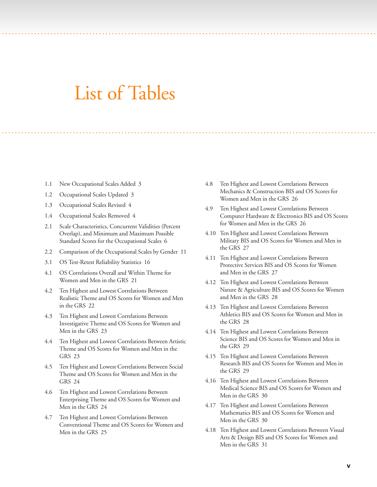# List of Tables

<span id="page-5-0"></span>.. . .. . .. . . . ....... . . . ............................ . . . . . . . . . . . . . . . . . . . . . . . . . . . . . . . . . . . . . . . . . . . . . . . ....................

.. . . . . ... . . ....... . . . . . . ............. . . . . . . . . . . . . ........ . . . . . . . . . . . . . . . . . . . . . . . . . . . ................................

- 1.1 New [Occupational](#page-9-0) Scales Added 3
- 1.2 [Occupational](#page-9-0) Scales Updated 3
- 1.3 [Occupational](#page-10-0) Scales Revised 4
- 1.4 [Occupational](#page-10-0) Scales Removed 4
- 2.1 Scale [Characteristics,](#page-12-0) Concurrent Validities (Percent Overlap), and Minimum and Maximum Possible Standard Scores for the Occupational Scales 6
- 2.2 Comparison of the [Occupational](#page-17-0) Scales by Gender 11
- 3.1 OS [Test-Retest](#page-22-0) Reliability Statistics 16
- 4.1 OS [Correlations](#page-27-0) Overall and Within Theme for Women and Men in the GRS 21
- 4.2 Ten Highest and Lowest [Correlations](#page-28-0) Between Realistic Theme and OS Scores for Women and Men in the GRS 22
- 4.3 Ten Highest and Lowest Correlations Between [Investigative](#page-29-0) Theme and OS Scores for Women and Men in the GRS 23
- 4.4 Ten Highest and Lowest [Correlations](#page-29-0) Between Artistic Theme and OS Scores for Women and Men in the GRS 23
- 4.5 Ten Highest and Lowest [Correlations](#page-30-0) Between Social Theme and OS Scores for Women and Men in the GRS 24
- 4.6 Ten Highest and Lowest Correlations Between [Enterprising](#page-30-0) Theme and OS Scores for Women and Men in the GRS 24
- 4.7 Ten Highest and Lowest Correlations Between [Conventional](#page-31-0) Theme and OS Scores for Women and Men in the GRS 25
- 4.8 Ten Highest and Lowest Correlations Between Mechanics & [Construction](#page-32-0) BIS and OS Scores for Women and Men in the GRS 26
- 4.9 Ten Highest and Lowest [Correlations](#page-32-0) Between Computer Hardware & Electronics BIS and OS Scores for Women and Men in the GRS 26
- 4.10 Ten Highest and Lowest [Correlations](#page-33-0) Between Military BIS and OS Scores for Women and Men in the GRS 27
- 4.11 Ten Highest and Lowest [Correlations](#page-33-0) Between Protective Services BIS and OS Scores for Women and Men in the GRS 27
- 4.12 Ten Highest and Lowest Correlations Between Nature & [Agriculture](#page-34-0) BIS and OS Scores for Women and Men in the GRS 28
- 4.13 Ten Highest and Lowest [Correlations](#page-34-0) Between Athletics BIS and OS Scores for Women and Men in the GRS 28
- 4.14 Ten Highest and Lowest [Correlations](#page-35-0) Between Science BIS and OS Scores for Women and Men in the GRS 29
- 4.15 Ten Highest and Lowest [Correlations](#page-35-0) Between Research BIS and OS Scores for Women and Men in the GRS 29
- 4.16 Ten Highest and Lowest [Correlations](#page-36-0) Between Medical Science BIS and OS Scores for Women and Men in the GRS 30
- 4.17 Ten Highest and Lowest Correlations Between [Mathematics](#page-36-0) BIS and OS Scores for Women and Men in the GRS 30
- 4.18 Ten Highest and Lowest [Correlations](#page-37-0) Between Visual Arts & Design BIS and OS Scores for Women and Men in the GRS 31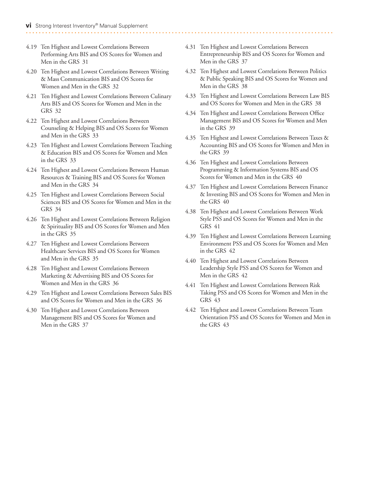#### 4.19 Ten Highest and Lowest [Correlations](#page-37-0) Between Performing Arts BIS and OS Scores for Women and Men in the GRS 31

- 4.20 Ten Highest and Lowest Correlations Between Writing & Mass [Communication](#page-38-0) BIS and OS Scores for Women and Men in the GRS 32
- 4.21 Ten Highest and Lowest [Correlations](#page-38-0) Between Culinary Arts BIS and OS Scores for Women and Men in the GRS 32
- 4.22 Ten Highest and Lowest Correlations Between [Counseling](#page-39-0) & Helping BIS and OS Scores for Women and Men in the GRS 33
- 4.23 Ten Highest and Lowest Correlations Between Teaching & [Education](#page-39-0) BIS and OS Scores for Women and Men in the GRS 33
- 4.24 Ten Highest and Lowest [Correlations](#page-40-0) Between Human Resources & Training BIS and OS Scores for Women and Men in the GRS 34
- 4.25 Ten Highest and Lowest [Correlations](#page-40-0) Between Social Sciences BIS and OS Scores for Women and Men in the GRS 34
- 4.26 Ten Highest and Lowest Correlations Between Religion & [Spirituality](#page-41-0) BIS and OS Scores for Women and Men in the GRS 35
- 4.27 Ten Highest and Lowest Correlations Between [Healthcare](#page-41-0) Services BIS and OS Scores for Women and Men in the GRS 35
- 4.28 Ten Highest and Lowest [Correlations](#page-42-0) Between Marketing & Advertising BIS and OS Scores for Women and Men in the GRS 36
- 4.29 Ten Highest and Lowest [Correlations](#page-42-0) Between Sales BIS and OS Scores for Women and Men in the GRS 36
- 4.30 Ten Highest and Lowest Correlations Between [Management](#page-43-0) BIS and OS Scores for Women and Men in the GRS 37
- 4.31 Ten Highest and Lowest Correlations Between [Entrepreneurship](#page-43-0) BIS and OS Scores for Women and Men in the GRS 37
- 4.32 Ten Highest and Lowest [Correlations](#page-44-0) Between Politics & Public Speaking BIS and OS Scores for Women and Men in the GRS 38
- 4.33 Ten Highest and Lowest [Correlations](#page-44-0) Between Law BIS and OS Scores for Women and Men in the GRS 38
- 4.34 Ten Highest and Lowest Correlations Between Office [Management](#page-45-0) BIS and OS Scores for Women and Men in the GRS 39
- 4.35 Ten Highest and Lowest [Correlations](#page-45-0) Between Taxes & Accounting BIS and OS Scores for Women and Men in the GRS 39
- 4.36 Ten Highest and Lowest Correlations Between [Programming](#page-46-0) & Information Systems BIS and OS Scores for Women and Men in the GRS 40
- 4.37 Ten Highest and Lowest [Correlations](#page-46-0) Between Finance & Investing BIS and OS Scores for Women and Men in the GRS 40
- 4.38 Ten Highest and Lowest [Correlations](#page-40-0) Between Work Style PSS and OS Scores for Women and Men in the GRS 41
- 4.39 Ten Highest and Lowest Correlations Between Learning [Environment](#page-48-0) PSS and OS Scores for Women and Men in the GRS 42
- 4.40 Ten Highest and Lowest [Correlations](#page-48-0) Between Leadership Style PSS and OS Scores for Women and Men in the GRS 42
- 4.41 Ten Highest and Lowest [Correlations](#page-49-0) Between Risk Taking PSS and OS Scores for Women and Men in the GRS 43
- 4.42 Ten Highest and Lowest Correlations Between Team [Orientation](#page-49-0) PSS and OS Scores for Women and Men in the GRS 43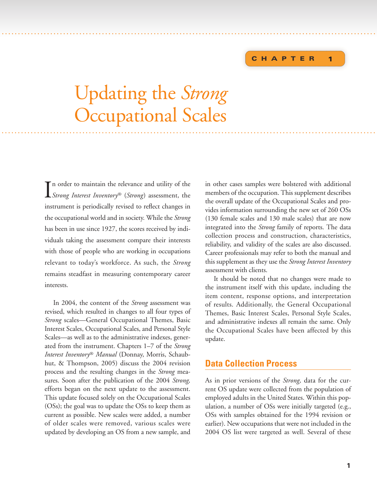# **CHAPTER**

**1**

# Updating the *Strong* Occupational Scales . . . .. ...... . . . . . . . . . . . . ..... . . . . . . . . . . . . . . ............... . . . . . . . . . . . . . . . . . . . . . . . . . . . .............. .............. . . . .

<span id="page-7-0"></span>. . . .. . . . . . . . . . . . . . . . . ...................... . . . . . . . . . . . . . . . . . . . . . . . . . . . . . . . . . . . . . . . . . . . . . . . . . . . . . . . . . . . . . . . . . . . . . . . . .

I *Strong Interest Inventory*® (*Strong*) assessment, the n order to maintain the relevance and utility of the instrument is periodically revised to reflect changes in the occupational world and in society. While the *Strong* has been in use since 1927, the scores received by individuals taking the assessment compare their interests with those of people who are working in occupations relevant to today's workforce. As such, the *Strong* remains steadfast in measuring contemporary career interests.

In 2004, the content of the *Strong* assessment was revised, which resulted in changes to all four types of *Strong* scales—General Occupational Themes, Basic Interest Scales, Occupational Scales, and Personal Style Scales—as well as to the administrative indexes, generated from the instrument. Chapters 1–7 of the *Strong Interest Inventory*® *Manual* (Donnay, Morris, Schaubhut, & Thompson, 2005) discuss the 2004 revision process and the resulting changes in the *Strong* measures. Soon after the publication of the 2004 *Strong,* efforts began on the next update to the assessment. This update focused solely on the Occupational Scales (OSs); the goal was to update the OSs to keep them as current as possible. New scales were added, a number of older scales were removed, various scales were updated by developing an OS from a new sample, and

in other cases samples were bolstered with additional members of the occupation. This supplement describes the overall update of the Occupational Scales and provides information surrounding the new set of 260 OSs (130 female scales and 130 male scales) that are now integrated into the *Strong* family of reports. The data collection process and construction, characteristics, reliability, and validity of the scales are also discussed. Career professionals may refer to both the manual and this supplement as they use the *Strong Interest Inventory* assessment with clients.

It should be noted that no changes were made to the instrument itself with this update, including the item content, response options, and interpretation of results. Additionally, the General Occupational Themes, Basic Interest Scales, Personal Style Scales, and administrative indexes all remain the same. Only the Occupational Scales have been affected by this update.

# **Data Collection Process**

As in prior versions of the *Strong,* data for the current OS update were collected from the population of employed adults in the United States. Within this population, a number of OSs were initially targeted (e.g., OSs with samples obtained for the 1994 revision or earlier). New occupations that were not included in the 2004 OS list were targeted as well. Several of these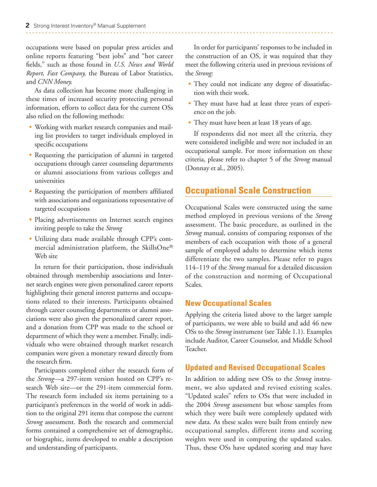<span id="page-8-0"></span>occupations were based on popular press articles and online reports featuring "best jobs" and "hot career fields," such as those found in *U.S. News and World Report, Fast Company,* the Bureau of Labor Statistics, and *CNN Money.*

As data collection has become more challenging in these times of increased security protecting personal information, efforts to collect data for the current OSs also relied on the following methods:

- Working with market research companies and mailing list providers to target individuals employed in specific occupations
- Requesting the participation of alumni in targeted occupations through career counseling departments or alumni associations from various colleges and universities
- Requesting the participation of members affiliated with associations and organizations representative of targeted occupations
- Placing advertisements on Internet search engines inviting people to take the *Strong*
- Utilizing data made available through CPP's commercial administration platform, the SkillsOne® Web site

In return for their participation, those individuals obtained through membership associations and Internet search engines were given personalized career reports highlighting their general interest patterns and occupations related to their interests. Participants obtained through career counseling departments or alumni associations were also given the personalized career report, and a donation from CPP was made to the school or department of which they were a member. Finally, individuals who were obtained through market research companies were given a monetary reward directly from the research firm.

Participants completed either the research form of the *Strong*—a 297-item version hosted on CPP's research Web site—or the 291-item commercial form. The research form included six items pertaining to a participant's preferences in the world of work in addition to the original 291 items that compose the current *Strong* assessment. Both the research and commercial forms contained a comprehensive set of demographic, or biographic, items developed to enable a description and understanding of participants.

In order for participants' responses to be included in the construction of an OS, it was required that they meet the following criteria used in previous revisions of the *Strong:*

- They could not indicate any degree of dissatisfaction with their work.
- They must have had at least three years of experience on the job.
- They must have been at least 18 years of age.

If respondents did not meet all the criteria, they were considered ineligible and were not included in an occupational sample. For more information on these criteria, please refer to chapter 5 of the *Strong* manual (Donnay et al., 2005).

# **Occupational Scale Construction**

Occupational Scales were constructed using the same method employed in previous versions of the *Strong* assessment. The basic procedure, as outlined in the *Strong* manual, consists of comparing responses of the members of each occupation with those of a general sample of employed adults to determine which items differentiate the two samples. Please refer to pages 114–119 of the *Strong* manual for a detailed discussion of the construction and norming of Occupational Scales.

### **New Occupational Scales**

Applying the criteria listed above to the larger sample of participants, we were able to build and add 46 new OSs to the *Strong* instrument (see Table 1.1). Examples include Auditor, Career Counselor, and Middle School Teacher.

# **Updated and Revised Occupational Scales**

In addition to adding new OSs to the *Strong* instrument, we also updated and revised existing scales. "Updated scales" refers to OSs that were included in the 2004 *Strong* assessment but whose samples from which they were built were completely updated with new data. As these scales were built from entirely new occupational samples, different items and scoring weights were used in computing the updated scales. Thus, these OSs have updated scoring and may have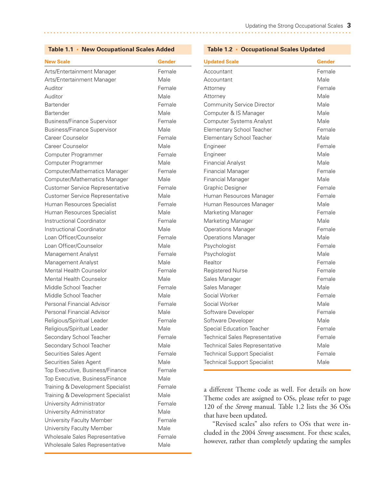#### <span id="page-9-0"></span>**Table 1.1 • New Occupational Scales Added**

| <b>New Scale</b>                       | <b>Gender</b> |
|----------------------------------------|---------------|
| Arts/Entertainment Manager             | Female        |
| Arts/Entertainment Manager             | Male          |
| Auditor                                | Female        |
| Auditor                                | Male          |
| <b>Bartender</b>                       | Female        |
| <b>Bartender</b>                       | Male          |
| <b>Business/Finance Supervisor</b>     | Female        |
| <b>Business/Finance Supervisor</b>     | Male          |
| Career Counselor                       | Female        |
| Career Counselor                       | Male          |
| Computer Programmer                    | Female        |
| Computer Programmer                    | Male          |
| Computer/Mathematics Manager           | Female        |
| Computer/Mathematics Manager           | Male          |
| <b>Customer Service Representative</b> | Female        |
| <b>Customer Service Representative</b> | Male          |
| Human Resources Specialist             | Female        |
| Human Resources Specialist             | Male          |
| Instructional Coordinator              | Female        |
| Instructional Coordinator              | Male          |
| Loan Officer/Counselor                 | Female        |
| Loan Officer/Counselor                 | Male          |
| Management Analyst                     | Female        |
| Management Analyst                     | Male          |
| <b>Mental Health Counselor</b>         | Female        |
| <b>Mental Health Counselor</b>         | Male          |
| Middle School Teacher                  | Female        |
| Middle School Teacher                  | Male          |
| Personal Financial Advisor             | Female        |
| Personal Financial Advisor             | Male          |
| Religious/Spiritual Leader             | Female        |
| Religious/Spiritual Leader             | Male          |
| Secondary School Teacher               | Female        |
| Secondary School Teacher               | Male          |
| Securities Sales Agent                 | Female        |
| Securities Sales Agent                 | Male          |
| Top Executive, Business/Finance        | Female        |
| Top Executive, Business/Finance        | Male          |
| Training & Development Specialist      | Female        |
| Training & Development Specialist      | Male          |
| University Administrator               | Female        |
| University Administrator               | Male          |
| University Faculty Member              | Female        |
| University Faculty Member              | Male          |
| Wholesale Sales Representative         | Female        |
| Wholesale Sales Representative         | Male          |

#### **Table 1.2 • Occupational Scales Updated**

| <b>Updated Scale</b>                  | <b>Gender</b> |
|---------------------------------------|---------------|
| Accountant                            | Female        |
| Accountant                            | Male          |
| Attorney                              | Female        |
| Attorney                              | Male          |
| <b>Community Service Director</b>     | Male          |
| Computer & IS Manager                 | Male          |
| <b>Computer Systems Analyst</b>       | Male          |
| Elementary School Teacher             | Female        |
| <b>Elementary School Teacher</b>      | Male          |
| Engineer                              | Female        |
| Engineer                              | Male          |
| <b>Financial Analyst</b>              | Male          |
| <b>Financial Manager</b>              | Female        |
| <b>Financial Manager</b>              | Male          |
| Graphic Designer                      | Female        |
| Human Resources Manager               | Female        |
| Human Resources Manager               | Male          |
| <b>Marketing Manager</b>              | Female        |
| Marketing Manager                     | Male          |
| <b>Operations Manager</b>             | Female        |
| <b>Operations Manager</b>             | Male          |
| Psychologist                          | Female        |
| Psychologist                          | Male          |
| Realtor                               | Female        |
| <b>Registered Nurse</b>               | Female        |
| Sales Manager                         | Female        |
| Sales Manager                         | Male          |
| Social Worker                         | Female        |
| Social Worker                         | Male          |
| Software Developer                    | Female        |
| Software Developer                    | Male          |
| <b>Special Education Teacher</b>      | Female        |
| <b>Technical Sales Representative</b> | Female        |
| <b>Technical Sales Representative</b> | Male          |
| <b>Technical Support Specialist</b>   | Female        |
| <b>Technical Support Specialist</b>   | Male          |

a different Theme code as well. For details on how Theme codes are assigned to OSs, please refer to page 120 of the *Strong* manual*.* Table 1.2 lists the 36 OSs that have been updated.

"Revised scales" also refers to OSs that were included in the 2004 *Strong* assessment. For these scales, however, rather than completely updating the samples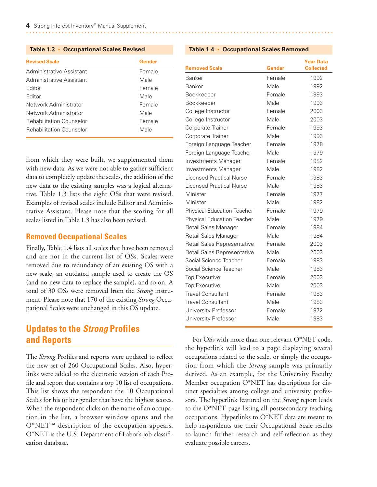<span id="page-10-0"></span>

| <b>Revised Scale</b>            | Gender |
|---------------------------------|--------|
| Administrative Assistant        | Female |
| Administrative Assistant        | Male   |
| Editor                          | Female |
| Editor                          | Male   |
| Network Administrator           | Female |
| Network Administrator           | Male   |
| <b>Rehabilitation Counselor</b> | Female |
| <b>Rehabilitation Counselor</b> | Male   |

from which they were built, we supplemented them with new data. As we were not able to gather sufficient data to completely update the scales, the addition of the new data to the existing samples was a logical alternative. Table 1.3 lists the eight OSs that were revised. Examples of revised scales include Editor and Administrative Assistant. Please note that the scoring for all scales listed in Table 1.3 has also been revised.

#### **Removed Occupational Scales**

Finally, Table 1.4 lists all scales that have been removed and are not in the current list of OSs. Scales were removed due to redundancy of an existing OS with a new scale, an outdated sample used to create the OS (and no new data to replace the sample), and so on. A total of 30 OSs were removed from the *Strong* instrument. Please note that 170 of the existing *Strong* Occupational Scales were unchanged in this OS update.

# **Updates to the** *Strong* **Profiles and Reports**

The *Strong* Profiles and reports were updated to reflect the new set of 260 Occupational Scales. Also, hyperlinks were added to the electronic version of each Profile and report that contains a top 10 list of occupations. This list shows the respondent the 10 Occupational Scales for his or her gender that have the highest scores. When the respondent clicks on the name of an occupation in the list, a browser window opens and the O\*NET™ description of the occupation appears. O\*NET is the U.S. Department of Labor's job classification database.

| <b>Removed Scale</b>              | Gender | <b>Year Data</b><br><b>Collected</b> |
|-----------------------------------|--------|--------------------------------------|
| Banker                            | Female | 1992                                 |
| Banker                            | Male   | 1992                                 |
| Bookkeeper                        | Female | 1993                                 |
| Bookkeeper                        | Male   | 1993                                 |
| College Instructor                | Female | 2003                                 |
| College Instructor                | Male   | 2003                                 |
| Corporate Trainer                 | Female | 1993                                 |
| Corporate Trainer                 | Male   | 1993                                 |
| Foreign Language Teacher          | Female | 1978                                 |
| Foreign Language Teacher          | Male   | 1979                                 |
| Investments Manager               | Female | 1982                                 |
| Investments Manager               | Male   | 1982                                 |
| <b>Licensed Practical Nurse</b>   | Female | 1983                                 |
| <b>Licensed Practical Nurse</b>   | Male   | 1983                                 |
| Minister                          | Female | 1977                                 |
| Minister                          | Male   | 1982                                 |
| <b>Physical Education Teacher</b> | Female | 1979                                 |
| <b>Physical Education Teacher</b> | Male   | 1979                                 |
| Retail Sales Manager              | Female | 1984                                 |
| Retail Sales Manager              | Male   | 1984                                 |
| Retail Sales Representative       | Female | 2003                                 |
| Retail Sales Representative       | Male   | 2003                                 |
| Social Science Teacher            | Female | 1983                                 |
| Social Science Teacher            | Male   | 1983                                 |
| <b>Top Executive</b>              | Female | 2003                                 |
| <b>Top Executive</b>              | Male   | 2003                                 |
| <b>Travel Consultant</b>          | Female | 1983                                 |
| <b>Travel Consultant</b>          | Male   | 1983                                 |
| <b>University Professor</b>       | Female | 1972                                 |
| University Professor              | Male   | 1983                                 |

For OSs with more than one relevant O\*NET code, the hyperlink will lead to a page displaying several occupations related to the scale, or simply the occupation from which the *Strong* sample was primarily derived. As an example, for the University Faculty Member occupation O\*NET has descriptions for distinct specialties among college and university professors. The hyperlink featured on the *Strong* report leads to the O\*NET page listing all postsecondary teaching occupations. Hyperlinks to O\*NET data are meant to help respondents use their Occupational Scale results to launch further research and self-reflection as they evaluate possible careers.

#### **Table 1.4 • Occupational Scales Removed**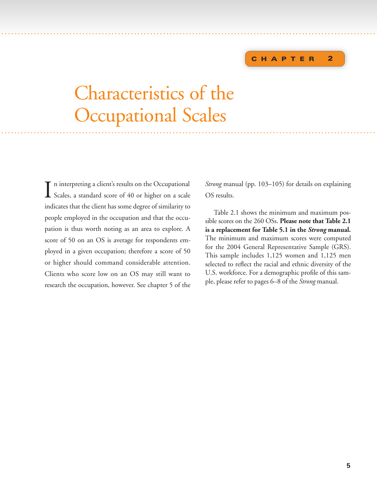#### **C HAPTER 2**

# Characteristics of the Occupational Scales ... .. .... . . . .. . . . . . . . ....... . . . . . . . . . . . . . . ............................... . . . . . . . . . . . . . . . . . . . . . . . . . . . . . . . . . . . . . . . ....

<span id="page-11-0"></span>... .. .... . . ... . . . . . . ........ . . . . . . . . . . . . . . ...................................................................... . . . .

I n interpreting a client's results on the Occupational Scales, a standard score of 40 or higher on a scale indicates that the client has some degree of similarity to people employed in the occupation and that the occupation is thus worth noting as an area to explore. A score of 50 on an OS is average for respondents employed in a given occupation; therefore a score of 50 or higher should command considerable attention. Clients who score low on an OS may still want to research the occupation, however. See chapter 5 of the

*Strong* manual (pp. 103–105) for details on explaining OS results.

Table 2.1 shows the minimum and maximum possible scores on the 260 OSs. **Please note that Table 2.1 is a replacement for Table 5.1 in the** *Strong* **manual***.* The minimum and maximum scores were computed for the 2004 General Representative Sample (GRS). This sample includes 1,125 women and 1,125 men selected to reflect the racial and ethnic diversity of the U.S. workforce. For a demographic profile of this sample, please refer to pages 6–8 of the *Strong* manual.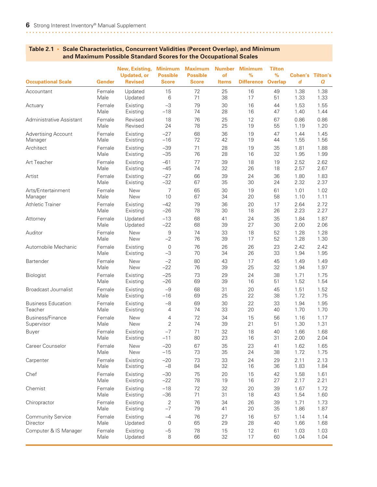#### **New, Existing, Minimum Maximum Number Minimum Tilton Updated, or Possible Possible of % % Cohen's Tilton's Occupational Scale Gender Revised Score Score Items Difference Overlap** *d Q* Accountant Female Updated 15 72 25 16 49 1.38 1.38 Male Updated 6 71 38 17 51 1.33 1.33 Actuary Female Existing –3 79 30 16 44 1.53 1.55 Male Existing –18 74 28 16 47 1.40 1.44 Administrative Assistant Female Revised 18 76 25 12 67 0.86 0.86 Male Revised 24 78 25 19 55 1.19 1.20 Advertising Account Female Existing –27 68 36 19 47 1.44 1.45 Manager Male Existing –16 72 42 19 44 1.55 1.56 Architect Female Existing –39 71 28 19 35 1.81 1.88 Male Existing –35 76 28 16 32 1.95 1.99 Art Teacher Female Existing –61 77 39 18 19 2.52 2.62 Male Existing –45 74 32 26 18 2.57 2.67 Artist Female Existing –27 66 39 24 36 1.80 1.83 Male Existing –32 67 35 30 24 2.32 2.37 Arts/Entertainment Female New 7 65 30 19 61 1.01 1.02<br>1.11 Manager Male New 10 67 34 20 58 1.10 1.11 Manager Male New 10 67 34 20 58 1.10 1.11 Athletic Trainer Female Existing –42 79 36 20 17 2.64 2.72 Male Existing –26 78 30 18 26 2.23 2.27 Attorney Female Updated –13 68 41 24 35 1.84 1.87 Male Updated –22 68 39 27 30 2.00 2.06 Auditor Female New 9 74 33 18 52 1.28 1.28 Male New –2 76 39 17 52 1.28 1.30 Automobile Mechanic Female Existing 0 76 26 26 23 2.42 2.42 Male Existing –3 70 34 26 33 1.94 1.95 Bartender Female New –2 80 43 17 45 1.49 1.49 Male New –22 76 39 25 32 1.94 1.97 Biologist Female Existing –25 73 29 24 38 1.71 1.75 Male Existing –26 69 39 16 51 1.52 1.54 Broadcast Journalist Female Existing –9 68 31 20 45 1.51 1.52 Male Existing –16 69 25 22 38 1.72 1.75 Business Education Female Existing –8 69 30 22 33 1.94 1.95 Teacher Male Existing 4 74 33 20 40 1.70 1.70 ender Female New 1 a may be the temperature of the Mercus Australian (network to the temperature of the temper<br>Bupervisor – Some Male New 2 the 20 21 51 1.30 1.31 Supervisor Male New 2 74 39 21 51 1.30 1.31 Buyer Female Existing –7 71 32 18 40 1.66 1.68 Male Existing –11 80 23 16 31 2.00 2.04 Career Counselor Female New –20 67 35 23 41 1.62 1.65 Male New –15 73 35 24 38 1.72 1.75 Carpenter Female Existing –20 73 33 24 29 2.11 2.13 Male Existing –8 84 32 16 36 1.83 1.84 Chef Female Existing –30 75 20 15 42 1.58 1.61 Male Existing –22 78 19 16 27 2.17 2.21 Chemist Female Existing –18 72 32 20 39 1.67 1.72 Male Existing –36 71 31 18 43 1.54 1.60 Chiropractor Female Existing 2 76 34 26 39 1.71 1.73 Male Existing –7 79 41 20 35 1.86 1.87 Community Service Female Existing –4 76 27 16 57 1.14 1.14 Director Male Updated 0 65 29 28 40 1.66 1.68 Computer & IS Manager Female Existing –5 78 15 12 61 1.03 1.03 Male Updated 8 66 32 17 60 1.04 1.04

#### <span id="page-12-0"></span>**Table 2.1 • Scale Characteristics, Concurrent Validities (Percent Overlap), and Minimum and Maximum Possible Standard Scores for the Occupational Scales**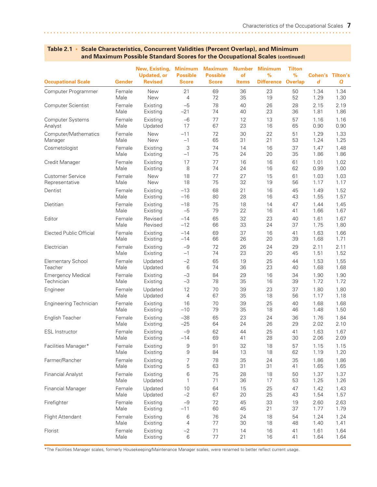| <b>Occupational Scale</b>      | Gender | New, Existing,<br><b>Updated, or</b><br><b>Revised</b> | <b>Minimum</b><br><b>Possible</b><br><b>Score</b> | <b>Maximum</b><br><b>Possible</b><br><b>Score</b> | <b>Number</b><br>of<br><b>Items</b> | <b>Minimum</b><br>%<br><b>Difference</b> | Tilton<br>$\%$<br><b>Overlap</b> | <b>Cohen's Tilton's</b><br>$\boldsymbol{d}$ | Q    |
|--------------------------------|--------|--------------------------------------------------------|---------------------------------------------------|---------------------------------------------------|-------------------------------------|------------------------------------------|----------------------------------|---------------------------------------------|------|
| Computer Programmer            | Female | <b>New</b>                                             | 21                                                | 69                                                | 36                                  | 23                                       | 50                               | 1.34                                        | 1.34 |
|                                | Male   | New                                                    | $\overline{4}$                                    | 72                                                | 35                                  | 19                                       | 52                               | 1.29                                        | 1.30 |
| Computer Scientist             | Female | Existing                                               | $-5$                                              | 78                                                | 40                                  | 26                                       | 28                               | 2.15                                        | 2.19 |
|                                | Male   | Existing                                               | $-21$                                             | 74                                                | 40                                  | 23                                       | 36                               | 1.81                                        | 1.86 |
| <b>Computer Systems</b>        | Female | Existing                                               | $-6$                                              | 77                                                | 12                                  | 13                                       | 57                               | 1.16                                        | 1.16 |
| Analyst                        | Male   | Updated                                                | 17                                                | 67                                                | 23                                  | 16                                       | 65                               | 0.90                                        | 0.90 |
| Computer/Mathematics           | Female | New                                                    | $-11$                                             | 72                                                | 30                                  | 22                                       | 51                               | 1.29                                        | 1.33 |
| Manager                        | Male   | New                                                    | $-1$                                              | 65                                                | 31                                  | 21                                       | 53                               | 1.24                                        | 1.25 |
| Cosmetologist                  | Female | Existing                                               | 3                                                 | 74                                                | 14                                  | 16                                       | 37                               | 1.47                                        | 1.48 |
|                                | Male   | Existing                                               | $-1$                                              | 75                                                | 24                                  | 20                                       | 35                               | 1.86                                        | 1.86 |
| Credit Manager                 | Female | Existing                                               | 17                                                | 77                                                | 16                                  | 16                                       | 61                               | 1.01                                        | 1.02 |
|                                | Male   | Existing                                               | 8                                                 | 74                                                | 24                                  | 16                                       | 62                               | 0.99                                        | 1.00 |
| <b>Customer Service</b>        | Female | <b>New</b>                                             | 18                                                | 77                                                | 27                                  | 15                                       | 61                               | 1.03                                        | 1.03 |
| Representative                 | Male   | New                                                    | 18                                                | 75                                                | 32                                  | 19                                       | 56                               | 1.17                                        | 1.17 |
| Dentist                        | Female | Existing                                               | $-13$                                             | 68                                                | 21                                  | 16                                       | 45                               | 1.49                                        | 1.52 |
|                                | Male   | Existing                                               | $-16$                                             | 80                                                | 28                                  | 16                                       | 43                               | 1.55                                        | 1.57 |
| Dietitian                      | Female | Existing                                               | $-18$                                             | 75                                                | 18                                  | 14                                       | 47                               | 1.44                                        | 1.45 |
|                                | Male   | Existing                                               | $-5$                                              | 79                                                | 22                                  | 16                                       | 41                               | 1.66                                        | 1.67 |
| Editor                         | Female | Revised                                                | $-14$                                             | 65                                                | 32                                  | 23                                       | 40                               | 1.61                                        | 1.67 |
|                                | Male   | Revised                                                | $-12$                                             | 66                                                | 33                                  | 24                                       | 37                               | 1.75                                        | 1.80 |
| <b>Elected Public Official</b> | Female | Existing                                               | $-14$                                             | 69                                                | 37                                  | 16                                       | 41                               | 1.63                                        | 1.66 |
|                                | Male   | Existing                                               | $-14$                                             | 66                                                | 26                                  | 20                                       | 39                               | 1.68                                        | 1.71 |
| Electrician                    | Female | Existing                                               | $-9$                                              | 72                                                | 26                                  | 24                                       | 29                               | 2.11                                        | 2.11 |
|                                | Male   | Existing                                               | $-1$                                              | 74                                                | 23                                  | 20                                       | 45                               | 1.51                                        | 1.52 |
| <b>Elementary School</b>       | Female | Updated                                                | $-2$                                              | 65                                                | 19                                  | 25                                       | 44                               | 1.53                                        | 1.55 |
| Teacher                        | Male   | Updated                                                | 6                                                 | 74                                                | 36                                  | 23                                       | 40                               | 1.68                                        | 1.68 |
| <b>Emergency Medical</b>       | Female | Existing                                               | $-3$                                              | 84                                                | 29                                  | 16                                       | 34                               | 1.90                                        | 1.90 |
| Technician                     | Male   | Existing                                               | $-3$                                              | 78                                                | 35                                  | 16                                       | 39                               | 1.72                                        | 1.72 |
| Engineer                       | Female | Updated                                                | 12                                                | 70                                                | 39                                  | 23                                       | 37                               | 1.80                                        | 1.80 |
|                                | Male   | Updated                                                | $\overline{4}$                                    | 67                                                | 35                                  | 18                                       | 56                               | 1.17                                        | 1.18 |
| Engineering Technician         | Female | Existing                                               | 16                                                | 70                                                | 39                                  | 25                                       | 40                               | 1.68                                        | 1.68 |
|                                | Male   | Existing                                               | $-10$                                             | 79                                                | 35                                  | 18                                       | 46                               | 1.48                                        | 1.50 |
| English Teacher                | Female | Existing                                               | $-38$                                             | 65                                                | 23                                  | 24                                       | 36                               | 1.76                                        | 1.84 |
|                                | Male   | Existing                                               | $-25$                                             | 64                                                | 24                                  | 26                                       | 29                               | 2.02                                        | 2.10 |
| <b>ESL Instructor</b>          | Female | Existing                                               | $-9$                                              | 62                                                | 44                                  | 25                                       | 41                               | 1.63                                        | 1.67 |
|                                | Male   | Existing                                               | $-14$                                             | 69                                                | 41                                  | 28                                       | 30                               | 2.06                                        | 2.09 |
| Facilities Manager*            | Female | Existing                                               | 9                                                 | 91                                                | 32                                  | 18                                       | 57                               | 1.15                                        | 1.15 |
|                                | Male   | Existing                                               | 9                                                 | 84                                                | 13                                  | 18                                       | 62                               | 1.19                                        | 1.20 |
| Farmer/Rancher                 | Female | Existing                                               | 7                                                 | 78                                                | 35                                  | 24                                       | 35                               | 1.86                                        | 1.86 |
|                                | Male   | Existing                                               | 5                                                 | 63                                                | 31                                  | 31                                       | 41                               | 1.65                                        | 1.65 |
| <b>Financial Analyst</b>       | Female | Existing                                               | 6                                                 | 75                                                | 28                                  | 18                                       | 50                               | 1.37                                        | 1.37 |
|                                | Male   | Updated                                                | 1                                                 | 71                                                | 36                                  | 17                                       | 53                               | 1.25                                        | 1.26 |
| <b>Financial Manager</b>       | Female | Updated                                                | 10                                                | 64                                                | 15                                  | 25                                       | 47                               | 1.42                                        | 1.43 |
|                                | Male   | Updated                                                | $-2$                                              | 67                                                | 20                                  | 25                                       | 43                               | 1.54                                        | 1.57 |
| Firefighter                    | Female | Existing                                               | $-9$                                              | 72                                                | 45                                  | 33                                       | 19                               | 2.60                                        | 2.63 |
|                                | Male   | Existing                                               | $-11$                                             | 60                                                | 45                                  | 21                                       | 37                               | 1.77                                        | 1.79 |
| Flight Attendant               | Female | Existing                                               | 6                                                 | 76                                                | 24                                  | 18                                       | 54                               | 1.24                                        | 1.24 |
|                                | Male   | Existing                                               | 4                                                 | 77                                                | 30                                  | 18                                       | 48                               | 1.40                                        | 1.41 |
| Florist                        | Female | Existing                                               | $-2$                                              | 71                                                | 14                                  | 16                                       | 41                               | 1.61                                        | 1.64 |
|                                | Male   | Existing                                               | 6                                                 | 77                                                | 21                                  | 16                                       | 41                               | 1.64                                        | 1.64 |

\*The Facilities Manager scales, formerly Housekeeping/Maintenance Manager scales, were renamed to better reflect current usage.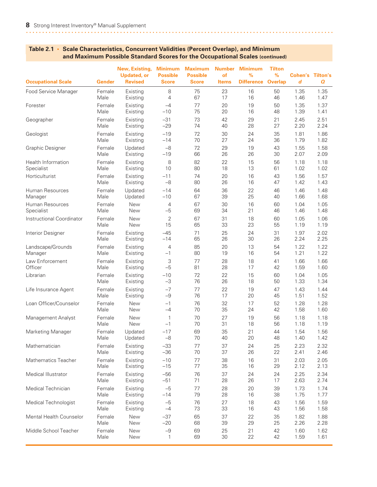| <b>Occupational Scale</b> | <b>Gender</b> | New, Existing,<br><b>Updated, or</b><br><b>Revised</b> | <b>Minimum</b><br><b>Possible</b><br><b>Score</b> | <b>Maximum</b><br><b>Possible</b><br><b>Score</b> | <b>Number</b><br>of<br><b>Items</b> | <b>Minimum</b><br>$\frac{9}{6}$<br><b>Difference</b> | <b>Tilton</b><br>$\%$<br><b>Overlap</b> | Cohen's<br>d | <b>Tilton's</b><br>Q |
|---------------------------|---------------|--------------------------------------------------------|---------------------------------------------------|---------------------------------------------------|-------------------------------------|------------------------------------------------------|-----------------------------------------|--------------|----------------------|
| Food Service Manager      | Female        | Existing                                               | 8                                                 | 75                                                | 23                                  | 16                                                   | 50                                      | 1.35         | 1.35                 |
|                           | Male          | Existing                                               | $\overline{4}$                                    | 67                                                | 17                                  | 16                                                   | 46                                      | 1.46         | 1.47                 |
| Forester                  | Female        | Existing                                               | $-4$                                              | 77                                                | 20                                  | 19                                                   | 50                                      | 1.35         | 1.37                 |
|                           | Male          | Existing                                               | $-10$                                             | 75                                                | 20                                  | 16                                                   | 48                                      | 1.39         | 1.41                 |
| Geographer                | Female        | Existing                                               | $-31$                                             | 73                                                | 42                                  | 29                                                   | 21                                      | 2.45         | 2.51                 |
|                           | Male          | Existing                                               | $-29$                                             | 74                                                | 40                                  | 28                                                   | 27                                      | 2.20         | 2.24                 |
| Geologist                 | Female        | Existing                                               | $-19$                                             | 72                                                | 30                                  | 24                                                   | 35                                      | 1.81         | 1.86                 |
|                           | Male          | Existing                                               | $-14$                                             | 70                                                | 27                                  | 24                                                   | 36                                      | 1.79         | 1.82                 |
| <b>Graphic Designer</b>   | Female        | Updated                                                | $-8$                                              | 72                                                | 29                                  | 19                                                   | 43                                      | 1.55         | 1.58                 |
|                           | Male          | Existing                                               | $-19$                                             | 66                                                | 26                                  | 26                                                   | 30                                      | 2.07         | 2.09                 |
| <b>Health Information</b> | Female        | Existing                                               | 8                                                 | 82                                                | 22                                  | 15                                                   | 56                                      | 1.18         | 1.18                 |
| Specialist                | Male          | Existing                                               | 10                                                | 80                                                | 18                                  | 13                                                   | 61                                      | 1.02         | 1.02                 |
| Horticulturist            | Female        | Existing                                               | $-11$                                             | 74                                                | 20                                  | 16                                                   | 43                                      | 1.56         | 1.57                 |
|                           | Male          | Existing                                               | $-8$                                              | 80                                                | 26                                  | 16                                                   | 47                                      | 1.42         | 1.43                 |
| Human Resources           | Female        | Updated                                                | $-14$                                             | 64                                                | 36                                  | 22                                                   | 46                                      | 1.46         | 1.48                 |
| Manager                   | Male          | Updated                                                | $-10$                                             | 67                                                | 39                                  | 25                                                   | 40                                      | 1.66         | 1.68                 |
| Human Resources           | Female        | <b>New</b>                                             | 4                                                 | 67                                                | 30                                  | 16                                                   | 60                                      | 1.04         | 1.05                 |
| Specialist                | Male          | New                                                    | $-5$                                              | 69                                                | 34                                  | 21                                                   | 46                                      | 1.46         | 1.48                 |
| Instructional Coordinator | Female        | New                                                    | 2                                                 | 67                                                | 31                                  | 18                                                   | 60                                      | 1.05         | 1.06                 |
|                           | Male          | New                                                    | 15                                                | 65                                                | 33                                  | 23                                                   | 55                                      | 1.19         | 1.19                 |
| Interior Designer         | Female        | Existing                                               | $-45$                                             | 71                                                | 25                                  | 24                                                   | 31                                      | 1.97         | 2.02                 |
|                           | Male          | Existing                                               | $-14$                                             | 65                                                | 26                                  | 30                                                   | 26                                      | 2.24         | 2.25                 |
| Landscape/Grounds         | Female        | Existing                                               | $\overline{4}$                                    | 85                                                | 20                                  | 13                                                   | 54                                      | 1.22         | 1.22                 |
| Manager                   | Male          | Existing                                               | $-1$                                              | 80                                                | 19                                  | 16                                                   | 54                                      | 1.21         | 1.22                 |
| Law Enforcement           | Female        | Existing                                               | 3                                                 | 77                                                | 28                                  | 18                                                   | 41                                      | 1.66         | 1.66                 |
| Officer                   | Male          | Existing                                               | $-5$                                              | 81                                                | 28                                  | 17                                                   | 42                                      | 1.59         | 1.60                 |
| Librarian                 | Female        | Existing                                               | $-10$                                             | 72                                                | 22                                  | 15                                                   | 60                                      | 1.04         | 1.05                 |
|                           | Male          | Existing                                               | $-3$                                              | 76                                                | 26                                  | 18                                                   | 50                                      | 1.33         | 1.34                 |
| Life Insurance Agent      | Female        | Existing                                               | $-7$                                              | 77                                                | 22                                  | 19                                                   | 47                                      | 1.43         | 1.44                 |
|                           | Male          | Existing                                               | $-9$                                              | 76                                                | 17                                  | 20                                                   | 45                                      | 1.51         | 1.52                 |
| Loan Officer/Counselor    | Female        | New                                                    | $-1$                                              | 76                                                | 32                                  | 17                                                   | 52                                      | 1.28         | 1.28                 |
|                           | Male          | New                                                    | $-4$                                              | 70                                                | 35                                  | 24                                                   | 42                                      | 1.58         | 1.60                 |
| Management Analyst        | Female        | New                                                    | $\mathbf{1}$                                      | 70                                                | 27                                  | 19                                                   | 56                                      | 1.18         | 1.18                 |
|                           | Male          | New                                                    | $-1$                                              | 70                                                | 31                                  | 18                                                   | 56                                      | 1.18         | 1.19                 |
| Marketing Manager         | Female        | Updated                                                | $-17$                                             | 69                                                | 35                                  | 21                                                   | 44                                      | 1.54         | 1.56                 |
|                           | Male          | Updated                                                | $-8$                                              | 70                                                | 40                                  | 20                                                   | 48                                      | 1.40         | 1.42                 |
| Mathematician             | Female        | Existing                                               | $-33$                                             | 77                                                | 37                                  | 24                                                   | 25                                      | 2.23         | 2.32                 |
|                           | Male          | Existing                                               | $-36$                                             | 70                                                | 37                                  | 26                                                   | 22                                      | 2.41         | 2.46                 |
| Mathematics Teacher       | Female        | Existing                                               | $-10$                                             | 77                                                | 38                                  | 16                                                   | 31                                      | 2.03         | 2.05                 |
|                           | Male          | Existing                                               | $-15$                                             | 77                                                | 35                                  | 16                                                   | 29                                      | 2.12         | 2.13                 |
| Medical Illustrator       | Female        | Existing                                               | $-56$                                             | 76                                                | 37                                  | 24                                                   | 24                                      | 2.25         | 2.34                 |
|                           | Male          | Existing                                               | $-51$                                             | 71                                                | 28                                  | 26                                                   | 17                                      | 2.63         | 2.74                 |
| Medical Technician        | Female        | Existing                                               | $-5$                                              | 77                                                | 28                                  | 20                                                   | 39                                      | 1.73         | 1.74                 |
|                           | Male          | Existing                                               | $-14$                                             | 79                                                | 28                                  | 16                                                   | 38                                      | 1.75         | 1.77                 |
| Medical Technologist      | Female        | Existing                                               | $-5$                                              | 76                                                | 27                                  | 18                                                   | 43                                      | 1.56         | 1.59                 |
|                           | Male          | Existing                                               | $-4$                                              | 73                                                | 33                                  | 16                                                   | 43                                      | 1.56         | 1.58                 |
| Mental Health Counselor   | Female        | New                                                    | $-37$                                             | 65                                                | 37                                  | 22                                                   | 35                                      | 1.82         | 1.88                 |
|                           | Male          | New                                                    | $-20$                                             | 68                                                | 39                                  | 29                                                   | 25                                      | 2.26         | 2.28                 |
| Middle School Teacher     | Female        | New                                                    | $-9$                                              | 69                                                | 25                                  | 21                                                   | 42                                      | 1.60         | 1.62                 |
|                           | Male          | New                                                    | 1                                                 | 69                                                | 30                                  | 22                                                   | 42                                      | 1.59         | 1.61                 |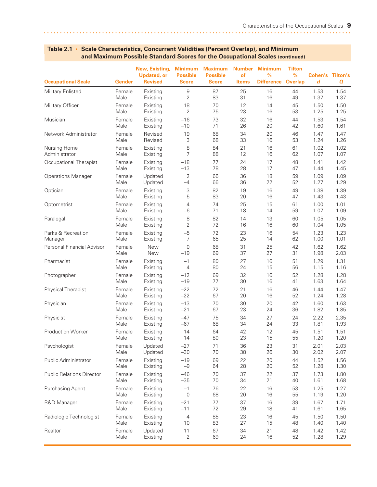| <b>Occupational Scale</b>        | Gender | New, Existing,<br><b>Updated, or</b><br><b>Revised</b> | <b>Minimum</b><br><b>Possible</b><br><b>Score</b> | <b>Maximum</b><br><b>Possible</b><br><b>Score</b> | <b>Number</b><br>of<br><b>Items</b> | <b>Minimum</b><br>%<br><b>Difference</b> | <b>Tilton</b><br>$\%$<br><b>Overlap</b> | Cohen's<br>d | <b>Tilton's</b><br>$\boldsymbol{a}$ |
|----------------------------------|--------|--------------------------------------------------------|---------------------------------------------------|---------------------------------------------------|-------------------------------------|------------------------------------------|-----------------------------------------|--------------|-------------------------------------|
| Military Enlisted                | Female | Existing                                               | 9                                                 | 87                                                | 25                                  | 16                                       | 44                                      | 1.53         | 1.54                                |
|                                  | Male   | Existing                                               | 2                                                 | 83                                                | 31                                  | 16                                       | 49                                      | 1.37         | 1.37                                |
| Military Officer                 | Female | Existing                                               | 18                                                | 70                                                | 12                                  | 14                                       | 45                                      | 1.50         | 1.50                                |
|                                  | Male   | Existing                                               | 2                                                 | 75                                                | 23                                  | 16                                       | 53                                      | 1.25         | 1.25                                |
| Musician                         | Female | Existing                                               | $-16$                                             | 73                                                | 32                                  | 16                                       | 44                                      | 1.53         | 1.54                                |
|                                  | Male   | Existing                                               | $-10$                                             | 71                                                | 26                                  | 20                                       | 42                                      | 1.60         | 1.61                                |
| Network Administrator            | Female | Revised                                                | 19                                                | 68                                                | 34                                  | 20                                       | 46                                      | 1.47         | 1.47                                |
|                                  | Male   | Revised                                                | 3                                                 | 68                                                | 33                                  | 16                                       | 53                                      | 1.24         | 1.26                                |
| Nursing Home                     | Female | Existing                                               | 8                                                 | 84                                                | 21                                  | 16                                       | 61                                      | 1.02         | 1.02                                |
| Administrator                    | Male   | Existing                                               | 7                                                 | 88                                                | 12                                  | 16                                       | 62                                      | 1.07         | 1.07                                |
| Occupational Therapist           | Female | Existing                                               | $-18$                                             | 77                                                | 24                                  | 17                                       | 48                                      | 1.41         | 1.42                                |
|                                  | Male   | Existing                                               | $-13$                                             | 78                                                | 28                                  | 17                                       | 47                                      | 1.44         | 1.45                                |
| <b>Operations Manager</b>        | Female | Updated                                                | 2                                                 | 66                                                | 36                                  | 18                                       | 59                                      | 1.09         | 1.09                                |
|                                  | Male   | Updated                                                | $-4$                                              | 66                                                | 36                                  | 22                                       | 52                                      | 1.27         | 1.29                                |
| Optician                         | Female | Existing                                               | 3                                                 | 82                                                | 19                                  | 16                                       | 49                                      | 1.38         | 1.39                                |
|                                  | Male   | Existing                                               | 5                                                 | 83                                                | 20                                  | 16                                       | 47                                      | 1.43         | 1.43                                |
| Optometrist                      | Female | Existing                                               | 4                                                 | 74                                                | 25                                  | 15                                       | 61                                      | 1.00         | 1.01                                |
|                                  | Male   | Existing                                               | $-6$                                              | 71                                                | 18                                  | 14                                       | 59                                      | 1.07         | 1.09                                |
| Paralegal                        | Female | Existing                                               | 8                                                 | 82                                                | 14                                  | 13                                       | 60                                      | 1.05         | 1.05                                |
|                                  | Male   | Existing                                               | $\overline{2}$                                    | 72                                                | 16                                  | 16                                       | 60                                      | 1.04         | 1.05                                |
| Parks & Recreation               | Female | Existing                                               | $-5$                                              | 72                                                | 23                                  | 16                                       | 54                                      | 1.23         | 1.23                                |
| Manager                          | Male   | Existing                                               | 7                                                 | 65                                                | 25                                  | 14                                       | 62                                      | 1.00         | 1.01                                |
| Personal Financial Advisor       | Female | <b>New</b>                                             | 0                                                 | 68                                                | 31                                  | 25                                       | 42                                      | 1.62         | 1.62                                |
|                                  | Male   | <b>New</b>                                             | $-19$                                             | 69                                                | 37                                  | 27                                       | 31                                      | 1.98         | 2.03                                |
| Pharmacist                       | Female | Existing                                               | $-1$                                              | 80                                                | 27                                  | 16                                       | 51                                      | 1.29         | 1.31                                |
|                                  | Male   | Existing                                               | $\overline{4}$                                    | 80                                                | 24                                  | 15                                       | 56                                      | 1.15         | 1.16                                |
| Photographer                     | Female | Existing                                               | $-12$                                             | 69                                                | 32                                  | 16                                       | 52                                      | 1.28         | 1.28                                |
|                                  | Male   | Existing                                               | $-19$                                             | 77                                                | 30                                  | 16                                       | 41                                      | 1.63         | 1.64                                |
| Physical Therapist               | Female | Existing                                               | $-22$                                             | 72                                                | 21                                  | 16                                       | 46                                      | 1.44         | 1.47                                |
|                                  | Male   | Existing                                               | $-22$                                             | 67                                                | 20                                  | 16                                       | 52                                      | 1.24         | 1.28                                |
| Physician                        | Female | Existing                                               | $-13$                                             | 70                                                | 30                                  | 20                                       | 42                                      | 1.60         | 1.63                                |
|                                  | Male   | Existing                                               | $-21$                                             | 67                                                | 23                                  | 24                                       | 36                                      | 1.82         | 1.85                                |
| Physicist                        | Female | Existing                                               | $-47$                                             | 75                                                | 34                                  | 27                                       | 24                                      | 2.22         | 2.35                                |
|                                  | Male   | Existing                                               | $-67$                                             | 68                                                | 34                                  | 24                                       | 33                                      | 1.81         | 1.93                                |
| <b>Production Worker</b>         | Female | Existing                                               | 14                                                | 64                                                | 42                                  | 12                                       | 45                                      | 1.51         | 1.51                                |
|                                  | Male   | Existing                                               | 14                                                | 80                                                | 23                                  | 15                                       | 55                                      | 1.20         | 1.20                                |
| Psychologist                     | Female | Updated                                                | $-27$                                             | 71                                                | 36                                  | 23                                       | 31                                      | 2.01         | 2.03                                |
|                                  | Male   | Updated                                                | $-30$                                             | 70                                                | 38                                  | 26                                       | 30                                      | 2.02         | 2.07                                |
| Public Administrator             | Female | Existing                                               | $-19$                                             | 69                                                | 22                                  | 20                                       | 44                                      | 1.52         | 1.56                                |
|                                  | Male   | Existing                                               | $-9$                                              | 64                                                | 28                                  | 20                                       | 52                                      | 1.28         | 1.30                                |
| <b>Public Relations Director</b> | Female | Existing                                               | $-46$                                             | 70                                                | 37                                  | 22                                       | 37                                      | 1.73         | 1.80                                |
|                                  | Male   | Existing                                               | $-35$                                             | 70                                                | 34                                  | 21                                       | 40                                      | 1.61         | 1.68                                |
| Purchasing Agent                 | Female | Existing                                               | $-1$                                              | 76                                                | 22                                  | 16                                       | 53                                      | 1.25         | 1.27                                |
|                                  | Male   | Existing                                               | 0                                                 | 68                                                | 20                                  | 16                                       | 55                                      | 1.19         | 1.20                                |
| R&D Manager                      | Female | Existing                                               | $-21$                                             | 77                                                | 37                                  | 16                                       | 39                                      | 1.67         | 1.71                                |
|                                  | Male   | Existing                                               | $-11$                                             | 72                                                | 29                                  | 18                                       | 41                                      | 1.61         | 1.65                                |
| Radiologic Technologist          | Female | Existing                                               | 4                                                 | 85                                                | 23                                  | 16                                       | 45                                      | 1.50         | 1.50                                |
|                                  | Male   | Existing                                               | 10                                                | 83                                                | 27                                  | 15                                       | 48                                      | 1.40         | 1.40                                |
| Realtor                          | Female | Updated                                                | 11                                                | 67                                                | 34                                  | 21                                       | 48                                      | 1.42         | 1.42                                |
|                                  | Male   | Existing                                               | 2                                                 | 69                                                | 24                                  | 16                                       | 52                                      | 1.28         | 1.29                                |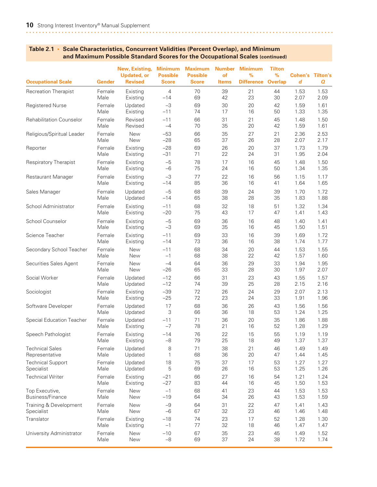#### **New, Existing, Minimum Maximum Number Minimum Tilton Updated, or Possible Possible of % % Cohen's Tilton's Occupational Scale Gender Revised Score Score Items Difference Overlap** *d Q* Recreation Therapist Female Existing 4 70 39 21 44 1.53 1.53 Male Existing –14 69 42 23 30 2.07 2.09 Registered Nurse **Female** Updated -3 69 30 20 42 1.59 1.61 Male Existing –11 74 17 16 50 1.33 1.35 Rehabilitation Counselor Female Revised –11 66 31 21 45 1.48 1.50 Male Revised –4 70 35 20 42 1.59 1.61 Religious/Spiritual Leader Female New –53 66 35 27 21 2.36 2.53 Male New –28 65 37 26 28 2.07 2.17 Reporter Female Existing –28 69 26 20 37 1.73 1.79 Male Existing –31 71 22 24 31 1.95 2.04 Respiratory Therapist Female Existing -5 78 17 16 45 1.48 1.50 Male Existing –6 75 24 16 50 1.34 1.35 Restaurant Manager Female Existing –3 77 22 16 56 1.15 1.17 Male Existing –14 85 36 16 41 1.64 1.65 Sales Manager **Female** Updated -5 68 39 24 39 1.70 1.72 Male Updated –14 65 38 28 35 1.83 1.88 School Administrator Female Existing –11 68 32 18 51 1.32 1.34 Male Existing –20 75 43 17 47 1.41 1.43 School Counselor Female Existing –5 69 36 16 48 1.40 1.41 Male Existing –3 69 35 16 45 1.50 1.51 Science Teacher Female Existing –11 69 33 16 39 1.69 1.72 Male Existing –14 73 36 16 38 1.74 1.77 Secondary School Teacher Female New –11 68 34 20 44 1.53 1.55 Male New –1 68 38 22 42 1.57 1.60 Securities Sales Agent Female New –4 64 36 29 33 1.94 1.95 Male New –26 65 33 28 30 1.97 2.07 Social Worker Female Updated –12 66 31 23 43 1.55 1.57 Male Updated –12 74 39 25 28 2.15 2.16 Sociologist Female Existing –39 72 26 24 29 2.07 2.13 Male Existing –25 72 23 24 33 1.91 1.96 Software Developer Female Updated 17 68 36 26 43 1.56 1.56 Male Updated 3 66 36 18 53 1.24 1.25 Special Education Teacher Female Updated –11 71 36 20 35 1.86 1.88 Male Existing –7 78 21 16 52 1.28 1.29 Speech Pathologist Female Existing –14 76 22 15 55 1.19 1.19 Male Existing –8 79 25 18 49 1.37 1.37 Technical Sales Female Updated 8 71 38 21 46 1.49 1.49 Representative Male Updated 1 68 36 20 47 1.44 1.45 Technical Support Female Updated 18 75 37 17 53 1.27 1.27 Specialist Male Updated 5 69 26 16 53 1.25 1.26 Technical Writer Female Existing –21 66 27 16 54 1.21 1.24 Male Existing –27 83 44 16 45 1.50 1.53 Top Executive, Female New –1 68 41 23 44 1.53 1.53 Business/Finance Male New –19 64 34 26 43 1.53 1.59 Training & Development Female New –9 64 31 22 47 1.41 1.43 Specialist Male New –6 67 32 23 46 1.46 1.48 Translator Female Existing –18 74 23 17 52 1.28 1.30 Male Existing –1 77 32 18 46 1.47 1.47 University Administrator Female New -10 67 35 23 45 1.49 1.52 Male New –8 69 37 24 38 1.72 1.74

#### **Table 2.1 • Scale Characteristics, Concurrent Validities (Percent Overlap), and Minimum and Maximum Possible Standard Scores for the Occupational Scales (continued)**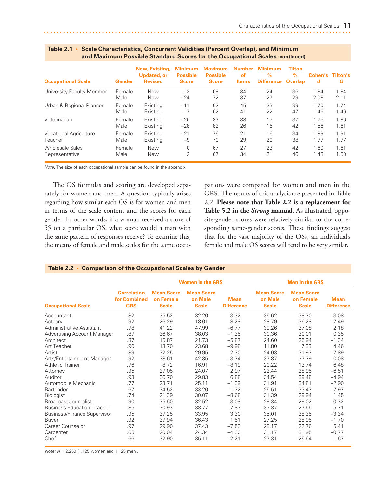<span id="page-17-0"></span>

| <b>Occupational Scale</b>     | Gender | New, Existing,<br><b>Updated, or</b><br><b>Revised</b> | <b>Minimum</b><br><b>Possible</b><br><b>Score</b> | <b>Maximum</b><br><b>Possible</b><br><b>Score</b> | <b>Number</b><br>of<br><b>Items</b> | Minimum<br>$\%$<br><b>Difference</b> | <b>Tilton</b><br>$\%$<br><b>Overlap</b> | Cohen's<br>d | <b>Tilton's</b><br>Q |
|-------------------------------|--------|--------------------------------------------------------|---------------------------------------------------|---------------------------------------------------|-------------------------------------|--------------------------------------|-----------------------------------------|--------------|----------------------|
| University Faculty Member     | Female | <b>New</b>                                             | $-3$                                              | 68                                                | 34                                  | 24                                   | 36                                      | 1.84         | 1.84                 |
|                               | Male   | New                                                    | $-24$                                             | 72                                                | 37                                  | 27                                   | 29                                      | 2.08         | 2.11                 |
| Urban & Regional Planner      | Female | Existing                                               | $-11$                                             | 62                                                | 45                                  | 23                                   | 39                                      | 1.70         | 1.74                 |
|                               | Male   | Existing                                               | $-7$                                              | 62                                                | 41                                  | 22                                   | 47                                      | 1.46         | 1.46                 |
| Veterinarian                  | Female | Existing                                               | $-26$                                             | 83                                                | 38                                  | 17                                   | 37                                      | 1.75         | 1.80                 |
|                               | Male   | Existing                                               | $-28$                                             | 82                                                | 26                                  | 16                                   | 42                                      | 1.56         | 1.61                 |
| <b>Vocational Agriculture</b> | Female | Existina                                               | $-21$                                             | 76                                                | 21                                  | 16                                   | 34                                      | 1.89         | 1.91                 |
| Teacher                       | Male   | Existing                                               | $-9$                                              | 70                                                | 29                                  | 20                                   | 38                                      | 1.77         | 1.77                 |
| <b>Wholesale Sales</b>        | Female | <b>New</b>                                             | $\Omega$                                          | 67                                                | 27                                  | 23                                   | 42                                      | 1.60         | 1.61                 |
| Representative                | Male   | New                                                    | 2                                                 | 67                                                | 34                                  | 21                                   | 46                                      | 1.48         | 1.50                 |

*Note:* The size of each occupational sample can be found in the appendix.

The OS formulas and scoring are developed separately for women and men. A question typically arises regarding how similar each OS is for women and men in terms of the scale content and the scores for each gender. In other words, if a woman received a score of 55 on a particular OS, what score would a man with the same pattern of responses receive? To examine this, the means of female and male scales for the same occupations were compared for women and men in the GRS. The results of this analysis are presented in Table 2.2. **Please note that Table 2.2 is a replacement for Table 5.2 in the** *Strong* **manual.** As illustrated, opposite-gender scores were relatively similar to the corresponding same-gender scores. These findings suggest that for the vast majority of the OSs, an individual's female and male OS scores will tend to be very similar.

|                                    |                                                  |                                                | <b>Women in the GRS</b>                      |                                  | <b>Men in the GRS</b>                        |                                                |                                  |  |
|------------------------------------|--------------------------------------------------|------------------------------------------------|----------------------------------------------|----------------------------------|----------------------------------------------|------------------------------------------------|----------------------------------|--|
| <b>Occupational Scale</b>          | <b>Correlation</b><br>for Combined<br><b>GRS</b> | <b>Mean Score</b><br>on Female<br><b>Scale</b> | <b>Mean Score</b><br>on Male<br><b>Scale</b> | <b>Mean</b><br><b>Difference</b> | <b>Mean Score</b><br>on Male<br><b>Scale</b> | <b>Mean Score</b><br>on Female<br><b>Scale</b> | <b>Mean</b><br><b>Difference</b> |  |
| Accountant                         | .82                                              | 35.52                                          | 32.20                                        | 3.32                             | 35.62                                        | 38.70                                          | $-3.08$                          |  |
| Actuary                            | .92                                              | 26.29                                          | 18.01                                        | 8.28                             | 28.79                                        | 36.28                                          | $-7.49$                          |  |
| Administrative Assistant           | .78                                              | 41.22                                          | 47.99                                        | $-6.77$                          | 39.26                                        | 37.08                                          | 2.18                             |  |
| <b>Advertising Account Manager</b> | .87                                              | 36.67                                          | 38.03                                        | $-1.35$                          | 30.36                                        | 30.01                                          | 0.35                             |  |
| Architect                          | .87                                              | 15.87                                          | 21.73                                        | $-5.87$                          | 24.60                                        | 25.94                                          | $-1.34$                          |  |
| Art Teacher                        | .90                                              | 13.70                                          | 23.68                                        | $-9.98$                          | 11.80                                        | 7.33                                           | 4.46                             |  |
| Artist                             | .89                                              | 32.25                                          | 29.95                                        | 2.30                             | 24.03                                        | 31.93                                          | $-7.89$                          |  |
| Arts/Entertainment Manager         | .92                                              | 38.61                                          | 42.35                                        | $-3.74$                          | 37.87                                        | 37.79                                          | 0.08                             |  |
| <b>Athletic Trainer</b>            | .76                                              | 8.72                                           | 16.91                                        | $-8.19$                          | 20.22                                        | 13.74                                          | 6.48                             |  |
| Attorney                           | .95                                              | 27.05                                          | 24.07                                        | 2.97                             | 22.44                                        | 28.95                                          | $-6.51$                          |  |
| Auditor                            | .93                                              | 36.70                                          | 29.83                                        | 6.88                             | 34.54                                        | 39.48                                          | $-4.94$                          |  |
| Automobile Mechanic                | .77                                              | 23.71                                          | 25.11                                        | $-1.39$                          | 31.91                                        | 34.81                                          | $-2.90$                          |  |
| <b>Bartender</b>                   | .67                                              | 34.52                                          | 33.20                                        | 1.32                             | 25.51                                        | 33.47                                          | $-7.97$                          |  |
| <b>Biologist</b>                   | .74                                              | 21.39                                          | 30.07                                        | $-8.68$                          | 31.39                                        | 29.94                                          | 1.45                             |  |
| Broadcast Journalist               | .90                                              | 35.60                                          | 32.52                                        | 3.08                             | 29.34                                        | 29.02                                          | 0.32                             |  |
| <b>Business Education Teacher</b>  | .85                                              | 30.93                                          | 38.77                                        | $-7.83$                          | 33.37                                        | 27.66                                          | 5.71                             |  |
| <b>Business/Finance Supervisor</b> | .95                                              | 37.25                                          | 33.95                                        | 3.30                             | 35.01                                        | 38.35                                          | $-3.34$                          |  |
| <b>Buyer</b>                       | .92                                              | 37.94                                          | 36.43                                        | 1.51                             | 27.25                                        | 28.95                                          | $-1.70$                          |  |
| Career Counselor                   | .97                                              | 29.90                                          | 37.43                                        | $-7.53$                          | 28.17                                        | 22.76                                          | 5.41                             |  |
| Carpenter                          | .65                                              | 20.04                                          | 24.34                                        | $-4.30$                          | 31.17                                        | 31.95                                          | $-0.77$                          |  |
| Chef                               | .66                                              | 32.90                                          | 35.11                                        | $-2.21$                          | 27.31                                        | 25.64                                          | 1.67                             |  |

#### **Table 2.2 • Comparison of the Occupational Scales by Gender**

*Note: N* = 2,250 (1,125 women and 1,125 men).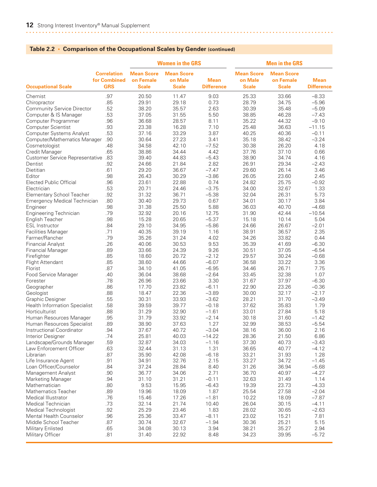|                                             |                                                  |                                                | <b>Women in the GRS</b>                      |                                  | <b>Men in the GRS</b>                        |                                                |                                  |  |
|---------------------------------------------|--------------------------------------------------|------------------------------------------------|----------------------------------------------|----------------------------------|----------------------------------------------|------------------------------------------------|----------------------------------|--|
| <b>Occupational Scale</b>                   | <b>Correlation</b><br>for Combined<br><b>GRS</b> | <b>Mean Score</b><br>on Female<br><b>Scale</b> | <b>Mean Score</b><br>on Male<br><b>Scale</b> | <b>Mean</b><br><b>Difference</b> | <b>Mean Score</b><br>on Male<br><b>Scale</b> | <b>Mean Score</b><br>on Female<br><b>Scale</b> | <b>Mean</b><br><b>Difference</b> |  |
| Chemist                                     | .97                                              | 20.50                                          | 11.47                                        | 9.03                             | 25.33                                        | 33.66                                          | $-8.33$                          |  |
| Chiropractor                                | .85                                              | 29.91                                          | 29.18                                        | 0.73                             | 28.79                                        | 34.75                                          | $-5.96$                          |  |
| <b>Community Service Director</b>           | .52                                              | 38.20                                          | 35.57                                        | 2.63                             | 30.39                                        | 35.48                                          | $-5.09$                          |  |
| Computer & IS Manager                       | .53                                              | 37.05                                          | 31.55                                        | 5.50                             | 38.85                                        | 46.28                                          | $-7.43$                          |  |
| Computer Programmer                         | .96                                              | 36.68                                          | 28.57                                        | 8.11                             | 35.22                                        | 44.32                                          | $-9.10$                          |  |
| <b>Computer Scientist</b>                   | .93                                              | 23.38                                          | 16.28                                        | 7.10                             | 25.48                                        | 36.63                                          | $-11.15$                         |  |
| <b>Computer Systems Analyst</b>             | .53                                              | 37.16                                          | 33.29                                        | 3.87                             | 40.25                                        | 40.36                                          | $-0.11$                          |  |
| Computer/Mathematics Manager                | .90                                              | 30.64                                          | 27.23                                        | 3.41                             | 35.18                                        | 38.42                                          | $-3.24$                          |  |
| Cosmetologist                               | .48                                              | 34.58                                          | 42.10                                        | $-7.52$                          | 30.38                                        | 26.20                                          | 4.18                             |  |
| Credit Manager                              | .65                                              | 38.86                                          | 34.44                                        | 4.42                             | 37.76                                        | 37.10                                          | 0.66                             |  |
| <b>Customer Service Representative .83</b>  |                                                  | 39.40                                          | 44.83                                        | $-5.43$                          | 38.90                                        | 34.74                                          | 4.16                             |  |
| Dentist                                     | .92                                              | 24.66                                          | 21.84                                        | 2.82                             | 26.91                                        | 29.34                                          | $-2.43$                          |  |
| Dietitian                                   | .61                                              | 29.20                                          | 36.67                                        | $-7.47$                          | 29.60                                        | 26.14                                          | 3.46                             |  |
| Editor                                      | .98                                              | 26.43                                          | 30.29                                        | $-3.86$                          | 26.05                                        | 23.60                                          | 2.45                             |  |
| Elected Public Official                     | .96                                              | 23.61                                          | 22.88                                        | 0.74                             | 24.82                                        | 25.75                                          | $-0.92$                          |  |
| Electrician                                 | .53                                              | 20.71                                          | 24.46                                        | $-3.75$                          | 34.00                                        | 32.67                                          | 1.33                             |  |
| <b>Elementary School Teacher</b>            | .92                                              | 31.32                                          | 36.71                                        | $-5.38$                          | 32.04                                        | 26.31                                          | 5.73                             |  |
| <b>Emergency Medical Technician</b>         | .80                                              | 30.40                                          | 29.73                                        | 0.67                             | 34.01                                        | 30.17                                          | 3.84                             |  |
| Engineer                                    | .98                                              | 31.38                                          | 25.50                                        | 5.88                             | 36.03                                        | 40.70                                          | $-4.68$                          |  |
| <b>Engineering Technician</b>               | .79                                              | 32.92                                          | 20.16                                        | 12.75                            | 31.90                                        | 42.44                                          | $-10.54$                         |  |
| English Teacher                             | .98                                              | 15.28                                          | 20.65                                        | $-5.37$                          | 15.18                                        | 10.14                                          | 5.04                             |  |
| <b>ESL Instructor</b>                       | .84                                              | 29.10                                          | 34.95                                        | $-5.86$                          | 24.66                                        | 26.67                                          | $-2.01$                          |  |
|                                             | .71                                              | 40.35                                          | 39.19                                        | 1.16                             | 38.91                                        | 36.57                                          | 2.35                             |  |
| <b>Facilities Manager</b><br>Farmer/Rancher | .79                                              | 35.26                                          | 31.24                                        | 4.02                             | 34.26                                        | 33.82                                          | 0.44                             |  |
|                                             |                                                  |                                                |                                              |                                  |                                              |                                                |                                  |  |
| <b>Financial Analyst</b>                    | .26                                              | 40.06                                          | 30.53                                        | 9.53                             | 35.39                                        | 41.69                                          | $-6.30$                          |  |
| <b>Financial Manager</b>                    | .89                                              | 33.66                                          | 24.39                                        | 9.26                             | 30.51                                        | 37.05                                          | $-6.54$                          |  |
| Firefighter                                 | .85                                              | 18.60                                          | 20.72                                        | $-2.12$                          | 29.57                                        | 30.24                                          | $-0.68$                          |  |
| Flight Attendant                            | .85                                              | 38.60                                          | 44.66                                        | $-6.07$                          | 36.58                                        | 33.22                                          | 3.36                             |  |
| Florist                                     | .87                                              | 34.10                                          | 41.05                                        | $-6.95$                          | 34.46                                        | 26.71                                          | 7.75                             |  |
| Food Service Manager                        | .40                                              | 36.04                                          | 38.68                                        | $-2.64$                          | 33.45                                        | 32.38                                          | 1.07                             |  |
| Forester                                    | .78                                              | 26.96                                          | 23.66                                        | 3.30                             | 31.67                                        | 37.97                                          | $-6.30$                          |  |
| Geographer                                  | .86                                              | 17.70                                          | 23.82                                        | $-6.11$                          | 22.90                                        | 23.26                                          | $-0.36$                          |  |
| Geologist                                   | .88                                              | 18.47                                          | 22.36                                        | $-3.89$                          | 30.00                                        | 32.17                                          | $-2.17$                          |  |
| Graphic Designer                            | .55                                              | 30.31                                          | 33.93                                        | $-3.62$                          | 28.21                                        | 31.70                                          | $-3.49$                          |  |
| <b>Health Information Specialist</b>        | .58                                              | 39.59                                          | 39.77                                        | $-0.18$                          | 37.62                                        | 35.83                                          | 1.79                             |  |
| Horticulturist                              | .88                                              | 31.29                                          | 32.90                                        | $-1.61$                          | 33.01                                        | 27.84                                          | 5.18                             |  |
| Human Resources Manager                     | .95                                              | 31.79                                          | 33.92                                        | $-2.14$                          | 30.18                                        | 31.60                                          | $-1.42$                          |  |
| Human Resources Specialist                  | .89                                              | 38.90                                          | 37.63                                        | 1.27                             | 32.99                                        | 38.53                                          | $-5.54$                          |  |
| Instructional Coordinator                   | .94                                              | 37.67                                          | 40.72                                        | $-3.04$                          | 38.16                                        | 36.00                                          | 2.16                             |  |
| Interior Designer                           | .74                                              | 25.81                                          | 40.03                                        | $-14.22$                         | 28.36                                        | 21.50                                          | 6.86                             |  |
| Landscape/Grounds Manager                   | .59                                              | 32.87                                          | 34.03                                        | $-1.16$                          | 37.30                                        | 40.73                                          | $-3.43$                          |  |
| Law Enforcement Officer                     | .63                                              | 32.44                                          | 31.13                                        | 1.31                             | 36.65                                        | 40.77                                          | $-4.12$                          |  |
| Librarian                                   | .87                                              | 35.90                                          | 42.08                                        | $-6.18$                          | 33.21                                        | 31.93                                          | 1.28                             |  |
| Life Insurance Agent                        | .91                                              | 34.91                                          | 32.76                                        | 2.15                             | 33.27                                        | 34.72                                          | $-1.45$                          |  |
| Loan Officer/Counselor                      | .84                                              | 37.24                                          | 28.84                                        | 8.40                             | 31.26                                        | 36.94                                          | $-5.68$                          |  |
| Management Analyst                          | .90                                              | 36.77                                          | 34.06                                        | 2.71                             | 36.70                                        | 40.97                                          | $-4.27$                          |  |
| Marketing Manager                           | .94                                              | 31.10                                          | 31.21                                        | $-0.11$                          | 32.63                                        | 31.49                                          | 1.14                             |  |
| Mathematician                               | .80                                              | 9.53                                           | 15.95                                        | $-6.43$                          | 19.39                                        | 23.73                                          | $-4.33$                          |  |
| <b>Mathematics Teacher</b>                  | .89                                              | 19.96                                          | 18.09                                        | 1.87                             | 25.54                                        | 27.58                                          | $-2.04$                          |  |
| Medical Illustrator                         | .76                                              | 15.46                                          | 17.26                                        | $-1.81$                          | 10.22                                        | 18.09                                          | $-7.87$                          |  |
| Medical Technician                          | .73                                              | 32.14                                          | 21.74                                        | 10.40                            | 26.04                                        | 30.15                                          | $-4.11$                          |  |
| Medical Technologist                        | .92                                              | 25.29                                          | 23.46                                        | 1.83                             | 28.02                                        | 30.65                                          | $-2.63$                          |  |
| Mental Health Counselor                     | .96                                              | 25.36                                          | 33.47                                        | $-8.11$                          | 23.02                                        | 15.21                                          | 7.81                             |  |
| Middle School Teacher                       | .87                                              | 30.74                                          | 32.67                                        | $-1.94$                          | 30.36                                        | 25.21                                          | 5.15                             |  |
| Military Enlisted                           | .65                                              | 34.08                                          | 30.13                                        | 3.94                             | 38.21                                        | 35.27                                          | 2.94                             |  |
| Military Officer                            | .81                                              | 31.40                                          | 22.92                                        | 8.48                             | 34.23                                        | 39.95                                          | $-5.72$                          |  |
|                                             |                                                  |                                                |                                              |                                  |                                              |                                                |                                  |  |

#### **Table 2.2 • Comparison of the Occupational Scales by Gender (continued)**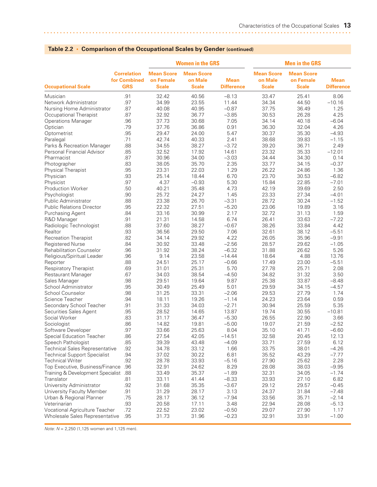|                                       |                                                  |                                                | <b>Women in the GRS</b>                      |                                  | <b>Men in the GRS</b>                        |                                                |                                  |  |
|---------------------------------------|--------------------------------------------------|------------------------------------------------|----------------------------------------------|----------------------------------|----------------------------------------------|------------------------------------------------|----------------------------------|--|
| <b>Occupational Scale</b>             | <b>Correlation</b><br>for Combined<br><b>GRS</b> | <b>Mean Score</b><br>on Female<br><b>Scale</b> | <b>Mean Score</b><br>on Male<br><b>Scale</b> | <b>Mean</b><br><b>Difference</b> | <b>Mean Score</b><br>on Male<br><b>Scale</b> | <b>Mean Score</b><br>on Female<br><b>Scale</b> | <b>Mean</b><br><b>Difference</b> |  |
| Musician                              | .91                                              | 32.42                                          | 40.56                                        | $-8.13$                          | 33.47                                        | 25.41                                          | 8.06                             |  |
| Network Administrator                 | .97                                              | 34.99                                          | 23.55                                        | 11.44                            | 34.34                                        | 44.50                                          | $-10.16$                         |  |
| Nursing Home Administrator            | .87                                              | 40.08                                          | 40.95                                        | $-0.87$                          | 37.75                                        | 36.49                                          | 1.25                             |  |
| Occupational Therapist                | .87                                              | 32.92                                          | 36.77                                        | $-3.85$                          | 30.53                                        | 26.28                                          | 4.25                             |  |
| <b>Operations Manager</b>             | .96                                              | 37.73                                          | 30.68                                        | 7.05                             | 34.14                                        | 40.18                                          | $-6.04$                          |  |
| Optician                              | .79                                              | 37.76                                          | 36.86                                        | 0.91                             | 36.30                                        | 32.04                                          | 4.26                             |  |
| Optometrist                           | .95                                              | 29.47                                          | 24.00                                        | 5.47                             | 30.37                                        | 35.30                                          | $-4.93$                          |  |
| Paralegal                             | .71                                              | 42.74                                          | 40.33                                        | 2.41                             | 38.68                                        | 39.83                                          | $-1.15$                          |  |
| Parks & Recreation Manager            | .88                                              | 34.55                                          | 38.27                                        | $-3.72$                          | 39.20                                        | 36.71                                          | 2.49                             |  |
| Personal Financial Advisor            | .85                                              | 32.52                                          | 17.92                                        | 14.61                            | 23.32                                        | 35.33                                          | $-12.01$                         |  |
| Pharmacist                            | .87                                              | 30.96                                          | 34.00                                        | $-3.03$                          | 34.44                                        | 34.30                                          | 0.14                             |  |
| Photographer                          | .83                                              | 38.05                                          | 35.70                                        | 2.35                             | 33.77                                        | 34.15                                          | $-0.37$                          |  |
| Physical Therapist                    | .95                                              | 23.31                                          | 22.03                                        | 1.29                             | 26.22                                        | 24.86                                          | 1.36                             |  |
| Physician                             | .93                                              | 25.14                                          | 18.44                                        | 6.70                             | 23.70                                        | 30.53                                          | $-6.82$                          |  |
| Physicist                             | .97                                              | 4.37                                           | $-0.93$                                      | 5.30                             | 15.84                                        | 22.85                                          | $-7.01$                          |  |
| Production Worker                     | .50                                              | 40.21                                          | 35.48                                        | 4.73                             | 42.19                                        | 39.69                                          | 2.50                             |  |
| Psychologist                          | .90                                              | 25.72                                          | 24.27                                        | 1.45                             | 23.33                                        | 27.34                                          | $-4.01$                          |  |
| Public Administrator                  | .88                                              | 23.38                                          | 26.70                                        | $-3.31$                          | 28.72                                        | 30.24                                          | $-1.52$                          |  |
| <b>Public Relations Director</b>      | .95                                              | 22.32                                          | 27.51                                        | $-5.20$                          | 23.06                                        | 19.89                                          | 3.16                             |  |
| Purchasing Agent                      | .84                                              | 33.16                                          | 30.99                                        | 2.17                             | 32.72                                        | 31.13                                          | 1.59                             |  |
| R&D Manager                           | .91                                              | 21.31                                          | 14.58                                        | 6.74                             | 26.41                                        | 33.63                                          | $-7.22$                          |  |
| Radiologic Technologist               | .88                                              | 37.60                                          | 38.27                                        | $-0.67$                          | 38.26                                        | 33.84                                          | 4.42                             |  |
| Realtor                               | .93                                              | 36.56                                          | 29.50                                        | 7.06                             | 32.61                                        | 38.12                                          | $-5.51$                          |  |
|                                       | .82                                              | 34.14                                          | 29.92                                        | 4.22                             | 26.05                                        | 35.96                                          | $-9.91$                          |  |
| <b>Recreation Therapist</b>           | .84                                              |                                                | 33.48                                        | $-2.56$                          | 28.57                                        | 29.62                                          |                                  |  |
| <b>Registered Nurse</b>               |                                                  | 30.92                                          |                                              |                                  |                                              |                                                | $-1.05$                          |  |
| <b>Rehabilitation Counselor</b>       | .96<br>.96                                       | 31.92<br>9.14                                  | 38.24<br>23.58                               | $-6.32$<br>$-14.44$              | 31.88<br>18.64                               | 26.62<br>4.88                                  | 5.26<br>13.76                    |  |
| Religious/Spiritual Leader            |                                                  |                                                |                                              |                                  |                                              |                                                |                                  |  |
| Reporter                              | .88                                              | 24.51                                          | 25.17                                        | $-0.66$                          | 17.49                                        | 23.00                                          | $-5.51$                          |  |
| <b>Respiratory Therapist</b>          | .69                                              | 31.01                                          | 25.31                                        | 5.70                             | 27.78                                        | 25.71                                          | 2.08                             |  |
| Restaurant Manager                    | .67                                              | 34.03                                          | 38.54                                        | $-4.50$                          | 34.82                                        | 31.32                                          | 3.50                             |  |
| Sales Manager                         | .98                                              | 29.51                                          | 19.64                                        | 9.87                             | 25.38                                        | 33.87                                          | $-8.48$                          |  |
| School Administrator                  | .95                                              | 30.49                                          | 25.49                                        | 5.01                             | 29.59                                        | 34.15                                          | $-4.57$                          |  |
| School Counselor                      | .98                                              | 31.25                                          | 33.31                                        | $-2.06$                          | 29.53                                        | 27.79                                          | 1.74                             |  |
| Science Teacher                       | .94                                              | 18.11                                          | 19.26                                        | $-1.14$                          | 24.23                                        | 23.64                                          | 0.59                             |  |
| Secondary School Teacher              | .91                                              | 31.33                                          | 34.03                                        | $-2.71$                          | 30.94                                        | 25.59                                          | 5.35                             |  |
| Securities Sales Agent                | .95                                              | 28.52                                          | 14.65                                        | 13.87                            | 19.74                                        | 30.55                                          | $-10.81$                         |  |
| Social Worker                         | .83                                              | 31.17                                          | 36.47                                        | $-5.30$                          | 26.55                                        | 22.90                                          | 3.66                             |  |
| Sociologist                           | .86                                              | 14.82                                          | 19.81                                        | $-5.00$                          | 19.07                                        | 21.59                                          | $-2.52$                          |  |
| Software Developer                    | .97                                              | 33.66                                          | 25.63                                        | 8.04                             | 35.10                                        | 41.71                                          | $-6.60$                          |  |
| Special Education Teacher             | .86                                              | 27.54                                          | 42.05                                        | $-14.51$                         | 32.58                                        | 20.45                                          | 12.13                            |  |
| Speech Pathologist                    | .85                                              | 39.39                                          | 43.48                                        | $-4.09$                          | 33.71                                        | 27.59                                          | 6.12                             |  |
| <b>Technical Sales Representative</b> | .92                                              | 34.78                                          | 33.12                                        | 1.66                             | 33.75                                        | 38.01                                          | $-4.26$                          |  |
| <b>Technical Support Specialist</b>   | .94                                              | 37.02                                          | 30.22                                        | 6.81                             | 35.52                                        | 43.29                                          | $-7.77$                          |  |
| <b>Technical Writer</b>               | .92                                              | 28.78                                          | 33.93                                        | $-5.16$                          | 27.90                                        | 25.62                                          | 2.28                             |  |
| Top Executive, Business/Finance       | .96                                              | 32.91                                          | 24.62                                        | 8.29                             | 28.08                                        | 38.03                                          | $-9.95$                          |  |
| Training & Development Specialist .88 |                                                  | 33.49                                          | 35.37                                        | $-1.89$                          | 32.31                                        | 34.05                                          | $-1.74$                          |  |
| Translator                            | .81                                              | 33.11                                          | 41.44                                        | $-8.33$                          | 33.93                                        | 27.10                                          | 6.82                             |  |
| University Administrator              | .92                                              | 31.68                                          | 35.35                                        | $-3.67$                          | 29.12                                        | 29.57                                          | $-0.45$                          |  |
| University Faculty Member             | .91                                              | 31.29                                          | 28.17                                        | 3.13                             | 24.37                                        | 31.84                                          | $-7.48$                          |  |
| Urban & Regional Planner              | .75                                              | 28.17                                          | 36.12                                        | $-7.94$                          | 33.56                                        | 35.71                                          | $-2.14$                          |  |
| Veterinarian                          | .93                                              | 20.58                                          | 17.11                                        | 3.48                             | 22.94                                        | 28.08                                          | $-5.13$                          |  |
| Vocational Agriculture Teacher        | .72                                              | 22.52                                          | 23.02                                        | $-0.50$                          | 29.07                                        | 27.90                                          | 1.17                             |  |
| Wholesale Sales Representative        | .95                                              | 31.73                                          | 31.96                                        | $-0.23$                          | 32.91                                        | 33.91                                          | $-1.00$                          |  |
|                                       |                                                  |                                                |                                              |                                  |                                              |                                                |                                  |  |

#### **Table 2.2 • Comparison of the Occupational Scales by Gender (continued)**

*Note: N* = 2,250 (1,125 women and 1,125 men).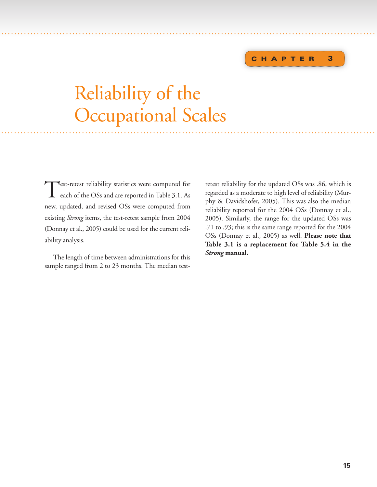#### **C HAPTER 3**

# Reliability of the Occupational Scales ............... . . . . . . ...................... . . . . . . . . . . . . . . . . . . . . . . . . . . . . . . . . . . . . . . . . . . . . . . . . . . . . . . . . . . . . . . . . . . . . . ....

<span id="page-21-0"></span>..... . . . . . . .......................... . . . . . . . . . . . . . . . . . . . . . . . . . . . . . . . . . . . . . . . . . . . . . . . . ...............................

Test-retest reliability statistics were computed for each of the OSs and are reported in Table 3.1. As new, updated, and revised OSs were computed from existing *Strong* items, the test-retest sample from 2004 (Donnay et al., 2005) could be used for the current reliability analysis.

The length of time between administrations for this sample ranged from 2 to 23 months. The median test-

retest reliability for the updated OSs was .86, which is regarded as a moderate to high level of reliability (Murphy & Davidshofer, 2005). This was also the median reliability reported for the 2004 OSs (Donnay et al., 2005). Similarly, the range for the updated OSs was .71 to .93; this is the same range reported for the 2004 OSs (Donnay et al., 2005) as well. **Please note that Table 3.1 is a replacement for Table 5.4 in the** *Strong* **manual.**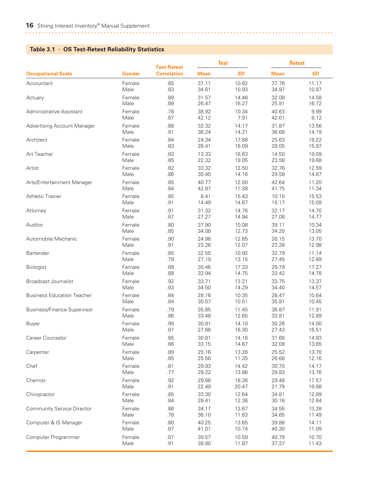#### <span id="page-22-0"></span>**Table 3.1 • OS Test-Retest Reliability Statistics**

|                                    |               | <b>Test-Retest</b> |             | <b>Test</b> |             | <b>Retest</b> |  |
|------------------------------------|---------------|--------------------|-------------|-------------|-------------|---------------|--|
| <b>Occupational Scale</b>          | <b>Gender</b> | <b>Correlation</b> | <b>Mean</b> | <b>SD</b>   | <b>Mean</b> | <b>SD</b>     |  |
| Accountant                         | Female        | .85                | 37.11       | 10.82       | 37.76       | 11.17         |  |
|                                    | Male          | .83                | 34.61       | 10.93       | 34.97       | 10.87         |  |
| Actuary                            | Female        | .89                | 31.57       | 14.48       | 32.08       | 14.58         |  |
|                                    | Male          | .88                | 26.47       | 16.27       | 25.91       | 16.72         |  |
| Administrative Assistant           | Female        | .78                | 38.92       | 10.34       | 40.63       | 9.99          |  |
|                                    | Male          | .87                | 42.12       | 7.91        | 42.01       | 8.12          |  |
| <b>Advertising Account Manager</b> | Female        | .88                | 32.32       | 14.17       | 31.87       | 13.56         |  |
|                                    | Male          | .91                | 36.24       | 14.21       | 36.68       | 14.19         |  |
| Architect                          | Female        | .84                | 24.34       | 17.88       | 25.63       | 18.22         |  |
|                                    | Male          | .83                | 26.41       | 16.09       | 28.05       | 15.97         |  |
| Art Teacher                        | Female        | .83                | 13.33       | 18.63       | 14.50       | 19.09         |  |
|                                    | Male          | .85                | 22.32       | 19.05       | 23.56       | 19.68         |  |
| Artist                             | Female        | .82                | 33.32       | 12.50       | 32.76       | 12.59         |  |
|                                    | Male          | .86                | 30.40       | 14.16       | 29.58       | 14.87         |  |
| Arts/Entertainment Manager         | Female        | .85                | 40.77       | 12.00       | 42.64       | 11.20         |  |
|                                    | Male          | .84                | 42.87       | 11.38       | 41.75       | 11.34         |  |
| <b>Athletic Trainer</b>            | Female        | .85                | 8.41        | 15.43       | 10.15       | 15.53         |  |
|                                    | Male          | .91                | 14.49       | 14.67       | 15.17       | 15.09         |  |
| Attorney                           | Female        | .91                | 31.32       | 14.76       | 32.17       | 14.70         |  |
|                                    | Male          | .87                | 27.27       | 14.94       | 27.08       | 14.77         |  |
| Auditor                            | Female        | .80                | 37.90       | 10.08       | 39.11       | 10.34         |  |
|                                    | Male          | .85                | 34.08       | 12.73       | 34.20       | 13.05         |  |
| Automobile Mechanic                | Female        | .90                | 24.98       | 12.85       | 26.15       | 13.70         |  |
|                                    | Male          | .91                | 23.26       | 12.07       | 23.28       | 12.98         |  |
| Bartender                          | Female        | .85                | 32.55       | 10.92       | 32.79       | 11.14         |  |
|                                    | Male          | .79                | 27.19       | 13.15       | 27.45       | 12.89         |  |
| Biologist                          | Female        | .89                | 30.46       | 17.33       | 29.79       | 17.27         |  |
|                                    | Male          | .88                | 33.94       | 14.75       | 33.42       | 14.78         |  |
| <b>Broadcast Journalist</b>        | Female        | .92                | 33.71       | 13.21       | 33.75       | 13.37         |  |
|                                    | Male          | .93                | 34.50       | 14.29       | 34.40       | 14.57         |  |
| <b>Business Education Teacher</b>  | Female        | .84                | 28.16       | 10.35       | 28.47       | 10.64         |  |
|                                    | Male          | .84                | 35.07       | 10.51       | 35.91       | 10.45         |  |
| <b>Business/Finance Supervisor</b> | Female        | .79                | 35.85       | 11.45       | 36.87       | 11.91         |  |
|                                    | Male          | .86                | 33.48       | 12.65       | 33.81       | 12.89         |  |
| <b>Buyer</b>                       | Female        | .90                | 30.81       | 14.10       | 30.26       | 14.00         |  |
|                                    | Male          | .87                | 27.68       | 16.30       | 27.43       | 16.51         |  |
| Career Counselor                   | Female        | .85                | 30.81       | 14.16       | 31.68       | 14.93         |  |
|                                    | Male          | .86                | 33.15       | 14.67       | 32.09       | 13.65         |  |
| Carpenter                          | Female        | .89                | 25.16       | 13.26       | 25.52       | 13.70         |  |
|                                    | Male          | .85                | 25.56       | 11.35       | 26.68       | 12.16         |  |
| Chef                               | Female        | .81                | 29.93       | 14.42       | 30.70       | 14.17         |  |
|                                    | Male          | .77                | 29.22       | 13.86       | 29.83       | 13.76         |  |
| Chemist                            | Female        | .92                | 29.66       | 18.36       | 29.48       | 17.57         |  |
|                                    | Male          | .91                | 22.49       | 20.47       | 21.79       | 19.88         |  |
| Chiropractor                       | Female        | .85                | 33.30       | 12.64       | 34.81       | 12.89         |  |
|                                    | Male          | .84                | 28.41       | 12.36       | 30.16       | 12.84         |  |
| <b>Community Service Director</b>  | Female        | .86                | 34.17       | 13.67       | 34.55       | 13.28         |  |
|                                    | Male          | .78                | 36.10       | 11.63       | 34.65       | 11.49         |  |
| Computer & IS Manager              | Female        | .80                | 40.25       | 13.65       | 39.88       | 14.11         |  |
|                                    | Male          | .87                | 41.01       | 10.74       | 40.30       | 11.09         |  |
| Computer Programmer                | Female        | .87                | 39.57       | 10.59       | 40.79       | 10.70         |  |
|                                    | Male          | .91                | 38.80       | 11.87       | 37.37       | 11.43         |  |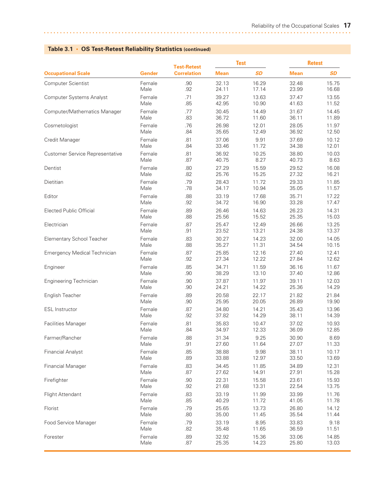|                                        |               | <b>Test-Retest</b> |             | <b>Test</b> | <b>Retest</b> |           |
|----------------------------------------|---------------|--------------------|-------------|-------------|---------------|-----------|
| <b>Occupational Scale</b>              | <b>Gender</b> | <b>Correlation</b> | <b>Mean</b> | <b>SD</b>   | <b>Mean</b>   | <b>SD</b> |
| Computer Scientist                     | Female        | .90                | 32.13       | 16.29       | 32.48         | 15.75     |
|                                        | Male          | .92                | 24.11       | 17.14       | 23.99         | 16.68     |
| <b>Computer Systems Analyst</b>        | Female        | .71                | 39.27       | 13.63       | 37.47         | 13.55     |
|                                        | Male          | .85                | 42.95       | 10.90       | 41.63         | 11.52     |
| Computer/Mathematics Manager           | Female        | .77                | 30.45       | 14.49       | 31.67         | 14.45     |
|                                        | Male          | .83                | 36.72       | 11.60       | 36.11         | 11.89     |
| Cosmetologist                          | Female        | .76                | 26.98       | 12.01       | 28.05         | 11.97     |
|                                        | Male          | .84                | 35.65       | 12.49       | 36.92         | 12.50     |
| Credit Manager                         | Female        | .81                | 37.06       | 9.91        | 37.69         | 10.12     |
|                                        | Male          | .84                | 33.46       | 11.72       | 34.38         | 12.01     |
| <b>Customer Service Representative</b> | Female        | .81                | 36.92       | 10.25       | 38.80         | 10.03     |
|                                        | Male          | .87                | 40.75       | 8.27        | 40.73         | 8.63      |
| Dentist                                | Female        | .80                | 27.29       | 15.59       | 29.52         | 16.08     |
|                                        | Male          | .82                | 25.76       | 15.25       | 27.32         | 16.21     |
| Dietitian                              | Female        | .79                | 28.43       | 11.72       | 29.33         | 11.85     |
|                                        | Male          | .78                | 34.17       | 10.94       | 35.05         | 11.57     |
| Editor                                 | Female        | .88                | 33.19       | 17.68       | 35.71         | 17.22     |
|                                        | Male          | .92                | 34.72       | 16.90       | 33.28         | 17.47     |
| <b>Elected Public Official</b>         | Female        | .89                | 26.46       | 14.63       | 26.23         | 14.31     |
|                                        | Male          | .88                | 25.56       | 15.52       | 25.35         | 15.03     |
| Electrician                            | Female        | .87                | 25.47       | 12.49       | 26.66         | 13.25     |
|                                        | Male          | .91                | 23.52       | 13.21       | 24.38         | 13.37     |
| Elementary School Teacher              | Female        | .83                | 30.27       | 14.23       | 32.00         | 14.05     |
|                                        | Male          | .88                | 35.27       | 11.31       | 34.54         | 10.15     |
| <b>Emergency Medical Technician</b>    | Female        | .87                | 25.85       | 12.16       | 27.40         | 12.41     |
|                                        | Male          | .92                | 27.34       | 12.22       | 27.84         | 12.62     |
| Engineer                               | Female        | .85                | 34.71       | 11.59       | 36.16         | 11.67     |
|                                        | Male          | .90                | 38.29       | 13.10       | 37.40         | 12.86     |
| <b>Engineering Technician</b>          | Female        | .90                | 37.87       | 11.97       | 39.11         | 12.03     |
|                                        | Male          | .90                | 24.21       | 14.22       | 25.36         | 14.29     |
| English Teacher                        | Female        | .89                | 20.58       | 22.17       | 21.82         | 21.84     |
|                                        | Male          | .90                | 25.95       | 20.05       | 26.89         | 19.90     |
| <b>ESL Instructor</b>                  | Female        | .87                | 34.80       | 14.21       | 35.43         | 13.96     |
|                                        | Male          | .92                | 37.82       | 14.29       | 38.11         | 14.39     |
| <b>Facilities Manager</b>              | Female        | .81                | 35.83       | 10.47       | 37.02         | 10.93     |
|                                        | Male          | .84                | 34.97       | 12.33       | 36.09         | 12.85     |
| Farmer/Rancher                         | Female        | .88                | 31.34       | 9.25        | 30.90         | 8.69      |
|                                        | Male          | .91                | 27.60       | 11.64       | 27.07         | 11.33     |
| <b>Financial Analyst</b>               | Female        | .85                | 38.88       | 9.98        | 38.11         | 10.17     |
|                                        | Male          | .89                | 33.88       | 12.97       | 33.50         | 13.69     |
| <b>Financial Manager</b>               | Female        | .83                | 34.45       | 11.85       | 34.89         | 12.31     |
|                                        | Male          | .87                | 27.62       | 14.91       | 27.91         | 15.28     |
| Firefighter                            | Female        | .90                | 22.31       | 15.58       | 23.61         | 15.93     |
|                                        | Male          | .92                | 21.68       | 13.31       | 22.54         | 13.75     |
| Flight Attendant                       | Female        | .83                | 33.19       | 11.99       | 33.99         | 11.76     |
|                                        | Male          | .85                | 40.29       | 11.72       | 41.05         | 11.78     |
| Florist                                | Female        | .79                | 25.65       | 13.73       | 26.80         | 14.12     |
|                                        | Male          | .80                | 35.00       | 11.45       | 35.54         | 11.44     |
| Food Service Manager                   | Female        | .79                | 33.19       | 8.95        | 33.83         | 9.18      |
|                                        | Male          | .82                | 35.48       | 11.65       | 36.59         | 11.51     |
| Forester                               | Female        | .89                | 32.92       | 15.36       | 33.06         | 14.85     |
|                                        | Male          | .87                | 25.35       | 14.23       | 25.80         | 13.03     |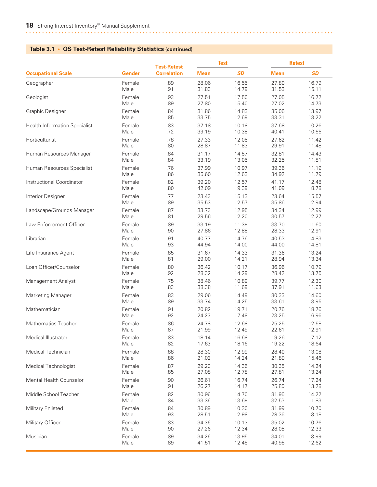|                                      | <b>Test</b><br><b>Test-Retest</b> |                    |             |           | <b>Retest</b> |           |
|--------------------------------------|-----------------------------------|--------------------|-------------|-----------|---------------|-----------|
| <b>Occupational Scale</b>            | <b>Gender</b>                     | <b>Correlation</b> | <b>Mean</b> | <b>SD</b> | <b>Mean</b>   | <b>SD</b> |
| Geographer                           | Female                            | .89                | 28.06       | 16.55     | 27.80         | 16.79     |
|                                      | Male                              | .91                | 31.83       | 14.79     | 31.53         | 15.11     |
| Geologist                            | Female                            | .93                | 27.51       | 17.50     | 27.05         | 16.72     |
|                                      | Male                              | .89                | 27.80       | 15.40     | 27.02         | 14.73     |
| <b>Graphic Designer</b>              | Female                            | .84                | 31.86       | 14.83     | 35.06         | 13.97     |
|                                      | Male                              | .85                | 33.75       | 12.69     | 33.31         | 13.22     |
| <b>Health Information Specialist</b> | Female                            | .83                | 37.18       | 10.18     | 37.68         | 10.26     |
|                                      | Male                              | .72                | 39.19       | 10.38     | 40.41         | 10.55     |
| Horticulturist                       | Female                            | .78                | 27.33       | 12.05     | 27.62         | 11.42     |
|                                      | Male                              | .80                | 28.87       | 11.83     | 29.91         | 11.48     |
| Human Resources Manager              | Female                            | .84                | 31.17       | 14.57     | 32.81         | 14.43     |
|                                      | Male                              | .84                | 33.19       | 13.05     | 32.25         | 11.81     |
| Human Resources Specialist           | Female                            | .76                | 37.99       | 10.97     | 39.36         | 11.19     |
|                                      | Male                              | .86                | 35.60       | 12.63     | 34.92         | 11.79     |
| Instructional Coordinator            | Female                            | .82                | 39.20       | 12.57     | 41.17         | 12.48     |
|                                      | Male                              | .80                | 42.09       | 9.39      | 41.09         | 8.78      |
| Interior Designer                    | Female                            | .77                | 23.43       | 15.13     | 23.64         | 15.57     |
|                                      | Male                              | .89                | 35.53       | 12.57     | 35.86         | 12.94     |
| Landscape/Grounds Manager            | Female                            | .87                | 33.73       | 12.95     | 34.34         | 12.99     |
|                                      | Male                              | .81                | 29.56       | 12.20     | 30.57         | 12.27     |
| Law Enforcement Officer              | Female                            | .89                | 33.19       | 11.39     | 33.70         | 11.60     |
|                                      | Male                              | .90                | 27.86       | 12.88     | 28.33         | 12.91     |
| Librarian                            | Female                            | .91                | 40.77       | 14.76     | 40.53         | 14.83     |
|                                      | Male                              | .93                | 44.94       | 14.00     | 44.00         | 14.81     |
| Life Insurance Agent                 | Female                            | .85                | 31.67       | 14.33     | 31.36         | 13.24     |
|                                      | Male                              | .81                | 29.00       | 14.21     | 28.94         | 13.34     |
| Loan Officer/Counselor               | Female                            | .80                | 36.42       | 10.17     | 36.96         | 10.79     |
|                                      | Male                              | .92                | 28.32       | 14.29     | 28.42         | 13.75     |
| Management Analyst                   | Female                            | .75                | 38.46       | 10.89     | 39.77         | 12.30     |
|                                      | Male                              | .83                | 38.38       | 11.69     | 37.91         | 11.63     |
| <b>Marketing Manager</b>             | Female                            | .83                | 29.06       | 14.49     | 30.33         | 14.60     |
|                                      | Male                              | .89                | 33.74       | 14.25     | 33.61         | 13.95     |
| Mathematician                        | Female                            | .91                | 20.82       | 19.71     | 20.76         | 18.76     |
|                                      | Male                              | .92                | 24.23       | 17.48     | 23.25         | 16.96     |
| Mathematics Teacher                  | Female                            | .86                | 24.78       | 12.68     | 25.25         | 12.58     |
|                                      | Male                              | .87                | 21.99       | 12.49     | 22.61         | 12.91     |
| Medical Illustrator                  | Female                            | .83                | 18.14       | 16.68     | 19.26         | 17.12     |
|                                      | Male                              | .82                | 17.63       | 18.16     | 19.22         | 18.64     |
| Medical Technician                   | Female                            | .88                | 28.30       | 12.99     | 28.40         | 13.08     |
|                                      | Male                              | .86                | 21.02       | 14.24     | 21.89         | 15.46     |
| Medical Technologist                 | Female                            | .87                | 29.20       | 14.36     | 30.35         | 14.24     |
|                                      | Male                              | .85                | 27.08       | 12.78     | 27.81         | 13.24     |
| Mental Health Counselor              | Female                            | .90                | 26.61       | 16.74     | 26.74         | 17.24     |
|                                      | Male                              | .91                | 26.27       | 14.17     | 25.80         | 13.28     |
| Middle School Teacher                | Female                            | .82                | 30.96       | 14.70     | 31.96         | 14.22     |
|                                      | Male                              | .84                | 33.36       | 13.69     | 32.53         | 11.83     |
| Military Enlisted                    | Female                            | .84                | 30.89       | 10.30     | 31.99         | 10.70     |
|                                      | Male                              | .93                | 28.51       | 12.98     | 28.36         | 13.18     |
| Military Officer                     | Female                            | .83                | 34.36       | 10.13     | 35.02         | 10.76     |
|                                      | Male                              | .90                | 27.26       | 12.34     | 28.05         | 12.33     |
| Musician                             | Female                            | .89                | 34.26       | 13.95     | 34.01         | 13.99     |
|                                      | Male                              | .89                | 41.51       | 12.45     | 40.95         | 12.62     |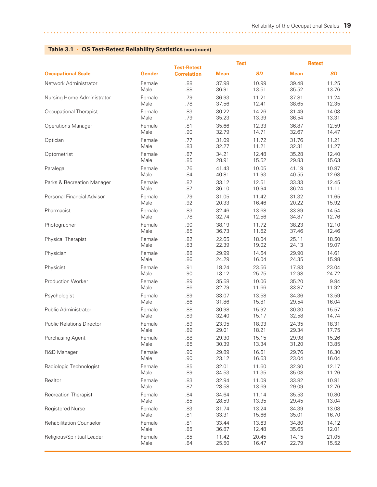|                                  |        | <b>Test-Retest</b> |             | <b>Test</b> |             | <b>Retest</b> |  |
|----------------------------------|--------|--------------------|-------------|-------------|-------------|---------------|--|
| <b>Occupational Scale</b>        | Gender | <b>Correlation</b> | <b>Mean</b> | <b>SD</b>   | <b>Mean</b> | <b>SD</b>     |  |
| Network Administrator            | Female | .88                | 37.98       | 10.99       | 39.48       | 11.25         |  |
|                                  | Male   | .88                | 36.91       | 13.51       | 35.52       | 13.76         |  |
| Nursing Home Administrator       | Female | .79                | 36.93       | 11.21       | 37.81       | 11.24         |  |
|                                  | Male   | .78                | 37.56       | 12.41       | 38.65       | 12.35         |  |
| Occupational Therapist           | Female | .83                | 30.22       | 14.26       | 31.49       | 14.03         |  |
|                                  | Male   | .79                | 35.23       | 13.39       | 36.54       | 13.31         |  |
| <b>Operations Manager</b>        | Female | .81                | 35.66       | 12.33       | 36.87       | 12.59         |  |
|                                  | Male   | .90                | 32.79       | 14.71       | 32.67       | 14.47         |  |
| Optician                         | Female | .77                | 31.09       | 11.72       | 31.76       | 11.21         |  |
|                                  | Male   | .83                | 32.27       | 11.21       | 32.31       | 11.27         |  |
| Optometrist                      | Female | .87                | 34.21       | 12.48       | 35.28       | 12.40         |  |
|                                  | Male   | .85                | 28.91       | 15.52       | 29.83       | 15.63         |  |
| Paralegal                        | Female | .76                | 41.43       | 10.05       | 41.19       | 10.87         |  |
|                                  | Male   | .84                | 40.81       | 11.93       | 40.55       | 12.68         |  |
| Parks & Recreation Manager       | Female | .82                | 33.12       | 12.51       | 33.33       | 12.45         |  |
|                                  | Male   | .87                | 36.10       | 10.94       | 36.24       | 11.11         |  |
| Personal Financial Advisor       | Female | .79                | 31.05       | 11.42       | 31.32       | 11.65         |  |
|                                  | Male   | .92                | 20.33       | 16.46       | 20.22       | 15.92         |  |
| Pharmacist                       | Female | .83                | 32.46       | 13.68       | 33.89       | 14.54         |  |
|                                  | Male   | .78                | 32.74       | 12.56       | 34.87       | 12.76         |  |
| Photographer                     | Female | .90                | 38.19       | 11.72       | 38.23       | 12.10         |  |
|                                  | Male   | .85                | 36.73       | 11.62       | 37.46       | 12.46         |  |
| <b>Physical Therapist</b>        | Female | .82                | 22.65       | 18.04       | 25.11       | 18.50         |  |
|                                  | Male   | .83                | 22.39       | 19.02       | 24.13       | 19.07         |  |
| Physician                        | Female | .88                | 29.99       | 14.64       | 29.90       | 14.61         |  |
|                                  | Male   | .86                | 24.29       | 16.04       | 24.35       | 15.98         |  |
| Physicist                        | Female | .91                | 18.24       | 23.56       | 17.83       | 23.04         |  |
|                                  | Male   | .90                | 13.12       | 25.75       | 12.98       | 24.72         |  |
| <b>Production Worker</b>         | Female | .89                | 35.58       | 10.06       | 35.20       | 9.84          |  |
|                                  | Male   | .86                | 32.79       | 11.66       | 33.87       | 11.92         |  |
| Psychologist                     | Female | .89                | 33.07       | 13.58       | 34.36       | 13.59         |  |
|                                  | Male   | .86                | 31.86       | 15.81       | 29.54       | 16.04         |  |
| <b>Public Administrator</b>      | Female | .88                | 30.98       | 15.92       | 30.30       | 15.57         |  |
|                                  | Male   | .89                | 32.40       | 15.17       | 32.58       | 14.74         |  |
| <b>Public Relations Director</b> | Female | .89                | 23.95       | 18.93       | 24.35       | 18.31         |  |
|                                  | Male   | .89                | 29.01       | 18.21       | 29.34       | 17.75         |  |
| Purchasing Agent                 | Female | .88                | 29.30       | 15.15       | 29.98       | 15.26         |  |
|                                  | Male   | .85                | 30.39       | 13.34       | 31.20       | 13.85         |  |
| R&D Manager                      | Female | .90                | 29.89       | 16.61       | 29.76       | 16.30         |  |
|                                  | Male   | .90                | 23.12       | 16.63       | 23.04       | 16.04         |  |
| Radiologic Technologist          | Female | .85                | 32.01       | 11.60       | 32.90       | 12.17         |  |
|                                  | Male   | .89                | 34.53       | 11.35       | 35.08       | 11.26         |  |
| Realtor                          | Female | .83                | 32.94       | 11.09       | 33.82       | 10.81         |  |
|                                  | Male   | .87                | 28.58       | 13.69       | 29.09       | 12.76         |  |
| Recreation Therapist             | Female | .84                | 34.64       | 11.14       | 35.53       | 10.80         |  |
|                                  | Male   | .85                | 28.59       | 13.35       | 29.45       | 13.04         |  |
| Registered Nurse                 | Female | .83                | 31.74       | 13.24       | 34.39       | 13.08         |  |
|                                  | Male   | .81                | 33.31       | 15.66       | 35.01       | 16.70         |  |
| <b>Rehabilitation Counselor</b>  | Female | .81                | 33.44       | 13.63       | 34.80       | 14.12         |  |
|                                  | Male   | .85                | 36.87       | 12.48       | 35.65       | 12.01         |  |
| Religious/Spiritual Leader       | Female | .85                | 11.42       | 20.45       | 14.15       | 21.05         |  |
|                                  | Male   | .84                | 25.50       | 16.47       | 22.79       | 15.52         |  |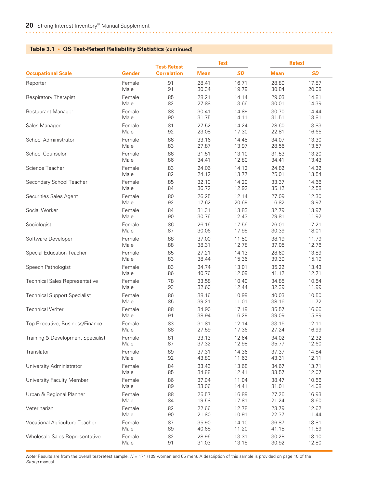|                                       |        | <b>Test-Retest</b> | <b>Test</b> |           | <b>Retest</b> |           |
|---------------------------------------|--------|--------------------|-------------|-----------|---------------|-----------|
| <b>Occupational Scale</b>             | Gender | <b>Correlation</b> | <b>Mean</b> | <b>SD</b> | <b>Mean</b>   | <b>SD</b> |
| Reporter                              | Female | .91                | 28.41       | 16.71     | 28.80         | 17.87     |
|                                       | Male   | .91                | 30.34       | 19.79     | 30.84         | 20.08     |
| <b>Respiratory Therapist</b>          | Female | .85                | 28.21       | 14.14     | 29.03         | 14.81     |
|                                       | Male   | .82                | 27.88       | 13.66     | 30.01         | 14.39     |
| Restaurant Manager                    | Female | .88                | 30.41       | 14.89     | 30.70         | 14.44     |
|                                       | Male   | .90                | 31.75       | 14.11     | 31.51         | 13.81     |
| Sales Manager                         | Female | .81                | 27.52       | 14.24     | 28.60         | 13.83     |
|                                       | Male   | .92                | 23.08       | 17.30     | 22.81         | 16.65     |
| School Administrator                  | Female | .86                | 33.16       | 14.45     | 34.07         | 13.30     |
|                                       | Male   | .83                | 27.87       | 13.97     | 28.56         | 13.57     |
| School Counselor                      | Female | .86                | 31.51       | 13.10     | 31.53         | 13.20     |
|                                       | Male   | .86                | 34.41       | 12.80     | 34.41         | 13.43     |
| Science Teacher                       | Female | .83                | 24.06       | 14.12     | 24.82         | 14.32     |
|                                       | Male   | .82                | 24.12       | 13.77     | 25.01         | 13.54     |
| Secondary School Teacher              | Female | .85                | 32.10       | 14.20     | 33.37         | 14.66     |
|                                       | Male   | .84                | 36.72       | 12.92     | 35.12         | 12.58     |
| Securities Sales Agent                | Female | .80                | 26.25       | 12.14     | 27.09         | 12.30     |
|                                       | Male   | .92                | 17.62       | 20.69     | 16.82         | 19.97     |
| Social Worker                         | Female | .84                | 31.31       | 13.83     | 32.79         | 13.97     |
|                                       | Male   | .90                | 30.76       | 12.43     | 29.81         | 11.92     |
| Sociologist                           | Female | .86                | 26.16       | 17.56     | 26.01         | 17.21     |
|                                       | Male   | .87                | 30.06       | 17.95     | 30.39         | 18.01     |
| Software Developer                    | Female | .88                | 37.00       | 11.50     | 38.19         | 11.79     |
|                                       | Male   | .88                | 38.31       | 12.78     | 37.05         | 12.76     |
| <b>Special Education Teacher</b>      | Female | .85                | 27.21       | 14.13     | 28.60         | 13.89     |
|                                       | Male   | .83                | 38.44       | 15.36     | 39.30         | 15.19     |
| Speech Pathologist                    | Female | .83                | 34.74       | 13.01     | 35.22         | 13.43     |
|                                       | Male   | .86                | 40.76       | 12.09     | 41.12         | 12.21     |
| <b>Technical Sales Representative</b> | Female | .78                | 33.58       | 10.40     | 34.85         | 10.54     |
|                                       | Male   | .93                | 32.60       | 12.44     | 32.39         | 11.99     |
| <b>Technical Support Specialist</b>   | Female | .86                | 38.16       | 10.99     | 40.03         | 10.50     |
|                                       | Male   | .85                | 39.21       | 11.01     | 38.16         | 11.72     |
| <b>Technical Writer</b>               | Female | .88                | 34.90       | 17.19     | 35.57         | 16.66     |
|                                       | Male   | .91                | 38.94       | 16.29     | 39.09         | 15.89     |
| Top Executive, Business/Finance       | Female | .83                | 31.81       | 12.14     | 33.15         | 12.11     |
|                                       | Male   | .88                | 27.59       | 17.36     | 27.24         | 16.99     |
| Training & Development Specialist     | Female | .81                | 33.13       | 12.64     | 34.02         | 12.32     |
|                                       | Male   | .87                | 37.32       | 12.98     | 35.77         | 12.60     |
| Translator                            | Female | .89                | 37.31       | 14.36     | 37.37         | 14.84     |
|                                       | Male   | .92                | 43.80       | 11.63     | 43.31         | 12.11     |
| University Administrator              | Female | .84                | 33.43       | 13.68     | 34.67         | 13.71     |
|                                       | Male   | .85                | 34.88       | 12.41     | 33.57         | 12.07     |
| University Faculty Member             | Female | .86                | 37.04       | 11.04     | 38.47         | 10.56     |
|                                       | Male   | .89                | 33.06       | 14.41     | 31.01         | 14.08     |
| Urban & Regional Planner              | Female | .88                | 25.57       | 16.89     | 27.26         | 16.93     |
|                                       | Male   | .84                | 19.58       | 17.81     | 21.24         | 18.60     |
| Veterinarian                          | Female | .82                | 22.66       | 12.78     | 23.79         | 12.62     |
|                                       | Male   | .90                | 21.80       | 10.91     | 22.37         | 11.44     |
| Vocational Agriculture Teacher        | Female | .87                | 35.90       | 14.10     | 36.87         | 13.81     |
|                                       | Male   | .89                | 40.68       | 11.20     | 41.18         | 11.59     |
| Wholesale Sales Representative        | Female | .82                | 28.96       | 13.31     | 30.28         | 13.10     |
|                                       | Male   | .91                | 31.03       | 13.15     | 30.92         | 12.80     |

*Note:* Results are from the overall test-retest sample, *N* = 174 (109 women and 65 men). A description of this sample is provided on page 10 of the *Strong* manual.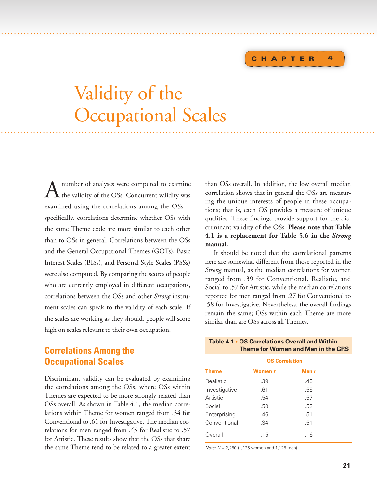#### **C HAPTER 4**

# Validity of the Occupational Scales . . . ...... . . .... . . . . . . . . . . . . . . . . . . . . . . . . . . . . .............. . . . . . . . . . . . . . . . . . . . . . . . . . . . . . . . . . . . . . . . . . ..................

<span id="page-27-0"></span>. . . ...... . . . . . . . . . . . . . ................................................... . . . . . . . . . . . . . . . . . . . . . . . . . . . . . . . . . . . . . . . . . . .

 $A$  number of analyses were computed to examine<br>the validity of the OSs. Concurrent validity was examined using the correlations among the OSs specifically, correlations determine whether OSs with the same Theme code are more similar to each other than to OSs in general. Correlations between the OSs and the General Occupational Themes (GOTs), Basic Interest Scales (BISs), and Personal Style Scales (PSSs) were also computed. By comparing the scores of people who are currently employed in different occupations, correlations between the OSs and other *Strong* instrument scales can speak to the validity of each scale. If the scales are working as they should, people will score high on scales relevant to their own occupation.

# **Correlations Among the Occupational Scales**

Discriminant validity can be evaluated by examining the correlations among the OSs, where OSs within Themes are expected to be more strongly related than OSs overall. As shown in Table 4.1, the median correlations within Theme for women ranged from .34 for Conventional to .61 for Investigative. The median correlations for men ranged from .45 for Realistic to .57 for Artistic. These results show that the OSs that share the same Theme tend to be related to a greater extent

than OSs overall. In addition, the low overall median correlation shows that in general the OSs are measuring the unique interests of people in these occupations; that is, each OS provides a measure of unique qualities. These findings provide support for the discriminant validity of the OSs. **Please note that Table 4.1 is a replacement for Table 5.6 in the** *Strong* **manual***.*

It should be noted that the correlational patterns here are somewhat different from those reported in the *Strong* manual, as the median correlations for women ranged from .39 for Conventional, Realistic, and Social to .57 for Artistic, while the median correlations reported for men ranged from .27 for Conventional to .58 for Investigative. Nevertheless, the overall findings remain the same; OSs within each Theme are more similar than are OSs across all Themes.

#### **Table 4.1 • OS Correlations Overall and Within Theme for Women and Men in the GRS**

|               | <b>OS Correlation</b> |       |  |
|---------------|-----------------------|-------|--|
| <b>Theme</b>  | Women r               | Men r |  |
| Realistic     | .39                   | .45   |  |
| Investigative | .61                   | .55   |  |
| Artistic      | .54                   | .57   |  |
| Social        | .50                   | .52   |  |
| Enterprising  | .46                   | .51   |  |
| Conventional  | .34                   | .51   |  |
| Overall       | .15                   | .16   |  |

*Note: N* = 2,250 (1,125 women and 1,125 men).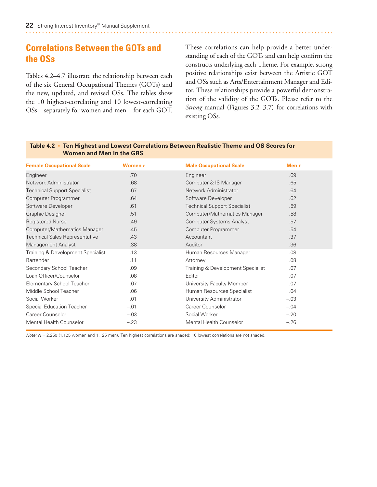# <span id="page-28-0"></span>**Correlations Between the GOTs and the OSs**

Tables 4.2–4.7 illustrate the relationship between each of the six General Occupational Themes (GOTs) and the new, updated, and revised OSs. The tables show the 10 highest-correlating and 10 lowest-correlating OSs—separately for women and men—for each GOT. These correlations can help provide a better understanding of each of the GOTs and can help confirm the constructs underlying each Theme. For example, strong positive relationships exist between the Artistic GOT and OSs such as Arts/Entertainment Manager and Editor. These relationships provide a powerful demonstration of the validity of the GOTs. Please refer to the *Strong* manual (Figures 3.2–3.7) for correlations with existing OSs*.*

| <b>Female Occupational Scale</b>      | Women r | <b>Male Occupational Scale</b>      | Men $r$ |
|---------------------------------------|---------|-------------------------------------|---------|
| Engineer                              | .70     | Engineer                            | .69     |
| Network Administrator                 | .68     | Computer & IS Manager               | .65     |
| <b>Technical Support Specialist</b>   | .67     | Network Administrator               | .64     |
| Computer Programmer                   | .64     | Software Developer                  | .62     |
| Software Developer                    | .61     | <b>Technical Support Specialist</b> | .59     |
| <b>Graphic Designer</b>               | .51     | Computer/Mathematics Manager        | .58     |
| <b>Registered Nurse</b>               | .49     | <b>Computer Systems Analyst</b>     | .57     |
| Computer/Mathematics Manager          | .45     | Computer Programmer                 | .54     |
| <b>Technical Sales Representative</b> | .43     | Accountant                          | .37     |
| Management Analyst                    | .38     | Auditor                             | .36     |
| Training & Development Specialist     | .13     | Human Resources Manager             | .08     |
| Bartender                             | .11     | Attorney                            | .08     |
| Secondary School Teacher              | .09     | Training & Development Specialist   | .07     |
| Loan Officer/Counselor                | .08     | Editor                              | .07     |
| <b>Elementary School Teacher</b>      | .07     | University Faculty Member           | .07     |
| Middle School Teacher                 | .06     | Human Resources Specialist          | .04     |
| Social Worker                         | .01     | University Administrator            | $-.03$  |
| <b>Special Education Teacher</b>      | $-.01$  | Career Counselor                    | $-.04$  |
| Career Counselor                      | $-.03$  | Social Worker                       | $-.20$  |
| Mental Health Counselor               | $-.23$  | <b>Mental Health Counselor</b>      | $-.26$  |

**Table 4.2 • Ten Highest and Lowest Correlations Between Realistic Theme and OS Scores for Women and Men in the GRS**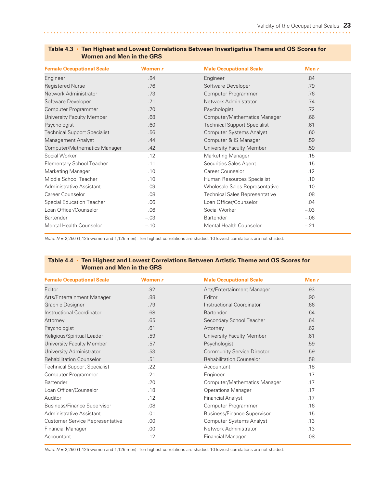| <b>Female Occupational Scale</b>    | Women r | <b>Male Occupational Scale</b>        | Men $r$ |  |
|-------------------------------------|---------|---------------------------------------|---------|--|
| Engineer                            | .84     | Engineer                              | .84     |  |
| <b>Registered Nurse</b>             | .76     | Software Developer                    | .79     |  |
| Network Administrator               | .73     | Computer Programmer                   | 76      |  |
| Software Developer                  | .71     | Network Administrator                 | .74     |  |
| Computer Programmer                 | .70     | Psychologist                          | .72     |  |
| University Faculty Member           | .68     | Computer/Mathematics Manager          | .66     |  |
| Psychologist                        | .60     | <b>Technical Support Specialist</b>   | .61     |  |
| <b>Technical Support Specialist</b> | .56     | <b>Computer Systems Analyst</b>       | .60     |  |
| Management Analyst                  | .44     | Computer & IS Manager                 | .59     |  |
| Computer/Mathematics Manager        | .42     | University Faculty Member             | .59     |  |
| Social Worker                       | .12     | <b>Marketing Manager</b>              | .15     |  |
| <b>Elementary School Teacher</b>    | .11     | Securities Sales Agent                | .15     |  |
| <b>Marketing Manager</b>            | .10     | Career Counselor                      | .12     |  |
| Middle School Teacher               | .10     | Human Resources Specialist            | .10     |  |
| Administrative Assistant            | .09     | Wholesale Sales Representative        | .10     |  |
| Career Counselor                    | .08     | <b>Technical Sales Representative</b> | .08     |  |
| Special Education Teacher           | .06     | Loan Officer/Counselor                | .04     |  |
| Loan Officer/Counselor              | .06     | Social Worker                         | $-.03$  |  |
| <b>Bartender</b>                    | $-.03$  | <b>Bartender</b>                      | $-.06$  |  |
| Mental Health Counselor             | $-.10$  | Mental Health Counselor               | $-.21$  |  |

#### <span id="page-29-0"></span>**Table 4.3 • Ten Highest and Lowest Correlations Between Investigative Theme and OS Scores for Women and Men in the GRS**

*Note: N* = 2,250 (1,125 women and 1,125 men). Ten highest correlations are shaded; 10 lowest correlations are not shaded.

#### **Table 4.4 • Ten Highest and Lowest Correlations Between Artistic Theme and OS Scores for Women and Men in the GRS**

| <b>Female Occupational Scale</b>       | Women r | <b>Male Occupational Scale</b>     | Men $r$ |  |
|----------------------------------------|---------|------------------------------------|---------|--|
| Editor                                 | .92     | Arts/Entertainment Manager         | .93     |  |
| Arts/Entertainment Manager             | .88     | Editor                             | .90     |  |
| <b>Graphic Designer</b>                | .79     | Instructional Coordinator          | .66     |  |
| Instructional Coordinator              | .68     | <b>Bartender</b>                   | .64     |  |
| Attorney                               | .65     | Secondary School Teacher           | .64     |  |
| Psychologist                           | .61     | Attorney                           | .62     |  |
| Religious/Spiritual Leader             | .59     | University Faculty Member          | .61     |  |
| University Faculty Member              | .57     | Psychologist                       | .59     |  |
| University Administrator               | .53     | <b>Community Service Director</b>  | .59     |  |
| <b>Rehabilitation Counselor</b>        | .51     | <b>Rehabilitation Counselor</b>    | .58     |  |
| <b>Technical Support Specialist</b>    | .22     | Accountant                         | .18     |  |
| Computer Programmer                    | .21     | Engineer                           | .17     |  |
| <b>Bartender</b>                       | .20     | Computer/Mathematics Manager       | .17     |  |
| Loan Officer/Counselor                 | .18     | <b>Operations Manager</b>          | .17     |  |
| Auditor                                | .12     | <b>Financial Analyst</b>           | .17     |  |
| <b>Business/Finance Supervisor</b>     | .08     | Computer Programmer                | .16     |  |
| Administrative Assistant               | .01     | <b>Business/Finance Supervisor</b> | .15     |  |
| <b>Customer Service Representative</b> | .00.    | Computer Systems Analyst           | .13     |  |
| <b>Financial Manager</b>               | .00.    | Network Administrator              | .13     |  |
| Accountant                             | $-.12$  | <b>Financial Manager</b>           | .08     |  |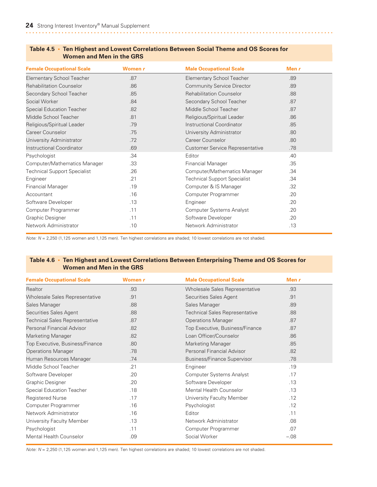| <b>Female Occupational Scale</b>    | Women r | <b>Male Occupational Scale</b>         | Men r |
|-------------------------------------|---------|----------------------------------------|-------|
| <b>Elementary School Teacher</b>    | .87     | <b>Elementary School Teacher</b>       | .89   |
| <b>Rehabilitation Counselor</b>     | .86     | <b>Community Service Director</b>      | .89   |
| Secondary School Teacher            | .85     | <b>Rehabilitation Counselor</b>        | .88   |
| Social Worker                       | .84     | Secondary School Teacher               | .87   |
| <b>Special Education Teacher</b>    | .82     | Middle School Teacher                  | .87   |
| Middle School Teacher               | .81     | Religious/Spiritual Leader             | .86   |
| Religious/Spiritual Leader          | .79     | Instructional Coordinator              | .85   |
| Career Counselor                    | .75     | University Administrator               | .80   |
| University Administrator            | .72     | Career Counselor                       | .80   |
| Instructional Coordinator           | .69     | <b>Customer Service Representative</b> | .78   |
| Psychologist                        | .34     | Editor                                 | .40   |
| Computer/Mathematics Manager        | .33     | <b>Financial Manager</b>               | .35   |
| <b>Technical Support Specialist</b> | .26     | Computer/Mathematics Manager           | .34   |
| Engineer                            | .21     | <b>Technical Support Specialist</b>    | .34   |
| <b>Financial Manager</b>            | .19     | Computer & IS Manager                  | .32   |
| Accountant                          | .16     | Computer Programmer                    | .20   |
| Software Developer                  | .13     | Engineer                               | .20   |
| Computer Programmer                 | .11     | <b>Computer Systems Analyst</b>        | .20   |
| Graphic Designer                    | .11     | Software Developer                     | .20   |
| Network Administrator               | .10     | Network Administrator                  | .13   |

#### <span id="page-30-0"></span>**Table 4.5 • Ten Highest and Lowest Correlations Between Social Theme and OS Scores for Women and Men in the GRS**

*Note: N* = 2,250 (1,125 women and 1,125 men). Ten highest correlations are shaded; 10 lowest correlations are not shaded.

#### **Table 4.6 • Ten Highest and Lowest Correlations Between Enterprising Theme and OS Scores for Women and Men in the GRS**

| <b>Female Occupational Scale</b>      | Women r | <b>Male Occupational Scale</b>        | Men $r$ |
|---------------------------------------|---------|---------------------------------------|---------|
| Realtor                               | .93     | Wholesale Sales Representative        | .93     |
| Wholesale Sales Representative        | .91     | Securities Sales Agent                | .91     |
| Sales Manager                         | .88     | Sales Manager                         | .89     |
| Securities Sales Agent                | .88     | <b>Technical Sales Representative</b> | .88     |
| <b>Technical Sales Representative</b> | .87     | <b>Operations Manager</b>             | .87     |
| Personal Financial Advisor            | .82     | Top Executive, Business/Finance       | .87     |
| Marketing Manager                     | .82     | Loan Officer/Counselor                | .86     |
| Top Executive, Business/Finance       | .80     | <b>Marketing Manager</b>              | .85     |
| <b>Operations Manager</b>             | .78     | Personal Financial Advisor            | .82     |
| Human Resources Manager               | .74     | <b>Business/Finance Supervisor</b>    | .78     |
| Middle School Teacher                 | .21     | Engineer                              | .19     |
| Software Developer                    | .20     | <b>Computer Systems Analyst</b>       | .17     |
| <b>Graphic Designer</b>               | .20     | Software Developer                    | .13     |
| Special Education Teacher             | .18     | <b>Mental Health Counselor</b>        | .13     |
| <b>Registered Nurse</b>               | .17     | University Faculty Member             | .12     |
| Computer Programmer                   | .16     | Psychologist                          | .12     |
| Network Administrator                 | .16     | Editor                                | .11     |
| University Faculty Member             | .13     | Network Administrator                 | .08     |
| Psychologist                          | .11     | Computer Programmer                   | .07     |
| Mental Health Counselor               | .09     | Social Worker                         | $-.08$  |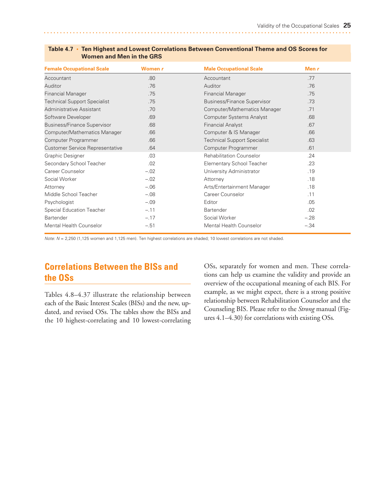| <b>Female Occupational Scale</b>       | Women r | <b>Male Occupational Scale</b>      | Men $r$ |  |
|----------------------------------------|---------|-------------------------------------|---------|--|
| Accountant                             | .80     | Accountant                          | .77     |  |
| Auditor                                | .76     | Auditor                             | .76     |  |
| <b>Financial Manager</b>               | .75     | <b>Financial Manager</b>            | .75     |  |
| <b>Technical Support Specialist</b>    | .75     | <b>Business/Finance Supervisor</b>  | .73     |  |
| Administrative Assistant               | .70     | Computer/Mathematics Manager        | .71     |  |
| Software Developer                     | .69     | <b>Computer Systems Analyst</b>     | .68     |  |
| <b>Business/Finance Supervisor</b>     | .68     | <b>Financial Analyst</b>            | .67     |  |
| Computer/Mathematics Manager           | .66     | Computer & IS Manager               | .66     |  |
| Computer Programmer                    | .66     | <b>Technical Support Specialist</b> | .63     |  |
| <b>Customer Service Representative</b> | .64     | Computer Programmer                 | .61     |  |
| Graphic Designer                       | .03     | <b>Rehabilitation Counselor</b>     | .24     |  |
| Secondary School Teacher               | .02     | <b>Elementary School Teacher</b>    | .23     |  |
| Career Counselor                       | $-.02$  | University Administrator            | .19     |  |
| Social Worker                          | $-.02$  | Attorney                            | .18     |  |
| Attorney                               | $-.06$  | Arts/Entertainment Manager          | .18     |  |
| Middle School Teacher                  | $-.08$  | Career Counselor                    | .11     |  |
| Psychologist                           | $-.09$  | Editor                              | .05     |  |
| Special Education Teacher              | $-.11$  | Bartender                           | .02     |  |
| Bartender                              | $-.17$  | Social Worker                       | $-.28$  |  |
| <b>Mental Health Counselor</b>         | $-.51$  | Mental Health Counselor             | $-.34$  |  |

#### <span id="page-31-0"></span>**Table 4.7 • Ten Highest and Lowest Correlations Between Conventional Theme and OS Scores for Women and Men in the GRS**

*Note:*  $N = 2,250$  (1,125 women and 1,125 men). Ten highest correlations are shaded; 10 lowest correlations are not shaded.

# **Correlations Between the BISs and the OSs**

Tables 4.8–4.37 illustrate the relationship between each of the Basic Interest Scales (BISs) and the new, updated, and revised OSs. The tables show the BISs and the 10 highest-correlating and 10 lowest-correlating

OSs, separately for women and men. These correlations can help us examine the validity and provide an overview of the occupational meaning of each BIS. For example, as we might expect, there is a strong positive relationship between Rehabilitation Counselor and the Counseling BIS. Please refer to the *Strong* manual (Figures 4.1–4.30) for correlations with existing OSs*.*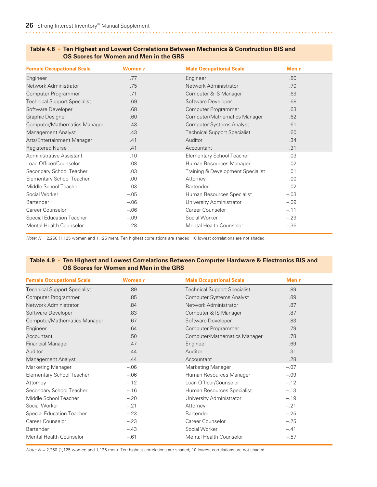| <b>Female Occupational Scale</b>    | Women r | <b>Male Occupational Scale</b>      | Men $r$ |
|-------------------------------------|---------|-------------------------------------|---------|
| Engineer                            | .77     | Engineer                            | .80     |
| Network Administrator               | .75     | Network Administrator               | .70     |
| Computer Programmer                 | .71     | Computer & IS Manager               | .69     |
| <b>Technical Support Specialist</b> | .69     | Software Developer                  | .68     |
| Software Developer                  | .68     | Computer Programmer                 | .63     |
| <b>Graphic Designer</b>             | .60     | Computer/Mathematics Manager        | .62     |
| Computer/Mathematics Manager        | .43     | <b>Computer Systems Analyst</b>     | .61     |
| Management Analyst                  | .43     | <b>Technical Support Specialist</b> | .60     |
| Arts/Entertainment Manager          | .41     | Auditor                             | .34     |
| <b>Registered Nurse</b>             | .41     | Accountant                          | .31     |
| Administrative Assistant            | .10     | <b>Elementary School Teacher</b>    | .03     |
| Loan Officer/Counselor              | .08     | Human Resources Manager             | .02     |
| Secondary School Teacher            | .03     | Training & Development Specialist   | .01     |
| <b>Elementary School Teacher</b>    | .00     | Attorney                            | .00     |
| Middle School Teacher               | $-.03$  | Bartender                           | $-.02$  |
| Social Worker                       | $-.05$  | Human Resources Specialist          | $-.03$  |
| <b>Bartender</b>                    | $-.06$  | University Administrator            | $-.09$  |
| Career Counselor                    | $-.06$  | Career Counselor                    | $-.11$  |
| <b>Special Education Teacher</b>    | $-.09$  | Social Worker                       | $-.29$  |
| <b>Mental Health Counselor</b>      | $-.28$  | <b>Mental Health Counselor</b>      | $-.36$  |

#### <span id="page-32-0"></span>**Table 4.8 • Ten Highest and Lowest Correlations Between Mechanics & Construction BIS and OS Scores for Women and Men in the GRS**

*Note: N* = 2,250 (1,125 women and 1,125 men). Ten highest correlations are shaded; 10 lowest correlations are not shaded.

#### **Table 4.9 • Ten Highest and Lowest Correlations Between Computer Hardware & Electronics BIS and OS Scores for Women and Men in the GRS**

| <b>Female Occupational Scale</b>    | Women r | <b>Male Occupational Scale</b>      | Men $r$ |
|-------------------------------------|---------|-------------------------------------|---------|
| <b>Technical Support Specialist</b> | .89     | <b>Technical Support Specialist</b> | .89     |
| Computer Programmer                 | .85     | <b>Computer Systems Analyst</b>     | .89     |
| Network Administrator               | .84     | Network Administrator               | .87     |
| Software Developer                  | .83     | Computer & IS Manager               | .87     |
| Computer/Mathematics Manager        | .67     | Software Developer                  | .83     |
| Engineer                            | .64     | Computer Programmer                 | .79     |
| Accountant                          | .50     | Computer/Mathematics Manager        | .78     |
| <b>Financial Manager</b>            | .47     | Engineer                            | .69     |
| Auditor                             | .44     | Auditor                             | .31     |
| Management Analyst                  | .44     | Accountant                          | .28     |
| Marketing Manager                   | $-.06$  | Marketing Manager                   | $-.07$  |
| Elementary School Teacher           | $-.06$  | Human Resources Manager             | $-.09$  |
| Attorney                            | $-.12$  | Loan Officer/Counselor              | $-.12$  |
| Secondary School Teacher            | $-.16$  | Human Resources Specialist          | $-.13$  |
| Middle School Teacher               | $-.20$  | University Administrator            | $-.19$  |
| Social Worker                       | $-.21$  | Attorney                            | $-.21$  |
| Special Education Teacher           | $-.23$  | Bartender                           | $-.25$  |
| Career Counselor                    | $-.23$  | Career Counselor                    | $-.25$  |
| Bartender                           | $-.43$  | Social Worker                       | $-.41$  |
| Mental Health Counselor             | $-.61$  | <b>Mental Health Counselor</b>      | $-.57$  |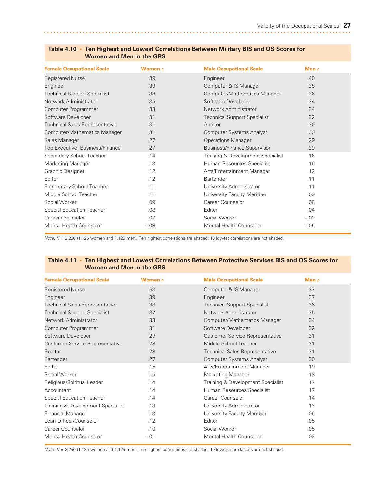| <b>Female Occupational Scale</b>      | Women r | <b>Male Occupational Scale</b>      | Men $r$ |  |
|---------------------------------------|---------|-------------------------------------|---------|--|
| <b>Registered Nurse</b>               | .39     | Engineer                            | .40     |  |
| Engineer                              | .39     | Computer & IS Manager               | .38     |  |
| <b>Technical Support Specialist</b>   | .38     | Computer/Mathematics Manager        | .36     |  |
| Network Administrator                 | .35     | Software Developer                  | .34     |  |
| Computer Programmer                   | .33     | Network Administrator               | .34     |  |
| Software Developer                    | .31     | <b>Technical Support Specialist</b> | .32     |  |
| <b>Technical Sales Representative</b> | .31     | Auditor                             | .30     |  |
| Computer/Mathematics Manager          | .31     | <b>Computer Systems Analyst</b>     | .30     |  |
| Sales Manager                         | .27     | <b>Operations Manager</b>           | .29     |  |
| Top Executive, Business/Finance       | .27     | <b>Business/Finance Supervisor</b>  | .29     |  |
| Secondary School Teacher              | .14     | Training & Development Specialist   | .16     |  |
| Marketing Manager                     | .13     | Human Resources Specialist          | .16     |  |
| Graphic Designer                      | .12     | Arts/Entertainment Manager          | .12     |  |
| Editor                                | .12     | Bartender                           | .11     |  |
| Elementary School Teacher             | .11     | University Administrator            | .11     |  |
| Middle School Teacher                 | .11     | University Faculty Member           | .09     |  |
| Social Worker                         | .09     | Career Counselor                    | .08     |  |
| <b>Special Education Teacher</b>      | .08     | Editor                              | .04     |  |
| Career Counselor                      | .07     | Social Worker                       | $-.02$  |  |
| <b>Mental Health Counselor</b>        | $-.08$  | Mental Health Counselor             | $-.05$  |  |

#### <span id="page-33-0"></span>**Table 4.10 • Ten Highest and Lowest Correlations Between Military BIS and OS Scores for Women and Men in the GRS**

*Note: N* = 2,250 (1,125 women and 1,125 men). Ten highest correlations are shaded; 10 lowest correlations are not shaded.

#### **Table 4.11 • Ten Highest and Lowest Correlations Between Protective Services BIS and OS Scores for Women and Men in the GRS**

| <b>Female Occupational Scale</b>       | Women r | <b>Male Occupational Scale</b>         | Men $r$ |
|----------------------------------------|---------|----------------------------------------|---------|
| <b>Registered Nurse</b>                | .53     | Computer & IS Manager                  | .37     |
| Engineer                               | .39     | Engineer                               | .37     |
| <b>Technical Sales Representative</b>  | .38     | <b>Technical Support Specialist</b>    | .36     |
| <b>Technical Support Specialist</b>    | .37     | Network Administrator                  | .35     |
| Network Administrator                  | .33     | Computer/Mathematics Manager           | .34     |
| Computer Programmer                    | .31     | Software Developer                     | .32     |
| Software Developer                     | .29     | <b>Customer Service Representative</b> | .31     |
| <b>Customer Service Representative</b> | .28     | Middle School Teacher                  | .31     |
| Realtor                                | .28     | <b>Technical Sales Representative</b>  | .31     |
| <b>Bartender</b>                       | .27     | <b>Computer Systems Analyst</b>        | .30     |
| Editor                                 | .15     | Arts/Entertainment Manager             | .19     |
| Social Worker                          | .15     | Marketing Manager                      | .18     |
| Religious/Spiritual Leader             | .14     | Training & Development Specialist      | .17     |
| Accountant                             | .14     | Human Resources Specialist             | .17     |
| <b>Special Education Teacher</b>       | .14     | Career Counselor                       | .14     |
| Training & Development Specialist      | .13     | University Administrator               | .13     |
| <b>Financial Manager</b>               | .13     | University Faculty Member              | .06     |
| Loan Officer/Counselor                 | .12     | Editor                                 | .05     |
| Career Counselor                       | .10     | Social Worker                          | .05     |
| Mental Health Counselor                | $-.01$  | <b>Mental Health Counselor</b>         | .02     |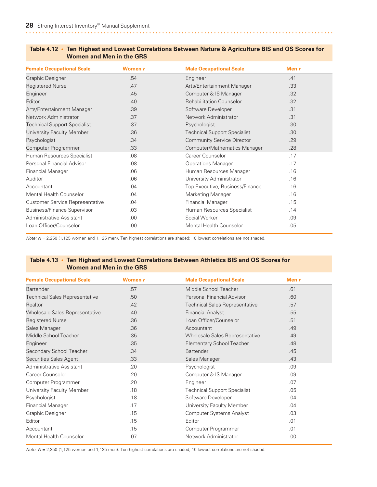| <b>Female Occupational Scale</b>    | Women r | <b>Male Occupational Scale</b>      | Men $r$ |
|-------------------------------------|---------|-------------------------------------|---------|
| <b>Graphic Designer</b>             | .54     | Engineer                            | .41     |
| <b>Registered Nurse</b>             | .47     | Arts/Entertainment Manager          | .33     |
| Engineer                            | .45     | Computer & IS Manager               | .32     |
| Editor                              | .40     | <b>Rehabilitation Counselor</b>     | .32     |
| Arts/Entertainment Manager          | .39     | Software Developer                  | .31     |
| Network Administrator               | .37     | Network Administrator               | .31     |
| <b>Technical Support Specialist</b> | .37     | Psychologist                        | .30     |
| University Faculty Member           | .36     | <b>Technical Support Specialist</b> | .30     |
| Psychologist                        | .34     | <b>Community Service Director</b>   | .29     |
| Computer Programmer                 | .33     | Computer/Mathematics Manager        | .28     |
| Human Resources Specialist          | .08     | Career Counselor                    | .17     |
| Personal Financial Advisor          | .08     | <b>Operations Manager</b>           | .17     |
| <b>Financial Manager</b>            | .06     | Human Resources Manager             | .16     |
| Auditor                             | .06     | University Administrator            | .16     |
| Accountant                          | .04     | Top Executive, Business/Finance     | .16     |
| <b>Mental Health Counselor</b>      | .04     | Marketing Manager                   | .16     |
| Customer Service Representative     | .04     | <b>Financial Manager</b>            | .15     |
| <b>Business/Finance Supervisor</b>  | .03     | Human Resources Specialist          | .14     |
| Administrative Assistant            | .00.    | Social Worker                       | .09     |
| Loan Officer/Counselor              | .00     | <b>Mental Health Counselor</b>      | .05     |

#### <span id="page-34-0"></span>**Table 4.12 • Ten Highest and Lowest Correlations Between Nature & Agriculture BIS and OS Scores for Women and Men in the GRS**

*Note: N* = 2,250 (1,125 women and 1,125 men). Ten highest correlations are shaded; 10 lowest correlations are not shaded.

#### **Table 4.13 • Ten Highest and Lowest Correlations Between Athletics BIS and OS Scores for Women and Men in the GRS**

| <b>Female Occupational Scale</b>      | Women r | <b>Male Occupational Scale</b>        | Men $r$ |
|---------------------------------------|---------|---------------------------------------|---------|
| <b>Bartender</b>                      | .57     | Middle School Teacher                 | .61     |
| <b>Technical Sales Representative</b> | .50     | Personal Financial Advisor            | .60     |
| <b>Realtor</b>                        | .42     | <b>Technical Sales Representative</b> | .57     |
| Wholesale Sales Representative        | .40     | <b>Financial Analyst</b>              | .55     |
| <b>Registered Nurse</b>               | .36     | Loan Officer/Counselor                | .51     |
| Sales Manager                         | .36     | Accountant                            | .49     |
| Middle School Teacher                 | .35     | Wholesale Sales Representative        | .49     |
| Engineer                              | .35     | Elementary School Teacher             | .48     |
| Secondary School Teacher              | .34     | <b>Bartender</b>                      | .45     |
| Securities Sales Agent                | .33     | Sales Manager                         | .43     |
| Administrative Assistant              | .20     | Psychologist                          | .09     |
| Career Counselor                      | .20     | Computer & IS Manager                 | .09     |
| Computer Programmer                   | .20     | Engineer                              | .07     |
| University Faculty Member             | .18     | <b>Technical Support Specialist</b>   | .05     |
| Psychologist                          | .18     | Software Developer                    | .04     |
| <b>Financial Manager</b>              | .17     | University Faculty Member             | .04     |
| Graphic Designer                      | .15     | <b>Computer Systems Analyst</b>       | .03     |
| Editor                                | .15     | Editor                                | .01     |
| Accountant                            | .15     | Computer Programmer                   | .01     |
| <b>Mental Health Counselor</b>        | .07     | Network Administrator                 | .00     |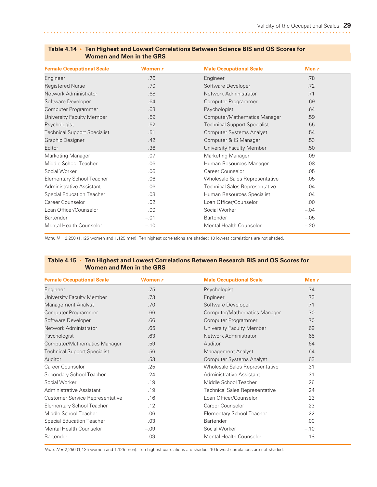| <b>Female Occupational Scale</b>    | Women r | <b>Male Occupational Scale</b>        | Men $r$ |  |
|-------------------------------------|---------|---------------------------------------|---------|--|
| Engineer                            | .76     | Engineer                              | .78     |  |
| <b>Registered Nurse</b>             | .70     | Software Developer                    | .72     |  |
| Network Administrator               | .68     | Network Administrator                 | 71      |  |
| Software Developer                  | .64     | Computer Programmer                   | .69     |  |
| Computer Programmer                 | .63     | Psychologist                          | .64     |  |
| University Faculty Member           | .59     | Computer/Mathematics Manager          | .59     |  |
| Psychologist                        | .52     | <b>Technical Support Specialist</b>   | .55     |  |
| <b>Technical Support Specialist</b> | .51     | <b>Computer Systems Analyst</b>       | .54     |  |
| Graphic Designer                    | .42     | Computer & IS Manager                 | .53     |  |
| Editor                              | .36     | University Faculty Member             | .50     |  |
| Marketing Manager                   | .07     | Marketing Manager                     | .09     |  |
| Middle School Teacher               | .06     | Human Resources Manager               | .08     |  |
| Social Worker                       | .06     | Career Counselor                      | .05     |  |
| <b>Elementary School Teacher</b>    | .06     | Wholesale Sales Representative        | .05     |  |
| Administrative Assistant            | .06     | <b>Technical Sales Representative</b> | .04     |  |
| <b>Special Education Teacher</b>    | .03     | Human Resources Specialist            | .04     |  |
| Career Counselor                    | .02     | Loan Officer/Counselor                | .00     |  |
| Loan Officer/Counselor              | .00     | Social Worker                         | $-.04$  |  |
| <b>Bartender</b>                    | $-.01$  | Bartender                             | $-.05$  |  |
| Mental Health Counselor             | $-.10$  | Mental Health Counselor               | $-.20$  |  |

#### <span id="page-35-0"></span>**Table 4.14 • Ten Highest and Lowest Correlations Between Science BIS and OS Scores for Women and Men in the GRS**

*Note: N* = 2,250 (1,125 women and 1,125 men). Ten highest correlations are shaded; 10 lowest correlations are not shaded.

#### **Table 4.15 • Ten Highest and Lowest Correlations Between Research BIS and OS Scores for Women and Men in the GRS**

| <b>Female Occupational Scale</b>    | Women r | <b>Male Occupational Scale</b>        | Men $r$ |  |
|-------------------------------------|---------|---------------------------------------|---------|--|
| Engineer                            | .75     | Psychologist                          | .74     |  |
| University Faculty Member           | .73     | Engineer                              | .73     |  |
| Management Analyst                  | .70     | Software Developer                    | .71     |  |
| Computer Programmer                 | .66     | Computer/Mathematics Manager          | .70     |  |
| Software Developer                  | .66     | Computer Programmer                   | .70     |  |
| Network Administrator               | .65     | University Faculty Member             | .69     |  |
| Psychologist                        | .63     | Network Administrator                 | .65     |  |
| Computer/Mathematics Manager        | .59     | Auditor                               | .64     |  |
| <b>Technical Support Specialist</b> | .56     | Management Analyst                    | .64     |  |
| Auditor                             | .53     | <b>Computer Systems Analyst</b>       | .63     |  |
| Career Counselor                    | .25     | Wholesale Sales Representative        | .31     |  |
| Secondary School Teacher            | .24     | Administrative Assistant              | .31     |  |
| Social Worker                       | .19     | Middle School Teacher                 | .26     |  |
| Administrative Assistant            | .19     | <b>Technical Sales Representative</b> | .24     |  |
| Customer Service Representative     | .16     | Loan Officer/Counselor                | .23     |  |
| <b>Elementary School Teacher</b>    | .12     | Career Counselor                      | .23     |  |
| Middle School Teacher               | .06     | <b>Elementary School Teacher</b>      | .22     |  |
| <b>Special Education Teacher</b>    | .03     | Bartender                             | .00     |  |
| <b>Mental Health Counselor</b>      | $-.09$  | Social Worker                         | $-.10$  |  |
| <b>Bartender</b>                    | $-.09$  | Mental Health Counselor               | $-.18$  |  |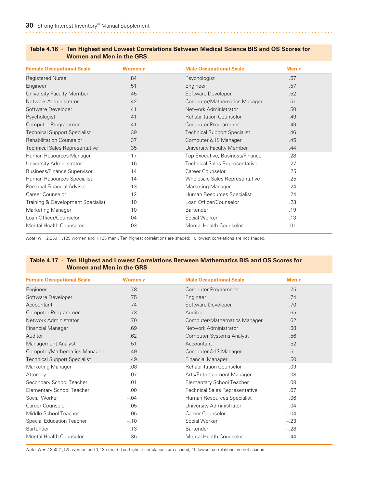| <b>Female Occupational Scale</b>      | Women r | <b>Male Occupational Scale</b>        | Men r |
|---------------------------------------|---------|---------------------------------------|-------|
| <b>Registered Nurse</b>               | .84     | Psychologist                          | .57   |
| Engineer                              | .51     | Engineer                              | .57   |
| University Faculty Member             | .45     | Software Developer                    | .52   |
| Network Administrator                 | .42     | Computer/Mathematics Manager          | .51   |
| Software Developer                    | .41     | Network Administrator                 | .50   |
| Psychologist                          | .41     | <b>Rehabilitation Counselor</b>       | .49   |
| Computer Programmer                   | .41     | Computer Programmer                   | .49   |
| <b>Technical Support Specialist</b>   | .39     | <b>Technical Support Specialist</b>   | .46   |
| <b>Rehabilitation Counselor</b>       | .37     | Computer & IS Manager                 | .45   |
| <b>Technical Sales Representative</b> | .35     | University Faculty Member             | .44   |
| Human Resources Manager               | .17     | Top Executive, Business/Finance       | .28   |
| University Administrator              | .16     | <b>Technical Sales Representative</b> | .27   |
| <b>Business/Finance Supervisor</b>    | .14     | Career Counselor                      | .25   |
| Human Resources Specialist            | .14     | Wholesale Sales Representative        | .25   |
| Personal Financial Advisor            | .13     | <b>Marketing Manager</b>              | .24   |
| Career Counselor                      | .12     | Human Resources Specialist            | .24   |
| Training & Development Specialist     | .10     | Loan Officer/Counselor                | .23   |
| Marketing Manager                     | .10     | Bartender                             | .19   |
| Loan Officer/Counselor                | .04     | Social Worker                         | .13   |
| <b>Mental Health Counselor</b>        | .03     | <b>Mental Health Counselor</b>        | .01   |

#### **Table 4.16 • Ten Highest and Lowest Correlations Between Medical Science BIS and OS Scores for Women and Men in the GRS**

*Note: N* = 2,250 (1,125 women and 1,125 men). Ten highest correlations are shaded; 10 lowest correlations are not shaded.

#### **Table 4.17 • Ten Highest and Lowest Correlations Between Mathematics BIS and OS Scores for Women and Men in the GRS**

| <b>Female Occupational Scale</b>    | Women r | <b>Male Occupational Scale</b>        | Men $r$ |
|-------------------------------------|---------|---------------------------------------|---------|
| Engineer                            | .78     | Computer Programmer                   | .75     |
| Software Developer                  | .75     | Engineer                              | .74     |
| Accountant                          | .74     | Software Developer                    | .70     |
| Computer Programmer                 | .73     | Auditor                               | .65     |
| Network Administrator               | .70     | Computer/Mathematics Manager          | .62     |
| <b>Financial Manager</b>            | .69     | Network Administrator                 | .58     |
| Auditor                             | .62     | <b>Computer Systems Analyst</b>       | .56     |
| Management Analyst                  | .51     | Accountant                            | .52     |
| Computer/Mathematics Manager        | .49     | Computer & IS Manager                 | .51     |
| <b>Technical Support Specialist</b> | .49     | <b>Financial Manager</b>              | .50     |
| Marketing Manager                   | .08     | <b>Rehabilitation Counselor</b>       | .09     |
| Attorney                            | .07     | Arts/Entertainment Manager            | .08     |
| Secondary School Teacher            | .01     | Elementary School Teacher             | .08     |
| <b>Elementary School Teacher</b>    | .00     | <b>Technical Sales Representative</b> | .07     |
| Social Worker                       | $-.04$  | Human Resources Specialist            | .06     |
| Career Counselor                    | $-.05$  | University Administrator              | .04     |
| Middle School Teacher               | $-.05$  | Career Counselor                      | $-.04$  |
| <b>Special Education Teacher</b>    | $-.10$  | Social Worker                         | $-.23$  |
| Bartender                           | $-.13$  | Bartender                             | $-.28$  |
| <b>Mental Health Counselor</b>      | $-.35$  | <b>Mental Health Counselor</b>        | $-.44$  |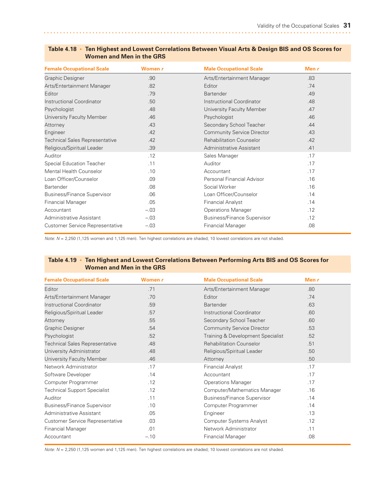| <b>Female Occupational Scale</b>       | Women r | <b>Male Occupational Scale</b>     | Men $r$ |  |
|----------------------------------------|---------|------------------------------------|---------|--|
| <b>Graphic Designer</b>                | .90     | Arts/Entertainment Manager         | .83     |  |
| Arts/Entertainment Manager             | .82     | Editor                             | .74     |  |
| Editor                                 | .79     | <b>Bartender</b>                   | .49     |  |
| Instructional Coordinator              | .50     | Instructional Coordinator          | .48     |  |
| Psychologist                           | .48     | University Faculty Member          | .47     |  |
| University Faculty Member              | .46     | Psychologist                       | .46     |  |
| Attorney                               | .43     | Secondary School Teacher           | .44     |  |
| Engineer                               | .42     | <b>Community Service Director</b>  | .43     |  |
| <b>Technical Sales Representative</b>  | .42     | <b>Rehabilitation Counselor</b>    | .42     |  |
| Religious/Spiritual Leader             | .39     | Administrative Assistant           | .41     |  |
| Auditor                                | .12     | Sales Manager                      | .17     |  |
| <b>Special Education Teacher</b>       | .11     | Auditor                            | .17     |  |
| <b>Mental Health Counselor</b>         | .10     | Accountant                         | .17     |  |
| Loan Officer/Counselor                 | .09     | Personal Financial Advisor         | .16     |  |
| Bartender                              | .08     | Social Worker                      | .16     |  |
| <b>Business/Finance Supervisor</b>     | .06     | Loan Officer/Counselor             | .14     |  |
| <b>Financial Manager</b>               | .05     | <b>Financial Analyst</b>           | .14     |  |
| Accountant                             | $-.03$  | <b>Operations Manager</b>          | .12     |  |
| Administrative Assistant               | $-.03$  | <b>Business/Finance Supervisor</b> | .12     |  |
| <b>Customer Service Representative</b> | $-.03$  | <b>Financial Manager</b>           | .08     |  |

#### Table 4.18 • Ten Highest and Lowest Correlations Between Visual Arts & Design BIS and OS Scores for **Women and Men in the GRS**

*Note: N* = 2,250 (1,125 women and 1,125 men). Ten highest correlations are shaded; 10 lowest correlations are not shaded.

#### **Table 4.19 • Ten Highest and Lowest Correlations Between Performing Arts BIS and OS Scores for Women and Men in the GRS**

| <b>Female Occupational Scale</b>       | Women r | <b>Male Occupational Scale</b>     | Men $r$ |  |
|----------------------------------------|---------|------------------------------------|---------|--|
| Editor                                 | .71     | Arts/Entertainment Manager         | .80     |  |
| Arts/Entertainment Manager             | .70     | Editor                             | .74     |  |
| Instructional Coordinator              | .59     | <b>Bartender</b>                   | .63     |  |
| Religious/Spiritual Leader             | .57     | Instructional Coordinator          | .60     |  |
| Attorney                               | .55     | Secondary School Teacher           | .60     |  |
| <b>Graphic Designer</b>                | .54     | <b>Community Service Director</b>  | .53     |  |
| Psychologist                           | .52     | Training & Development Specialist  | .52     |  |
| <b>Technical Sales Representative</b>  | .48     | <b>Rehabilitation Counselor</b>    | .51     |  |
| University Administrator               | .48     | Religious/Spiritual Leader         | .50     |  |
| University Faculty Member              | .46     | Attorney                           | .50     |  |
| Network Administrator                  | .17     | <b>Financial Analyst</b>           | .17     |  |
| Software Developer                     | .14     | Accountant                         | .17     |  |
| Computer Programmer                    | .12     | <b>Operations Manager</b>          | .17     |  |
| <b>Technical Support Specialist</b>    | .12     | Computer/Mathematics Manager       | .16     |  |
| Auditor                                | .11     | <b>Business/Finance Supervisor</b> | .14     |  |
| <b>Business/Finance Supervisor</b>     | .10     | Computer Programmer                | .14     |  |
| Administrative Assistant               | .05     | Engineer                           | .13     |  |
| <b>Customer Service Representative</b> | .03     | <b>Computer Systems Analyst</b>    | .12     |  |
| <b>Financial Manager</b>               | .01     | Network Administrator              | .11     |  |
| Accountant                             | $-.10$  | <b>Financial Manager</b>           | .08     |  |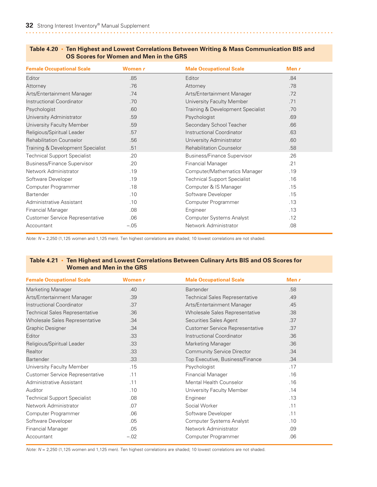| <b>Female Occupational Scale</b>       | Women r | <b>Male Occupational Scale</b>      | Men r |  |
|----------------------------------------|---------|-------------------------------------|-------|--|
| Editor                                 | .85     | Editor                              | .84   |  |
| Attorney                               | .76     | Attorney                            | .78   |  |
| Arts/Entertainment Manager             | .74     | Arts/Entertainment Manager          | .72   |  |
| Instructional Coordinator              | .70     | University Faculty Member           | .71   |  |
| Psychologist                           | .60     | Training & Development Specialist   | .70   |  |
| University Administrator               | .59     | Psychologist                        | .69   |  |
| University Faculty Member              | .59     | Secondary School Teacher            | .66   |  |
| Religious/Spiritual Leader             | .57     | Instructional Coordinator           | .63   |  |
| <b>Rehabilitation Counselor</b>        | .56     | University Administrator            | .60   |  |
| Training & Development Specialist      | .51     | <b>Rehabilitation Counselor</b>     | .58   |  |
| <b>Technical Support Specialist</b>    | .20     | <b>Business/Finance Supervisor</b>  | .26   |  |
| <b>Business/Finance Supervisor</b>     | .20     | <b>Financial Manager</b>            | .21   |  |
| Network Administrator                  | .19     | Computer/Mathematics Manager        | .19   |  |
| Software Developer                     | .19     | <b>Technical Support Specialist</b> | .16   |  |
| Computer Programmer                    | .18     | Computer & IS Manager               | .15   |  |
| <b>Bartender</b>                       | .10     | Software Developer                  | .15   |  |
| Administrative Assistant               | .10     | Computer Programmer                 | .13   |  |
| <b>Financial Manager</b>               | .08     | Engineer                            | .13   |  |
| <b>Customer Service Representative</b> | .06     | <b>Computer Systems Analyst</b>     | .12   |  |
| Accountant                             | $-.05$  | Network Administrator               | .08   |  |

#### **Table 4.20 • Ten Highest and Lowest Correlations Between Writing & Mass Communication BIS and OS Scores for Women and Men in the GRS**

*Note: N* = 2,250 (1,125 women and 1,125 men). Ten highest correlations are shaded; 10 lowest correlations are not shaded.

#### **Table 4.21 • Ten Highest and Lowest Correlations Between Culinary Arts BIS and OS Scores for Women and Men in the GRS**

| <b>Female Occupational Scale</b>       | Women r | <b>Male Occupational Scale</b>         | Men $r$ |
|----------------------------------------|---------|----------------------------------------|---------|
| <b>Marketing Manager</b>               | .40     | Bartender                              | .58     |
| Arts/Entertainment Manager             | .39     | <b>Technical Sales Representative</b>  | .49     |
| Instructional Coordinator              | .37     | Arts/Entertainment Manager             | .45     |
| <b>Technical Sales Representative</b>  | .36     | Wholesale Sales Representative         | .38     |
| Wholesale Sales Representative         | .34     | Securities Sales Agent                 | .37     |
| Graphic Designer                       | .34     | <b>Customer Service Representative</b> | .37     |
| Editor                                 | .33     | Instructional Coordinator              | .36     |
| Religious/Spiritual Leader             | .33     | <b>Marketing Manager</b>               | .36     |
| <b>Realtor</b>                         | .33     | <b>Community Service Director</b>      | .34     |
| <b>Bartender</b>                       | .33     | Top Executive, Business/Finance        | .34     |
| University Faculty Member              | .15     | Psychologist                           | .17     |
| <b>Customer Service Representative</b> | .11     | <b>Financial Manager</b>               | .16     |
| Administrative Assistant               | .11     | <b>Mental Health Counselor</b>         | .16     |
| Auditor                                | .10     | University Faculty Member              | .14     |
| <b>Technical Support Specialist</b>    | .08     | Engineer                               | .13     |
| Network Administrator                  | .07     | Social Worker                          | .11     |
| Computer Programmer                    | .06     | Software Developer                     | .11     |
| Software Developer                     | .05     | Computer Systems Analyst               | .10     |
| <b>Financial Manager</b>               | .05     | Network Administrator                  | .09     |
| Accountant                             | $-.02$  | Computer Programmer                    | .06     |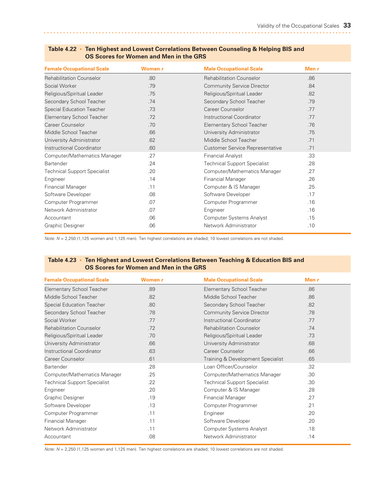| <b>Female Occupational Scale</b>    | Women r | <b>Male Occupational Scale</b>         | Men $r$ |  |
|-------------------------------------|---------|----------------------------------------|---------|--|
| <b>Rehabilitation Counselor</b>     | .80     | <b>Rehabilitation Counselor</b>        | .86     |  |
| Social Worker                       | .79     | <b>Community Service Director</b>      | .84     |  |
| Religious/Spiritual Leader          | .75     | Religious/Spiritual Leader             | .82     |  |
| Secondary School Teacher            | .74     | Secondary School Teacher               | .79     |  |
| <b>Special Education Teacher</b>    | .73     | Career Counselor                       | 77      |  |
| <b>Elementary School Teacher</b>    | .72     | Instructional Coordinator              | .77     |  |
| Career Counselor                    | .70     | <b>Elementary School Teacher</b>       | .76     |  |
| Middle School Teacher               | .66     | University Administrator               | .75     |  |
| University Administrator            | .62     | Middle School Teacher                  | .71     |  |
| Instructional Coordinator           | .60     | <b>Customer Service Representative</b> | .71     |  |
| Computer/Mathematics Manager        | .27     | <b>Financial Analyst</b>               | .33     |  |
| <b>Bartender</b>                    | .24     | <b>Technical Support Specialist</b>    | .28     |  |
| <b>Technical Support Specialist</b> | .20     | Computer/Mathematics Manager           | .27     |  |
| Engineer                            | .14     | <b>Financial Manager</b>               | .26     |  |
| <b>Financial Manager</b>            | .11     | Computer & IS Manager                  | .25     |  |
| Software Developer                  | .08     | Software Developer                     | .17     |  |
| Computer Programmer                 | .07     | Computer Programmer                    | .16     |  |
| Network Administrator               | .07     | Engineer                               | .16     |  |
| Accountant                          | .06     | <b>Computer Systems Analyst</b>        | .15     |  |
| Graphic Designer                    | .06     | Network Administrator                  | .10     |  |

#### **Table 4.22 • Ten Highest and Lowest Correlations Between Counseling & Helping BIS and OS Scores for Women and Men in the GRS**

*Note: N* = 2,250 (1,125 women and 1,125 men). Ten highest correlations are shaded; 10 lowest correlations are not shaded.

#### **Table 4.23 • Ten Highest and Lowest Correlations Between Teaching & Education BIS and OS Scores for Women and Men in the GRS**

| <b>Female Occupational Scale</b>    | Women r | <b>Male Occupational Scale</b>      | Men $r$ |
|-------------------------------------|---------|-------------------------------------|---------|
| <b>Elementary School Teacher</b>    | .89     | Elementary School Teacher           | .86     |
| Middle School Teacher               | .82     | Middle School Teacher               | .86     |
| <b>Special Education Teacher</b>    | .80     | Secondary School Teacher            | .82     |
| Secondary School Teacher            | .78     | <b>Community Service Director</b>   | .78     |
| Social Worker                       | .77     | Instructional Coordinator           | .77     |
| <b>Rehabilitation Counselor</b>     | .72     | <b>Rehabilitation Counselor</b>     | .74     |
| Religious/Spiritual Leader          | .70     | Religious/Spiritual Leader          | .73     |
| University Administrator            | .66     | University Administrator            | .68     |
| <b>Instructional Coordinator</b>    | .63     | Career Counselor                    | .66     |
| Career Counselor                    | .61     | Training & Development Specialist   | .65     |
| Bartender                           | .28     | Loan Officer/Counselor              | .32     |
| Computer/Mathematics Manager        | .25     | Computer/Mathematics Manager        | .30     |
| <b>Technical Support Specialist</b> | .22     | <b>Technical Support Specialist</b> | .30     |
| Engineer                            | .20     | Computer & IS Manager               | .28     |
| <b>Graphic Designer</b>             | .19     | <b>Financial Manager</b>            | .27     |
| Software Developer                  | .13     | Computer Programmer                 | .21     |
| Computer Programmer                 | .11     | Engineer                            | .20     |
| <b>Financial Manager</b>            | .11     | Software Developer                  | .20     |
| Network Administrator               | .11     | <b>Computer Systems Analyst</b>     | .18     |
| Accountant                          | .08     | Network Administrator               | .14     |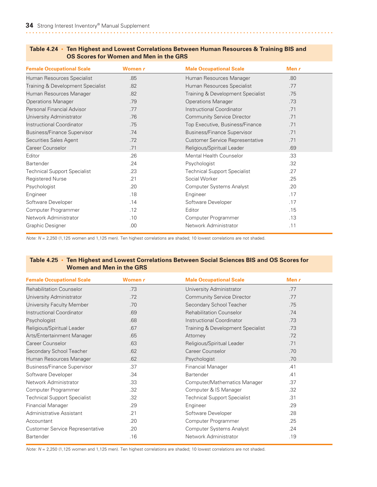| <b>Female Occupational Scale</b>    | Women r | <b>Male Occupational Scale</b>         | Men r |
|-------------------------------------|---------|----------------------------------------|-------|
| Human Resources Specialist          | .85     | Human Resources Manager                | .80   |
| Training & Development Specialist   | .82     | Human Resources Specialist             | .77   |
| Human Resources Manager             | .82     | Training & Development Specialist      | .75   |
| <b>Operations Manager</b>           | .79     | <b>Operations Manager</b>              | .73   |
| Personal Financial Advisor          | .77     | Instructional Coordinator              | .71   |
| University Administrator            | .76     | <b>Community Service Director</b>      | .71   |
| Instructional Coordinator           | .75     | Top Executive, Business/Finance        | .71   |
| <b>Business/Finance Supervisor</b>  | .74     | <b>Business/Finance Supervisor</b>     | .71   |
| Securities Sales Agent              | .72     | <b>Customer Service Representative</b> | .71   |
| Career Counselor                    | .71     | Religious/Spiritual Leader             | .69   |
| Editor                              | .26     | <b>Mental Health Counselor</b>         | .33   |
| Bartender                           | .24     | Psychologist                           | .32   |
| <b>Technical Support Specialist</b> | .23     | <b>Technical Support Specialist</b>    | .27   |
| Registered Nurse                    | .21     | Social Worker                          | .25   |
| Psychologist                        | .20     | <b>Computer Systems Analyst</b>        | .20   |
| Engineer                            | .18     | Engineer                               | .17   |
| Software Developer                  | .14     | Software Developer                     | .17   |
| Computer Programmer                 | .12     | Editor                                 | .15   |
| Network Administrator               | .10     | Computer Programmer                    | .13   |
| <b>Graphic Designer</b>             | .00     | Network Administrator                  | .11   |

#### **Table 4.24 • Ten Highest and Lowest Correlations Between Human Resources & Training BIS and OS Scores for Women and Men in the GRS**

*Note: N* = 2,250 (1,125 women and 1,125 men). Ten highest correlations are shaded; 10 lowest correlations are not shaded.

#### **Table 4.25 • Ten Highest and Lowest Correlations Between Social Sciences BIS and OS Scores for Women and Men in the GRS**

| <b>Female Occupational Scale</b>       | Women r | <b>Male Occupational Scale</b>      | Men $r$ |
|----------------------------------------|---------|-------------------------------------|---------|
| <b>Rehabilitation Counselor</b>        | .73     | University Administrator            | .77     |
| University Administrator               | .72     | <b>Community Service Director</b>   | .77     |
| University Faculty Member              | .70     | Secondary School Teacher            | .75     |
| Instructional Coordinator              | .69     | <b>Rehabilitation Counselor</b>     | 74      |
| Psychologist                           | .68     | Instructional Coordinator           | .73     |
| Religious/Spiritual Leader             | .67     | Training & Development Specialist   | .73     |
| Arts/Entertainment Manager             | .65     | Attorney                            | .72     |
| Career Counselor                       | .63     | Religious/Spiritual Leader          | .71     |
| Secondary School Teacher               | .62     | Career Counselor                    | .70     |
| Human Resources Manager                | .62     | Psychologist                        | .70     |
| <b>Business/Finance Supervisor</b>     | .37     | <b>Financial Manager</b>            | .41     |
| Software Developer                     | .34     | Bartender                           | .41     |
| Network Administrator                  | .33     | Computer/Mathematics Manager        | .37     |
| Computer Programmer                    | .32     | Computer & IS Manager               | .32     |
| <b>Technical Support Specialist</b>    | .32     | <b>Technical Support Specialist</b> | .31     |
| <b>Financial Manager</b>               | .29     | Engineer                            | .29     |
| Administrative Assistant               | .21     | Software Developer                  | .28     |
| Accountant                             | .20     | Computer Programmer                 | .25     |
| <b>Customer Service Representative</b> | .20     | <b>Computer Systems Analyst</b>     | .24     |
| Bartender                              | .16     | Network Administrator               | .19     |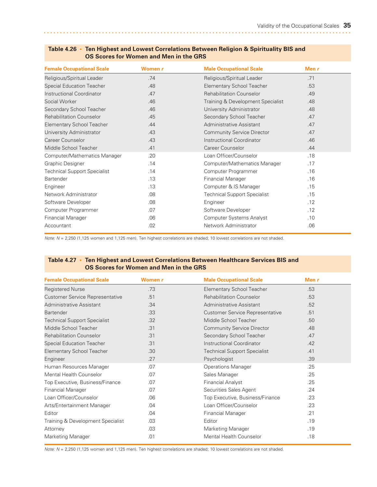| <b>Female Occupational Scale</b>    | Women r | <b>Male Occupational Scale</b>      | Men $r$ |  |
|-------------------------------------|---------|-------------------------------------|---------|--|
| Religious/Spiritual Leader          | .74     | Religious/Spiritual Leader          | 71      |  |
| <b>Special Education Teacher</b>    | .48     | <b>Elementary School Teacher</b>    | .53     |  |
| Instructional Coordinator           | .47     | <b>Rehabilitation Counselor</b>     | .49     |  |
| Social Worker                       | .46     | Training & Development Specialist   | .48     |  |
| Secondary School Teacher            | .46     | University Administrator            | .48     |  |
| <b>Rehabilitation Counselor</b>     | .45     | Secondary School Teacher            | .47     |  |
| <b>Elementary School Teacher</b>    | .44     | Administrative Assistant            | .47     |  |
| University Administrator            | .43     | <b>Community Service Director</b>   | .47     |  |
| Career Counselor                    | .43     | <b>Instructional Coordinator</b>    | .46     |  |
| Middle School Teacher               | .41     | Career Counselor                    | .44     |  |
| Computer/Mathematics Manager        | .20     | Loan Officer/Counselor              | .18     |  |
| Graphic Designer                    | .14     | Computer/Mathematics Manager        | .17     |  |
| <b>Technical Support Specialist</b> | .14     | Computer Programmer                 | .16     |  |
| Bartender                           | .13     | <b>Financial Manager</b>            | .16     |  |
| Engineer                            | .13     | Computer & IS Manager               | .15     |  |
| Network Administrator               | .08     | <b>Technical Support Specialist</b> | .15     |  |
| Software Developer                  | .08     | Engineer                            | .12     |  |
| Computer Programmer                 | .07     | Software Developer                  | .12     |  |
| <b>Financial Manager</b>            | .06     | <b>Computer Systems Analyst</b>     | .10     |  |
| Accountant                          | .02     | Network Administrator               | .06     |  |

#### **Table 4.26 • Ten Highest and Lowest Correlations Between Religion & Spirituality BIS and OS Scores for Women and Men in the GRS**

*Note: N* = 2,250 (1,125 women and 1,125 men). Ten highest correlations are shaded; 10 lowest correlations are not shaded.

#### **Table 4.27 • Ten Highest and Lowest Correlations Between Healthcare Services BIS and OS Scores for Women and Men in the GRS**

| <b>Female Occupational Scale</b>    | Women r | <b>Male Occupational Scale</b>         | Men $r$ |  |
|-------------------------------------|---------|----------------------------------------|---------|--|
| <b>Registered Nurse</b>             | .73     | <b>Elementary School Teacher</b>       | .53     |  |
| Customer Service Representative     | .51     | <b>Rehabilitation Counselor</b>        | .53     |  |
| Administrative Assistant            | .34     | Administrative Assistant               | .52     |  |
| <b>Bartender</b>                    | .33     | <b>Customer Service Representative</b> | .51     |  |
| <b>Technical Support Specialist</b> | .32     | Middle School Teacher                  | .50     |  |
| Middle School Teacher               | .31     | <b>Community Service Director</b>      | .48     |  |
| <b>Rehabilitation Counselor</b>     | .31     | Secondary School Teacher               | .47     |  |
| <b>Special Education Teacher</b>    | .31     | Instructional Coordinator              | .42     |  |
| <b>Elementary School Teacher</b>    | .30     | <b>Technical Support Specialist</b>    | .41     |  |
| Engineer                            | .27     | Psychologist                           | .39     |  |
| Human Resources Manager             | .07     | <b>Operations Manager</b>              | .25     |  |
| <b>Mental Health Counselor</b>      | .07     | Sales Manager                          | .25     |  |
| Top Executive, Business/Finance     | .07     | <b>Financial Analyst</b>               | .25     |  |
| <b>Financial Manager</b>            | .07     | Securities Sales Agent                 | .24     |  |
| Loan Officer/Counselor              | .06     | Top Executive, Business/Finance        | .23     |  |
| Arts/Entertainment Manager          | .04     | Loan Officer/Counselor                 | .23     |  |
| Editor                              | .04     | <b>Financial Manager</b>               | .21     |  |
| Training & Development Specialist   | .03     | Editor                                 | .19     |  |
| Attorney                            | .03     | Marketing Manager                      | .19     |  |
| Marketing Manager                   | .01     | <b>Mental Health Counselor</b>         | .18     |  |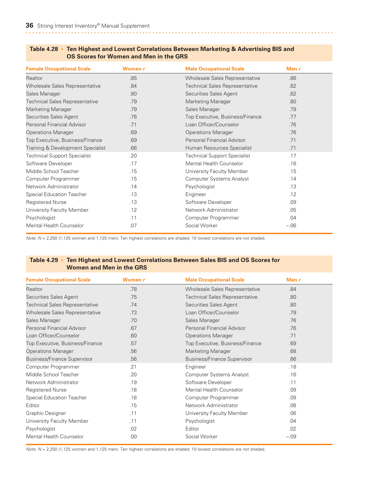| <b>Female Occupational Scale</b>      | Women r | <b>Male Occupational Scale</b>        | Men $r$ |
|---------------------------------------|---------|---------------------------------------|---------|
| Realtor                               | .85     | Wholesale Sales Representative        | .86     |
| Wholesale Sales Representative        | .84     | <b>Technical Sales Representative</b> | .82     |
| Sales Manager                         | .80     | Securities Sales Agent                | .82     |
| <b>Technical Sales Representative</b> | .79     | <b>Marketing Manager</b>              | .80     |
| <b>Marketing Manager</b>              | .79     | Sales Manager                         | .79     |
| Securities Sales Agent                | .76     | Top Executive, Business/Finance       | .77     |
| Personal Financial Advisor            | .71     | Loan Officer/Counselor                | .76     |
| <b>Operations Manager</b>             | .69     | <b>Operations Manager</b>             | .76     |
| Top Executive, Business/Finance       | .69     | Personal Financial Advisor            | .71     |
| Training & Development Specialist     | .66     | Human Resources Specialist            | .71     |
| <b>Technical Support Specialist</b>   | .20     | <b>Technical Support Specialist</b>   | .17     |
| Software Developer                    | .17     | <b>Mental Health Counselor</b>        | .16     |
| Middle School Teacher                 | .15     | University Faculty Member             | .15     |
| Computer Programmer                   | .15     | <b>Computer Systems Analyst</b>       | .14     |
| Network Administrator                 | .14     | Psychologist                          | .13     |
| <b>Special Education Teacher</b>      | .13     | Engineer                              | .12     |
| <b>Registered Nurse</b>               | .13     | Software Developer                    | .09     |
| University Faculty Member             | .12     | Network Administrator                 | .05     |
| Psychologist                          | .11     | Computer Programmer                   | .04     |
| Mental Health Counselor               | .07     | Social Worker                         | $-.06$  |

#### **Table 4.28 • Ten Highest and Lowest Correlations Between Marketing & Advertising BIS and OS Scores for Women and Men in the GRS**

*Note: N* = 2,250 (1,125 women and 1,125 men). Ten highest correlations are shaded; 10 lowest correlations are not shaded.

#### **Table 4.29 • Ten Highest and Lowest Correlations Between Sales BIS and OS Scores for Women and Men in the GRS**

| <b>Female Occupational Scale</b>      | Women r | <b>Male Occupational Scale</b>        | Men $r$ |  |
|---------------------------------------|---------|---------------------------------------|---------|--|
| <b>Realtor</b>                        | .78     | Wholesale Sales Representative        | .84     |  |
| Securities Sales Agent                | .75     | <b>Technical Sales Representative</b> | .80     |  |
| <b>Technical Sales Representative</b> | .74     | Securities Sales Agent                | .80     |  |
| Wholesale Sales Representative        | .73     | Loan Officer/Counselor                | .79     |  |
| Sales Manager                         | .70     | Sales Manager                         | .76     |  |
| Personal Financial Advisor            | .67     | Personal Financial Advisor            | .76     |  |
| Loan Officer/Counselor                | .60     | <b>Operations Manager</b>             | .71     |  |
| Top Executive, Business/Finance       | .57     | Top Executive, Business/Finance       | .69     |  |
| <b>Operations Manager</b>             | .56     | <b>Marketing Manager</b>              | .68     |  |
| <b>Business/Finance Supervisor</b>    | .56     | <b>Business/Finance Supervisor</b>    | .66     |  |
| Computer Programmer                   | .21     | Engineer                              | .18     |  |
| Middle School Teacher                 | .20     | <b>Computer Systems Analyst</b>       | .16     |  |
| Network Administrator                 | .19     | Software Developer                    | .11     |  |
| <b>Registered Nurse</b>               | .18     | <b>Mental Health Counselor</b>        | .09     |  |
| <b>Special Education Teacher</b>      | .18     | Computer Programmer                   | .09     |  |
| Editor                                | .15     | Network Administrator                 | .08     |  |
| <b>Graphic Designer</b>               | .11     | University Faculty Member             | .06     |  |
| University Faculty Member             | .11     | Psychologist                          | .04     |  |
| Psychologist                          | .02     | Editor                                | .02     |  |
| Mental Health Counselor               | .00     | Social Worker                         | $-.09$  |  |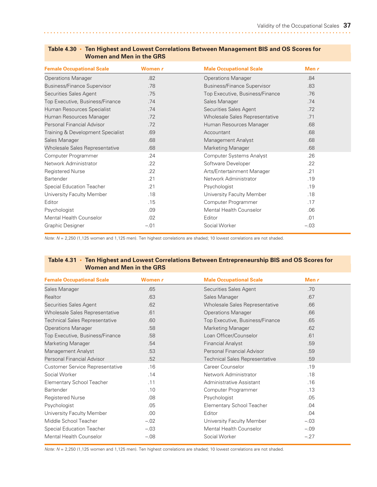| <b>Female Occupational Scale</b>   | Women r | <b>Male Occupational Scale</b>     | Men $r$ |  |
|------------------------------------|---------|------------------------------------|---------|--|
| <b>Operations Manager</b>          | .82     | <b>Operations Manager</b>          | .84     |  |
| <b>Business/Finance Supervisor</b> | .78     | <b>Business/Finance Supervisor</b> | .83     |  |
| Securities Sales Agent             | .75     | Top Executive, Business/Finance    | .76     |  |
| Top Executive, Business/Finance    | .74     | Sales Manager                      | 74      |  |
| Human Resources Specialist         | .74     | Securities Sales Agent             | .72     |  |
| Human Resources Manager            | .72     | Wholesale Sales Representative     | .71     |  |
| Personal Financial Advisor         | .72     | Human Resources Manager            | .68     |  |
| Training & Development Specialist  | .69     | Accountant                         | .68     |  |
| Sales Manager                      | .68     | Management Analyst                 | .68     |  |
| Wholesale Sales Representative     | .68     | <b>Marketing Manager</b>           | .68     |  |
| Computer Programmer                | .24     | <b>Computer Systems Analyst</b>    | .26     |  |
| Network Administrator              | .22     | Software Developer                 | .22     |  |
| <b>Registered Nurse</b>            | .22     | Arts/Entertainment Manager         | .21     |  |
| Bartender                          | .21     | Network Administrator              | .19     |  |
| <b>Special Education Teacher</b>   | .21     | Psychologist                       | .19     |  |
| University Faculty Member          | .18     | University Faculty Member          | .18     |  |
| Editor                             | .15     | Computer Programmer                | .17     |  |
| Psychologist                       | .09     | Mental Health Counselor            | .06     |  |
| Mental Health Counselor            | .02     | Editor                             | .01     |  |
| Graphic Designer                   | $-.01$  | Social Worker                      | $-.03$  |  |

#### **Table 4.30 • Ten Highest and Lowest Correlations Between Management BIS and OS Scores for Women and Men in the GRS**

*Note: N* = 2,250 (1,125 women and 1,125 men). Ten highest correlations are shaded; 10 lowest correlations are not shaded.

#### **Table 4.31 • Ten Highest and Lowest Correlations Between Entrepreneurship BIS and OS Scores for Women and Men in the GRS**

| <b>Female Occupational Scale</b>      | Women r | <b>Male Occupational Scale</b>        | Men r  |
|---------------------------------------|---------|---------------------------------------|--------|
| Sales Manager                         | .65     | Securities Sales Agent                | .70    |
| <b>Realtor</b>                        | .63     | Sales Manager                         | .67    |
| Securities Sales Agent                | .62     | Wholesale Sales Representative        | .66    |
| Wholesale Sales Representative        | .61     | <b>Operations Manager</b>             | .66    |
| <b>Technical Sales Representative</b> | .60     | Top Executive, Business/Finance       | .65    |
| <b>Operations Manager</b>             | .58     | <b>Marketing Manager</b>              | .62    |
| Top Executive, Business/Finance       | .58     | Loan Officer/Counselor                | .61    |
| Marketing Manager                     | .54     | <b>Financial Analyst</b>              | .59    |
| Management Analyst                    | .53     | Personal Financial Advisor            | .59    |
| Personal Financial Advisor            | .52     | <b>Technical Sales Representative</b> | .59    |
| Customer Service Representative       | .16     | Career Counselor                      | .19    |
| Social Worker                         | .14     | Network Administrator                 | .18    |
| <b>Elementary School Teacher</b>      | .11     | Administrative Assistant              | .16    |
| <b>Bartender</b>                      | .10     | Computer Programmer                   | .13    |
| <b>Registered Nurse</b>               | .08     | Psychologist                          | .05    |
| Psychologist                          | .05     | Elementary School Teacher             | .04    |
| University Faculty Member             | .00.    | Editor                                | .04    |
| Middle School Teacher                 | $-.02$  | University Faculty Member             | $-.03$ |
| Special Education Teacher             | $-.03$  | Mental Health Counselor               | $-.09$ |
| <b>Mental Health Counselor</b>        | $-.08$  | Social Worker                         | $-.27$ |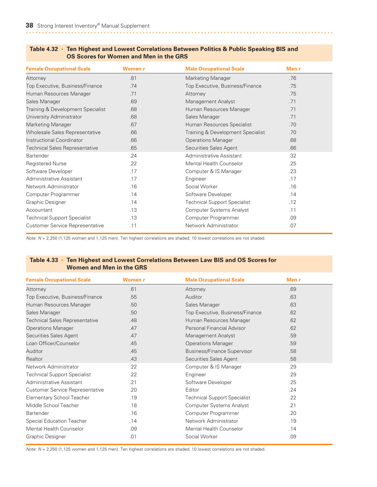| <b>Female Occupational Scale</b>      | Women r | <b>Male Occupational Scale</b>      | Men r |
|---------------------------------------|---------|-------------------------------------|-------|
| Attorney                              | .81     | Marketing Manager                   | .76   |
| Top Executive, Business/Finance       | .74     | Top Executive, Business/Finance     | .75   |
| Human Resources Manager               | .71     | Attorney                            | .75   |
| Sales Manager                         | .69     | Management Analyst                  | .71   |
| Training & Development Specialist     | .68     | Human Resources Manager             | .71   |
| University Administrator              | .68     | Sales Manager                       | .71   |
| <b>Marketing Manager</b>              | .67     | Human Resources Specialist          | .70   |
| Wholesale Sales Representative        | .66     | Training & Development Specialist   | .70   |
| Instructional Coordinator             | .66     | <b>Operations Manager</b>           | .68   |
| <b>Technical Sales Representative</b> | .65     | Securities Sales Agent              | .66   |
| Bartender                             | .24     | Administrative Assistant            | .32   |
| <b>Registered Nurse</b>               | .22     | <b>Mental Health Counselor</b>      | .25   |
| Software Developer                    | .17     | Computer & IS Manager               | .23   |
| Administrative Assistant              | .17     | Engineer                            | .17   |
| Network Administrator                 | .16     | Social Worker                       | .16   |
| Computer Programmer                   | .14     | Software Developer                  | .14   |
| Graphic Designer                      | .14     | <b>Technical Support Specialist</b> | .12   |
| Accountant                            | .13     | <b>Computer Systems Analyst</b>     | .11   |
| <b>Technical Support Specialist</b>   | .13     | Computer Programmer                 | .09   |
| Customer Service Representative       | .11     | Network Administrator               | .07   |

#### **Table 4.32 • Ten Highest and Lowest Correlations Between Politics & Public Speaking BIS and OS Scores for Women and Men in the GRS**

*Note: N* = 2,250 (1,125 women and 1,125 men). Ten highest correlations are shaded; 10 lowest correlations are not shaded.

#### **Table 4.33 • Ten Highest and Lowest Correlations Between Law BIS and OS Scores for Women and Men in the GRS**

| <b>Female Occupational Scale</b>       | Women r | <b>Male Occupational Scale</b>      | Men $r$ |
|----------------------------------------|---------|-------------------------------------|---------|
| Attorney                               | .61     | Attorney                            | .69     |
| Top Executive, Business/Finance        | .55     | Auditor                             | .63     |
| Human Resources Manager                | .50     | Sales Manager                       | .63     |
| Sales Manager                          | .50     | Top Executive, Business/Finance     | .62     |
| <b>Technical Sales Representative</b>  | .48     | Human Resources Manager             | .62     |
| <b>Operations Manager</b>              | .47     | Personal Financial Advisor          | .62     |
| Securities Sales Agent                 | .47     | Management Analyst                  | .59     |
| Loan Officer/Counselor                 | .45     | <b>Operations Manager</b>           | .59     |
| Auditor                                | .45     | <b>Business/Finance Supervisor</b>  | .58     |
| Realtor                                | .43     | Securities Sales Agent              | .58     |
| Network Administrator                  | .22     | Computer & IS Manager               | .29     |
| <b>Technical Support Specialist</b>    | .22     | Engineer                            | .29     |
| Administrative Assistant               | .21     | Software Developer                  | .25     |
| <b>Customer Service Representative</b> | .20     | Editor                              | .24     |
| Elementary School Teacher              | .19     | <b>Technical Support Specialist</b> | .22     |
| Middle School Teacher                  | .18     | <b>Computer Systems Analyst</b>     | .21     |
| Bartender                              | .16     | Computer Programmer                 | .20     |
| Special Education Teacher              | .14     | Network Administrator               | .19     |
| <b>Mental Health Counselor</b>         | .09     | Mental Health Counselor             | .14     |
| <b>Graphic Designer</b>                | .01     | Social Worker                       | .09     |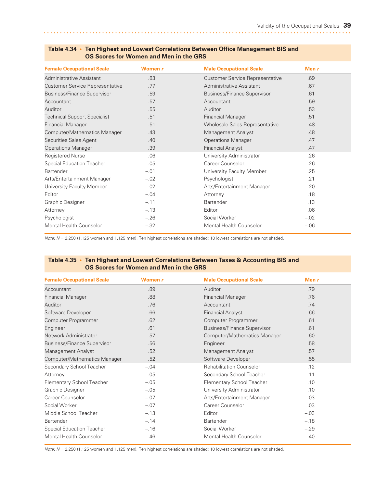| <b>Female Occupational Scale</b>    | Women r | <b>Male Occupational Scale</b>         | Men $r$ |  |
|-------------------------------------|---------|----------------------------------------|---------|--|
| Administrative Assistant            | .83     | <b>Customer Service Representative</b> | .69     |  |
| Customer Service Representative     | .77     | Administrative Assistant               | .67     |  |
| <b>Business/Finance Supervisor</b>  | .59     | <b>Business/Finance Supervisor</b>     | .61     |  |
| Accountant                          | .57     | Accountant                             | .59     |  |
| Auditor                             | .55     | Auditor                                | .53     |  |
| <b>Technical Support Specialist</b> | .51     | <b>Financial Manager</b>               | .51     |  |
| <b>Financial Manager</b>            | .51     | Wholesale Sales Representative         | .48     |  |
| Computer/Mathematics Manager        | .43     | Management Analyst                     | .48     |  |
| Securities Sales Agent              | .40     | <b>Operations Manager</b>              | .47     |  |
| <b>Operations Manager</b>           | .39     | <b>Financial Analyst</b>               | .47     |  |
| <b>Registered Nurse</b>             | .06     | University Administrator               | .26     |  |
| Special Education Teacher           | .05     | Career Counselor                       | .26     |  |
| <b>Bartender</b>                    | $-.01$  | University Faculty Member              | .25     |  |
| Arts/Entertainment Manager          | $-.02$  | Psychologist                           | .21     |  |
| University Faculty Member           | $-.02$  | Arts/Entertainment Manager             | .20     |  |
| Editor                              | $-.04$  | Attorney                               | .18     |  |
| Graphic Designer                    | $-.11$  | <b>Bartender</b>                       | .13     |  |
| Attorney                            | $-.13$  | Editor                                 | .06     |  |
| Psychologist                        | $-.26$  | Social Worker                          | $-.02$  |  |
| <b>Mental Health Counselor</b>      | $-.32$  | <b>Mental Health Counselor</b>         | $-.06$  |  |

#### **Table 4.34 • Ten Highest and Lowest Correlations Between Office Management BIS and OS Scores for Women and Men in the GRS**

*Note: N* = 2,250 (1,125 women and 1,125 men). Ten highest correlations are shaded; 10 lowest correlations are not shaded.

#### **Table 4.35 • Ten Highest and Lowest Correlations Between Taxes & Accounting BIS and OS Scores for Women and Men in the GRS**

| <b>Female Occupational Scale</b>   | Women r | <b>Male Occupational Scale</b>     | Men $r$ |  |
|------------------------------------|---------|------------------------------------|---------|--|
| Accountant                         | .89     | Auditor                            | .79     |  |
| <b>Financial Manager</b>           | .88     | <b>Financial Manager</b>           | .76     |  |
| <b>Auditor</b>                     | .76     | Accountant                         | .74     |  |
| Software Developer                 | .66     | <b>Financial Analyst</b>           | .66     |  |
| Computer Programmer                | .62     | Computer Programmer                | .61     |  |
| Engineer                           | .61     | <b>Business/Finance Supervisor</b> | .61     |  |
| Network Administrator              | .57     | Computer/Mathematics Manager       | .60     |  |
| <b>Business/Finance Supervisor</b> | .56     | Engineer                           | .58     |  |
| Management Analyst                 | .52     | Management Analyst                 | .57     |  |
| Computer/Mathematics Manager       | .52     | Software Developer                 | .55     |  |
| Secondary School Teacher           | $-.04$  | <b>Rehabilitation Counselor</b>    | .12     |  |
| Attorney                           | $-.05$  | Secondary School Teacher           | .11     |  |
| Elementary School Teacher          | $-.05$  | <b>Elementary School Teacher</b>   | .10     |  |
| Graphic Designer                   | $-.05$  | University Administrator           | .10     |  |
| Career Counselor                   | $-.07$  | Arts/Entertainment Manager         | .03     |  |
| Social Worker                      | $-.07$  | Career Counselor                   | .03     |  |
| Middle School Teacher              | $-.13$  | Editor                             | $-.03$  |  |
| <b>Bartender</b>                   | $-.14$  | Bartender                          | $-.18$  |  |
| <b>Special Education Teacher</b>   | $-.16$  | Social Worker                      | $-.29$  |  |
| <b>Mental Health Counselor</b>     | $-.46$  | <b>Mental Health Counselor</b>     | $-.40$  |  |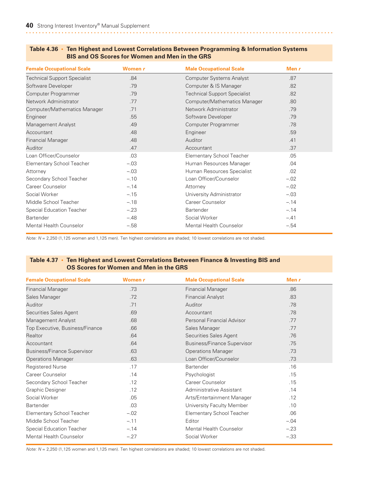| Table 4.36 • Ten Highest and Lowest Correlations Between Programming & Information Systems |
|--------------------------------------------------------------------------------------------|
| <b>BIS and OS Scores for Women and Men in the GRS</b>                                      |

| <b>Female Occupational Scale</b>    | Women r | <b>Male Occupational Scale</b>      | Men $r$ |
|-------------------------------------|---------|-------------------------------------|---------|
| <b>Technical Support Specialist</b> | .84     | <b>Computer Systems Analyst</b>     | .87     |
| Software Developer                  | .79     | Computer & IS Manager               | .82     |
| Computer Programmer                 | .79     | <b>Technical Support Specialist</b> | .82     |
| Network Administrator               | .77     | Computer/Mathematics Manager        | .80     |
| Computer/Mathematics Manager        | .71     | Network Administrator               | .79     |
| Engineer                            | .55     | Software Developer                  | .79     |
| Management Analyst                  | .49     | Computer Programmer                 | .78     |
| Accountant                          | .48     | Engineer                            | .59     |
| <b>Financial Manager</b>            | .48     | Auditor                             | .41     |
| <b>Auditor</b>                      | .47     | Accountant                          | .37     |
| Loan Officer/Counselor              | .03     | <b>Elementary School Teacher</b>    | .05     |
| Elementary School Teacher           | $-.03$  | Human Resources Manager             | .04     |
| Attorney                            | $-.03$  | Human Resources Specialist          | .02     |
| Secondary School Teacher            | $-.10$  | Loan Officer/Counselor              | $-.02$  |
| Career Counselor                    | $-.14$  | Attorney                            | $-.02$  |
| Social Worker                       | $-.15$  | University Administrator            | $-.03$  |
| Middle School Teacher               | $-.18$  | Career Counselor                    | $-.14$  |
| <b>Special Education Teacher</b>    | $-.23$  | <b>Bartender</b>                    | $-.14$  |
| <b>Bartender</b>                    | $-.48$  | Social Worker                       | $-.41$  |
| Mental Health Counselor             | $-.58$  | <b>Mental Health Counselor</b>      | $-.54$  |

*Note: N* = 2,250 (1,125 women and 1,125 men). Ten highest correlations are shaded; 10 lowest correlations are not shaded.

#### **Table 4.37 • Ten Highest and Lowest Correlations Between Finance & Investing BIS and OS Scores for Women and Men in the GRS**

| <b>Female Occupational Scale</b>   | Women r | <b>Male Occupational Scale</b>     | Men $r$ |
|------------------------------------|---------|------------------------------------|---------|
| <b>Financial Manager</b>           | .73     | <b>Financial Manager</b>           | .86     |
| Sales Manager                      | .72     | <b>Financial Analyst</b>           | .83     |
| <b>Auditor</b>                     | .71     | Auditor                            | .78     |
| Securities Sales Agent             | .69     | Accountant                         | .78     |
| Management Analyst                 | .68     | Personal Financial Advisor         | .77     |
| Top Executive, Business/Finance    | .66     | Sales Manager                      | .77     |
| Realtor                            | .64     | Securities Sales Agent             | .76     |
| Accountant                         | .64     | <b>Business/Finance Supervisor</b> | .75     |
| <b>Business/Finance Supervisor</b> | .63     | <b>Operations Manager</b>          | .73     |
| <b>Operations Manager</b>          | .63     | Loan Officer/Counselor             | .73     |
| <b>Registered Nurse</b>            | .17     | Bartender                          | .16     |
| Career Counselor                   | .14     | Psychologist                       | .15     |
| Secondary School Teacher           | .12     | Career Counselor                   | .15     |
| Graphic Designer                   | .12     | Administrative Assistant           | .14     |
| Social Worker                      | .05     | Arts/Entertainment Manager         | .12     |
| <b>Bartender</b>                   | .03     | University Faculty Member          | .10     |
| Elementary School Teacher          | $-.02$  | <b>Elementary School Teacher</b>   | .06     |
| Middle School Teacher              | $-.11$  | Editor                             | $-.04$  |
| <b>Special Education Teacher</b>   | $-.14$  | Mental Health Counselor            | $-.23$  |
| Mental Health Counselor            | $-.27$  | Social Worker                      | $-.33$  |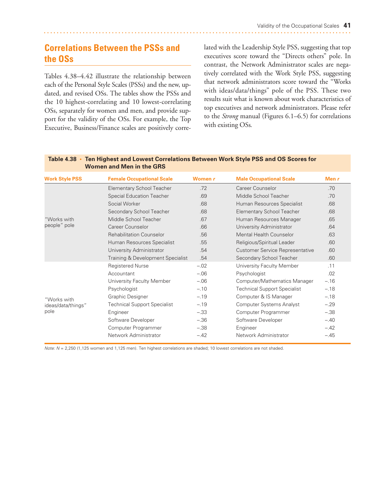# **Correlations Between the PSSs and the OSs**

Tables 4.38–4.42 illustrate the relationship between each of the Personal Style Scales (PSSs) and the new, updated, and revised OSs. The tables show the PSSs and the 10 highest-correlating and 10 lowest-correlating OSs, separately for women and men, and provide support for the validity of the OSs. For example, the Top Executive, Business/Finance scales are positively correlated with the Leadership Style PSS, suggesting that top executives score toward the "Directs others" pole. In contrast, the Network Administrator scales are negatively correlated with the Work Style PSS, suggesting that network administrators score toward the "Works with ideas/data/things" pole of the PSS. These two results suit what is known about work characteristics of top executives and network administrators. Please refer to the *Strong* manual (Figures 6.1–6.5) for correlations with existing OSs*.*

| <b>Work Style PSS</b> | <b>Female Occupational Scale</b>    | Women r | <b>Male Occupational Scale</b>         | Men $r$ |
|-----------------------|-------------------------------------|---------|----------------------------------------|---------|
|                       | <b>Elementary School Teacher</b>    | .72     | Career Counselor                       | .70     |
|                       | <b>Special Education Teacher</b>    | .69     | Middle School Teacher                  | .70     |
|                       | Social Worker                       | .68     | Human Resources Specialist             | .68     |
|                       | Secondary School Teacher            | .68     | <b>Elementary School Teacher</b>       | .68     |
| "Works with           | Middle School Teacher               | .67     | Human Resources Manager                | .65     |
| people" pole          | Career Counselor                    | .66     | University Administrator               | .64     |
|                       | <b>Rehabilitation Counselor</b>     | .56     | Mental Health Counselor                | .63     |
|                       | Human Resources Specialist          | .55     | Religious/Spiritual Leader             | .60     |
|                       | University Administrator            | .54     | <b>Customer Service Representative</b> | .60     |
|                       | Training & Development Specialist   | .54     | Secondary School Teacher               | .60     |
|                       | <b>Registered Nurse</b>             | $-.02$  | University Faculty Member              | .11     |
|                       | Accountant                          | $-.06$  | Psychologist                           | .02     |
|                       | University Faculty Member           | $-.06$  | Computer/Mathematics Manager           | $-.16$  |
|                       | Psychologist                        | $-.10$  | <b>Technical Support Specialist</b>    | $-.18$  |
| "Works with           | Graphic Designer                    | $-.19$  | Computer & IS Manager                  | $-.18$  |
| ideas/data/things"    | <b>Technical Support Specialist</b> | $-.19$  | Computer Systems Analyst               | $-.29$  |
| pole                  | Engineer                            | $-.33$  | Computer Programmer                    | $-.38$  |
|                       | Software Developer                  | $-.36$  | Software Developer                     | $-.40$  |
|                       | Computer Programmer                 | $-.38$  | Engineer                               | $-.42$  |
|                       | Network Administrator               | $-.42$  | Network Administrator                  | $-.45$  |

#### **Table 4.38 • Ten Highest and Lowest Correlations Between Work Style PSS and OS Scores for Women and Men in the GRS**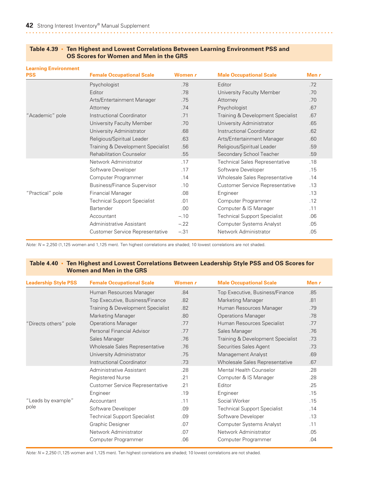| <b>Learning Environment</b> |                                     |         |                                        |         |
|-----------------------------|-------------------------------------|---------|----------------------------------------|---------|
| <b>PSS</b>                  | <b>Female Occupational Scale</b>    | Women r | <b>Male Occupational Scale</b>         | Men $r$ |
|                             | Psychologist                        | .78     | Editor                                 | .72     |
|                             | Editor                              | .78     | University Faculty Member              | .70     |
|                             | Arts/Entertainment Manager          | .75     | Attorney                               | .70     |
|                             | Attorney                            | .74     | Psychologist                           | .67     |
| "Academic" pole             | Instructional Coordinator           | .71     | Training & Development Specialist      | .67     |
|                             | University Faculty Member           | .70     | University Administrator               | .65     |
|                             | University Administrator            | .68     | Instructional Coordinator              | .62     |
|                             | Religious/Spiritual Leader          | .63     | Arts/Entertainment Manager             | .60     |
|                             | Training & Development Specialist   | .56     | Religious/Spiritual Leader             | .59     |
|                             | <b>Rehabilitation Counselor</b>     | .55     | Secondary School Teacher               | .59     |
|                             | Network Administrator               | .17     | <b>Technical Sales Representative</b>  | .18     |
|                             | Software Developer                  | .17     | Software Developer                     | .15     |
|                             | Computer Programmer                 | .14     | Wholesale Sales Representative         | .14     |
|                             | <b>Business/Finance Supervisor</b>  | .10     | <b>Customer Service Representative</b> | .13     |
| "Practical" pole            | <b>Financial Manager</b>            | .08     | Engineer                               | .13     |
|                             | <b>Technical Support Specialist</b> | .01     | Computer Programmer                    | .12     |
|                             | <b>Bartender</b>                    | .00.    | Computer & IS Manager                  | .11     |
|                             | Accountant                          | $-.10$  | <b>Technical Support Specialist</b>    | .06     |
|                             | Administrative Assistant            | $-.22$  | <b>Computer Systems Analyst</b>        | .05     |
|                             | Customer Service Representative     | $-.31$  | Network Administrator                  | .05     |
|                             |                                     |         |                                        |         |

#### **Table 4.39 • Ten Highest and Lowest Correlations Between Learning Environment PSS and OS Scores for Women and Men in the GRS**

*Note: N* = 2,250 (1,125 women and 1,125 men). Ten highest correlations are shaded; 10 lowest correlations are not shaded.

#### **Table 4.40 • Ten Highest and Lowest Correlations Between Leadership Style PSS and OS Scores for Women and Men in the GRS**

| <b>Leadership Style PSS</b> | <b>Female Occupational Scale</b>       | Women r | <b>Male Occupational Scale</b>      | Men r |
|-----------------------------|----------------------------------------|---------|-------------------------------------|-------|
|                             | Human Resources Manager                | .84     | Top Executive, Business/Finance     | .85   |
|                             | Top Executive, Business/Finance        | .82     | <b>Marketing Manager</b>            | .81   |
|                             | Training & Development Specialist      | .82     | Human Resources Manager             | .79   |
|                             | <b>Marketing Manager</b>               | .80     | <b>Operations Manager</b>           | .78   |
| "Directs others" pole       | <b>Operations Manager</b>              | .77     | Human Resources Specialist          | .77   |
|                             | Personal Financial Advisor             | .77     | Sales Manager                       | .76   |
|                             | Sales Manager                          | .76     | Training & Development Specialist   | .73   |
|                             | Wholesale Sales Representative         | .76     | Securities Sales Agent              | .73   |
|                             | University Administrator               | .75     | Management Analyst                  | .69   |
|                             | Instructional Coordinator              | .73     | Wholesale Sales Representative      | .67   |
|                             | Administrative Assistant               | .28     | <b>Mental Health Counselor</b>      | .28   |
|                             | <b>Registered Nurse</b>                | .21     | Computer & IS Manager               | .28   |
|                             | <b>Customer Service Representative</b> | .21     | Editor                              | .25   |
|                             | Engineer                               | .19     | Engineer                            | .15   |
| "Leads by example"          | Accountant                             | .11     | Social Worker                       | .15   |
| pole                        | Software Developer                     | .09     | <b>Technical Support Specialist</b> | .14   |
|                             | <b>Technical Support Specialist</b>    | .09     | Software Developer                  | .13   |
|                             | Graphic Designer                       | .07     | Computer Systems Analyst            | .11   |
|                             | Network Administrator                  | .07     | Network Administrator               | .05   |
|                             | Computer Programmer                    | .06     | Computer Programmer                 | .04   |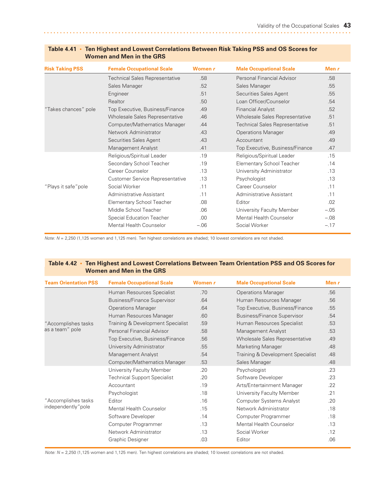| <b>Risk Taking PSS</b> | <b>Female Occupational Scale</b>       | Women r | <b>Male Occupational Scale</b>        | Men r  |
|------------------------|----------------------------------------|---------|---------------------------------------|--------|
|                        | <b>Technical Sales Representative</b>  | .58     | Personal Financial Advisor            | .58    |
|                        | Sales Manager                          | .52     | Sales Manager                         | .55    |
|                        | Engineer                               | .51     | Securities Sales Agent                | .55    |
|                        | Realtor                                | .50     | Loan Officer/Counselor                | .54    |
| "Takes chances" pole   | Top Executive, Business/Finance        | .49     | <b>Financial Analyst</b>              | .52    |
|                        | Wholesale Sales Representative         | .46     | Wholesale Sales Representative        | .51    |
|                        | Computer/Mathematics Manager           | .44     | <b>Technical Sales Representative</b> | .51    |
|                        | Network Administrator                  | .43     | <b>Operations Manager</b>             | .49    |
|                        | Securities Sales Agent                 | .43     | Accountant                            | .49    |
|                        | Management Analyst                     | .41     | Top Executive, Business/Finance       | .47    |
|                        | Religious/Spiritual Leader             | .19     | Religious/Spiritual Leader            | .15    |
|                        | Secondary School Teacher               | .19     | <b>Elementary School Teacher</b>      | .14    |
|                        | Career Counselor                       | .13     | University Administrator              | .13    |
|                        | <b>Customer Service Representative</b> | .13     | Psychologist                          | .13    |
| "Plays it safe"pole    | Social Worker                          | .11     | Career Counselor                      | .11    |
|                        | Administrative Assistant               | 11      | Administrative Assistant              | .11    |
|                        | <b>Elementary School Teacher</b>       | .08     | Editor                                | .02    |
|                        | Middle School Teacher                  | .06     | University Faculty Member             | $-.05$ |
|                        | Special Education Teacher              | .00     | <b>Mental Health Counselor</b>        | $-.08$ |
|                        | Mental Health Counselor                | $-.06$  | Social Worker                         | $-.17$ |

#### **Table 4.41 • Ten Highest and Lowest Correlations Between Risk Taking PSS and OS Scores for Women and Men in the GRS**

*Note: N* = 2,250 (1,125 women and 1,125 men). Ten highest correlations are shaded; 10 lowest correlations are not shaded.

#### **Table 4.42 • Ten Highest and Lowest Correlations Between Team Orientation PSS and OS Scores for Women and Men in the GRS**

| <b>Team Orientation PSS</b> | <b>Female Occupational Scale</b>    | Women r | <b>Male Occupational Scale</b>     | Men $r$ |
|-----------------------------|-------------------------------------|---------|------------------------------------|---------|
|                             | Human Resources Specialist          | 70      | <b>Operations Manager</b>          | .56     |
|                             | <b>Business/Finance Supervisor</b>  | .64     | Human Resources Manager            | .56     |
|                             | <b>Operations Manager</b>           | .64     | Top Executive, Business/Finance    | .55     |
|                             | Human Resources Manager             | .60     | <b>Business/Finance Supervisor</b> | .54     |
| "Accomplishes tasks         | Training & Development Specialist   | .59     | Human Resources Specialist         | .53     |
| as a team" pole             | Personal Financial Advisor          | .58     | Management Analyst                 | .53     |
|                             | Top Executive, Business/Finance     | .56     | Wholesale Sales Representative     | .49     |
|                             | University Administrator            | .55     | <b>Marketing Manager</b>           | .48     |
|                             | Management Analyst                  | .54     | Training & Development Specialist  | .48     |
|                             | Computer/Mathematics Manager        | .53     | Sales Manager                      | .48     |
|                             | University Faculty Member           | .20     | Psychologist                       | .23     |
|                             | <b>Technical Support Specialist</b> | .20     | Software Developer                 | .23     |
|                             | Accountant                          | .19     | Arts/Entertainment Manager         | .22     |
|                             | Psychologist                        | .18     | University Faculty Member          | .21     |
| "Accomplishes tasks         | Editor                              | .16     | <b>Computer Systems Analyst</b>    | .20     |
| independently" pole         | Mental Health Counselor             | .15     | Network Administrator              | .18     |
|                             | Software Developer                  | .14     | Computer Programmer                | .18     |
|                             | Computer Programmer                 | .13     | <b>Mental Health Counselor</b>     | .13     |
|                             | Network Administrator               | .13     | Social Worker                      | .12     |
|                             | Graphic Designer                    | .03     | Editor                             | .06     |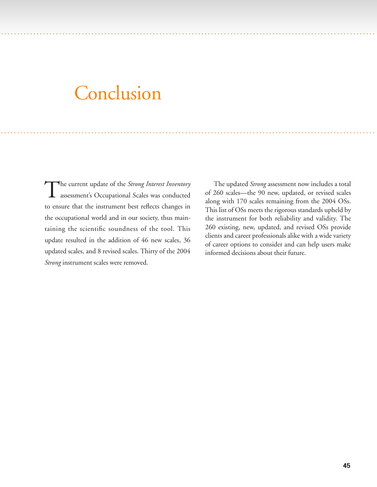# Conclusion

. . . ...... . . . . . . . . . . . . . ................................................... . . . . . . . . . . . . . . . . . . . . . . . . . . . . . . . . . . . . . . . . . . .

. . . ...... . . .... . . . . . . . . . . . . . . . . . . . . . . . . . . . . .............. . . . . . . . . . . . . . . . . . . . . . . . . . . . . . . . . . . . . . . . . . ..................

The current update of the *Strong Interest Inventory* assessment's Occupational Scales was conducted to ensure that the instrument best reflects changes in the occupational world and in our society, thus maintaining the scientific soundness of the tool. This update resulted in the addition of 46 new scales, 36 updated scales, and 8 revised scales. Thirty of the 2004 *Strong* instrument scales were removed.

The updated *Strong* assessment now includes a total of 260 scales—the 90 new, updated, or revised scales along with 170 scales remaining from the 2004 OSs. This list of OSs meets the rigorous standards upheld by the instrument for both reliability and validity. The 260 existing, new, updated, and revised OSs provide clients and career professionals alike with a wide variety of career options to consider and can help users make informed decisions about their future.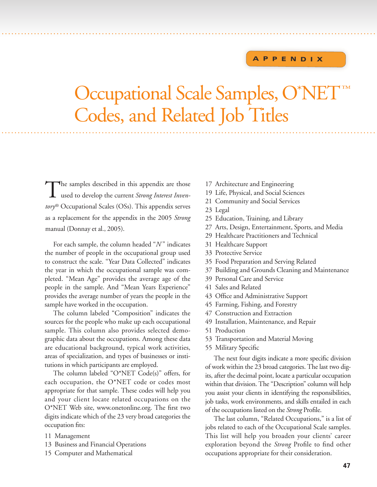# **A P P E N D I X**

# Occupational Scale Samples, O\*NET™ Codes, and Related Job Titles

.. .. . ....... . . . . . . . . . ............................. . . . . . . . . . . . . . . . . . . . . . . . . . . . . . . . . . . . . . . . . . . . . . . . . .............. . . . .

.. ...... . . . . . . ........... . . . . . . . . . . . . . . . . . . .............. . . . . . . . . . . . . . . . . . . . . . . . . . . . .............. . . . . . . . . . . . . . . . . . .

The samples described in this appendix are those<br>used to develop the current *Strong Interest Inventory*® Occupational Scales (OSs). This appendix serves as a replacement for the appendix in the 2005 *Strong* manual (Donnay et al., 2005).

For each sample, the column headed "N" indicates the number of people in the occupational group used to construct the scale. "Year Data Collected" indicates the year in which the occupational sample was completed. "Mean Age" provides the average age of the people in the sample. And "Mean Years Experience" provides the average number of years the people in the sample have worked in the occupation.

The column labeled "Composition" indicates the sources for the people who make up each occupational sample. This column also provides selected demographic data about the occupations. Among these data are educational background, typical work activities, areas of specialization, and types of businesses or institutions in which participants are employed.

The column labeled "O\*NET Code(s)" offers, for each occupation, the O\*NET code or codes most appropriate for that sample. These codes will help you and your client locate related occupations on the O\*NET Web site, www.onetonline.org. The first two digits indicate which of the 23 very broad categories the occupation fits:

- 11 Management
- 13 Business and Financial Operations
- 15 Computer and Mathematical
- 17 Architecture and Engineering
- 19 Life, Physical, and Social Sciences
- 21 Community and Social Services
- 23 Legal
- 25 Education, Training, and Library
- 27 Arts, Design, Entertainment, Sports, and Media
- 29 Healthcare Practitioners and Technical
- 31 Healthcare Support
- 33 Protective Service
- 35 Food Preparation and Serving Related
- 37 Building and Grounds Cleaning and Maintenance
- 39 Personal Care and Service
- 41 Sales and Related
- 43 Office and Administrative Support
- 45 Farming, Fishing, and Forestry
- Construction and Extraction
- 49 Installation, Maintenance, and Repair
- 51 Production
- 53 Transportation and Material Moving
- 55 Military Specific

The next four digits indicate a more specific division of work within the 23 broad categories. The last two digits, after the decimal point, locate a particular occupation within that division. The "Description" column will help you assist your clients in identifying the responsibilities, job tasks, work environments, and skills entailed in each of the occupations listed on the *Strong* Profile.

The last column, "Related Occupations," is a list of jobs related to each of the Occupational Scale samples. This list will help you broaden your clients' career exploration beyond the *Strong* Profile to find other occupations appropriate for their consideration.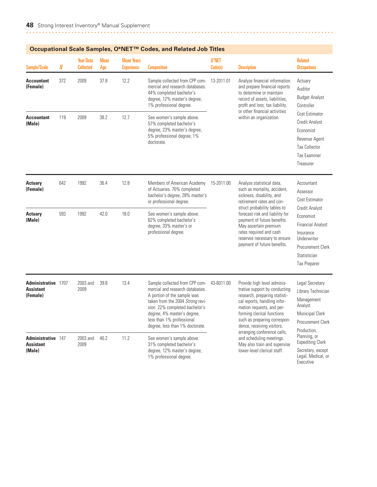|                                                     |     |                                      |                    |                                                                                                                                                                                                                                                                                                                  | Occupational Scale Samples, O°ive I ''" Codes, and Related Job Titles                                                                                                                                                                                                 |                                                           |                                                                                                                                                                                                                                                                                                                                                                                  |                                                                                                                                                               |
|-----------------------------------------------------|-----|--------------------------------------|--------------------|------------------------------------------------------------------------------------------------------------------------------------------------------------------------------------------------------------------------------------------------------------------------------------------------------------------|-----------------------------------------------------------------------------------------------------------------------------------------------------------------------------------------------------------------------------------------------------------------------|-----------------------------------------------------------|----------------------------------------------------------------------------------------------------------------------------------------------------------------------------------------------------------------------------------------------------------------------------------------------------------------------------------------------------------------------------------|---------------------------------------------------------------------------------------------------------------------------------------------------------------|
| <b>Sample/Scale</b>                                 | N   | <b>Year Data</b><br><b>Collected</b> | <b>Mean</b><br>Age | <b>Mean Years</b><br><b>Experience</b>                                                                                                                                                                                                                                                                           | <b>Composition</b>                                                                                                                                                                                                                                                    | 0*NET<br>Code(s)                                          | <b>Description</b>                                                                                                                                                                                                                                                                                                                                                               | <b>Related</b><br><b>Occupations</b>                                                                                                                          |
| <b>Accountant</b><br>(Female)                       | 372 | 2009                                 | 37.8               | 12.2<br>Sample collected from CPP com-<br>13-2011.01<br>mercial and research databases.<br>44% completed bachelor's<br>to determine or maintain<br>degree, 12% master's degree,<br>record of assets, liabilities,<br>1% professional degree.<br>profit and loss, tax liability,<br>or other financial activities | Analyze financial information<br>and prepare financial reports                                                                                                                                                                                                        | Actuary<br>Auditor<br><b>Budget Analyst</b><br>Controller |                                                                                                                                                                                                                                                                                                                                                                                  |                                                                                                                                                               |
| <b>Accountant</b><br>(Male)                         | 119 | 2009                                 | 38.2               | 12.7                                                                                                                                                                                                                                                                                                             | See women's sample above.<br>57% completed bachelor's<br>degree, 23% master's degree,<br>5% professional degree, 1%<br>doctorate.                                                                                                                                     |                                                           | within an organization.                                                                                                                                                                                                                                                                                                                                                          | Cost Estimator<br><b>Credit Analyst</b><br>Economist<br>Revenue Agent<br><b>Tax Collector</b><br><b>Tax Examiner</b><br>Treasurer                             |
| <b>Actuary</b><br>(Female)                          | 642 | 1992                                 | 36.4               | 12.8                                                                                                                                                                                                                                                                                                             | Members of American Academy<br>of Actuaries. 70% completed<br>bachelor's degree, 28% master's<br>or professional degree.                                                                                                                                              | 15-2011.00                                                | Analyze statistical data,<br>such as mortality, accident,<br>sickness, disability, and<br>retirement rates and con-<br>struct probability tables to<br>forecast risk and liability for<br>payment of future benefits.<br>May ascertain premium<br>rates required and cash<br>reserves necessary to ensure<br>payment of future benefits.                                         | Accountant<br>Assessor<br>Cost Estimator                                                                                                                      |
| <b>Actuary</b><br>(Male)                            | 593 | 1992                                 | 42.0               | 18.0                                                                                                                                                                                                                                                                                                             | See women's sample above.<br>62% completed bachelor's<br>degree, 33% master's or<br>professional degree.                                                                                                                                                              |                                                           |                                                                                                                                                                                                                                                                                                                                                                                  | <b>Credit Analyst</b><br>Economist<br><b>Financial Analyst</b><br>Insurance<br>Underwriter<br><b>Procurement Clerk</b><br>Statistician<br><b>Tax Preparer</b> |
| Administrative 1707<br><b>Assistant</b><br>(Female) |     | 2003 and<br>2009                     | 39.8               | 13.4                                                                                                                                                                                                                                                                                                             | Sample collected from CPP com-<br>mercial and research databases.<br>A portion of the sample was<br>taken from the 2004 Strong revi-<br>sion. 22% completed bachelor's<br>degree, 4% master's degree,<br>less than 1% professional<br>degree, less than 1% doctorate. | 43-6011.00                                                | Provide high level adminis-<br>trative support by conducting<br>research, preparing statisti-<br>cal reports, handling infor-<br>mation requests, and per-<br>forming clerical functions<br>such as preparing correspon-<br>dence, receiving visitors,<br>arranging conference calls,<br>and scheduling meetings.<br>May also train and supervise<br>lower-level clerical staff. | Legal Secretary<br>Library Technician<br>Management<br>Analyst<br><b>Municipal Clerk</b><br><b>Procurement Clerk</b><br>Production,                           |
| Administrative 147<br><b>Assistant</b><br>(Male)    |     | 2003 and<br>2009                     | 40.2               | 11.2                                                                                                                                                                                                                                                                                                             | See women's sample above.<br>31% completed bachelor's<br>degree, 12% master's degree,<br>1% professional degree.                                                                                                                                                      |                                                           |                                                                                                                                                                                                                                                                                                                                                                                  | Planning, or<br><b>Expediting Clerk</b><br>Secretary, except<br>Legal, Medical, or<br>Executive                                                               |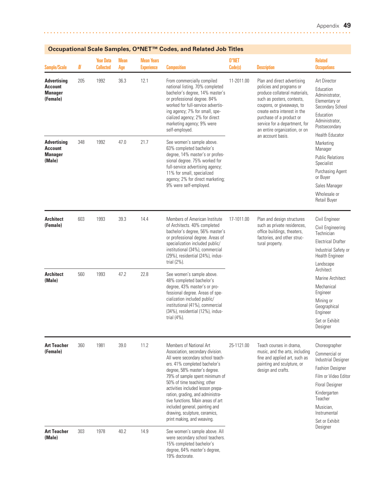| <b>Sample/Scale</b>                                                | N   | <b>Year Data</b><br><b>Collected</b> | <b>Mean</b><br>Age | <b>Mean Years</b><br><b>Experience</b> | <b>Composition</b>                                                                                                                                                                                                                                                                                                                                                                                                                               | 0*NET<br>Code(s)                                                                                                                                             | <b>Description</b>                                                                                                                                                                                                                                                                                     | <b>Related</b><br><b>Occupations</b>                                                                                                                                            |
|--------------------------------------------------------------------|-----|--------------------------------------|--------------------|----------------------------------------|--------------------------------------------------------------------------------------------------------------------------------------------------------------------------------------------------------------------------------------------------------------------------------------------------------------------------------------------------------------------------------------------------------------------------------------------------|--------------------------------------------------------------------------------------------------------------------------------------------------------------|--------------------------------------------------------------------------------------------------------------------------------------------------------------------------------------------------------------------------------------------------------------------------------------------------------|---------------------------------------------------------------------------------------------------------------------------------------------------------------------------------|
| <b>Advertising</b><br><b>Account</b><br><b>Manager</b><br>(Female) | 205 | 1992                                 | 36.3               | 12.1                                   | From commercially compiled<br>national listing. 70% completed<br>bachelor's degree, 14% master's<br>or professional degree. 84%<br>worked for full-service advertis-<br>ing agency; 7% for small, spe-<br>cialized agency; 2% for direct<br>marketing agency; 9% were<br>self-employed.                                                                                                                                                          | 11-2011.00                                                                                                                                                   | Plan and direct advertising<br>policies and programs or<br>produce collateral materials,<br>such as posters, contests,<br>coupons, or giveaways, to<br>create extra interest in the<br>purchase of a product or<br>service for a department, for<br>an entire organization, or on<br>an account basis. | Art Director<br>Education<br>Administrator,<br>Elementary or<br>Secondary School<br>Education<br>Administrator,<br>Postsecondary                                                |
| <b>Advertising</b><br><b>Account</b><br><b>Manager</b><br>(Male)   | 348 | 1992                                 | 47.0               | 21.7                                   | See women's sample above.<br>63% completed bachelor's<br>degree, 14% master's or profes-<br>sional degree. 75% worked for<br>full-service advertising agency;<br>11% for small, specialized<br>agency; 2% for direct marketing;<br>9% were self-employed.                                                                                                                                                                                        |                                                                                                                                                              |                                                                                                                                                                                                                                                                                                        | <b>Health Educator</b><br>Marketing<br>Manager<br><b>Public Relations</b><br>Specialist<br>Purchasing Agent<br>or Buyer<br>Sales Manager<br>Wholesale or<br><b>Retail Buyer</b> |
| <b>Architect</b><br>(Female)                                       | 603 | 1993                                 | 39.3               | 14.4                                   | Members of American Institute<br>of Architects. 40% completed<br>bachelor's degree, 56% master's<br>or professional degree. Areas of<br>specialization included public/<br>institutional (34%), commercial<br>(29%), residential (24%), indus-<br>trial (2%).                                                                                                                                                                                    | 17-1011.00                                                                                                                                                   | Plan and design structures<br>such as private residences,<br>office buildings, theaters,<br>factories, and other struc-<br>tural property.                                                                                                                                                             | Civil Engineer<br>Civil Engineering<br>Technician<br><b>Electrical Drafter</b><br>Industrial Safety or<br><b>Health Engineer</b><br>Landscape                                   |
| <b>Architect</b><br>(Male)                                         | 560 | 1993                                 | 47.2               | 22.8                                   | See women's sample above.<br>48% completed bachelor's<br>degree, 43% master's or pro-<br>fessional degree. Areas of spe-<br>cialization included public/<br>institutional (41%), commercial<br>(34%), residential (12%), indus-<br>trial (4%).                                                                                                                                                                                                   |                                                                                                                                                              |                                                                                                                                                                                                                                                                                                        | Architect<br>Marine Architect<br>Mechanical<br>Engineer<br>Mining or<br>Geographical<br>Engineer<br>Set or Exhibit<br>Designer                                                  |
| <b>Art Teacher</b><br>(Female)                                     | 360 | 1981                                 | 39.0               | 11.2                                   | Members of National Art<br>Association, secondary division.<br>All were secondary school teach-<br>ers. 41% completed bachelor's<br>degree, 58% master's degree.<br>79% of sample spent minimum of<br>50% of time teaching; other<br>activities included lesson prepa-<br>ration, grading, and administra-<br>tive functions. Main areas of art<br>included general, painting and<br>drawing, sculpture, ceramics,<br>print making, and weaving. | 25-1121.00<br>Teach courses in drama,<br>music, and the arts, including<br>fine and applied art, such as<br>painting and sculpture, or<br>design and crafts. | Choreographer<br>Commercial or<br>Industrial Designer<br><b>Fashion Designer</b><br>Film or Video Editor<br><b>Floral Designer</b><br>Kindergarten<br>Teacher<br>Musician,<br>Instrumental<br>Set or Exhibit                                                                                           |                                                                                                                                                                                 |
| <b>Art Teacher</b><br>(Male)                                       | 303 | 1978                                 | 40.2               | 14.9                                   | See women's sample above. All<br>were secondary school teachers.<br>15% completed bachelor's<br>degree, 64% master's degree,<br>19% doctorate.                                                                                                                                                                                                                                                                                                   |                                                                                                                                                              |                                                                                                                                                                                                                                                                                                        | Designer                                                                                                                                                                        |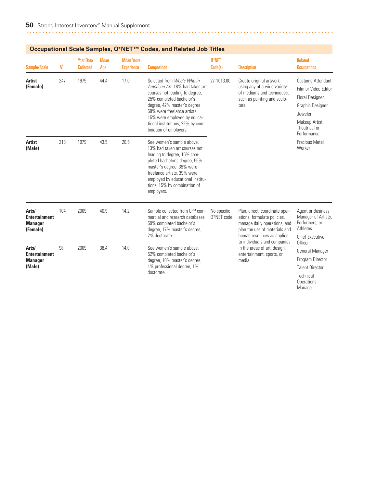|                                                             |     | <b>Year Data</b> | <b>Mean</b> | <b>Mean Years</b> |                                                                                                                                                                                                                                                                                         | 0*NET                     |                                                                                                                                                              | <b>Related</b>                                                                                                                                       |
|-------------------------------------------------------------|-----|------------------|-------------|-------------------|-----------------------------------------------------------------------------------------------------------------------------------------------------------------------------------------------------------------------------------------------------------------------------------------|---------------------------|--------------------------------------------------------------------------------------------------------------------------------------------------------------|------------------------------------------------------------------------------------------------------------------------------------------------------|
| <b>Sample/Scale</b>                                         | N   | <b>Collected</b> | Age         | <b>Experience</b> | <b>Composition</b>                                                                                                                                                                                                                                                                      | Code(s)                   | <b>Description</b>                                                                                                                                           | <b>Occupations</b>                                                                                                                                   |
| <b>Artist</b><br>(Female)                                   | 247 | 1979             | 44.4        | 17.0              | Selected from Who's Who in<br>American Art. 18% had taken art<br>courses not leading to degree,<br>25% completed bachelor's<br>degree, 42% master's degree.<br>58% were freelance artists.<br>15% were employed by educa-<br>tional institutions, 22% by com-<br>bination of employers. | 27-1013.00                | Create original artwork<br>using any of a wide variety<br>of mediums and techniques,<br>such as painting and sculp-<br>ture.                                 | Costume Attendant<br>Film or Video Editor<br><b>Floral Designer</b><br>Graphic Designer<br>Jeweler<br>Makeup Artist,<br>Theatrical or<br>Performance |
| <b>Artist</b><br>(Male)                                     | 213 | 1979             | 43.5        | 20.5              | See women's sample above.<br>13% had taken art courses not<br>leading to degree, 15% com-<br>pleted bachelor's degree, 55%<br>master's degree. 39% were<br>freelance artists, 39% were<br>employed by educational institu-<br>tions, 15% by combination of<br>employers.                |                           |                                                                                                                                                              | Precious Metal<br>Worker                                                                                                                             |
| Arts/<br><b>Entertainment</b><br><b>Manager</b><br>(Female) | 104 | 2009             | 40.9        | 14.2              | Sample collected from CPP com-<br>mercial and research databases.<br>59% completed bachelor's<br>degree, 17% master's degree,<br>2% doctorate.                                                                                                                                          | No specific<br>0*NET code | Plan, direct, coordinate oper-<br>ations, formulate policies,<br>manage daily operations, and<br>plan the use of materials and<br>human resources as applied | Agent or Business<br>Manager of Artists,<br>Performers, or<br>Athletes<br><b>Chief Executive</b>                                                     |
| Arts/<br><b>Entertainment</b><br><b>Manager</b><br>(Male)   | 98  | 2009             | 38.4        | 14.0              | See women's sample above.<br>52% completed bachelor's<br>degree, 10% master's degree,<br>1% professional degree, 1%<br>doctorate.                                                                                                                                                       |                           | to individuals and companies<br>in the areas of art, design,<br>entertainment, sports, or<br>media.                                                          | Officer<br>General Manager<br>Program Director<br><b>Talent Director</b><br>Technical<br>Operations<br>Manager                                       |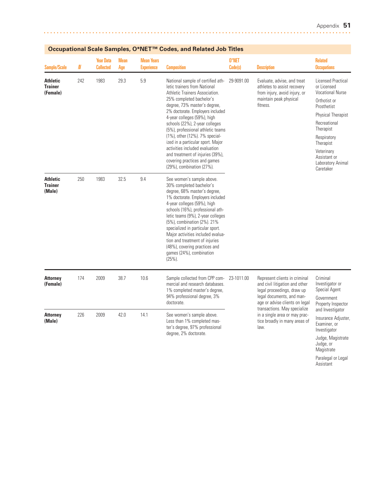Magistrate Paralegal or Legal Assistant

| <b>Sample/Scale</b>                           | N   | <b>Year Data</b><br><b>Collected</b> | <b>Mean</b><br>Age | <b>Mean Years</b><br><b>Experience</b> | <b>Composition</b>                                                                                                                                                                                                                                                                                                                                                                                                                                                                                                  | 0*NET<br>Code(s)                                                                                       | <b>Description</b>                                                                                                                                           | <b>Related</b><br><b>Occupations</b>                                                                                                                                                                                                       |
|-----------------------------------------------|-----|--------------------------------------|--------------------|----------------------------------------|---------------------------------------------------------------------------------------------------------------------------------------------------------------------------------------------------------------------------------------------------------------------------------------------------------------------------------------------------------------------------------------------------------------------------------------------------------------------------------------------------------------------|--------------------------------------------------------------------------------------------------------|--------------------------------------------------------------------------------------------------------------------------------------------------------------|--------------------------------------------------------------------------------------------------------------------------------------------------------------------------------------------------------------------------------------------|
| <b>Athletic</b><br><b>Trainer</b><br>(Female) | 242 | 1983                                 | 29.3               | 5.9                                    | National sample of certified ath-<br>letic trainers from National<br>Athletic Trainers Association.<br>25% completed bachelor's<br>degree, 73% master's degree,<br>2% doctorate. Employers included<br>4-year colleges (59%), high<br>schools (22%), 2-year colleges<br>(5%), professional athletic teams<br>(1%), other (12%). 7% special-<br>ized in a particular sport. Major<br>activities included evaluation<br>and treatment of injuries (39%),<br>covering practices and games<br>(29%), combination (27%). | 29-9091.00                                                                                             | Evaluate, advise, and treat<br>athletes to assist recovery<br>from injury, avoid injury, or<br>maintain peak physical<br>fitness.                            | Licensed Practical<br>or Licensed<br><b>Vocational Nurse</b><br>Orthotist or<br>Prosthetist<br>Physical Therapist<br>Recreational<br>Therapist<br>Respiratory<br>Therapist<br>Veterinary<br>Assistant or<br>Laboratory Animal<br>Caretaker |
| <b>Athletic</b><br><b>Trainer</b><br>(Male)   | 250 | 1983                                 | 32.5               | 9.4                                    | See women's sample above.<br>30% completed bachelor's<br>degree, 68% master's degree,<br>1% doctorate. Employers included<br>4-year colleges (59%), high<br>schools (16%), professional ath-<br>letic teams (9%), 2-year colleges<br>(5%), combination (2%). 21%<br>specialized in particular sport.<br>Major activities included evalua-<br>tion and treatment of injuries<br>(48%), covering practices and<br>games (24%), combination<br>$(25%)$ .                                                               |                                                                                                        |                                                                                                                                                              |                                                                                                                                                                                                                                            |
| <b>Attorney</b><br>(Female)                   | 174 | 2009                                 | 38.7               | 10.6                                   | Sample collected from CPP com-<br>mercial and research databases.<br>1% completed master's degree,<br>94% professional degree, 3%<br>doctorate.                                                                                                                                                                                                                                                                                                                                                                     | 23-1011.00                                                                                             | Represent clients in criminal<br>and civil litigation and other<br>legal proceedings, draw up<br>legal documents, and man-<br>age or advise clients on legal | Criminal<br>Investigator or<br>Special Agent<br>Government<br>Property Inspector                                                                                                                                                           |
| <b>Attorney</b><br>(Male)                     | 226 | 2009                                 | 42.0               | 14.1                                   | See women's sample above.<br>Less than 1% completed mas-<br>ter's degree, 97% professional<br>degree, 2% doctorate.                                                                                                                                                                                                                                                                                                                                                                                                 | transactions. May specialize<br>in a single area or may prac-<br>tice broadly in many areas of<br>law. | and Investigator<br>Insurance Adjuster,<br>Examiner, or<br>Investigator<br>Judge, Magistrate<br>Judge, or                                                    |                                                                                                                                                                                                                                            |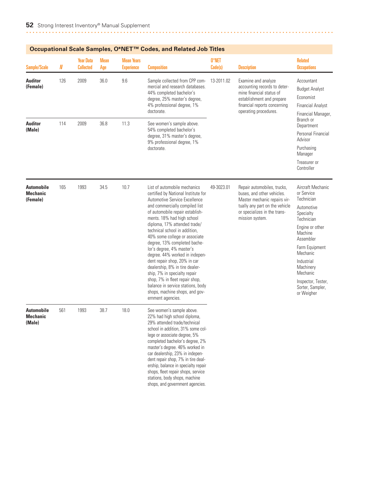|                                                  |     | <b>Year Data</b><br><b>Collected</b> | <b>Mean</b> | <b>Mean Years</b> | Occupational Scale Samples, O°ive I ''" Codes, and Related Job Titles                                                                                                                                                                                                                                                                                                                                                                                                                                                                                                                                                                    | 0*NET      |                                                                                                                                                                                | <b>Related</b>                                                                                                                                                                                                                                                 |
|--------------------------------------------------|-----|--------------------------------------|-------------|-------------------|------------------------------------------------------------------------------------------------------------------------------------------------------------------------------------------------------------------------------------------------------------------------------------------------------------------------------------------------------------------------------------------------------------------------------------------------------------------------------------------------------------------------------------------------------------------------------------------------------------------------------------------|------------|--------------------------------------------------------------------------------------------------------------------------------------------------------------------------------|----------------------------------------------------------------------------------------------------------------------------------------------------------------------------------------------------------------------------------------------------------------|
| <b>Sample/Scale</b>                              | N   |                                      | Age         | <b>Experience</b> | <b>Composition</b>                                                                                                                                                                                                                                                                                                                                                                                                                                                                                                                                                                                                                       | Code(s)    | <b>Description</b>                                                                                                                                                             | <b>Occupations</b>                                                                                                                                                                                                                                             |
| <b>Auditor</b><br>(Female)                       | 126 | 2009                                 | 36.0        | 9.6               | Sample collected from CPP com-<br>mercial and research databases.<br>44% completed bachelor's<br>degree, 25% master's degree,<br>4% professional degree, 1%<br>doctorate.                                                                                                                                                                                                                                                                                                                                                                                                                                                                | 13-2011.02 | Examine and analyze<br>accounting records to deter-<br>mine financial status of<br>establishment and prepare<br>financial reports concerning<br>operating procedures.          | Accountant<br><b>Budget Analyst</b><br>Economist<br><b>Financial Analyst</b><br>Financial Manager,                                                                                                                                                             |
| <b>Auditor</b><br>(Male)                         | 114 | 2009                                 | 36.8        | 11.3              | See women's sample above.<br>54% completed bachelor's<br>degree, 31% master's degree,<br>9% professional degree, 1%<br>doctorate.                                                                                                                                                                                                                                                                                                                                                                                                                                                                                                        |            |                                                                                                                                                                                | Branch or<br>Department<br>Personal Financial<br>Advisor<br>Purchasing<br>Manager<br>Treasurer or<br>Controller                                                                                                                                                |
| <b>Automobile</b><br><b>Mechanic</b><br>(Female) | 165 | 1993                                 | 34.5        | 10.7              | List of automobile mechanics<br>certified by National Institute for<br>Automotive Service Excellence<br>and commercially compiled list<br>of automobile repair establish-<br>ments. 18% had high school<br>diploma, 17% attended trade/<br>technical school in addition,<br>40% some college or associate<br>degree, 13% completed bache-<br>lor's degree, 4% master's<br>degree. 44% worked in indepen-<br>dent repair shop, 20% in car<br>dealership, 8% in tire dealer-<br>ship, 7% in specialty repair<br>shop, 7% in fleet repair shop,<br>balance in service stations, body<br>shops, machine shops, and gov-<br>ernment agencies. | 49-3023.01 | Repair automobiles, trucks,<br>buses, and other vehicles.<br>Master mechanic repairs vir-<br>tually any part on the vehicle<br>or specializes in the trans-<br>mission system. | Aircraft Mechanic<br>or Service<br>Technician<br>Automotive<br>Specialty<br>Technician<br>Engine or other<br>Machine<br>Assembler<br>Farm Equipment<br>Mechanic<br>Industrial<br>Machinery<br>Mechanic<br>Inspector, Tester,<br>Sorter, Sampler,<br>or Weigher |
| <b>Automobile</b><br><b>Mechanic</b><br>(Male)   | 561 | 1993                                 | 38.7        | 18.0              | See women's sample above.<br>22% had high school diploma,<br>29% attended trade/technical<br>school in addition, 31% some col-<br>lege or associate degree, 5%<br>completed bachelor's degree, 2%<br>master's degree. 46% worked in<br>car dealership, 23% in indepen-<br>dent repair shop, 7% in tire deal-<br>ership, balance in specialty repair<br>shops, fleet repair shops, service<br>stations, body shops, machine<br>shops, and government agencies.                                                                                                                                                                            |            |                                                                                                                                                                                |                                                                                                                                                                                                                                                                |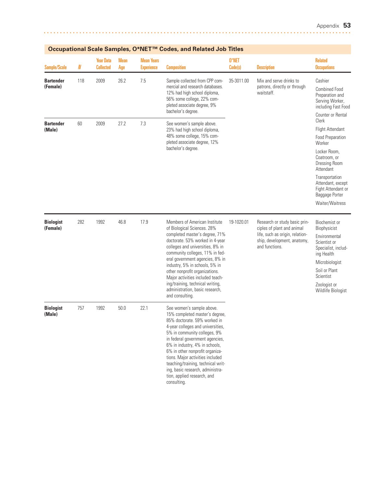| <b>Sample/Scale</b>          | N   | <b>Year Data</b><br><b>Collected</b> | <b>Mean</b><br>Age | <b>Mean Years</b><br><b>Experience</b> | <b>Composition</b>                                                                                                                                                                                                                                                                                                                                                                                                                            | 0*NET<br>Code(s) | <b>Description</b>                                                                                                                              | <b>Related</b><br><b>Occupations</b>                                                                                                                                                                                                         |
|------------------------------|-----|--------------------------------------|--------------------|----------------------------------------|-----------------------------------------------------------------------------------------------------------------------------------------------------------------------------------------------------------------------------------------------------------------------------------------------------------------------------------------------------------------------------------------------------------------------------------------------|------------------|-------------------------------------------------------------------------------------------------------------------------------------------------|----------------------------------------------------------------------------------------------------------------------------------------------------------------------------------------------------------------------------------------------|
| <b>Bartender</b><br>(Female) | 118 | 2009                                 | 26.2               | 7.5                                    | Sample collected from CPP com-<br>mercial and research databases.<br>12% had high school diploma,<br>56% some college, 22% com-<br>pleted associate degree, 9%<br>bachelor's degree.                                                                                                                                                                                                                                                          | 35-3011.00       | Mix and serve drinks to<br>patrons, directly or through<br>waitstaff.                                                                           | Cashier<br><b>Combined Food</b><br>Preparation and<br>Serving Worker,<br>including Fast Food<br>Counter or Rental                                                                                                                            |
| <b>Bartender</b><br>(Male)   | 60  | 2009                                 | 27.2               | 7.3                                    | See women's sample above.<br>23% had high school diploma,<br>48% some college, 15% com-<br>pleted associate degree, 12%<br>bachelor's degree.                                                                                                                                                                                                                                                                                                 |                  |                                                                                                                                                 | Clerk<br><b>Flight Attendant</b><br><b>Food Preparation</b><br>Worker<br>Locker Room,<br>Coatroom, or<br><b>Dressing Room</b><br>Attendant<br>Transportation<br>Attendant, except<br>Fight Attendant or<br>Baggage Porter<br>Waiter/Waitress |
| <b>Biologist</b><br>(Female) | 282 | 1992                                 | 46.8               | 17.9                                   | Members of American Institute<br>of Biological Sciences. 28%<br>completed master's degree, 71%<br>doctorate. 53% worked in 4-year<br>colleges and universities, 8% in<br>community colleges, 11% in fed-<br>eral government agencies, 8% in<br>industry, 5% in schools, 5% in<br>other nonprofit organizations.<br>Major activities included teach-<br>ing/training, technical writing,<br>administration, basic research,<br>and consulting. | 19-1020.01       | Research or study basic prin-<br>ciples of plant and animal<br>life, such as origin, relation-<br>ship, development, anatomy,<br>and functions. | Biochemist or<br>Biophysicist<br>Environmental<br>Scientist or<br>Specialist, includ-<br>ing Health<br>Microbiologist<br>Soil or Plant<br>Scientist<br>Zoologist or<br>Wildlife Biologist                                                    |
| <b>Biologist</b><br>(Male)   | 757 | 1992                                 | 50.0               | 22.1                                   | See women's sample above.<br>15% completed master's degree,<br>85% doctorate. 59% worked in<br>4-year colleges and universities.<br>5% in community colleges, 9%<br>in federal government agencies,<br>6% in industry, 4% in schools,<br>6% in other nonprofit organiza-<br>tions. Major activities included<br>teaching/training, technical writ-<br>ing, basic research, administra-<br>tion, applied research, and<br>consulting.          |                  |                                                                                                                                                 |                                                                                                                                                                                                                                              |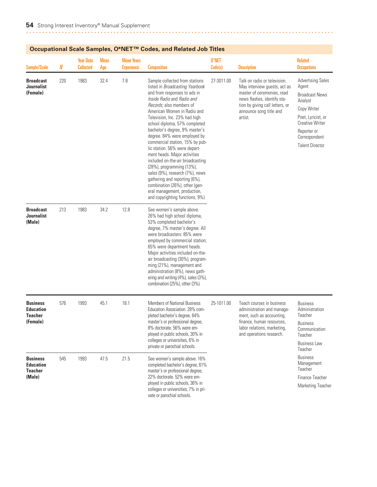|                                                                   |     |                                      |                    |                                        | Occupational Scale Samples, Onic Fig. Codes, and Related Job Titles                                                                                                                                                                                                                                                                                                                                                                                                                                                                                                                                                                                                           |                  |                                                                                                                                                                                                    |                                                                                                                                                                                                |
|-------------------------------------------------------------------|-----|--------------------------------------|--------------------|----------------------------------------|-------------------------------------------------------------------------------------------------------------------------------------------------------------------------------------------------------------------------------------------------------------------------------------------------------------------------------------------------------------------------------------------------------------------------------------------------------------------------------------------------------------------------------------------------------------------------------------------------------------------------------------------------------------------------------|------------------|----------------------------------------------------------------------------------------------------------------------------------------------------------------------------------------------------|------------------------------------------------------------------------------------------------------------------------------------------------------------------------------------------------|
| <b>Sample/Scale</b>                                               | N   | <b>Year Data</b><br><b>Collected</b> | <b>Mean</b><br>Age | <b>Mean Years</b><br><b>Experience</b> | <b>Composition</b>                                                                                                                                                                                                                                                                                                                                                                                                                                                                                                                                                                                                                                                            | 0*NET<br>Code(s) | <b>Description</b>                                                                                                                                                                                 | <b>Related</b><br><b>Occupations</b>                                                                                                                                                           |
| <b>Broadcast</b><br><b>Journalist</b><br>(Female)                 | 220 | 1983                                 | 32.4               | 7.8                                    | Sample collected from stations<br>listed in Broadcasting Yearbook<br>and from responses to ads in<br>Inside Radio and Radio and<br>Records; also members of<br>American Women in Radio and<br>Television, Inc. 23% had high<br>school diploma, 57% completed<br>bachelor's degree, 9% master's<br>degree. 84% were employed by<br>commercial station, 15% by pub-<br>lic station. 56% were depart-<br>ment heads. Major activities<br>included on-the-air broadcasting<br>(28%), programming (13%),<br>sales (9%), research (7%), news<br>gathering and reporting (6%),<br>combination (26%), other (gen-<br>eral management, production,<br>and copyrighting functions, 9%). | 27-3011.00       | Talk on radio or television.<br>May interview guests, act as<br>master of ceremonies, read<br>news flashes, identify sta-<br>tion by giving call letters, or<br>announce song title and<br>artist. | <b>Advertising Sales</b><br>Agent<br><b>Broadcast News</b><br>Analyst<br>Copy Writer<br>Poet, Lyricist, or<br><b>Creative Writer</b><br>Reporter or<br>Correspondent<br><b>Talent Director</b> |
| <b>Broadcast</b><br><b>Journalist</b><br>(Male)                   | 213 | 1983                                 | 34.2               | 12.8                                   | See women's sample above.<br>26% had high school diploma,<br>53% completed bachelor's<br>degree, 7% master's degree. All<br>were broadcasters: 85% were<br>employed by commercial station;<br>65% were department heads.<br>Major activities included on-the-<br>air broadcasting (30%), program-<br>ming (21%), management and<br>administration (8%), news gath-<br>ering and writing (4%), sales (3%),<br>combination (25%), other (3%).                                                                                                                                                                                                                                   |                  |                                                                                                                                                                                                    |                                                                                                                                                                                                |
| <b>Business</b><br><b>Education</b><br><b>Teacher</b><br>(Female) | 576 | 1993                                 | 45.1               | 18.1                                   | <b>Members of National Business</b><br>Education Association. 28% com-<br>pleted bachelor's degree, 64%<br>master's or professional degree,<br>8% doctorate. 56% were em-<br>ployed in public schools, 30% in<br>colleges or universities, 6% in<br>private or parochial schools.                                                                                                                                                                                                                                                                                                                                                                                             | 25-1011.00       | Teach courses in business<br>administration and manage-<br>ment, such as accounting,<br>finance, human resources,<br>labor relations, marketing,<br>and operations research.                       | <b>Business</b><br>Administration<br>Teacher<br><b>Business</b><br>Communication<br>Teacher<br><b>Business Law</b><br>Teacher                                                                  |
| <b>Business</b><br><b>Education</b><br><b>Teacher</b><br>(Male)   | 545 | 1993                                 | 47.5               | 21.5                                   | See women's sample above. 16%<br>completed bachelor's degree, 61%<br>master's or professional degree,<br>22% doctorate. 52% were em-<br>ployed in public schools, 36% in<br>colleges or universities, 7% in pri-<br>vate or parochial schools.                                                                                                                                                                                                                                                                                                                                                                                                                                |                  |                                                                                                                                                                                                    | <b>Business</b><br>Management<br>Teacher<br>Finance Teacher<br><b>Marketing Teacher</b>                                                                                                        |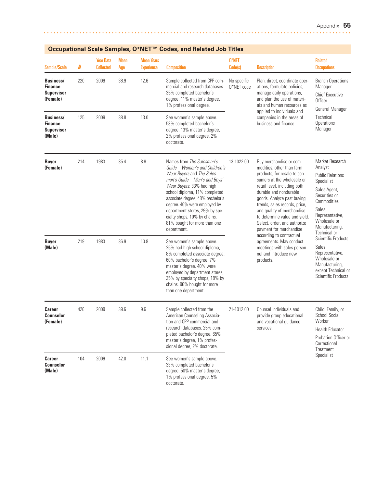| Ottupational otale Jampies, O TVLT                                  |     |                                      | Coucs, and neighed you intest |                                        |                                                                                                                                                                                                                                                                                                                                                                           |                           |                                                                                                                                                                                                                                                                                                                                                                                                                                                                                                   |                                                                                                                                                                                                   |
|---------------------------------------------------------------------|-----|--------------------------------------|-------------------------------|----------------------------------------|---------------------------------------------------------------------------------------------------------------------------------------------------------------------------------------------------------------------------------------------------------------------------------------------------------------------------------------------------------------------------|---------------------------|---------------------------------------------------------------------------------------------------------------------------------------------------------------------------------------------------------------------------------------------------------------------------------------------------------------------------------------------------------------------------------------------------------------------------------------------------------------------------------------------------|---------------------------------------------------------------------------------------------------------------------------------------------------------------------------------------------------|
| <b>Sample/Scale</b>                                                 | N   | <b>Year Data</b><br><b>Collected</b> | <b>Mean</b><br>Age            | <b>Mean Years</b><br><b>Experience</b> | <b>Composition</b>                                                                                                                                                                                                                                                                                                                                                        | 0*NET<br>Code(s)          | <b>Description</b>                                                                                                                                                                                                                                                                                                                                                                                                                                                                                | <b>Related</b><br><b>Occupations</b>                                                                                                                                                              |
| <b>Business/</b><br><b>Finance</b><br><b>Supervisor</b><br>(Female) | 220 | 2009                                 | 38.9                          | 12.6                                   | Sample collected from CPP com-<br>mercial and research databases.<br>35% completed bachelor's<br>degree, 11% master's degree,<br>1% professional degree.                                                                                                                                                                                                                  | No specific<br>0*NET code | Plan, direct, coordinate oper-<br>ations, formulate policies,<br>manage daily operations,<br>and plan the use of materi-<br>als and human resources as                                                                                                                                                                                                                                                                                                                                            | <b>Branch Operations</b><br>Manager<br><b>Chief Executive</b><br>Officer<br>General Manager<br>Technical<br>Operations<br>Manager                                                                 |
| <b>Business/</b><br><b>Finance</b><br><b>Supervisor</b><br>(Male)   | 125 | 2009                                 | 38.8                          | 13.0                                   | See women's sample above.<br>53% completed bachelor's<br>degree, 13% master's degree,<br>2% professional degree, 2%<br>doctorate.                                                                                                                                                                                                                                         |                           | applied to individuals and<br>companies in the areas of<br>business and finance.                                                                                                                                                                                                                                                                                                                                                                                                                  |                                                                                                                                                                                                   |
| <b>Buyer</b><br>(Female)                                            | 214 | 1983                                 | 35.4                          | 8.8                                    | Names from The Salesman's<br>Guide-Women's and Children's<br>Wear Buyers and The Sales-<br>man's Guide-Men's and Boys'<br>Wear Buyers. 33% had high<br>school diploma, 11% completed<br>associate degree, 48% bachelor's<br>degree. 46% were employed by<br>department stores, 29% by spe-<br>cialty shops, 10% by chains.<br>81% bought for more than one<br>department. | 13-1022.00                | Buy merchandise or com-<br>modities, other than farm<br>products, for resale to con-<br>sumers at the wholesale or<br>retail level, including both<br>durable and nondurable<br>goods. Analyze past buying<br>trends, sales records, price,<br>and quality of merchandise<br>to determine value and yield.<br>Select, order, and authorize<br>payment for merchandise<br>according to contractual<br>agreements. May conduct<br>meetings with sales person-<br>nel and introduce new<br>products. | Market Research<br>Analyst<br><b>Public Relations</b><br>Specialist<br>Sales Agent,<br>Securities or<br>Commodities<br>Sales<br>Representative,<br>Wholesale or<br>Manufacturing,<br>Technical or |
| <b>Buyer</b><br>(Male)                                              | 219 | 1983                                 | 36.9                          | 10.8                                   | See women's sample above.<br>25% had high school diploma,<br>8% completed associate degree,<br>60% bachelor's degree, 7%<br>master's degree. 40% were<br>employed by department stores,<br>25% by specialty shops, 18% by<br>chains. 96% bought for more<br>than one department.                                                                                          |                           |                                                                                                                                                                                                                                                                                                                                                                                                                                                                                                   | Scientific Products<br>Sales<br>Representative,<br>Wholesale or<br>Manufacturing,<br>except Technical or<br>Scientific Products                                                                   |
| <b>Career</b><br><b>Counselor</b><br>(Female)                       | 426 | 2009                                 | 39.6                          | 9.6                                    | Sample collected from the<br>American Counseling Associa-<br>tion and CPP commercial and<br>research databases. 25% com-<br>pleted bachelor's degree, 65%<br>master's degree, 1% profes-<br>sional degree, 2% doctorate.                                                                                                                                                  | 21-1012.00                | Counsel individuals and<br>provide group educational<br>and vocational guidance<br>services.                                                                                                                                                                                                                                                                                                                                                                                                      | Child, Family, or<br>School Social<br>Worker<br><b>Health Educator</b><br>Probation Officer or<br>Correctional                                                                                    |
| <b>Career</b><br><b>Counselor</b><br>(Male)                         | 104 | 2009                                 | 42.0                          | 11.1                                   | See women's sample above.<br>33% completed bachelor's<br>degree, 50% master's degree,<br>1% professional degree, 5%<br>doctorate.                                                                                                                                                                                                                                         |                           | Treatment<br>Specialist                                                                                                                                                                                                                                                                                                                                                                                                                                                                           |                                                                                                                                                                                                   |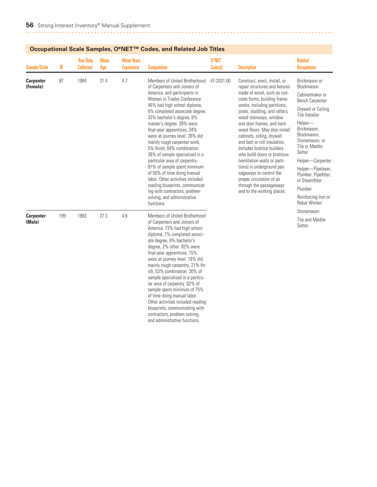|                              |     | Occupational ocale Jampies, O IVET   |                    |                                        | Coucs, and neighbourness                                                                                                                                                                                                                                                                                                                                                                                                                                                                                                                                                                                                                                                       |                  |                                                                                                                                                                                                                                                                                                                                                                                                                                                                                                                                                                                                    |                                                                                                                                                                                                                                                                                                                                                     |
|------------------------------|-----|--------------------------------------|--------------------|----------------------------------------|--------------------------------------------------------------------------------------------------------------------------------------------------------------------------------------------------------------------------------------------------------------------------------------------------------------------------------------------------------------------------------------------------------------------------------------------------------------------------------------------------------------------------------------------------------------------------------------------------------------------------------------------------------------------------------|------------------|----------------------------------------------------------------------------------------------------------------------------------------------------------------------------------------------------------------------------------------------------------------------------------------------------------------------------------------------------------------------------------------------------------------------------------------------------------------------------------------------------------------------------------------------------------------------------------------------------|-----------------------------------------------------------------------------------------------------------------------------------------------------------------------------------------------------------------------------------------------------------------------------------------------------------------------------------------------------|
| Sample/Scale                 | N   | <b>Year Data</b><br><b>Collected</b> | <b>Mean</b><br>Age | <b>Mean Years</b><br><b>Experience</b> | <b>Composition</b>                                                                                                                                                                                                                                                                                                                                                                                                                                                                                                                                                                                                                                                             | 0*NET<br>Code(s) | <b>Description</b>                                                                                                                                                                                                                                                                                                                                                                                                                                                                                                                                                                                 | <b>Related</b><br><b>Occupations</b>                                                                                                                                                                                                                                                                                                                |
| <b>Carpenter</b><br>(Female) | 97  | 1984                                 | 31.4               | 4.7                                    | Members of United Brotherhood<br>of Carpenters and Joiners of<br>America, and participants in<br>Women in Trades Conference.<br>46% had high school diploma,<br>6% completed associate degree,<br>33% bachelor's degree, 8%<br>master's degree. 39% were<br>final-year apprentices, 34%<br>were at journey level. 26% did<br>mainly rough carpenter work,<br>5% finish, 64% combination.<br>36% of sample specialized in a<br>particular area of carpentry.<br>91% of sample spent minimum<br>of 50% of time doing manual<br>labor. Other activities included<br>reading blueprints, communicat-<br>ing with contractors, problem<br>solving, and administrative<br>functions. | 47-2031.00       | Construct, erect, install, or<br>repair structures and fixtures<br>made of wood, such as con-<br>crete forms; building frame-<br>works, including partitions,<br>joists, studding, and rafters;<br>wood stairways, window<br>and door frames, and hard-<br>wood floors. May also install<br>cabinets, siding, drywall<br>and batt or roll insulation.<br>Includes brattice builders<br>who build doors or brattices<br>(ventilation walls or parti-<br>tions) in underground pas-<br>sageways to control the<br>proper circulation of air<br>through the passageways<br>and to the working places. | Brickmason or<br>Blockmason<br>Cabinetmaker or<br><b>Bench Carpenter</b><br>Drywall or Ceiling<br>Tile Installer<br>Helper-<br>Brickmason,<br>Blockmason.<br>Stonemason, or<br>Tile or Marble<br>Setter<br>Helper-Carpenter<br>Helper-Pipelayer,<br>Plumber, Pipefitter,<br>or Steamfitter<br>Plumber<br>Reinforcing Iron or<br><b>Rebar Worker</b> |
| <b>Carpenter</b><br>(Male)   | 199 | 1983                                 | 27.3               | 4.6                                    | Members of United Brotherhood<br>of Carpenters and Joiners of<br>America. 73% had high school<br>diploma, 7% completed associ-<br>ate degree, 8% bachelor's<br>degree, 2% other. 82% were<br>final-year apprentices, 15%<br>were at journey level. 18% did<br>mainly rough carpentry, 21% fin-<br>ish, 53% combination. 30% of<br>sample specialized in a particu-<br>lar area of carpentry. 62% of<br>sample spent minimum of 75%<br>of time doing manual labor.<br>Other activities included reading<br>blueprints, communicating with<br>contractors, problem solving,<br>and administrative functions.                                                                     |                  |                                                                                                                                                                                                                                                                                                                                                                                                                                                                                                                                                                                                    | Stonemason<br>Tile and Marble<br>Setter                                                                                                                                                                                                                                                                                                             |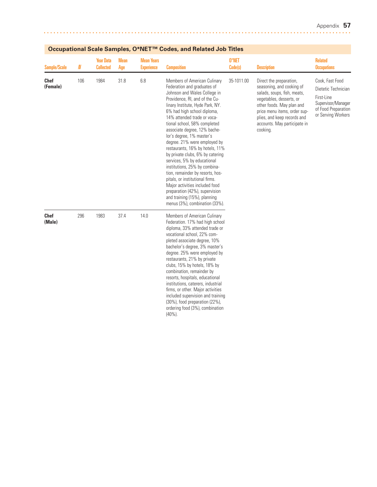| <b>Sample/Scale</b>     | N   | utiviiui ovuiv ouiii<br><b>Year Data</b><br><b>Collected</b> | <b>Mean</b><br>Age | <b>Mean Years</b><br><b>Experience</b> | <b>Composition</b>                                                                                                                                                                                                                                                                                                                                                                                                                                                                                                                                                                                                                                                                                               | 0*NET<br>Code(s) | <b>Description</b>                                                                                                                                                                                                                                      | <b>Related</b><br><b>Occupations</b>                                                                                    |
|-------------------------|-----|--------------------------------------------------------------|--------------------|----------------------------------------|------------------------------------------------------------------------------------------------------------------------------------------------------------------------------------------------------------------------------------------------------------------------------------------------------------------------------------------------------------------------------------------------------------------------------------------------------------------------------------------------------------------------------------------------------------------------------------------------------------------------------------------------------------------------------------------------------------------|------------------|---------------------------------------------------------------------------------------------------------------------------------------------------------------------------------------------------------------------------------------------------------|-------------------------------------------------------------------------------------------------------------------------|
| <b>Chef</b><br>(Female) | 106 | 1984                                                         | 31.8               | 6.8                                    | Members of American Culinary<br>Federation and graduates of<br>Johnson and Wales College in<br>Providence, RI, and of the Cu-<br>linary Institute, Hyde Park, NY.<br>6% had high school diploma,<br>14% attended trade or voca-<br>tional school, 58% completed<br>associate degree, 12% bache-<br>lor's degree, 1% master's<br>degree. 21% were employed by<br>restaurants, 16% by hotels, 11%<br>by private clubs, 6% by catering<br>services, 5% by educational<br>institutions, 25% by combina-<br>tion, remainder by resorts, hos-<br>pitals, or institutional firms.<br>Major activities included food<br>preparation (42%), supervision<br>and training (15%), planning<br>menus (3%), combination (33%). | 35-1011.00       | Direct the preparation,<br>seasoning, and cooking of<br>salads, soups, fish, meats,<br>vegetables, desserts, or<br>other foods. May plan and<br>price menu items, order sup-<br>plies, and keep records and<br>accounts. May participate in<br>cooking. | Cook, Fast Food<br>Dietetic Technician<br>First-Line<br>Supervisor/Manager<br>of Food Preparation<br>or Serving Workers |
| <b>Chef</b><br>(Male)   | 296 | 1983                                                         | 37.4               | 14.0                                   | Members of American Culinary<br>Federation. 17% had high school<br>diploma, 33% attended trade or<br>vocational school, 22% com-<br>pleted associate degree, 10%<br>bachelor's degree, 3% master's<br>degree. 25% were employed by<br>restaurants, 21% by private<br>clubs, 15% by hotels, 18% by<br>combination, remainder by<br>resorts, hospitals, educational<br>institutions, caterers, industrial<br>firms, or other. Major activities<br>included supervision and training<br>(30%), food preparation (22%),<br>ordering food (3%), combination<br>$(40\%)$ .                                                                                                                                             |                  |                                                                                                                                                                                                                                                         |                                                                                                                         |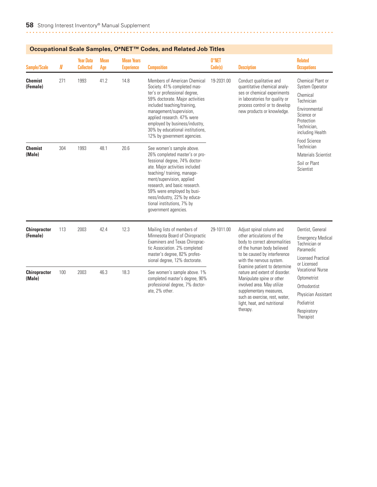| <b>Sample/Scale</b>             | $I\!\!N$ | <b>Year Data</b><br><b>Collected</b> | <b>Mean</b><br>Age | <b>Mean Years</b><br><b>Experience</b> | <b>Composition</b>                                                                                                                                                                                                                                                                                                                              | 0*NET<br>Code(s) | <b>Description</b>                                                                                                                                                                                                     | <b>Related</b><br><b>Occupations</b>                                                                                                                                         |
|---------------------------------|----------|--------------------------------------|--------------------|----------------------------------------|-------------------------------------------------------------------------------------------------------------------------------------------------------------------------------------------------------------------------------------------------------------------------------------------------------------------------------------------------|------------------|------------------------------------------------------------------------------------------------------------------------------------------------------------------------------------------------------------------------|------------------------------------------------------------------------------------------------------------------------------------------------------------------------------|
| <b>Chemist</b><br>(Female)      | 271      | 1993                                 | 41.2               | 14.8                                   | Members of American Chemical<br>Society. 41% completed mas-<br>ter's or professional degree,<br>59% doctorate. Major activities<br>included teaching/training,<br>management/supervision,<br>applied research. 47% were<br>employed by business/industry,<br>30% by educational institutions,<br>12% by government agencies.                    | 19-2031.00       | Conduct qualitative and<br>quantitative chemical analy-<br>ses or chemical experiments<br>in laboratories for quality or<br>process control or to develop<br>new products or knowledge.                                | Chemical Plant or<br><b>System Operator</b><br>Chemical<br>Technician<br>Environmental<br>Science or<br>Protection<br>Technician.<br>including Health<br><b>Food Science</b> |
| <b>Chemist</b><br>(Male)        | 304      | 1993                                 | 48.1               | 20.6                                   | See women's sample above.<br>26% completed master's or pro-<br>fessional degree, 74% doctor-<br>ate. Major activities included<br>teaching/ training, manage-<br>ment/supervision, applied<br>research, and basic research.<br>59% were employed by busi-<br>ness/industry, 22% by educa-<br>tional institutions, 7% by<br>government agencies. |                  |                                                                                                                                                                                                                        | Technician<br>Materials Scientist<br>Soil or Plant<br>Scientist                                                                                                              |
| <b>Chiropractor</b><br>(Female) | 113      | 2003                                 | 42.4               | 12.3                                   | Mailing lists of members of<br>Minnesota Board of Chiropractic<br>Examiners and Texas Chiroprac-<br>tic Association. 2% completed<br>master's degree, 82% profes-<br>sional degree, 12% doctorate.                                                                                                                                              | 29-1011.00       | Adjust spinal column and<br>other articulations of the<br>body to correct abnormalities<br>of the human body believed<br>to be caused by interference<br>with the nervous system.                                      | Dentist, General<br><b>Emergency Medical</b><br>Technician or<br>Paramedic<br><b>Licensed Practical</b><br>or Licensed                                                       |
| <b>Chiropractor</b><br>(Male)   | 100      | 2003                                 | 46.3               | 18.3                                   | See women's sample above. 1%<br>completed master's degree, 90%<br>professional degree, 7% doctor-<br>ate, 2% other.                                                                                                                                                                                                                             |                  | Examine patient to determine<br>nature and extent of disorder.<br>Manipulate spine or other<br>involved area. May utilize<br>supplementary measures,<br>such as exercise, rest, water,<br>light, heat, and nutritional | <b>Vocational Nurse</b><br>Optometrist<br>Orthodontist<br>Physician Assistant<br>Podiatrist                                                                                  |

therapy.

Respiratory Therapist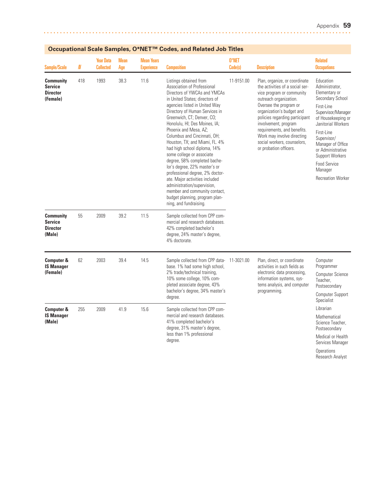Research Analyst

| Sample/Scale                                                      | N   | <b>Year Data</b><br><b>Collected</b> | <b>Mean</b><br>Age | <b>Mean Years</b><br><b>Experience</b> | <b>Composition</b>                                                                                                                                                                                                                                                                                                                                                                                                                                                                                                                                                                                                                                                                  | 0*NET<br>Code(s) | <b>Description</b>                                                                                                                                                                                                                                                                                                                                             | <b>Related</b><br><b>Occupations</b>                                                                                                                                                                                                                                                              |
|-------------------------------------------------------------------|-----|--------------------------------------|--------------------|----------------------------------------|-------------------------------------------------------------------------------------------------------------------------------------------------------------------------------------------------------------------------------------------------------------------------------------------------------------------------------------------------------------------------------------------------------------------------------------------------------------------------------------------------------------------------------------------------------------------------------------------------------------------------------------------------------------------------------------|------------------|----------------------------------------------------------------------------------------------------------------------------------------------------------------------------------------------------------------------------------------------------------------------------------------------------------------------------------------------------------------|---------------------------------------------------------------------------------------------------------------------------------------------------------------------------------------------------------------------------------------------------------------------------------------------------|
| <b>Community</b><br><b>Service</b><br><b>Director</b><br>(Female) | 418 | 1993                                 | 38.3               | 11.6                                   | Listings obtained from<br>Association of Professional<br>Directors of YWCAs and YMCAs<br>in United States; directors of<br>agencies listed in United Way<br>Directory of Human Services in<br>Greenwich, CT; Denver, CO;<br>Honolulu, HI; Des Moines, IA;<br>Phoenix and Mesa, AZ;<br>Columbus and Cincinnati, OH:<br>Houston, TX; and Miami, FL. 4%<br>had high school diploma, 14%<br>some college or associate<br>degree, 58% completed bache-<br>lor's degree, 22% master's or<br>professional degree, 2% doctor-<br>ate. Major activities included<br>administration/supervision,<br>member and community contact,<br>budget planning, program plan-<br>ning, and fundraising. | 11-9151.00       | Plan, organize, or coordinate<br>the activities of a social ser-<br>vice program or community<br>outreach organization.<br>Oversee the program or<br>organization's budget and<br>policies regarding participant<br>involvement, program<br>requirements, and benefits.<br>Work may involve directing<br>social workers, counselors,<br>or probation officers. | Education<br>Administrator.<br>Elementary or<br>Secondary School<br>First-Line<br>Supervisor/Manager<br>of Housekeeping or<br>Janitorial Workers<br>First-Line<br>Supervisor/<br>Manager of Office<br>or Administrative<br>Support Workers<br>Food Service<br>Manager<br><b>Recreation Worker</b> |
| <b>Community</b><br><b>Service</b><br><b>Director</b><br>(Male)   | 55  | 2009                                 | 39.2               | 11.5                                   | Sample collected from CPP com-<br>mercial and research databases.<br>42% completed bachelor's<br>degree, 24% master's degree,<br>4% doctorate.                                                                                                                                                                                                                                                                                                                                                                                                                                                                                                                                      |                  |                                                                                                                                                                                                                                                                                                                                                                |                                                                                                                                                                                                                                                                                                   |
| <b>Computer &amp;</b><br><b>IS Manager</b><br>(Female)            | 62  | 2003                                 | 39.4               | 14.5                                   | Sample collected from CPP data-<br>base. 1% had some high school,<br>2% trade/technical training,<br>10% some college, 10% com-<br>pleted associate degree, 43%<br>bachelor's degree, 34% master's<br>degree.                                                                                                                                                                                                                                                                                                                                                                                                                                                                       | 11-3021.00       | Plan, direct, or coordinate<br>activities in such fields as<br>electronic data processing,<br>information systems, sys-<br>tems analysis, and computer<br>programming.                                                                                                                                                                                         | Computer<br>Programmer<br><b>Computer Science</b><br>Teacher.<br>Postsecondary<br><b>Computer Support</b><br>Specialist                                                                                                                                                                           |
| <b>Computer &amp;</b><br><b>IS Manager</b><br>(Male)              | 255 | 2009                                 | 41.9               | 15.6                                   | Sample collected from CPP com-<br>mercial and research databases.<br>41% completed bachelor's<br>degree, 31% master's degree,<br>less than 1% professional<br>degree.                                                                                                                                                                                                                                                                                                                                                                                                                                                                                                               |                  |                                                                                                                                                                                                                                                                                                                                                                | Librarian<br>Mathematical<br>Science Teacher,<br>Postsecondary<br>Medical or Health<br>Services Manager<br>Operations                                                                                                                                                                             |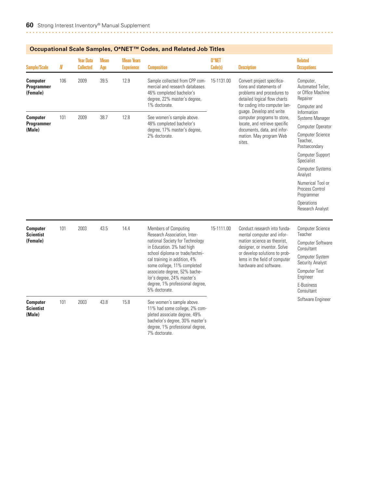| Occupational Scale Samples, O°ive I ''" Codes, and Related Job Titles |     |                                      |                    |                                        |                                                                                                                                                                                                                                                                                                                                          |                  |                                                                                                                                                                                                                       |                                                                                                                                                                                                                                                                      |  |  |
|-----------------------------------------------------------------------|-----|--------------------------------------|--------------------|----------------------------------------|------------------------------------------------------------------------------------------------------------------------------------------------------------------------------------------------------------------------------------------------------------------------------------------------------------------------------------------|------------------|-----------------------------------------------------------------------------------------------------------------------------------------------------------------------------------------------------------------------|----------------------------------------------------------------------------------------------------------------------------------------------------------------------------------------------------------------------------------------------------------------------|--|--|
| <b>Sample/Scale</b>                                                   | N   | <b>Year Data</b><br><b>Collected</b> | <b>Mean</b><br>Age | <b>Mean Years</b><br><b>Experience</b> | <b>Composition</b>                                                                                                                                                                                                                                                                                                                       | 0*NET<br>Code(s) | <b>Description</b>                                                                                                                                                                                                    | <b>Related</b><br><b>Occupations</b>                                                                                                                                                                                                                                 |  |  |
| <b>Computer</b><br>Programmer<br>(Female)                             | 106 | 2009                                 | 39.5               | 12.9                                   | Sample collected from CPP com-<br>mercial and research databases.<br>46% completed bachelor's<br>degree, 22% master's degree,<br>1% doctorate.                                                                                                                                                                                           | 15-1131.00       | Convert project specifica-<br>tions and statements of<br>problems and procedures to<br>detailed logical flow charts<br>for coding into computer lan-                                                                  | Computer,<br>Automated Teller,<br>or Office Machine<br>Repairer<br>Computer and                                                                                                                                                                                      |  |  |
| <b>Computer</b><br>Programmer<br>(Male)                               | 101 | 2009                                 | 38.7               | 12.8                                   | See women's sample above.<br>48% completed bachelor's<br>degree, 17% master's degree,<br>2% doctorate.                                                                                                                                                                                                                                   |                  | guage. Develop and write<br>computer programs to store,<br>locate, and retrieve specific<br>documents, data, and infor-<br>mation. May program Web<br>sites.                                                          | Information<br>Systems Manager<br>Computer Operator<br>Computer Science<br>Teacher,<br>Postsecondary<br>Computer Support<br>Specialist<br><b>Computer Systems</b><br>Analyst<br>Numerical Tool or<br>Process Control<br>Programmer<br>Operations<br>Research Analyst |  |  |
| <b>Computer</b><br><b>Scientist</b><br>(Female)                       | 101 | 2003                                 | 43.5               | 14.4                                   | Members of Computing<br>Research Association, Inter-<br>national Society for Technology<br>in Education. 3% had high<br>school diploma or trade/techni-<br>cal training in addition, 4%<br>some college, 11% completed<br>associate degree, 52% bache-<br>lor's degree, 24% master's<br>degree, 1% professional degree,<br>5% doctorate. | 15-1111.00       | Conduct research into funda-<br>mental computer and infor-<br>mation science as theorist,<br>designer, or inventor. Solve<br>or develop solutions to prob-<br>lems in the field of computer<br>hardware and software. | Computer Science<br>Teacher<br>Computer Software<br>Consultant<br>Computer System<br>Security Analyst<br><b>Computer Test</b><br>Engineer<br>E-Business<br>Consultant                                                                                                |  |  |
| <b>Computer</b><br><b>Scientist</b><br>(Male)                         | 101 | 2003                                 | 43.8               | 15.8                                   | See women's sample above.<br>11% had some college, 2% com-<br>pleted associate degree, 49%<br>bachelor's degree, 30% master's<br>degree, 1% professional degree,<br>7% doctorate.                                                                                                                                                        |                  |                                                                                                                                                                                                                       | Software Engineer                                                                                                                                                                                                                                                    |  |  |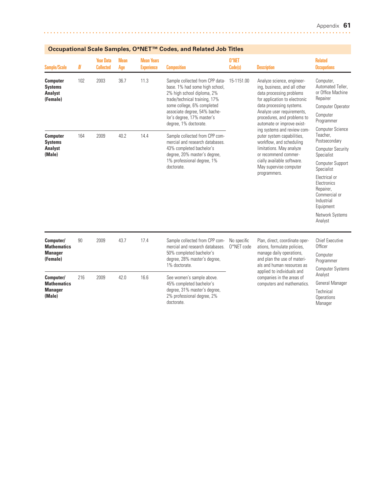| <b>Sample/Scale</b>                                             | $I\!\!N$ | <b>Year Data</b><br><b>Collected</b> | <b>Mean</b><br>Age | <b>Mean Years</b><br><b>Experience</b> | <b>Composition</b>                                                                                                                                                                                                                                    | 0*NET<br>Code(s)          | <b>Description</b>                                                                                                                                                                                                                                                                                                                                                                          | <b>Related</b><br><b>Occupations</b>                                                                                                      |
|-----------------------------------------------------------------|----------|--------------------------------------|--------------------|----------------------------------------|-------------------------------------------------------------------------------------------------------------------------------------------------------------------------------------------------------------------------------------------------------|---------------------------|---------------------------------------------------------------------------------------------------------------------------------------------------------------------------------------------------------------------------------------------------------------------------------------------------------------------------------------------------------------------------------------------|-------------------------------------------------------------------------------------------------------------------------------------------|
| <b>Computer</b><br><b>Systems</b><br><b>Analyst</b><br>(Female) | 102      | 2003                                 | 36.7               | 11.3                                   | Sample collected from CPP data-<br>base. 1% had some high school,<br>2% high school diploma, 2%<br>trade/technical training, 17%<br>some college, 6% completed<br>associate degree, 54% bache-<br>lor's degree, 17% master's<br>degree, 1% doctorate. | 15-1151.00                | Analyze science, engineer-<br>ing, business, and all other<br>data processing problems<br>for application to electronic<br>data processing systems.<br>Analyze user requirements,<br>procedures, and problems to<br>automate or improve exist-<br>ing systems and review com-<br>puter system capabilities,<br>workflow, and scheduling<br>limitations. May analyze<br>or recommend commer- | Computer,<br>Automated Teller.<br>or Office Machine<br>Repairer<br>Computer Operator<br>Computer<br>Programmer<br><b>Computer Science</b> |
| <b>Computer</b><br><b>Systems</b>                               | 164      | 2009                                 | 40.2               | 14.4                                   | Sample collected from CPP com-<br>mercial and research databases.                                                                                                                                                                                     |                           |                                                                                                                                                                                                                                                                                                                                                                                             | Teacher,<br>Postsecondary                                                                                                                 |
| <b>Analyst</b><br>(Male)                                        |          |                                      |                    |                                        | 43% completed bachelor's<br>degree, 20% master's degree,                                                                                                                                                                                              |                           |                                                                                                                                                                                                                                                                                                                                                                                             | <b>Computer Security</b><br>Specialist                                                                                                    |
|                                                                 |          |                                      |                    |                                        | 1% professional degree, 1%<br>doctorate.                                                                                                                                                                                                              |                           | cially available software.<br>May supervise computer                                                                                                                                                                                                                                                                                                                                        | Computer Support<br>Specialist                                                                                                            |
|                                                                 |          |                                      |                    |                                        |                                                                                                                                                                                                                                                       |                           | programmers.                                                                                                                                                                                                                                                                                                                                                                                | Electrical or<br>Electronics<br>Repairer,<br>Commercial or<br>Industrial<br>Equipment                                                     |
|                                                                 |          |                                      |                    |                                        |                                                                                                                                                                                                                                                       |                           |                                                                                                                                                                                                                                                                                                                                                                                             | Network Systems<br>Analyst                                                                                                                |
| Computer/<br><b>Mathematics</b>                                 | 90       | 2009                                 | 43.7               | 17.4                                   | Sample collected from CPP com-<br>mercial and research databases.                                                                                                                                                                                     | No specific<br>0*NET code | Plan, direct, coordinate oper-<br>ations, formulate policies,                                                                                                                                                                                                                                                                                                                               | <b>Chief Executive</b><br>Officer                                                                                                         |
| <b>Manager</b><br>(Female)                                      |          |                                      |                    |                                        | 50% completed bachelor's<br>degree, 28% master's degree,                                                                                                                                                                                              |                           | manage daily operations,<br>and plan the use of materi-                                                                                                                                                                                                                                                                                                                                     | Computer<br>Programmer                                                                                                                    |
|                                                                 |          |                                      |                    |                                        | 1% doctorate.                                                                                                                                                                                                                                         |                           | als and human resources as<br>applied to individuals and                                                                                                                                                                                                                                                                                                                                    | <b>Computer Systems</b>                                                                                                                   |
| Computer/<br><b>Mathematics</b>                                 | 216      | 2009                                 | 42.0               | 16.6                                   | See women's sample above.<br>45% completed bachelor's                                                                                                                                                                                                 |                           | companies in the areas of<br>computers and mathematics.                                                                                                                                                                                                                                                                                                                                     | Analyst<br>General Manager                                                                                                                |
| <b>Manager</b><br>(Male)                                        |          |                                      |                    |                                        | degree, 31% master's degree,<br>2% professional degree, 2%<br>doctorate.                                                                                                                                                                              |                           |                                                                                                                                                                                                                                                                                                                                                                                             | Technical<br>Operations<br>Manager                                                                                                        |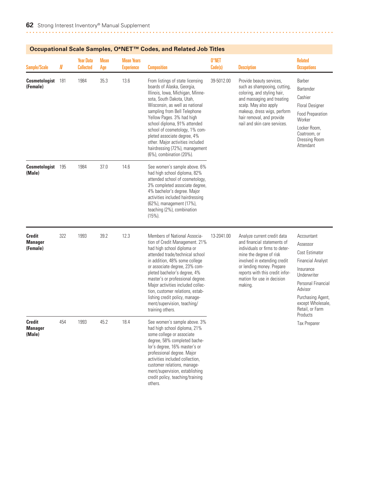| <b>Sample/Scale</b>                         | N   | <b>Year Data</b><br><b>Collected</b> | <b>Mean</b><br>Age | <b>Mean Years</b><br><b>Experience</b> | <b>Composition</b>                                                                                                                                                                                                                                                                                                                                                                                                                  | 0*NET<br>Code(s) | <b>Description</b>                                                                                                                                                                                                                                               | <b>Related</b><br><b>Occupations</b>                                                                                                                                                                       |
|---------------------------------------------|-----|--------------------------------------|--------------------|----------------------------------------|-------------------------------------------------------------------------------------------------------------------------------------------------------------------------------------------------------------------------------------------------------------------------------------------------------------------------------------------------------------------------------------------------------------------------------------|------------------|------------------------------------------------------------------------------------------------------------------------------------------------------------------------------------------------------------------------------------------------------------------|------------------------------------------------------------------------------------------------------------------------------------------------------------------------------------------------------------|
| <b>Cosmetologist</b> 181<br>(Female)        |     | 1984                                 | 35.3               | 13.6                                   | From listings of state licensing<br>boards of Alaska, Georgia,<br>Illinois, Iowa, Michigan, Minne-<br>sota, South Dakota, Utah,<br>Wisconsin, as well as national<br>sampling from Bell Telephone<br>Yellow Pages. 3% had high<br>school diploma, 91% attended<br>school of cosmetology, 1% com-<br>pleted associate degree, 4%<br>other. Major activities included<br>hairdressing (72%), management<br>(6%), combination (20%).   | 39-5012.00       | Provide beauty services,<br>such as shampooing, cutting,<br>coloring, and styling hair,<br>and massaging and treating<br>scalp. May also apply<br>makeup, dress wigs, perform<br>hair removal, and provide<br>nail and skin care services.                       | Barber<br>Bartender<br>Cashier<br><b>Floral Designer</b><br><b>Food Preparation</b><br>Worker<br>Locker Room,<br>Coatroom, or<br><b>Dressing Room</b><br>Attendant                                         |
| Cosmetologist 195<br>(Male)                 |     | 1984                                 | 37.0               | 14.6                                   | See women's sample above. 6%<br>had high school diploma, 82%<br>attended school of cosmetology,<br>3% completed associate degree,<br>4% bachelor's degree. Major<br>activities included hairdressing<br>(62%), management (17%),<br>teaching (2%), combination<br>$(15%)$ .                                                                                                                                                         |                  |                                                                                                                                                                                                                                                                  |                                                                                                                                                                                                            |
| <b>Credit</b><br><b>Manager</b><br>(Female) | 322 | 1993                                 | 39.2               | 12.3                                   | Members of National Associa-<br>tion of Credit Management. 21%<br>had high school diploma or<br>attended trade/technical school<br>in addition, 48% some college<br>or associate degree, 23% com-<br>pleted bachelor's degree, 4%<br>master's or professional degree.<br>Major activities included collec-<br>tion, customer relations, estab-<br>lishing credit policy, manage-<br>ment/supervision, teaching/<br>training others. | 13-2041.00       | Analyze current credit data<br>and financial statements of<br>individuals or firms to deter-<br>mine the degree of risk<br>involved in extending credit<br>or lending money. Prepare<br>reports with this credit infor-<br>mation for use in decision<br>making. | Accountant<br>Assessor<br>Cost Estimator<br><b>Financial Analyst</b><br>Insurance<br>Underwriter<br>Personal Financial<br>Advisor<br>Purchasing Agent,<br>except Wholesale,<br>Retail, or Farm<br>Products |
| Credit<br><b>Manager</b><br>(Male)          | 454 | 1993                                 | 45.2               | 18.4                                   | See women's sample above. 3%<br>had high school diploma, 21%<br>some college or associate<br>degree, 58% completed bache-<br>lor's degree, 16% master's or<br>professional degree. Major<br>activities included collection,<br>customer relations, manage-<br>ment/supervision, establishing<br>credit policy, teaching/training<br>others.                                                                                         |                  |                                                                                                                                                                                                                                                                  | Tax Preparer                                                                                                                                                                                               |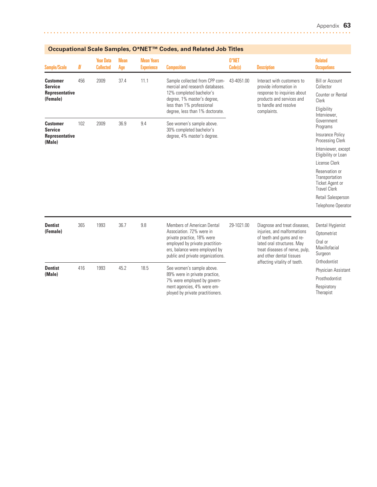| <b>Sample/Scale</b>                                             | $I\!\!N$ | <b>Year Data</b><br><b>Collected</b> | <b>Mean</b><br>Age | <b>Mean Years</b><br><b>Experience</b> | <b>Composition</b>                                                                                                                                                                           | 0*NET<br>Code(s) | <b>Description</b>                                                                                                                                       | <b>Related</b><br><b>Occupations</b>                                                             |
|-----------------------------------------------------------------|----------|--------------------------------------|--------------------|----------------------------------------|----------------------------------------------------------------------------------------------------------------------------------------------------------------------------------------------|------------------|----------------------------------------------------------------------------------------------------------------------------------------------------------|--------------------------------------------------------------------------------------------------|
| <b>Customer</b><br><b>Service</b><br>Representative<br>(Female) | 456      | 2009                                 | 37.4               | 11.1                                   | Sample collected from CPP com-<br>mercial and research databases.<br>12% completed bachelor's<br>degree, 1% master's degree,<br>less than 1% professional<br>degree, less than 1% doctorate. | 43-4051.00       | Interact with customers to<br>provide information in<br>response to inquiries about<br>products and services and<br>to handle and resolve<br>complaints. | <b>Bill or Account</b><br>Collector<br>Counter or Rental<br>Clerk<br>Eligibility<br>Interviewer. |
| <b>Customer</b><br><b>Service</b><br>Representative             | 102      | 2009                                 | 36.9               | 9.4                                    | See women's sample above.<br>30% completed bachelor's<br>degree, 4% master's degree.                                                                                                         |                  |                                                                                                                                                          | Government<br>Programs<br>Insurance Policy                                                       |
| (Male)                                                          |          |                                      |                    |                                        |                                                                                                                                                                                              |                  |                                                                                                                                                          | <b>Processing Clerk</b><br>Interviewer, except<br>Eligibility or Loan                            |
|                                                                 |          |                                      |                    |                                        |                                                                                                                                                                                              |                  |                                                                                                                                                          | License Clerk                                                                                    |
|                                                                 |          |                                      |                    |                                        |                                                                                                                                                                                              |                  |                                                                                                                                                          | Reservation or<br>Transportation<br><b>Ticket Agent or</b><br><b>Travel Clerk</b>                |
|                                                                 |          |                                      |                    |                                        |                                                                                                                                                                                              |                  |                                                                                                                                                          | Retail Salesperson                                                                               |
|                                                                 |          |                                      |                    |                                        |                                                                                                                                                                                              |                  |                                                                                                                                                          | <b>Telephone Operator</b>                                                                        |
| <b>Dentist</b><br>(Female)                                      | 365      | 1993                                 | 36.7               | 9.8                                    | Members of American Dental<br>Association, 72% were in                                                                                                                                       | 29-1021.00       | Diagnose and treat diseases,<br>injuries, and malformations<br>of teeth and gums and re-<br>lated oral structures. May<br>treat diseases of nerve, pulp, | Dental Hygienist<br>Optometrist                                                                  |
|                                                                 |          |                                      |                    |                                        | private practice, 18% were<br>employed by private practition-<br>ers, balance were employed by<br>public and private organizations.                                                          |                  |                                                                                                                                                          | Oral or<br>Maxillofacial<br>Surgeon                                                              |
|                                                                 |          |                                      |                    |                                        |                                                                                                                                                                                              |                  | and other dental tissues<br>affecting vitality of teeth.                                                                                                 | Orthodontist                                                                                     |
| <b>Dentist</b>                                                  | 416      | 1993                                 | 45.2               | 18.5                                   | See women's sample above.                                                                                                                                                                    |                  |                                                                                                                                                          | Physician Assistant                                                                              |
| (Male)                                                          |          |                                      |                    |                                        | 89% were in private practice,<br>7% were employed by govern-                                                                                                                                 |                  |                                                                                                                                                          | Prosthodontist                                                                                   |
|                                                                 |          |                                      |                    |                                        | ment agencies, 4% were em-<br>ployed by private practitioners.                                                                                                                               |                  |                                                                                                                                                          | Respiratory<br>Therapist                                                                         |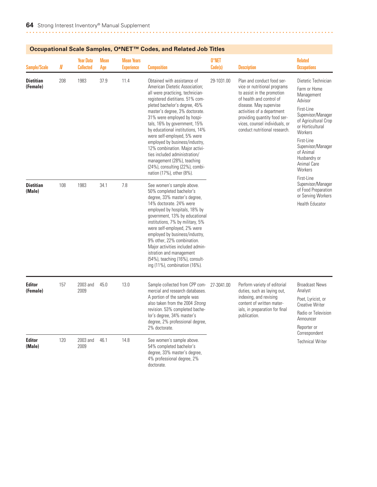| Sample/Scale                 | N   | <b>Year Data</b><br><b>Collected</b> | <b>Mean</b><br>Age | <b>Mean Years</b><br><b>Experience</b> | <b>Composition</b>                                                                                                                                                                                                                                                                                                                                                                                                                                                                                                                                 | 0*NET<br>Code(s) | <b>Description</b>                                                                                                                                                                                                                                                              | <b>Related</b><br><b>Occupations</b>                                                                                                                                                                                                                                    |
|------------------------------|-----|--------------------------------------|--------------------|----------------------------------------|----------------------------------------------------------------------------------------------------------------------------------------------------------------------------------------------------------------------------------------------------------------------------------------------------------------------------------------------------------------------------------------------------------------------------------------------------------------------------------------------------------------------------------------------------|------------------|---------------------------------------------------------------------------------------------------------------------------------------------------------------------------------------------------------------------------------------------------------------------------------|-------------------------------------------------------------------------------------------------------------------------------------------------------------------------------------------------------------------------------------------------------------------------|
| <b>Dietitian</b><br>(Female) | 208 | 1983                                 | 37.9               | 11.4                                   | Obtained with assistance of<br>American Dietetic Association;<br>all were practicing, technician-<br>registered dietitians. 51% com-<br>pleted bachelor's degree, 45%<br>master's degree, 3% doctorate.<br>31% were employed by hospi-<br>tals, 16% by government, 15%<br>by educational institutions, 14%<br>were self-employed, 5% were<br>employed by business/industry,<br>12% combination. Major activi-<br>ties included administration/<br>management (28%), teaching<br>$(24%)$ , consulting $(22%)$ , combi-<br>nation (17%), other (8%). | 29-1031.00       | Plan and conduct food ser-<br>vice or nutritional programs<br>to assist in the promotion<br>of health and control of<br>disease. May supervise<br>activities of a department<br>providing quantity food ser-<br>vices, counsel individuals, or<br>conduct nutritional research. | Dietetic Technician<br>Farm or Home<br>Management<br>Advisor<br>First-Line<br>Supervisor/Manager<br>of Agricultural Crop<br>or Horticultural<br><b>Workers</b><br>First-Line<br>Supervisor/Manager<br>of Animal<br>Husbandry or<br>Animal Care<br>Workers<br>First-Line |
| <b>Dietitian</b><br>(Male)   | 108 | 1983                                 | 34.1               | 7.8                                    | See women's sample above.<br>50% completed bachelor's<br>degree, 33% master's degree,<br>14% doctorate. 24% were<br>employed by hospitals, 18% by<br>government, 13% by educational<br>institutions, 7% by military, 5%<br>were self-employed, 2% were<br>employed by business/industry,<br>9% other, 22% combination.<br>Major activities included admin-<br>istration and management<br>(54%), teaching (16%), consult-<br>ing (11%), combination (16%).                                                                                         |                  |                                                                                                                                                                                                                                                                                 | Supervisor/Manager<br>of Food Preparation<br>or Serving Workers<br><b>Health Educator</b>                                                                                                                                                                               |
| <b>Editor</b><br>(Female)    | 157 | 2003 and<br>2009                     | 45.0               | 13.0                                   | Sample collected from CPP com-<br>mercial and research databases.<br>A portion of the sample was<br>also taken from the 2004 Strong<br>revision. 53% completed bache-<br>lor's degree, 34% master's<br>degree, 2% professional degree,<br>2% doctorate.                                                                                                                                                                                                                                                                                            | 27-3041.00       | Perform variety of editorial<br>duties, such as laying out,<br>indexing, and revising<br>content of written mater-<br>ials, in preparation for final<br>publication.                                                                                                            | <b>Broadcast News</b><br>Analyst<br>Poet, Lyricist, or<br><b>Creative Writer</b><br>Radio or Television<br>Announcer<br>Reporter or                                                                                                                                     |
| <b>Editor</b><br>(Male)      | 120 | 2003 and<br>2009                     | 46.1               | 14.8                                   | See women's sample above.<br>54% completed bachelor's<br>degree, 33% master's degree,<br>4% professional degree, 2%<br>doctorate.                                                                                                                                                                                                                                                                                                                                                                                                                  |                  |                                                                                                                                                                                                                                                                                 | Correspondent<br><b>Technical Writer</b>                                                                                                                                                                                                                                |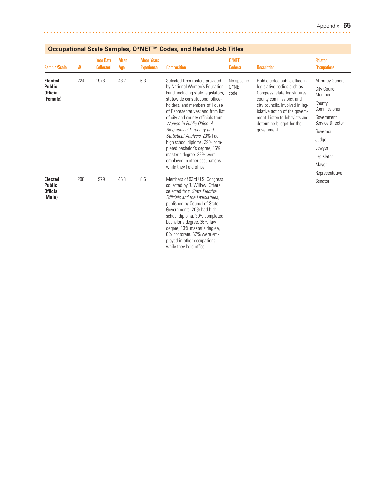| Sample/Scale                                                   | N   | <b>Year Data</b><br><b>Collected</b> | <b>Mean</b><br>Age | <b>Mean Years</b><br><b>Experience</b> | <b>Composition</b>                                                                                                                                                                                                                                                                                                                                                                                                                                                                                                 | 0*NET<br>Code(s)                | <b>Description</b>                                                                                                                                                                                                                                                       | <b>Related</b><br><b>Occupations</b>                                                                                                                                |
|----------------------------------------------------------------|-----|--------------------------------------|--------------------|----------------------------------------|--------------------------------------------------------------------------------------------------------------------------------------------------------------------------------------------------------------------------------------------------------------------------------------------------------------------------------------------------------------------------------------------------------------------------------------------------------------------------------------------------------------------|---------------------------------|--------------------------------------------------------------------------------------------------------------------------------------------------------------------------------------------------------------------------------------------------------------------------|---------------------------------------------------------------------------------------------------------------------------------------------------------------------|
| <b>Elected</b><br><b>Public</b><br><b>Official</b><br>(Female) | 224 | 1978                                 | 48.2               | 6.3                                    | Selected from rosters provided<br>by National Women's Education<br>Fund, including state legislators,<br>statewide constitutional office-<br>holders, and members of House<br>of Representatives; and from list<br>of city and county officials from<br>Women in Public Office: A<br><b>Biographical Directory and</b><br>Statistical Analysis. 23% had<br>high school diploma, 39% com-<br>pleted bachelor's degree, 16%<br>master's degree. 39% were<br>employed in other occupations<br>while they held office. | No specific<br>$0*$ NET<br>code | Hold elected public office in<br>legislative bodies such as<br>Congress, state legislatures,<br>county commissions, and<br>city councils. Involved in leg-<br>islative action of the govern-<br>ment. Listen to lobbyists and<br>determine budget for the<br>government. | <b>Attorney General</b><br>City Council<br>Member<br>County<br>Commissioner<br>Government<br>Service Director<br>Governor<br>Judge<br>Lawyer<br>Legislator<br>Mayor |
| <b>Elected</b><br><b>Public</b><br><b>Official</b><br>(Male)   | 208 | 1979                                 | 46.3               | 8.6                                    | Members of 93rd U.S. Congress,<br>collected by R. Willow. Others<br>selected from State Elective<br>Officials and the Legislatures,<br>published by Council of State<br>Governments. 20% had high<br>school diploma, 30% completed<br>bachelor's degree, 26% law<br>degree, 13% master's degree,<br>6% doctorate, 67% were em-<br>ployed in other occupations<br>while they held office.                                                                                                                           |                                 |                                                                                                                                                                                                                                                                          | Representative<br>Senator                                                                                                                                           |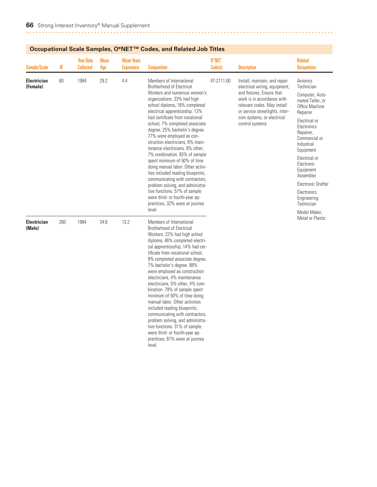| Sample/Scale                   | $I\!\!N$ | <b>Year Data</b><br><b>Collected</b> | <b>Mean</b><br>Age | <b>Mean Years</b><br><b>Experience</b> | <b>Composition</b>                                                                                                                                                                                                                                                                                                                                                                                                                                                                                                                                                                                                                                                                                                                         | 0*NET<br>Code(s) | <b>Description</b>                                                                                                                                                                                                                            | <b>Related</b><br><b>Occupations</b>                                                                                                                                                                                                                                                                                                   |
|--------------------------------|----------|--------------------------------------|--------------------|----------------------------------------|--------------------------------------------------------------------------------------------------------------------------------------------------------------------------------------------------------------------------------------------------------------------------------------------------------------------------------------------------------------------------------------------------------------------------------------------------------------------------------------------------------------------------------------------------------------------------------------------------------------------------------------------------------------------------------------------------------------------------------------------|------------------|-----------------------------------------------------------------------------------------------------------------------------------------------------------------------------------------------------------------------------------------------|----------------------------------------------------------------------------------------------------------------------------------------------------------------------------------------------------------------------------------------------------------------------------------------------------------------------------------------|
| <b>Electrician</b><br>(Female) | 60       | 1984                                 | 29.2               | 4.4                                    | Members of International<br><b>Brotherhood of Electrical</b><br>Workers and numerous women's<br>organizations. 33% had high<br>school diploma, 18% completed<br>electrical apprenticeship, 13%<br>had certificate from vocational<br>school, 7% completed associate<br>degree, 25% bachelor's degree.<br>77% were employed as con-<br>struction electricians, 8% main-<br>tenance electricians, 8% other,<br>7% combination. 83% of sample<br>spent minimum of 50% of time<br>doing manual labor. Other activi-<br>ties included reading blueprints,<br>communicating with contractors,<br>problem solving, and administra-<br>tive functions. 57% of sample<br>were third- or fourth-year ap-<br>prentices, 32% were at journey<br>level. | 47-2111.00       | Install, maintain, and repair<br>electrical wiring, equipment,<br>and fixtures. Ensure that<br>work is in accordance with<br>relevant codes. May install<br>or service streetlights, inter-<br>com systems, or electrical<br>control systems. | Avionics<br>Technician<br>Computer, Auto-<br>mated Teller, or<br>Office Machine<br>Repairer<br>Electrical or<br>Electronics<br>Repairer,<br>Commercial or<br>Industrial<br>Equipment<br>Electrical or<br>Electronic<br>Equipment<br>Assembler<br><b>Electronic Drafter</b><br>Electronics<br>Engineering<br>Technician<br>Model Maker. |
| <b>Electrician</b><br>(Male)   | 260      | 1984                                 | 34.6               | 13.2                                   | Members of International<br><b>Brotherhood of Electrical</b><br>Workers. 22% had high school<br>diploma, 46% completed electri-<br>cal apprenticeship, 14% had cer-<br>tificate from vocational school,<br>8% completed associate degree,<br>7% bachelor's degree. 88%<br>were employed as construction<br>electricians, 4% maintenance<br>electricians, 5% other, 4% com-<br>bination. 79% of sample spent<br>minimum of 50% of time doing<br>manual labor. Other activities<br>included reading blueprints,<br>communicating with contractors,<br>problem solving, and administra-<br>tive functions. 31% of sample<br>were third- or fourth-year ap-<br>prentices, 61% were at journey<br>level.                                        |                  |                                                                                                                                                                                                                                               | Metal or Plastic                                                                                                                                                                                                                                                                                                                       |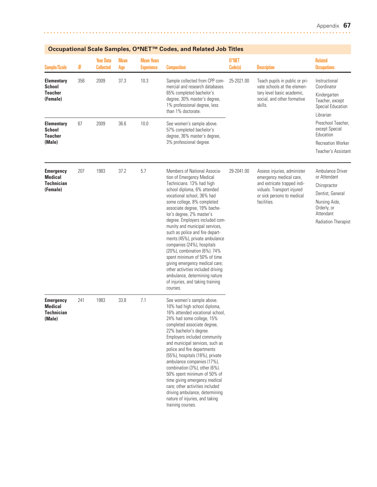|                                                                     |     |                                      |                    |                                        | Occupational Scale Samples, O*IVET "" Codes, and Related Job Titles                                                                                                                                                                                                                                                                                                                                                                                                                                                                                                                                                                            |                  |                                                                                                                                                                  |                                                                                                                                                 |
|---------------------------------------------------------------------|-----|--------------------------------------|--------------------|----------------------------------------|------------------------------------------------------------------------------------------------------------------------------------------------------------------------------------------------------------------------------------------------------------------------------------------------------------------------------------------------------------------------------------------------------------------------------------------------------------------------------------------------------------------------------------------------------------------------------------------------------------------------------------------------|------------------|------------------------------------------------------------------------------------------------------------------------------------------------------------------|-------------------------------------------------------------------------------------------------------------------------------------------------|
| <b>Sample/Scale</b>                                                 | N   | <b>Year Data</b><br><b>Collected</b> | <b>Mean</b><br>Age | <b>Mean Years</b><br><b>Experience</b> | <b>Composition</b>                                                                                                                                                                                                                                                                                                                                                                                                                                                                                                                                                                                                                             | 0*NET<br>Code(s) | <b>Description</b>                                                                                                                                               | <b>Related</b><br><b>Occupations</b>                                                                                                            |
| <b>Elementary</b><br><b>School</b><br><b>Teacher</b><br>(Female)    | 358 | 2009                                 | 37.3               | 10.3                                   | Sample collected from CPP com-<br>mercial and research databases.<br>65% completed bachelor's<br>degree, 30% master's degree,<br>1% professional degree, less<br>than 1% doctorate.                                                                                                                                                                                                                                                                                                                                                                                                                                                            | 25-2021.00       | Teach pupils in public or pri-<br>vate schools at the elemen-<br>tary level basic academic,<br>social, and other formative<br>skills.                            | Instructional<br>Coordinator<br>Kindergarten<br>Teacher, except<br>Special Education<br>Librarian                                               |
| <b>Elementary</b><br><b>School</b><br><b>Teacher</b><br>(Male)      | 67  | 2009                                 | 36.6               | 10.0                                   | See women's sample above.<br>57% completed bachelor's<br>degree, 36% master's degree,<br>3% professional degree.                                                                                                                                                                                                                                                                                                                                                                                                                                                                                                                               |                  |                                                                                                                                                                  | Preschool Teacher.<br>except Special<br>Education<br><b>Recreation Worker</b><br>Teacher's Assistant                                            |
| <b>Emergency</b><br><b>Medical</b><br><b>Technician</b><br>(Female) | 207 | 1983                                 | 37.2               | 5.7                                    | Members of National Associa-<br>tion of Emergency Medical<br>Technicians. 13% had high<br>school diploma, 6% attended<br>vocational school, 36% had<br>some college, 8% completed<br>associate degree, 19% bache-<br>lor's degree, 2% master's<br>degree. Employers included com-<br>munity and municipal services,<br>such as police and fire depart-<br>ments (45%), private ambulance<br>companies (24%), hospitals<br>(20%), combination (6%). 74%<br>spent minimum of 50% of time<br>giving emergency medical care;<br>other activities included driving<br>ambulance, determining nature<br>of injuries, and taking training<br>courses. | 29-2041.00       | Assess injuries, administer<br>emergency medical care,<br>and extricate trapped indi-<br>viduals. Transport injured<br>or sick persons to medical<br>facilities. | Ambulance Driver<br>or Attendant<br>Chiropractor<br>Dentist, General<br>Nursing Aide,<br>Orderly, or<br>Attendant<br><b>Radiation Therapist</b> |
| <b>Emergency</b><br><b>Medical</b><br><b>Technician</b><br>(Male)   | 241 | 1983                                 | 33.8               | 7.1                                    | See women's sample above.<br>10% had high school diploma,<br>16% attended vocational school,<br>24% had some college, 15%<br>completed associate degree,<br>22% bachelor's degree.<br>Employers included community<br>and municipal services, such as<br>police and fire departments<br>(55%), hospitals (18%), private<br>ambulance companies (17%),<br>combination (3%), other (6%).<br>50% spent minimum of 50% of<br>time giving emergency medical<br>care; other activities included<br>driving ambulance, determining<br>nature of injuries, and taking<br>training courses.                                                             |                  |                                                                                                                                                                  |                                                                                                                                                 |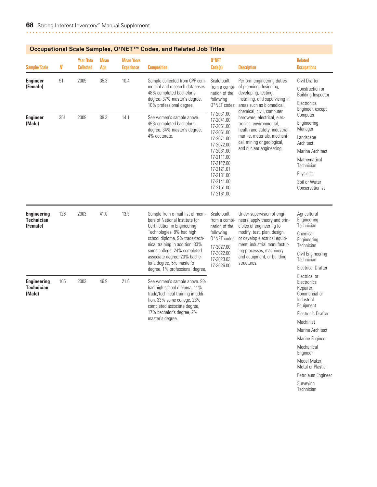| Sample/Scale                                        | N   | <b>Year Data</b><br><b>Collected</b> | <b>Mean</b><br>Age | <b>Mean Years</b><br><b>Experience</b> | <b>Composition</b>                                                                                                                                                                                                                                                                                                                 | 0*NET<br>Code(s)                                                                                                                                                                                 | <b>Description</b>                                                                                                                                                                                                                                              | <b>Related</b><br><b>Occupations</b>                                                                                                                                                                             |
|-----------------------------------------------------|-----|--------------------------------------|--------------------|----------------------------------------|------------------------------------------------------------------------------------------------------------------------------------------------------------------------------------------------------------------------------------------------------------------------------------------------------------------------------------|--------------------------------------------------------------------------------------------------------------------------------------------------------------------------------------------------|-----------------------------------------------------------------------------------------------------------------------------------------------------------------------------------------------------------------------------------------------------------------|------------------------------------------------------------------------------------------------------------------------------------------------------------------------------------------------------------------|
| <b>Engineer</b><br>(Female)                         | 91  | 2009                                 | 35.3               | 10.4                                   | Sample collected from CPP com-<br>mercial and research databases.<br>48% completed bachelor's<br>degree, 37% master's degree,<br>10% professional degree.                                                                                                                                                                          | Scale built<br>from a combi-<br>nation of the<br>following<br>O*NET codes:                                                                                                                       | Perform engineering duties<br>of planning, designing,<br>developing, testing,<br>installing, and supervising in<br>areas such as biomedical,                                                                                                                    | Civil Drafter<br>Construction or<br><b>Building Inspector</b><br>Electronics<br>Engineer, except                                                                                                                 |
| <b>Engineer</b><br>(Male)                           | 351 | 2009                                 | 39.3               | 14.1                                   | See women's sample above.<br>49% completed bachelor's<br>degree, 34% master's degree,<br>4% doctorate.                                                                                                                                                                                                                             | 17-2031.00<br>17-2041.00<br>17-2051.00<br>17-2061.00<br>17-2071.00<br>17-2072.00<br>17-2081.00<br>17-2111.00<br>17-2112.00<br>17-2121.01<br>17-2131.00<br>17-2141.00<br>17-2151.00<br>17-2161.00 | chemical, civil, computer<br>hardware, electrical, elec-<br>tronics, environmental,<br>health and safety, industrial,<br>marine, materials, mechani-<br>cal, mining or geological,<br>and nuclear engineering.                                                  | Computer<br>Engineering<br>Manager<br>Landscape<br>Architect<br>Marine Architect<br>Mathematical<br>Technician<br>Physicist<br>Soil or Water<br>Conservationist                                                  |
| <b>Engineering</b><br><b>Technician</b><br>(Female) | 126 | 2003                                 | 41.0               | 13.3                                   | Sample from e-mail list of mem-<br>bers of National Institute for<br>Certification in Engineering<br>Technologies. 8% had high<br>school diploma, 9% trade/tech-<br>nical training in addition, 33%<br>some college, 24% completed<br>associate degree, 20% bache-<br>lor's degree, 5% master's<br>degree, 1% professional degree. | Scale built<br>from a combi-<br>nation of the<br>following<br>O*NET codes:<br>17-3027.00<br>17-3022.00<br>17-3023.03<br>17-3026.00                                                               | Under supervision of engi-<br>neers, apply theory and prin-<br>ciples of engineering to<br>modify, test, plan, design,<br>or develop electrical equip-<br>ment, industrial manufactur-<br>ing processes, machinery<br>and equipment, or building<br>structures. | Agricultural<br>Engineering<br>Technician<br>Chemical<br>Engineering<br>Technician<br>Civil Engineering<br>Technician<br><b>Electrical Drafter</b>                                                               |
| <b>Engineering</b><br><b>Technician</b><br>(Male)   | 105 | 2003                                 | 46.9               | 21.6                                   | See women's sample above. 9%<br>had high school diploma, 11%<br>trade/technical training in addi-<br>tion, 33% some college, 28%<br>completed associate degree,<br>17% bachelor's degree, 2%<br>master's degree.                                                                                                                   |                                                                                                                                                                                                  |                                                                                                                                                                                                                                                                 | Electrical or<br>Electronics<br>Repairer,<br>Commercial or<br>Industrial<br>Equipment<br><b>Electronic Drafter</b><br>Machinist<br>Marine Architect<br>Marine Engineer<br>Mechanical<br>Engineer<br>Model Maker, |

Metal or Plastic Petroleum Engineer Surveying Technician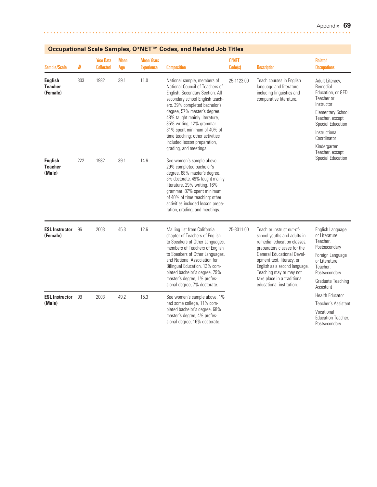| <b>Sample/Scale</b>                          | N   | <b>Year Data</b><br><b>Collected</b> | <b>Mean</b><br>Age | <b>Mean Years</b><br><b>Experience</b> | <b>Composition</b>                                                                                                                                                                                                                                                                                                                                                                              | 0*NET<br>Code(s) | <b>Description</b>                                                                                                                                                                                                                                                                                              | <b>Related</b><br><b>Occupations</b>                                                                                                                                                                                |
|----------------------------------------------|-----|--------------------------------------|--------------------|----------------------------------------|-------------------------------------------------------------------------------------------------------------------------------------------------------------------------------------------------------------------------------------------------------------------------------------------------------------------------------------------------------------------------------------------------|------------------|-----------------------------------------------------------------------------------------------------------------------------------------------------------------------------------------------------------------------------------------------------------------------------------------------------------------|---------------------------------------------------------------------------------------------------------------------------------------------------------------------------------------------------------------------|
| <b>English</b><br><b>Teacher</b><br>(Female) | 303 | 1982                                 | 39.1               | 11.0                                   | National sample, members of<br>National Council of Teachers of<br>English, Secondary Section. All<br>secondary school English teach-<br>ers. 39% completed bachelor's<br>degree, 57% master's degree.<br>48% taught mainly literature,<br>35% writing, 12% grammar.<br>81% spent minimum of 40% of<br>time teaching; other activities<br>included lesson preparation,<br>grading, and meetings. | 25-1123.00       | Teach courses in English<br>language and literature,<br>including linguistics and<br>comparative literature.                                                                                                                                                                                                    | Adult Literacy,<br>Remedial<br>Education, or GED<br>Teacher or<br>Instructor<br><b>Elementary School</b><br>Teacher, except<br>Special Education<br>Instructional<br>Coordinator<br>Kindergarten<br>Teacher, except |
| <b>English</b><br><b>Teacher</b><br>(Male)   | 222 | 1982                                 | 39.1               | 14.6                                   | See women's sample above.<br>29% completed bachelor's<br>degree, 68% master's degree,<br>3% doctorate. 49% taught mainly<br>literature, 29% writing, 16%<br>grammar. 87% spent minimum<br>of 40% of time teaching; other<br>activities included lesson prepa-<br>ration, grading, and meetings.                                                                                                 |                  |                                                                                                                                                                                                                                                                                                                 | Special Education                                                                                                                                                                                                   |
| <b>ESL Instructor</b><br>(Female)            | 96  | 2003                                 | 45.3               | 12.6                                   | Mailing list from California<br>chapter of Teachers of English<br>to Speakers of Other Languages,<br>members of Teachers of English<br>to Speakers of Other Languages,<br>and National Association for<br>Bilingual Education. 13% com-<br>pleted bachelor's degree, 79%<br>master's degree, 1% profes-<br>sional degree, 7% doctorate.                                                         | 25-3011.00       | Teach or instruct out-of-<br>school youths and adults in<br>remedial education classes.<br>preparatory classes for the<br><b>General Educational Devel-</b><br>opment test, literacy, or<br>English as a second language.<br>Teaching may or may not<br>take place in a traditional<br>educational institution. | English Language<br>or Literature<br>Teacher,<br>Postsecondary<br>Foreign Language<br>or Literature<br>Teacher.<br>Postsecondary<br>Graduate Teaching<br>Assistant                                                  |
| <b>ESL Instructor</b><br>(Male)              | 99  | 2003                                 | 49.2               | 15.3                                   | See women's sample above. 1%<br>had some college, 11% com-<br>pleted bachelor's degree, 68%<br>master's degree, 4% profes-<br>sional degree, 16% doctorate.                                                                                                                                                                                                                                     |                  |                                                                                                                                                                                                                                                                                                                 | <b>Health Educator</b><br>Teacher's Assistant<br>Vocational<br>Education Teacher,<br>Postsecondary                                                                                                                  |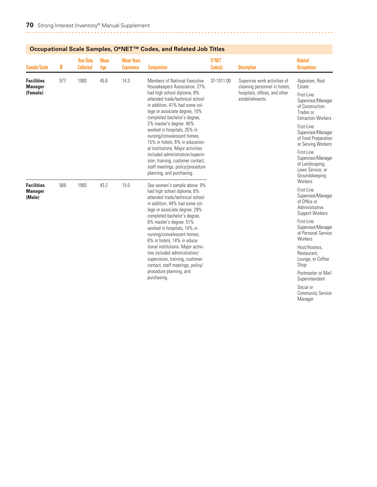| Occupational ocale Jampies, O IVET              |     |                                      |                    |                                        | Coucs, and neighed JOD Thres                                                                                                                                                                                                                                                                                                                                                                                                                                                                                                                                        |                                                                                                                   |                                                                                                                                                                                                                                                                                                          |                                                                                                                                                                                                                                                                                    |
|-------------------------------------------------|-----|--------------------------------------|--------------------|----------------------------------------|---------------------------------------------------------------------------------------------------------------------------------------------------------------------------------------------------------------------------------------------------------------------------------------------------------------------------------------------------------------------------------------------------------------------------------------------------------------------------------------------------------------------------------------------------------------------|-------------------------------------------------------------------------------------------------------------------|----------------------------------------------------------------------------------------------------------------------------------------------------------------------------------------------------------------------------------------------------------------------------------------------------------|------------------------------------------------------------------------------------------------------------------------------------------------------------------------------------------------------------------------------------------------------------------------------------|
| <b>Sample/Scale</b>                             | N   | <b>Year Data</b><br><b>Collected</b> | <b>Mean</b><br>Age | <b>Mean Years</b><br><b>Experience</b> | <b>Composition</b>                                                                                                                                                                                                                                                                                                                                                                                                                                                                                                                                                  | 0*NET<br>Code(s)                                                                                                  | <b>Description</b>                                                                                                                                                                                                                                                                                       | <b>Related</b><br><b>Occupations</b>                                                                                                                                                                                                                                               |
| <b>Facilities</b><br><b>Manager</b><br>(Female) | 577 | 1993                                 | 45.6               | 14.3                                   | <b>Members of National Executive</b><br>37-1011.00<br>Housekeepers Association. 27%<br>had high school diploma, 9%<br>attended trade/technical school<br>in addition, 41% had some col-<br>lege or associate degree, 10%<br>completed bachelor's degree,<br>2% master's degree. 40%<br>worked in hospitals, 25% in<br>nursing/convalescent homes,<br>15% in hotels, 6% in education-<br>al institutions. Major activities<br>included administration/supervi-<br>sion, training, customer contact,<br>staff meetings, policy/procedure<br>planning, and purchasing. | Supervise work activities of<br>cleaning personnel in hotels,<br>hospitals, offices, and other<br>establishments. | Appraiser, Real<br>Estate<br>First-Line<br>Supervisor/Manager<br>of Construction<br>Trades or<br><b>Extraction Workers</b><br>First-Line<br>Supervisor/Manager<br>of Food Preparation<br>or Serving Workers<br>First-Line<br>Supervisor/Manager<br>of Landscaping,<br>Lawn Service, or<br>Groundskeeping |                                                                                                                                                                                                                                                                                    |
| <b>Facilities</b><br><b>Manager</b><br>(Male)   | 569 | 1993                                 | 43.2               | 15.0                                   | See women's sample above. 9%<br>had high school diploma, 6%<br>attended trade/technical school<br>in addition, 44% had some col-<br>lege or associate degree, 29%<br>completed bachelor's degree,<br>6% master's degree. 51%<br>worked in hospitals, 14% in<br>nursing/convalescent homes,<br>6% in hotels, 14% in educa-<br>tional institutions. Major activi-<br>ties included administration/<br>supervision, training, customer<br>contact, staff meetings, policy/<br>procedure planning, and<br>purchasing.                                                   |                                                                                                                   |                                                                                                                                                                                                                                                                                                          | Workers<br>First-Line<br>Supervisor/Manager<br>of Office or<br>Administrative<br>Support Workers<br>First-Line<br>Supervisor/Manager<br>of Personal Service<br><b>Workers</b><br>Host/Hostess.<br>Restaurant.<br>Lounge, or Coffee<br>Shop<br>Postmaster or Mail<br>Superintendent |
|                                                 |     |                                      |                    |                                        |                                                                                                                                                                                                                                                                                                                                                                                                                                                                                                                                                                     |                                                                                                                   |                                                                                                                                                                                                                                                                                                          | Social or<br><b>Community Service</b>                                                                                                                                                                                                                                              |

Manager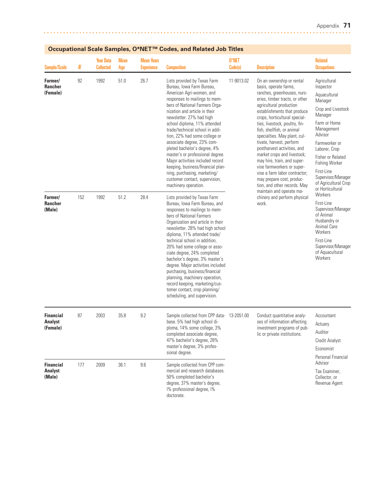| <b>Sample/Scale</b>                            | N   | <b>Year Data</b><br><b>Collected</b> | <b>Mean</b><br>Age | <b>Mean Years</b><br><b>Experience</b> | <b>Composition</b>                                                                                                                                                                                                                                                                                                                                                                                                                                                                                                                                                                             | 0*NET<br>Code(s) | <b>Description</b>                                                                                                                                                                                                                                                                                                                                                                                                                                                                                                                                                  | <b>Related</b><br><b>Occupations</b>                                                                                                                                                                                                                                                           |
|------------------------------------------------|-----|--------------------------------------|--------------------|----------------------------------------|------------------------------------------------------------------------------------------------------------------------------------------------------------------------------------------------------------------------------------------------------------------------------------------------------------------------------------------------------------------------------------------------------------------------------------------------------------------------------------------------------------------------------------------------------------------------------------------------|------------------|---------------------------------------------------------------------------------------------------------------------------------------------------------------------------------------------------------------------------------------------------------------------------------------------------------------------------------------------------------------------------------------------------------------------------------------------------------------------------------------------------------------------------------------------------------------------|------------------------------------------------------------------------------------------------------------------------------------------------------------------------------------------------------------------------------------------------------------------------------------------------|
| Farmer/<br><b>Rancher</b><br>(Female)          | 92  | 1992                                 | 51.0               | 26.7                                   | Lists provided by Texas Farm<br>Bureau, Iowa Farm Bureau,<br>American Agri-women, and<br>responses to mailings to mem-<br>bers of National Farmers Orga-<br>nization and article in their<br>newsletter. 27% had high<br>school diploma, 11% attended<br>trade/technical school in addi-<br>tion, 22% had some college or<br>associate degree, 23% com-<br>pleted bachelor's degree, 4%<br>master's or professional degree.<br>Major activities included record<br>keeping, business/financial plan-<br>ning, purchasing, marketing/<br>customer contact, supervision,<br>machinery operation. | 11-9013.02       | On an ownership or rental<br>basis, operate farms,<br>ranches, greenhouses, nurs-<br>eries, timber tracts, or other<br>agricultural production<br>establishments that produce<br>crops, horticultural special-<br>ties, livestock, poultry, fin-<br>fish, shellfish, or animal<br>specialties. May plant, cul-<br>tivate, harvest, perform<br>postharvest activities, and<br>market crops and livestock;<br>may hire, train, and super-<br>vise farmworkers or super-<br>vise a farm labor contractor;<br>may prepare cost, produc-<br>tion, and other records. May | Agricultural<br>Inspector<br>Aquacultural<br>Manager<br>Crop and Livestock<br>Manager<br>Farm or Home<br>Management<br>Advisor<br>Farmworker or<br>Laborer, Crop<br>Fisher or Related<br><b>Fishing Worker</b><br>First-Line<br>Supervisor/Manager<br>of Agricultural Crop<br>or Horticultural |
| Farmer/<br><b>Rancher</b><br>(Male)            | 152 | 1992                                 | 51.2               | 28.4                                   | Lists provided by Texas Farm<br>Bureau, Iowa Farm Bureau, and<br>responses to mailings to mem-<br>bers of National Farmers<br>Organization and article in their<br>newsletter. 28% had high school<br>diploma, 11% attended trade/<br>technical school in addition,<br>20% had some college or asso-<br>ciate degree, 24% completed<br>bachelor's degree, 3% master's<br>degree. Major activities included<br>purchasing, business/financial<br>planning, machinery operation,<br>record keeping, marketing/cus-<br>tomer contact, crop planning/<br>scheduling, and supervision.              |                  | maintain and operate ma-<br>chinery and perform physical<br>work.                                                                                                                                                                                                                                                                                                                                                                                                                                                                                                   | Workers<br>First-Line<br>Supervisor/Manager<br>of Animal<br>Husbandry or<br>Animal Care<br>Workers<br>First-Line<br>Supervisor/Manager<br>of Aquacultural<br>Workers                                                                                                                           |
| <b>Financial</b><br><b>Analyst</b><br>(Female) | 87  | 2003                                 | 35.8               | 9.2                                    | Sample collected from CPP data- 13-2051.00<br>base. 5% had high school di-<br>ploma, 14% some college, 3%<br>completed associate degree,<br>47% bachelor's degree, 28%<br>master's degree, 3% profes-<br>sional degree.                                                                                                                                                                                                                                                                                                                                                                        |                  | Conduct quantitative analy-<br>ses of information affecting<br>investment programs of pub-<br>lic or private institutions.                                                                                                                                                                                                                                                                                                                                                                                                                                          | Accountant<br>Actuary<br>Auditor<br>Credit Analyst<br>Economist<br>Personal Financial                                                                                                                                                                                                          |
| <b>Financial</b><br><b>Analyst</b><br>(Male)   | 177 | 2009                                 | 36.1               | 9.6                                    | Sample collected from CPP com-<br>mercial and research databases.<br>50% completed bachelor's<br>degree, 37% master's degree,<br>I% professional degree, I%<br>doctorate.                                                                                                                                                                                                                                                                                                                                                                                                                      |                  |                                                                                                                                                                                                                                                                                                                                                                                                                                                                                                                                                                     | Advisor<br>Tax Examiner,<br>Collector, or<br>Revenue Agent                                                                                                                                                                                                                                     |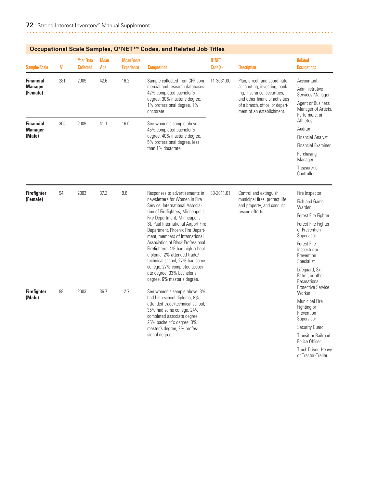| <b>Sample/Scale</b>                            | N   | <b>Year Data</b><br><b>Collected</b> | <b>Mean</b><br>Age                                                                                                                     | <b>Mean Years</b><br><b>Experience</b>                                                                                      | <b>Composition</b>                                                                                                                                                        | 0*NET<br>Code(s)                                                                     | <b>Description</b>                                                                                                                                                                            | <b>Related</b><br><b>Occupations</b>                                                                           |
|------------------------------------------------|-----|--------------------------------------|----------------------------------------------------------------------------------------------------------------------------------------|-----------------------------------------------------------------------------------------------------------------------------|---------------------------------------------------------------------------------------------------------------------------------------------------------------------------|--------------------------------------------------------------------------------------|-----------------------------------------------------------------------------------------------------------------------------------------------------------------------------------------------|----------------------------------------------------------------------------------------------------------------|
| <b>Financial</b><br><b>Manager</b><br>(Female) | 281 | 2009                                 | 42.6                                                                                                                                   | 16.2                                                                                                                        | Sample collected from CPP com-<br>mercial and research databases.<br>42% completed bachelor's<br>degree, 30% master's degree,<br>1% professional degree, 1%<br>doctorate. | 11-3031.00                                                                           | Plan, direct, and coordinate<br>accounting, investing, bank-<br>ing, insurance, securities,<br>and other financial activities<br>of a branch, office, or depart-<br>ment of an establishment. | Accountant<br>Administrative<br>Services Manager<br>Agent or Business<br>Manager of Artists,<br>Performers, or |
| <b>Financial</b>                               | 305 | 2009                                 | 41.1                                                                                                                                   | 16.0                                                                                                                        | See women's sample above.                                                                                                                                                 |                                                                                      |                                                                                                                                                                                               | Athletes                                                                                                       |
| <b>Manager</b><br>(Male)                       |     |                                      |                                                                                                                                        |                                                                                                                             | 45% completed bachelor's<br>degree, 40% master's degree,                                                                                                                  |                                                                                      |                                                                                                                                                                                               | Auditor<br><b>Financial Analyst</b>                                                                            |
|                                                |     |                                      |                                                                                                                                        |                                                                                                                             | 5% professional degree, less                                                                                                                                              |                                                                                      |                                                                                                                                                                                               | <b>Financial Examiner</b>                                                                                      |
|                                                |     |                                      |                                                                                                                                        |                                                                                                                             | than 1% doctorate.                                                                                                                                                        |                                                                                      |                                                                                                                                                                                               | Purchasing<br>Manager                                                                                          |
|                                                |     |                                      |                                                                                                                                        |                                                                                                                             |                                                                                                                                                                           |                                                                                      |                                                                                                                                                                                               | Treasurer or<br>Controller                                                                                     |
| <b>Firefighter</b><br>(Female)                 | 94  | 2003                                 | 37.2<br>9.6                                                                                                                            | Responses to advertisements in<br>newsletters for Women in Fire<br>Service, International Associa-                          | 33-2011.01                                                                                                                                                                | Control and extinguish<br>municipal fires, protect life<br>and property, and conduct | Fire Inspector<br>Fish and Game<br>Warden                                                                                                                                                     |                                                                                                                |
|                                                |     |                                      |                                                                                                                                        | tion of Firefighters, Minneapolis<br>Fire Department, Minneapolis-                                                          |                                                                                                                                                                           | rescue efforts.                                                                      | Forest Fire Fighter                                                                                                                                                                           |                                                                                                                |
|                                                |     |                                      |                                                                                                                                        | St. Paul International Airport Fire<br>Department, Phoenix Fire Depart-<br>ment; members of International                   |                                                                                                                                                                           |                                                                                      | Forest Fire Fighter<br>or Prevention<br>Supervisor                                                                                                                                            |                                                                                                                |
|                                                |     |                                      | Association of Black Professional<br>Firefighters. 4% had high school<br>diploma, 2% attended trade/<br>technical school, 27% had some |                                                                                                                             |                                                                                                                                                                           | <b>Forest Fire</b><br>Inspector or<br>Prevention<br>Specialist                       |                                                                                                                                                                                               |                                                                                                                |
| <b>Firefighter</b>                             | 98  | 2003                                 | 36.7<br>12.7                                                                                                                           | college, 27% completed associ-<br>ate degree, 33% bachelor's<br>degree, 6% master's degree.<br>See women's sample above. 3% |                                                                                                                                                                           |                                                                                      | Lifequard, Ski<br>Patrol, or other<br>Recreational<br><b>Protective Service</b><br>Worker                                                                                                     |                                                                                                                |
| (Male)                                         |     |                                      |                                                                                                                                        |                                                                                                                             | had high school diploma, 8%<br>attended trade/technical school,<br>35% had some college, 24%<br>completed associate degree,                                               |                                                                                      |                                                                                                                                                                                               | <b>Municipal Fire</b><br>Fighting or<br>Prevention<br>Supervisor                                               |
|                                                |     |                                      |                                                                                                                                        |                                                                                                                             | 25% bachelor's degree, 3%<br>master's degree, 2% profes-                                                                                                                  |                                                                                      |                                                                                                                                                                                               | Security Guard                                                                                                 |
|                                                |     |                                      |                                                                                                                                        |                                                                                                                             | sional degree.                                                                                                                                                            |                                                                                      |                                                                                                                                                                                               | <b>Transit or Railroad</b><br>Police Officer                                                                   |
|                                                |     |                                      |                                                                                                                                        |                                                                                                                             |                                                                                                                                                                           |                                                                                      | Truck Driver, Heavy                                                                                                                                                                           |                                                                                                                |

or Tractor-Trailer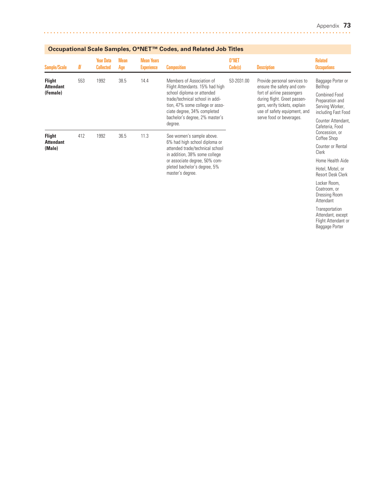| Sample/Scale                                  | N   | <b>Year Data</b><br><b>Collected</b> | <b>Mean</b><br>Age | <b>Mean Years</b><br><b>Experience</b> | <b>Composition</b>                                                                                                                                                                                                                | 0*NET<br>Code(s) | <b>Description</b>                                                                                                                                                                                                    | <b>Related</b><br><b>Occupations</b>                                                                                                                                                                                     |
|-----------------------------------------------|-----|--------------------------------------|--------------------|----------------------------------------|-----------------------------------------------------------------------------------------------------------------------------------------------------------------------------------------------------------------------------------|------------------|-----------------------------------------------------------------------------------------------------------------------------------------------------------------------------------------------------------------------|--------------------------------------------------------------------------------------------------------------------------------------------------------------------------------------------------------------------------|
| <b>Flight</b><br><b>Attendant</b><br>(Female) | 553 | 1992                                 | 38.5               | 14.4                                   | Members of Association of<br>Flight Attendants. 15% had high<br>school diploma or attended<br>trade/technical school in addi-<br>tion, 47% some college or asso-<br>ciate degree, 34% completed<br>bachelor's degree, 2% master's | 53-2031.00       | Provide personal services to<br>ensure the safety and com-<br>fort of airline passengers<br>during flight. Greet passen-<br>gers, verify tickets, explain<br>use of safety equipment, and<br>serve food or beverages. | Baggage Porter or<br>Bellhop<br><b>Combined Food</b><br>Preparation and<br>Serving Worker,<br>including Fast Food                                                                                                        |
|                                               |     |                                      |                    |                                        | degree.                                                                                                                                                                                                                           |                  |                                                                                                                                                                                                                       | Cafeteria, Food                                                                                                                                                                                                          |
| <b>Flight</b><br><b>Attendant</b>             | 412 | 1992                                 | 36.5               | 11.3                                   | See women's sample above.                                                                                                                                                                                                         |                  |                                                                                                                                                                                                                       | Concession, or<br>Coffee Shop                                                                                                                                                                                            |
| (Male)                                        |     |                                      |                    |                                        | 6% had high school diploma or<br>attended trade/technical school<br>in addition, 38% some college                                                                                                                                 |                  |                                                                                                                                                                                                                       | Counter Attendant,<br>Counter or Rental<br>Clerk<br>Home Health Aide<br>Hotel, Motel, or<br><b>Resort Desk Clerk</b><br>Locker Room,<br>Coatroom, or<br>Dressing Room<br>Attendant<br>Transportation<br>Attendant excent |
|                                               |     |                                      |                    |                                        | or associate degree, 50% com-                                                                                                                                                                                                     |                  |                                                                                                                                                                                                                       |                                                                                                                                                                                                                          |
|                                               |     |                                      |                    |                                        | pleted bachelor's degree, 5%<br>master's degree.                                                                                                                                                                                  |                  |                                                                                                                                                                                                                       |                                                                                                                                                                                                                          |
|                                               |     |                                      |                    |                                        |                                                                                                                                                                                                                                   |                  |                                                                                                                                                                                                                       |                                                                                                                                                                                                                          |
|                                               |     |                                      |                    |                                        |                                                                                                                                                                                                                                   |                  |                                                                                                                                                                                                                       |                                                                                                                                                                                                                          |

Attendant, except Flight Attendant or Baggage Porter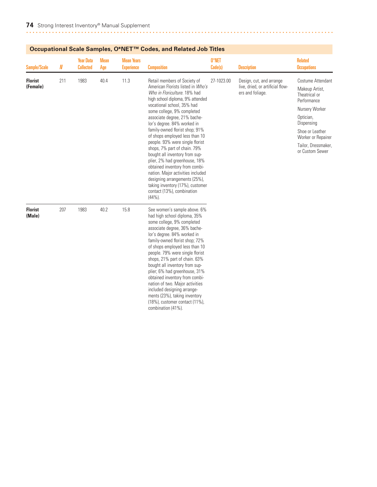| <b>Sample/Scale</b>        | $I\!\!N$ | <b>Year Data</b><br><b>Collected</b> | <b>Mean</b><br>Age | <b>Mean Years</b><br><b>Experience</b> | <b>Composition</b>                                                                                                                                                                                                                                                                                                                                                                                                                                                                                                                                                                                                                                             | 0*NET<br>Code(s) | <b>Description</b>                                                               | <b>Related</b><br><b>Occupations</b>                                                                                                                                                                |
|----------------------------|----------|--------------------------------------|--------------------|----------------------------------------|----------------------------------------------------------------------------------------------------------------------------------------------------------------------------------------------------------------------------------------------------------------------------------------------------------------------------------------------------------------------------------------------------------------------------------------------------------------------------------------------------------------------------------------------------------------------------------------------------------------------------------------------------------------|------------------|----------------------------------------------------------------------------------|-----------------------------------------------------------------------------------------------------------------------------------------------------------------------------------------------------|
| <b>Florist</b><br>(Female) | 211      | 1983                                 | 40.4               | 11.3                                   | Retail members of Society of<br>American Florists listed in Who's<br>Who in Floriculture, 18% had<br>high school diploma, 9% attended<br>vocational school, 35% had<br>some college, 9% completed<br>associate degree, 21% bache-<br>lor's degree. 84% worked in<br>family-owned florist shop; 91%<br>of shops employed less than 10<br>people. 93% were single florist<br>shops, 7% part of chain. 79%<br>bought all inventory from sup-<br>plier, 2% had greenhouse, 18%<br>obtained inventory from combi-<br>nation. Major activities included<br>designing arrangements (25%),<br>taking inventory (17%), customer<br>contact (13%), combination<br>(44%). | 27-1023.00       | Design, cut, and arrange<br>live, dried, or artificial flow-<br>ers and foliage. | Costume Attendant<br>Makeup Artist,<br>Theatrical or<br>Performance<br>Nursery Worker<br>Optician,<br>Dispensing<br>Shoe or Leather<br>Worker or Repairer<br>Tailor, Dressmaker,<br>or Custom Sewer |
| <b>Florist</b><br>(Male)   | 207      | 1983                                 | 40.2               | 15.8                                   | See women's sample above. 6%<br>had high school diploma, 35%<br>some college, 9% completed<br>associate degree, 36% bache-<br>lor's degree. 84% worked in<br>family-owned florist shop; 72%<br>of shops employed less than 10<br>people. 79% were single florist<br>shops, 21% part of chain. 63%<br>bought all inventory from sup-<br>plier; 6% had greenhouse, 31%<br>obtained inventory from combi-<br>nation of two. Major activities<br>included designing arrange-<br>ments (23%), taking inventory<br>(18%), customer contact (11%),<br>combination (41%).                                                                                              |                  |                                                                                  |                                                                                                                                                                                                     |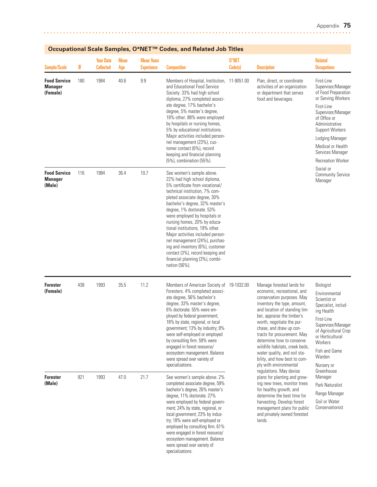| <b>Sample/Scale</b>                               | N   | <b>Year Data</b><br><b>Collected</b> | <b>Mean</b><br>Age | <b>Mean Years</b><br><b>Experience</b> | <b>Composition</b>                                                                                                                                                                                                                                                                                                                                                                                                                                                                                                                    | 0*NET<br>Code(s) | <b>Description</b>                                                                                                                                                                                                                                                                                                                                                                                                                   | <b>Related</b><br><b>Occupations</b>                                                                                                                                                                                                                                  |
|---------------------------------------------------|-----|--------------------------------------|--------------------|----------------------------------------|---------------------------------------------------------------------------------------------------------------------------------------------------------------------------------------------------------------------------------------------------------------------------------------------------------------------------------------------------------------------------------------------------------------------------------------------------------------------------------------------------------------------------------------|------------------|--------------------------------------------------------------------------------------------------------------------------------------------------------------------------------------------------------------------------------------------------------------------------------------------------------------------------------------------------------------------------------------------------------------------------------------|-----------------------------------------------------------------------------------------------------------------------------------------------------------------------------------------------------------------------------------------------------------------------|
| <b>Food Service</b><br><b>Manager</b><br>(Female) | 180 | 1984                                 | 40.6               | 9.9                                    | Members of Hospital, Institution, 11-9051.00<br>and Educational Food Service<br>Society. 33% had high school<br>diploma, 27% completed associ-<br>ate degree, 17% bachelor's<br>degree, 5% master's degree,<br>18% other. 88% were employed<br>by hospitals or nursing homes,<br>5% by educational institutions.<br>Major activities included person-<br>nel management (23%), cus-<br>tomer contact (6%), record<br>keeping and financial planning<br>(5%), combination (55%).                                                       |                  | Plan, direct, or coordinate<br>activities of an organization<br>or department that serves<br>food and beverages.                                                                                                                                                                                                                                                                                                                     | First-Line<br>Supervisor/Manager<br>of Food Preparation<br>or Serving Workers<br>First-Line<br>Supervisor/Manager<br>of Office or<br>Administrative<br><b>Support Workers</b><br>Lodging Manager<br>Medical or Health<br>Services Manager<br><b>Recreation Worker</b> |
| <b>Food Service</b><br><b>Manager</b><br>(Male)   | 116 | 1984                                 | 36.4               | 10.7                                   | See women's sample above.<br>22% had high school diploma,<br>5% certificate from vocational/<br>technical institution, 7% com-<br>pleted associate degree, 30%<br>bachelor's degree, 32% master's<br>degree, 1% doctorate. 53%<br>were employed by hospitals or<br>nursing homes, 20% by educa-<br>tional institutions, 19% other.<br>Major activities included person-<br>nel management (24%), purchas-<br>ing and inventory (6%), customer<br>contact (3%), record keeping and<br>financial planning (3%), combi-<br>nation (56%). |                  |                                                                                                                                                                                                                                                                                                                                                                                                                                      | Social or<br><b>Community Service</b><br>Manager                                                                                                                                                                                                                      |
| <b>Forester</b><br>(Female)                       | 438 | 1993                                 | 35.5               | 11.2                                   | Members of American Society of 19-1032.00<br>Foresters. 4% completed associ-<br>ate degree, 56% bachelor's<br>degree, 33% master's degree,<br>6% doctorate. 55% were em-<br>ployed by federal government;<br>18% by state, regional, or local<br>government; 13% by industry; 8%<br>were self-employed or employed<br>by consulting firm. 59% were<br>engaged in forest resource/<br>ecosystem management. Balance<br>were spread over variety of<br>specializations.                                                                 |                  | Manage forested lands for<br>economic, recreational, and<br>conservation purposes. May<br>inventory the type, amount,<br>and location of standing tim-<br>ber, appraise the timber's<br>worth, negotiate the pur-<br>chase, and draw up con-<br>tracts for procurement. May<br>determine how to conserve<br>wildlife habitats, creek beds,<br>water quality, and soil sta-<br>bility, and how best to com-<br>ply with environmental | Biologist<br>Environmental<br>Scientist or<br>Specialist, includ-<br>ing Health<br>First-Line<br>Supervisor/Manager<br>of Agricultural Crop<br>or Horticultural<br>Workers<br>Fish and Game<br>Warden<br>Nursery or                                                   |
| <b>Forester</b><br>(Male)                         | 921 | 1993                                 | 21.7<br>47.0       |                                        | See women's sample above. 2%<br>completed associate degree, 59%<br>bachelor's degree, 26% master's<br>degree, 11% doctorate. 27%<br>were employed by federal govern-<br>ment; 24% by state, regional, or<br>local government; 23% by indus-<br>try; 18% were self-employed or<br>employed by consulting firm. 61%<br>were engaged in forest resource/<br>ecosystem management. Balance<br>were spread over variety of<br>specializations.                                                                                             |                  | regulations. May devise<br>plans for planting and grow-<br>ing new trees, monitor trees<br>for healthy growth, and<br>determine the best time for<br>harvesting. Develop forest<br>management plans for public<br>and privately owned forested<br>lands.                                                                                                                                                                             | Greenhouse<br>Manager<br>Park Naturalist<br>Range Manager<br>Soil or Water<br>Conservationist                                                                                                                                                                         |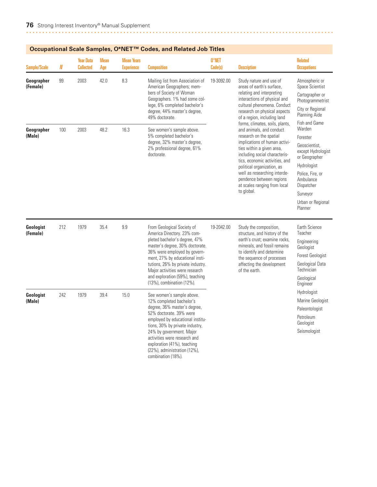| <b>Sample/Scale</b>    | N   | <b>Year Data</b><br><b>Collected</b> | <b>Mean</b><br>Age | <b>Mean Years</b><br><b>Experience</b> | <b>Composition</b>                                                                                                                                                                                                                                                                                                                      | 0*NET<br>Code(s)                                                                                                                                                                                                                                                                                                                               | <b>Description</b>                                                                                                                                                                                                                                                                                                                                              | <b>Related</b><br><b>Occupations</b>                                                                                                                                                 |                                                                                             |
|------------------------|-----|--------------------------------------|--------------------|----------------------------------------|-----------------------------------------------------------------------------------------------------------------------------------------------------------------------------------------------------------------------------------------------------------------------------------------------------------------------------------------|------------------------------------------------------------------------------------------------------------------------------------------------------------------------------------------------------------------------------------------------------------------------------------------------------------------------------------------------|-----------------------------------------------------------------------------------------------------------------------------------------------------------------------------------------------------------------------------------------------------------------------------------------------------------------------------------------------------------------|--------------------------------------------------------------------------------------------------------------------------------------------------------------------------------------|---------------------------------------------------------------------------------------------|
| Geographer<br>(Female) | 99  | 2003                                 | 42.0               | 8.3                                    | Mailing list from Association of<br>American Geographers; mem-<br>bers of Society of Woman<br>Geographers. 1% had some col-<br>lege, 6% completed bachelor's<br>degree, 44% master's degree,<br>49% doctorate.                                                                                                                          | 19-3092.00                                                                                                                                                                                                                                                                                                                                     | Study nature and use of<br>areas of earth's surface,<br>relating and interpreting<br>interactions of physical and<br>cultural phenomena. Conduct<br>research on physical aspects<br>of a region, including land                                                                                                                                                 | Atmospheric or<br>Space Scientist<br>Cartographer or<br>Photogrammetrist<br>City or Regional<br>Planning Aide<br>Fish and Game                                                       |                                                                                             |
| Geographer<br>(Male)   | 100 | 2003                                 | 48.2               | 16.3                                   | See women's sample above.<br>5% completed bachelor's<br>degree, 32% master's degree,<br>2% professional degree, 61%<br>doctorate.                                                                                                                                                                                                       |                                                                                                                                                                                                                                                                                                                                                | forms, climates, soils, plants,<br>and animals, and conduct<br>research on the spatial<br>implications of human activi-<br>ties within a given area,<br>including social characteris-<br>tics, economic activities, and<br>political organization, as<br>well as researching interde-<br>pendence between regions<br>at scales ranging from local<br>to global. | Warden<br>Forester<br>Geoscientist.<br>except Hydrologist<br>or Geographer<br>Hydrologist<br>Police, Fire, or<br>Ambulance<br>Dispatcher<br>Surveyor<br>Urban or Regional<br>Planner |                                                                                             |
| Geologist<br>(Female)  | 212 | 1979                                 | 35.4               | 9.9                                    | From Geological Society of<br>America Directory. 23% com-<br>pleted bachelor's degree, 47%<br>master's degree, 30% doctorate.<br>36% were employed by govern-<br>ment, 27% by educational insti-<br>tutions, 26% by private industry.<br>Major activities were research<br>and exploration (59%), teaching<br>(13%), combination (12%). | 19-2042.00                                                                                                                                                                                                                                                                                                                                     | Study the composition,<br>structure, and history of the<br>earth's crust: examine rocks.<br>minerals, and fossil remains<br>to identify and determine<br>the sequence of processes<br>affecting the development<br>of the earth.                                                                                                                                | Earth Science<br>Teacher<br>Engineering<br>Geologist<br><b>Forest Geologist</b><br>Geological Data<br>Technician<br>Geological<br>Engineer                                           |                                                                                             |
| Geologist<br>(Male)    | 242 | 1979                                 | 39.4               |                                        | 15.0                                                                                                                                                                                                                                                                                                                                    | See women's sample above.<br>12% completed bachelor's<br>degree, 36% master's degree,<br>52% doctorate, 39% were<br>employed by educational institu-<br>tions, 30% by private industry,<br>24% by government. Major<br>activities were research and<br>exploration (41%), teaching<br>$(22%)$ , administration $(12%)$ ,<br>combination (18%). |                                                                                                                                                                                                                                                                                                                                                                 |                                                                                                                                                                                      | Hydrologist<br>Marine Geologist<br>Paleontologist<br>Petroleum<br>Geologist<br>Seismologist |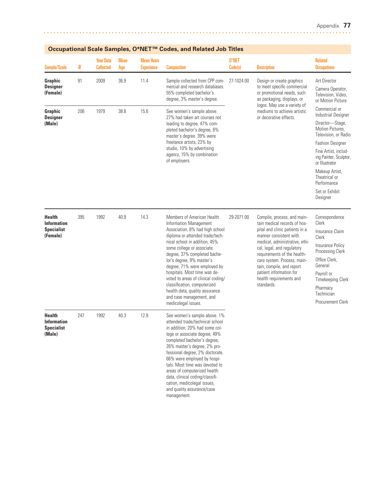| Sample/Scale                                                         | N   | <b>Year Data</b><br><b>Collected</b> | <b>Mean</b><br>Age | <b>Mean Years</b><br><b>Experience</b> | <b>Composition</b>                                                                                                                                                                                                                                                                                                                                                                                                                                                                      | 0*NET<br>Code(s) | <b>Description</b>                                                                                                                                                                                                                                                                                                                                     | <b>Related</b><br><b>Occupations</b>                                                                                                                                                                                                                                                      |
|----------------------------------------------------------------------|-----|--------------------------------------|--------------------|----------------------------------------|-----------------------------------------------------------------------------------------------------------------------------------------------------------------------------------------------------------------------------------------------------------------------------------------------------------------------------------------------------------------------------------------------------------------------------------------------------------------------------------------|------------------|--------------------------------------------------------------------------------------------------------------------------------------------------------------------------------------------------------------------------------------------------------------------------------------------------------------------------------------------------------|-------------------------------------------------------------------------------------------------------------------------------------------------------------------------------------------------------------------------------------------------------------------------------------------|
| Graphic<br><b>Designer</b><br>(Female)                               | 91  | 2009                                 | 36.9               | 11.4                                   | Sample collected from CPP com-<br>mercial and research databases.<br>55% completed bachelor's<br>degree, 3% master's degree.                                                                                                                                                                                                                                                                                                                                                            | 27-1024.00       | Design or create graphics<br>to meet specific commercial<br>or promotional needs, such<br>as packaging, displays, or                                                                                                                                                                                                                                   | Art Director<br>Camera Operator,<br>Television, Video,<br>or Motion Picture                                                                                                                                                                                                               |
| Graphic<br><b>Designer</b><br>(Male)                                 | 206 | 1979                                 | 38.8               | 15.6                                   | See women's sample above.<br>27% had taken art courses not<br>leading to degree, 47% com-<br>pleted bachelor's degree, 6%<br>master's degree. 39% were<br>freelance artists, 23% by<br>studio, 10% by advertising<br>agency, 15% by combination<br>of employers.                                                                                                                                                                                                                        |                  | logos. May use a variety of<br>mediums to achieve artistic<br>or decorative effects.                                                                                                                                                                                                                                                                   | Commercial or<br><b>Industrial Designer</b><br>Director-Stage,<br>Motion Pictures,<br>Television, or Radio<br><b>Fashion Designer</b><br>Fine Artist, includ-<br>ing Painter, Sculptor,<br>or Illustrator<br>Makeup Artist,<br>Theatrical or<br>Performance<br>Set or Exhibit<br>Designer |
| <b>Health</b><br><b>Information</b><br><b>Specialist</b><br>(Female) | 395 | 1992                                 | 40.9               | 14.3                                   | Members of American Health<br><b>Information Management</b><br>Association. 8% had high school<br>diploma or attended trade/tech-<br>nical school in addition, 45%<br>some college or associate<br>degree, 37% completed bache-<br>lor's degree, 9% master's<br>degree. 71% were employed by<br>hospitals. Most time was de-<br>voted to areas of clinical coding/<br>classification, computerized<br>health data, quality assurance<br>and case management, and<br>medicolegal issues. | 29-2071.00       | Compile, process, and main-<br>tain medical records of hos-<br>pital and clinic patients in a<br>manner consistent with<br>medical, administrative, ethi-<br>cal, legal, and regulatory<br>requirements of the health-<br>care system. Process, main-<br>tain, compile, and report<br>patient information for<br>health requirements and<br>standards. | Correspondence<br>Clerk<br>Insurance Claim<br>Clerk<br>Insurance Policy<br>Processing Clerk<br>Office Clerk,<br>General<br>Payroll or<br><b>Timekeeping Clerk</b><br>Pharmacy<br>Technician<br>Procurement Clerk                                                                          |
| <b>Health</b><br><b>Information</b><br><b>Specialist</b><br>(Male)   | 247 | 1992                                 | 40.3               | 12.9                                   | See women's sample above. 1%<br>attended trade/technical school<br>in addition, 20% had some col-<br>lege or associate degree, 49%<br>completed bachelor's degree,<br>26% master's degree, 2% pro-<br>fessional degree, 2% doctorate.<br>66% were employed by hospi-<br>tals. Most time was devoted to<br>areas of computerized health<br>data, clinical coding/classifi-<br>cation, medicolegal issues,<br>and quality assurance/case<br>management.                                   |                  |                                                                                                                                                                                                                                                                                                                                                        |                                                                                                                                                                                                                                                                                           |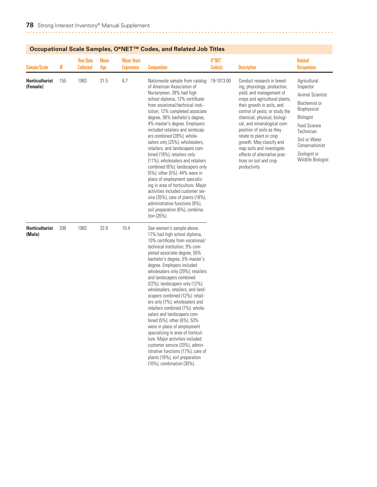| Occupational Ocale Odinpies, O IVET |          |                                      | <u>oodes, and neidted oob nines</u> |                                        |                                                                                                                                                                                                                                                                                                                                                                                                                                                                                                                                                                                                                                                                                                                                                                                            |                  |                                                                                                                                                                                                                                                                                                                                                                                                                                                     |                                                                                                                                                                                                                   |
|-------------------------------------|----------|--------------------------------------|-------------------------------------|----------------------------------------|--------------------------------------------------------------------------------------------------------------------------------------------------------------------------------------------------------------------------------------------------------------------------------------------------------------------------------------------------------------------------------------------------------------------------------------------------------------------------------------------------------------------------------------------------------------------------------------------------------------------------------------------------------------------------------------------------------------------------------------------------------------------------------------------|------------------|-----------------------------------------------------------------------------------------------------------------------------------------------------------------------------------------------------------------------------------------------------------------------------------------------------------------------------------------------------------------------------------------------------------------------------------------------------|-------------------------------------------------------------------------------------------------------------------------------------------------------------------------------------------------------------------|
| <b>Sample/Scale</b>                 | $\pmb N$ | <b>Year Data</b><br><b>Collected</b> | <b>Mean</b><br>Age                  | <b>Mean Years</b><br><b>Experience</b> | <b>Composition</b>                                                                                                                                                                                                                                                                                                                                                                                                                                                                                                                                                                                                                                                                                                                                                                         | 0*NET<br>Code(s) | <b>Description</b>                                                                                                                                                                                                                                                                                                                                                                                                                                  | <b>Related</b><br><b>Occupations</b>                                                                                                                                                                              |
| <b>Horticulturist</b><br>(Female)   | 155      | 1983                                 | 31.5                                | 6.7                                    | Nationwide sample from catalog<br>of American Association of<br>Nurserymen. 28% had high<br>school diploma, 12% certificate<br>from vocational/technical insti-<br>tution, 12% completed associate<br>degree, 36% bachelor's degree,<br>4% master's degree. Employers<br>included retailers and landscap-<br>ers combined (28%); whole-<br>salers only (25%); wholesalers,<br>retailers, and landscapers com-<br>bined (19%); retailers only<br>(11%); wholesalers and retailers<br>combined (6%); landscapers only<br>(5%); other (5%). 44% were in<br>place of employment specializ-<br>ing in area of horticulture. Major<br>activities included customer ser-<br>vice (35%), care of plants (18%),<br>administrative functions (9%),<br>soil preparation (6%), combina-<br>tion (26%). | 19-1013.00       | Conduct research in breed-<br>ing, physiology, production,<br>yield, and management of<br>crops and agricultural plants,<br>their growth in soils, and<br>control of pests; or study the<br>chemical, physical, biologi-<br>cal, and mineralogical com-<br>position of soils as they<br>relate to plant or crop<br>growth. May classify and<br>map soils and investigate<br>effects of alternative prac-<br>tices on soil and crop<br>productivity. | Agricultural<br>Inspector<br><b>Animal Scientist</b><br>Biochemist or<br>Biophysicist<br>Biologist<br><b>Food Science</b><br>Technician<br>Soil or Water<br>Conservationist<br>Zoologist or<br>Wildlife Biologist |
| <b>Horticulturist</b><br>(Male)     | 208      | 1983                                 | 32.9                                | 10.4                                   | See women's sample above.<br>17% had high school diploma,<br>10% certificate from vocational/<br>technical institution, 9% com-<br>pleted associate degree, 55%<br>bachelor's degree, 5% master's<br>degree. Employers included<br>wholesalers only (29%); retailers<br>and landscapers combined<br>(22%); landscapers only (12%);<br>wholesalers, retailers, and land-<br>scapers combined (12%); retail-<br>ers only (7%); wholesalers and<br>retailers combined (7%); whole-<br>salers and landscapers com-<br>bined (5%); other (6%). 53%                                                                                                                                                                                                                                              |                  |                                                                                                                                                                                                                                                                                                                                                                                                                                                     |                                                                                                                                                                                                                   |

were in place of employment specializing in area of horticulture. Major activities included customer service (20%), administrative functions (17%), care of plants (16%), soil preparation (10%), combination (30%).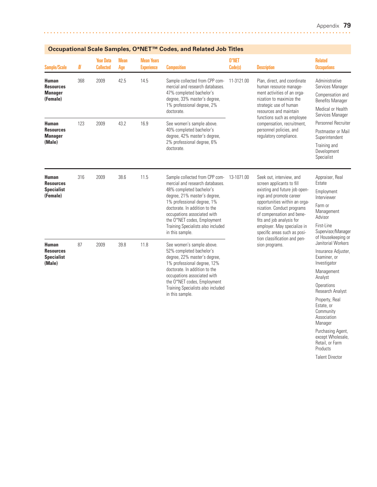Community **Association** Manager Purchasing Agent, except Wholesale, Retail, or Farm Products Talent Director

| Occupational Scale Samples, O IVET                           |     |                                      |                    |                                        | <b>COUCS, AIR REIALEU JOD TILICS</b>                                                                                                                                                                                                                                                                                |                  |                                                                                                                                                                                                                                                                                                           |                                                                                                                                                                      |                                                                                                          |  |
|--------------------------------------------------------------|-----|--------------------------------------|--------------------|----------------------------------------|---------------------------------------------------------------------------------------------------------------------------------------------------------------------------------------------------------------------------------------------------------------------------------------------------------------------|------------------|-----------------------------------------------------------------------------------------------------------------------------------------------------------------------------------------------------------------------------------------------------------------------------------------------------------|----------------------------------------------------------------------------------------------------------------------------------------------------------------------|----------------------------------------------------------------------------------------------------------|--|
| <b>Sample/Scale</b>                                          | N   | <b>Year Data</b><br><b>Collected</b> | <b>Mean</b><br>Age | <b>Mean Years</b><br><b>Experience</b> | <b>Composition</b>                                                                                                                                                                                                                                                                                                  | 0*NET<br>Code(s) | <b>Description</b>                                                                                                                                                                                                                                                                                        | <b>Related</b><br><b>Occupations</b>                                                                                                                                 |                                                                                                          |  |
| Human<br><b>Resources</b><br><b>Manager</b><br>(Female)      | 368 | 2009                                 | 42.5               | 14.5                                   | Sample collected from CPP com-<br>mercial and research databases.<br>47% completed bachelor's<br>degree, 33% master's degree,<br>1% professional degree, 2%<br>doctorate.                                                                                                                                           | 11-3121.00       | Plan, direct, and coordinate<br>human resource manage-<br>ment activities of an orga-<br>nization to maximize the<br>strategic use of human<br>resources and maintain                                                                                                                                     | Administrative<br>Services Manager<br>Compensation and<br><b>Benefits Manager</b><br>Medical or Health<br>Services Manager                                           |                                                                                                          |  |
| <b>Human</b><br><b>Resources</b><br><b>Manager</b><br>(Male) | 123 | 2009                                 | 43.2               | 16.9                                   | See women's sample above.<br>40% completed bachelor's<br>degree, 42% master's degree,<br>2% professional degree, 6%<br>doctorate.                                                                                                                                                                                   |                  | compensation, recruitment,<br>personnel policies, and<br>regulatory compliance.                                                                                                                                                                                                                           | functions such as employee                                                                                                                                           | Personnel Recruiter<br>Postmaster or Mail<br>Superintendent<br>Training and<br>Development<br>Specialist |  |
| Human<br><b>Resources</b><br><b>Specialist</b><br>(Female)   | 316 | 2009                                 | 38.6               | 11.5                                   | Sample collected from CPP com-<br>mercial and research databases.<br>48% completed bachelor's<br>degree, 21% master's degree,<br>1% professional degree, 1%<br>doctorate. In addition to the<br>occupations associated with<br>the O*NET codes, Employment<br>Training Specialists also included<br>in this sample. | 13-1071.00       | Seek out, interview, and<br>screen applicants to fill<br>existing and future job open-<br>ings and promote career<br>opportunities within an orga-<br>nization. Conduct programs<br>of compensation and bene-<br>fits and job analysis for<br>employer. May specialize in<br>specific areas such as posi- | Appraiser, Real<br>Estate<br>Employment<br>Interviewer<br>Farm or<br>Management<br>Advisor<br>First-Line<br>Supervisor/Manager<br>of Housekeeping or                 |                                                                                                          |  |
| Human<br><b>Resources</b><br><b>Specialist</b><br>(Male)     | 87  | 2009                                 | 39.8               | 11.8                                   | See women's sample above.<br>52% completed bachelor's<br>degree, 22% master's degree,<br>1% professional degree, 12%<br>doctorate. In addition to the<br>occupations associated with<br>the O*NET codes, Employment<br>Training Specialists also included<br>in this sample.                                        |                  | tion classification and pen-<br>sion programs.                                                                                                                                                                                                                                                            | Janitorial Workers<br>Insurance Adjuster,<br>Examiner, or<br>Investigator<br>Management<br>Analyst<br>Operations<br>Research Analyst<br>Property, Real<br>Estate, or |                                                                                                          |  |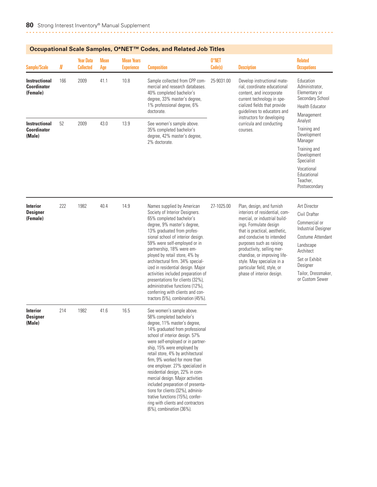|                                                        |     |                                      |                    |                                        | Occupational Scale Samples, O*NET "" Codes, and Related Job Titles                                                                                                                                                                                                                                                                                                                                                                                                                                                                                                                            |                  |                                                                                                                                                                                                                                                                                                                                                                          |                                                                                                                                                                                              |
|--------------------------------------------------------|-----|--------------------------------------|--------------------|----------------------------------------|-----------------------------------------------------------------------------------------------------------------------------------------------------------------------------------------------------------------------------------------------------------------------------------------------------------------------------------------------------------------------------------------------------------------------------------------------------------------------------------------------------------------------------------------------------------------------------------------------|------------------|--------------------------------------------------------------------------------------------------------------------------------------------------------------------------------------------------------------------------------------------------------------------------------------------------------------------------------------------------------------------------|----------------------------------------------------------------------------------------------------------------------------------------------------------------------------------------------|
| <b>Sample/Scale</b>                                    | N   | <b>Year Data</b><br><b>Collected</b> | <b>Mean</b><br>Age | <b>Mean Years</b><br><b>Experience</b> | <b>Composition</b>                                                                                                                                                                                                                                                                                                                                                                                                                                                                                                                                                                            | 0*NET<br>Code(s) | <b>Description</b>                                                                                                                                                                                                                                                                                                                                                       | <b>Related</b><br><b>Occupations</b>                                                                                                                                                         |
| <b>Instructional</b><br><b>Coordinator</b><br>(Female) | 166 | 2009                                 | 41.1               | 10.8                                   | Sample collected from CPP com-<br>mercial and research databases.<br>40% completed bachelor's<br>degree, 33% master's degree,<br>1% professional degree, 6%<br>doctorate.                                                                                                                                                                                                                                                                                                                                                                                                                     | 25-9031.00       | Develop instructional mate-<br>rial, coordinate educational<br>content, and incorporate<br>current technology in spe-<br>cialized fields that provide<br>guidelines to educators and                                                                                                                                                                                     | Education<br>Administrator,<br>Elementary or<br>Secondary School<br><b>Health Educator</b><br>Management                                                                                     |
| <b>Instructional</b><br><b>Coordinator</b><br>(Male)   | 52  | 2009                                 | 43.0               | 13.9                                   | See women's sample above.<br>35% completed bachelor's<br>degree, 42% master's degree,<br>2% doctorate.                                                                                                                                                                                                                                                                                                                                                                                                                                                                                        |                  | instructors for developing<br>curricula and conducting<br>courses.                                                                                                                                                                                                                                                                                                       | Analyst<br>Training and<br>Development<br>Manager<br>Training and<br>Development<br>Specialist<br>Vocational<br>Educational<br>Teacher,                                                      |
|                                                        |     |                                      |                    |                                        |                                                                                                                                                                                                                                                                                                                                                                                                                                                                                                                                                                                               |                  |                                                                                                                                                                                                                                                                                                                                                                          | Postsecondary                                                                                                                                                                                |
| Interior<br><b>Designer</b><br>(Female)                | 222 | 1982                                 | 40.4               | 14.9                                   | Names supplied by American<br>Society of Interior Designers.<br>65% completed bachelor's<br>degree, 9% master's degree,<br>13% graduated from profes-<br>sional school of interior design.<br>59% were self-employed or in<br>partnership, 18% were em-<br>ployed by retail store, 4% by<br>architectural firm. 34% special-<br>ized in residential design. Major<br>activities included preparation of<br>presentations for clients (32%),<br>administrative functions (12%),<br>conferring with clients and con-<br>tractors (5%), combination (45%).                                       | 27-1025.00       | Plan, design, and furnish<br>interiors of residential, com-<br>mercial, or industrial build-<br>ings. Formulate design<br>that is practical, aesthetic,<br>and conducive to intended<br>purposes such as raising<br>productivity, selling mer-<br>chandise, or improving life-<br>style. May specialize in a<br>particular field, style, or<br>phase of interior design. | Art Director<br>Civil Drafter<br>Commercial or<br>Industrial Designer<br>Costume Attendant<br>Landscape<br>Architect<br>Set or Exhibit<br>Designer<br>Tailor, Dressmaker,<br>or Custom Sewer |
| <b>Interior</b><br><b>Designer</b><br>(Male)           | 214 | 1982                                 | 41.6               | 16.5                                   | See women's sample above.<br>58% completed bachelor's<br>degree, 11% master's degree,<br>14% graduated from professional<br>school of interior design. 57%<br>were self-employed or in partner-<br>ship, 15% were employed by<br>retail store, 4% by architectural<br>firm, 9% worked for more than<br>one employer. 27% specialized in<br>residential design, 22% in com-<br>mercial design. Major activities<br>included preparation of presenta-<br>tions for clients (32%), adminis-<br>trative functions (15%), confer-<br>ring with clients and contractors<br>(6%), combination (36%). |                  |                                                                                                                                                                                                                                                                                                                                                                          |                                                                                                                                                                                              |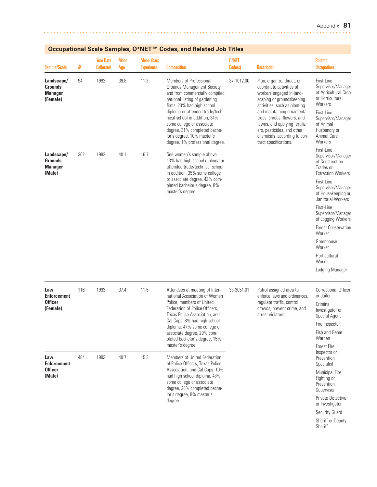| <b>Sample/Scale</b>                                        | $I\!\!N$ | <b>Year Data</b><br><b>Collected</b> | Mean<br>Age | <b>Mean Years</b><br><b>Experience</b> | <b>Composition</b>                                                                                                                                                                                                                                                                                                                                                     | 0*NET<br>Code(s) | <b>Description</b>                                                                                                                                                                                                                                                                                                                   | <b>Related</b><br><b>Occupations</b>                                                                                                                                               |
|------------------------------------------------------------|----------|--------------------------------------|-------------|----------------------------------------|------------------------------------------------------------------------------------------------------------------------------------------------------------------------------------------------------------------------------------------------------------------------------------------------------------------------------------------------------------------------|------------------|--------------------------------------------------------------------------------------------------------------------------------------------------------------------------------------------------------------------------------------------------------------------------------------------------------------------------------------|------------------------------------------------------------------------------------------------------------------------------------------------------------------------------------|
| Landscape/<br><b>Grounds</b><br><b>Manager</b><br>(Female) | 94       | 1992                                 | 39.8        | 11.3                                   | <b>Members of Professional</b><br><b>Grounds Management Society</b><br>and from commercially compiled<br>national listing of gardening<br>firms. 20% had high school<br>diploma or attended trade/tech-<br>nical school in addition, 34%<br>some college or associate<br>degree, 31% completed bache-<br>lor's degree, 10% master's<br>degree, 1% professional degree. | 37-1012.00       | Plan, organize, direct, or<br>coordinate activities of<br>workers engaged in land-<br>scaping or groundskeeping<br>activities, such as planting<br>and maintaining ornamental<br>trees, shrubs, flowers, and<br>lawns, and applying fertiliz-<br>ers, pesticides, and other<br>chemicals, according to con-<br>tract specifications. | First-Line<br>Supervisor/Manager<br>of Agricultural Crop<br>or Horticultural<br>Workers<br>First-Line<br>Supervisor/Manager<br>of Animal<br>Husbandry or<br>Animal Care<br>Workers |
| Landscape/<br><b>Grounds</b><br><b>Manager</b><br>(Male)   | 362      | 1992                                 | 40.1        | 16.7                                   | See women's sample above.<br>13% had high school diploma or<br>attended trade/technical school<br>in addition, 35% some college<br>or associate degree, 42% com-<br>pleted bachelor's degree, 8%<br>master's degree.                                                                                                                                                   |                  |                                                                                                                                                                                                                                                                                                                                      | First-Line<br>Supervisor/Manager<br>of Construction<br>Trades or<br><b>Extraction Workers</b><br>First-Line<br>Supervisor/Manager<br>of Housekeeping or<br>Janitorial Workers      |
|                                                            |          |                                      |             |                                        |                                                                                                                                                                                                                                                                                                                                                                        |                  |                                                                                                                                                                                                                                                                                                                                      | First-Line<br>Supervisor/Manager<br>of Logging Workers<br><b>Forest Conservation</b>                                                                                               |
|                                                            |          |                                      |             |                                        |                                                                                                                                                                                                                                                                                                                                                                        |                  |                                                                                                                                                                                                                                                                                                                                      | Worker<br>Greenhouse                                                                                                                                                               |
|                                                            |          |                                      |             |                                        |                                                                                                                                                                                                                                                                                                                                                                        |                  |                                                                                                                                                                                                                                                                                                                                      | Worker<br>Horticultural                                                                                                                                                            |
|                                                            |          |                                      |             |                                        |                                                                                                                                                                                                                                                                                                                                                                        |                  |                                                                                                                                                                                                                                                                                                                                      | Worker                                                                                                                                                                             |
|                                                            |          |                                      |             |                                        |                                                                                                                                                                                                                                                                                                                                                                        |                  |                                                                                                                                                                                                                                                                                                                                      | Lodging Manager                                                                                                                                                                    |
| Law<br><b>Enforcement</b>                                  | 116      | 1993                                 | 37.4        | 11.6                                   | Attendees at meeting of Inter-<br>national Association of Women                                                                                                                                                                                                                                                                                                        | 33-3051.01       | Patrol assigned area to<br>enforce laws and ordinances,<br>regulate traffic, control<br>crowds, prevent crime, and<br>arrest violators.                                                                                                                                                                                              | <b>Correctional Officer</b><br>or Jailer                                                                                                                                           |
| <b>Officer</b><br>(Female)                                 |          |                                      |             |                                        | Police, members of United<br>Federation of Police Officers,<br>Texas Police Association, and                                                                                                                                                                                                                                                                           |                  |                                                                                                                                                                                                                                                                                                                                      | Criminal<br>Investigator or<br>Special Agent                                                                                                                                       |
|                                                            |          |                                      |             |                                        | Cal Cops. 8% had high school<br>diploma, 47% some college or                                                                                                                                                                                                                                                                                                           |                  |                                                                                                                                                                                                                                                                                                                                      | Fire Inspector                                                                                                                                                                     |
|                                                            |          |                                      |             |                                        | associate degree, 29% com-<br>pleted bachelor's degree, 15%                                                                                                                                                                                                                                                                                                            |                  |                                                                                                                                                                                                                                                                                                                                      | Fish and Game<br>Warden                                                                                                                                                            |
| Law<br><b>Enforcement</b>                                  | 484      | 1993                                 | 40.7        | 15.3                                   | master's degree.<br>Members of United Federation<br>of Police Officers. Texas Police                                                                                                                                                                                                                                                                                   |                  |                                                                                                                                                                                                                                                                                                                                      | <b>Forest Fire</b><br>Inspector or<br>Prevention<br>Specialist                                                                                                                     |
| <b>Officer</b><br>(Male)                                   |          |                                      |             |                                        | Association, and Cal Cops. 10%<br>had high school diploma, 48%<br>some college or associate<br>degree, 28% completed bache-                                                                                                                                                                                                                                            |                  |                                                                                                                                                                                                                                                                                                                                      | Municipal Fire<br>Fighting or<br>Prevention<br>Supervisor                                                                                                                          |
|                                                            |          |                                      |             |                                        | lor's degree, 8% master's<br>degree.                                                                                                                                                                                                                                                                                                                                   |                  |                                                                                                                                                                                                                                                                                                                                      | Private Detective<br>or Investigator                                                                                                                                               |
|                                                            |          |                                      |             |                                        |                                                                                                                                                                                                                                                                                                                                                                        |                  |                                                                                                                                                                                                                                                                                                                                      | Security Guard                                                                                                                                                                     |
|                                                            |          |                                      |             |                                        |                                                                                                                                                                                                                                                                                                                                                                        |                  |                                                                                                                                                                                                                                                                                                                                      | Sheriff or Deputy<br>Sheriff                                                                                                                                                       |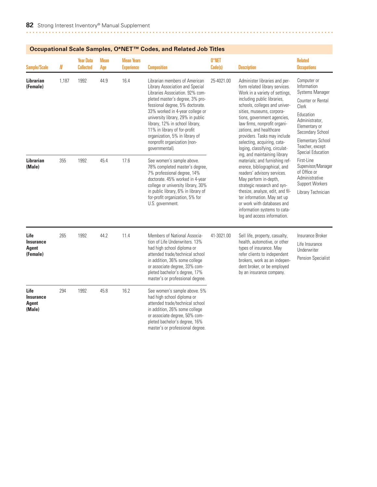|                                                      |       | Ottupational Otale Odinpies, O TVL   |                    |                                        | oodes, and neigted oob intes                                                                                                                                                                                                                                                                                                                                                                             |                  |                                                                                                                                                                                                                                                                                                                                                                                                                           |                                                                                                                                                                                                                            |  |
|------------------------------------------------------|-------|--------------------------------------|--------------------|----------------------------------------|----------------------------------------------------------------------------------------------------------------------------------------------------------------------------------------------------------------------------------------------------------------------------------------------------------------------------------------------------------------------------------------------------------|------------------|---------------------------------------------------------------------------------------------------------------------------------------------------------------------------------------------------------------------------------------------------------------------------------------------------------------------------------------------------------------------------------------------------------------------------|----------------------------------------------------------------------------------------------------------------------------------------------------------------------------------------------------------------------------|--|
| <b>Sample/Scale</b>                                  | N     | <b>Year Data</b><br><b>Collected</b> | <b>Mean</b><br>Age | <b>Mean Years</b><br><b>Experience</b> | <b>Composition</b>                                                                                                                                                                                                                                                                                                                                                                                       | 0*NET<br>Code(s) | <b>Description</b>                                                                                                                                                                                                                                                                                                                                                                                                        | <b>Related</b><br><b>Occupations</b>                                                                                                                                                                                       |  |
| Librarian<br>(Female)                                | 1,187 | 1992                                 | 44.9               | 16.4                                   | Librarian members of American<br>Library Association and Special<br>Libraries Association. 92% com-<br>pleted master's degree, 3% pro-<br>fessional degree, 5% doctorate.<br>33% worked in 4-year college or<br>university library, 29% in public<br>library, 12% in school library,<br>11% in library of for-profit<br>organization, 5% in library of<br>nonprofit organization (non-<br>governmental). | 25-4021.00       | Administer libraries and per-<br>form related library services.<br>Work in a variety of settings,<br>including public libraries,<br>schools, colleges and univer-<br>sities, museums, corpora-<br>tions, government agencies,<br>law firms, nonprofit organi-<br>zations, and healthcare<br>providers. Tasks may include<br>selecting, acquiring, cata-<br>loging, classifying, circulat-<br>ing, and maintaining library | Computer or<br>Information<br><b>Systems Manager</b><br>Counter or Rental<br>Clerk<br>Education<br>Administrator,<br>Elementary or<br>Secondary School<br><b>Elementary School</b><br>Teacher, except<br>Special Education |  |
| <b>Librarian</b><br>(Male)                           | 355   | 1992                                 | 45.4               | 17.6                                   | See women's sample above.<br>78% completed master's degree,<br>7% professional degree, 14%<br>doctorate. 45% worked in 4-year<br>college or university library, 30%<br>in public library, 6% in library of<br>for-profit organization, 5% for<br>U.S. government.                                                                                                                                        |                  | materials; and furnishing ref-<br>erence, bibliographical, and<br>readers' advisory services.<br>May perform in-depth,<br>strategic research and syn-<br>thesize, analyze, edit, and fil-<br>ter information. May set up<br>or work with databases and<br>information systems to cata-<br>log and access information.                                                                                                     | First-Line<br>Supervisor/Manager<br>of Office or<br>Administrative<br>Support Workers<br>Library Technician                                                                                                                |  |
| Life<br><b>Insurance</b><br><b>Agent</b><br>(Female) | 265   | 1992                                 | 44.2               | 11.4                                   | Members of National Associa-<br>tion of Life Underwriters. 13%<br>had high school diploma or<br>attended trade/technical school<br>in addition, 36% some college<br>or associate degree, 33% com-<br>pleted bachelor's degree, 17%<br>master's or professional degree.                                                                                                                                   | 41-3021.00       | Sell life, property, casualty,<br>health, automotive, or other<br>types of insurance. May<br>refer clients to independent<br>brokers, work as an indepen-<br>dent broker, or be employed<br>by an insurance company.                                                                                                                                                                                                      | Insurance Broker<br>Life Insurance<br>Underwriter<br>Pension Specialist                                                                                                                                                    |  |
| Life<br><b>Insurance</b><br>Agent<br>(Male)          | 294   | 1992                                 | 45.8               | 16.2                                   | See women's sample above. 5%<br>had high school diploma or<br>attended trade/technical school<br>in addition, 26% some college<br>or associate degree, 50% com-<br>pleted bachelor's degree, 16%<br>master's or professional degree.                                                                                                                                                                     |                  |                                                                                                                                                                                                                                                                                                                                                                                                                           |                                                                                                                                                                                                                            |  |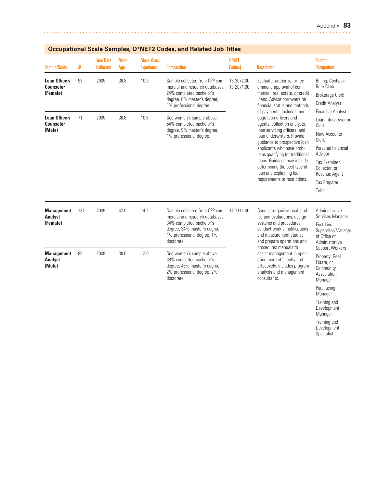Manager Training and Development Manager Training and Development Specialist

| <b>Sample/Scale</b>                             | N   | <b>Year Data</b><br><b>Collected</b> | <b>Mean</b><br>Age | <b>Mean Years</b><br><b>Experience</b> | <b>Composition</b>                                                                                                                                                        | 0*NET<br>Code(s)         | <b>Description</b>                                                                                                                                                                                                                                                                                                                                                                                                                                                                                                                          | <b>Related</b><br><b>Occupations</b>                                                                                                                                                                   |
|-------------------------------------------------|-----|--------------------------------------|--------------------|----------------------------------------|---------------------------------------------------------------------------------------------------------------------------------------------------------------------------|--------------------------|---------------------------------------------------------------------------------------------------------------------------------------------------------------------------------------------------------------------------------------------------------------------------------------------------------------------------------------------------------------------------------------------------------------------------------------------------------------------------------------------------------------------------------------------|--------------------------------------------------------------------------------------------------------------------------------------------------------------------------------------------------------|
| Loan Officer/<br><b>Counselor</b><br>(Female)   | 93  | 2009                                 | 36.8               | 10.9                                   | Sample collected from CPP com-<br>mercial and research databases.<br>24% completed bachelor's<br>degree, 8% master's degree,<br>1% professional degree.                   | 13-2072.00<br>13-2071.00 | Evaluate, authorize, or rec-<br>ommend approval of com-<br>mercial, real estate, or credit<br>loans. Advise borrowers on<br>financial status and methods<br>of payments. Includes mort-<br>gage loan officers and<br>agents, collection analysts,<br>loan servicing officers, and<br>loan underwriters. Provide<br>quidance to prospective loan<br>applicants who have prob-<br>lems qualifying for traditional<br>loans. Guidance may include<br>determining the best type of<br>loan and explaining loan<br>requirements or restrictions. | Billing, Costs, or<br><b>Rate Clerk</b><br><b>Brokerage Clerk</b><br><b>Credit Analyst</b>                                                                                                             |
| Loan Officer/<br><b>Counselor</b><br>(Male)     | 71  | 2009                                 | 36.8               | 10.6                                   | See women's sample above.<br>54% completed bachelor's<br>degree, 9% master's degree,<br>1% professional degree.                                                           |                          |                                                                                                                                                                                                                                                                                                                                                                                                                                                                                                                                             | <b>Financial Analyst</b><br>Loan Interviewer or<br>Clerk<br>New Accounts<br>Clerk<br>Personal Financial<br>Advisor<br>Tax Examiner.<br>Collector, or<br>Revenue Agent<br><b>Tax Preparer</b><br>Teller |
| <b>Management</b><br><b>Analyst</b><br>(Female) | 131 | 2009                                 | 42.0               | 14.2                                   | Sample collected from CPP com-<br>mercial and research databases.<br>34% completed bachelor's<br>degree, 34% master's degree,<br>1% professional degree, 1%<br>doctorate. | 13-1111.00               | Conduct organizational stud-<br>ies and evaluations, design<br>systems and procedures,<br>conduct work simplifications<br>and measurement studies.<br>and prepare operations and                                                                                                                                                                                                                                                                                                                                                            | Administrative<br>Services Manager<br>First-Line<br>Supervisor/Manager<br>of Office or<br>Administrative                                                                                               |
| <b>Management</b><br><b>Analyst</b><br>(Male)   | 89  | 2009                                 | 38.6               | 12.0                                   | See women's sample above.<br>38% completed bachelor's<br>degree, 46% master's degree,<br>2% professional degree, 2%<br>doctorate.                                         |                          | procedures manuals to<br>assist management in oper-<br>ating more efficiently and<br>effectively. Includes program<br>analysts and management<br>consultants.                                                                                                                                                                                                                                                                                                                                                                               | Support Workers<br>Property, Real<br>Estate, or<br>Community<br>Association<br>Manager<br>Purchasing                                                                                                   |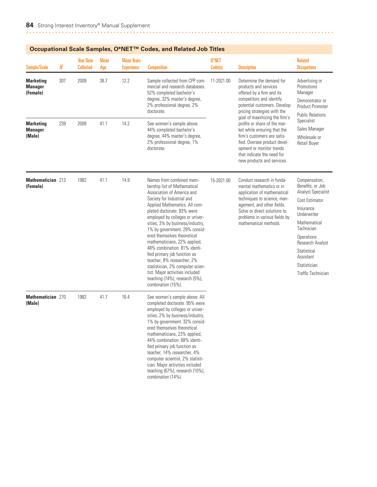|                                                |     |                                      |                    |                                        | Occupational Scale Samples, O°ive I "" Codes, and Related Job Titles                                                                                                                                                                                                                                                                                                                                                                                                                                                                                                                    |                  |                                                                                                                                                                                                                                                                                                                                                                                                                                  |                                                                                                                                                                                                                                                       |
|------------------------------------------------|-----|--------------------------------------|--------------------|----------------------------------------|-----------------------------------------------------------------------------------------------------------------------------------------------------------------------------------------------------------------------------------------------------------------------------------------------------------------------------------------------------------------------------------------------------------------------------------------------------------------------------------------------------------------------------------------------------------------------------------------|------------------|----------------------------------------------------------------------------------------------------------------------------------------------------------------------------------------------------------------------------------------------------------------------------------------------------------------------------------------------------------------------------------------------------------------------------------|-------------------------------------------------------------------------------------------------------------------------------------------------------------------------------------------------------------------------------------------------------|
| Sample/Scale                                   | N   | <b>Year Data</b><br><b>Collected</b> | <b>Mean</b><br>Age | <b>Mean Years</b><br><b>Experience</b> | <b>Composition</b>                                                                                                                                                                                                                                                                                                                                                                                                                                                                                                                                                                      | 0*NET<br>Code(s) | <b>Description</b>                                                                                                                                                                                                                                                                                                                                                                                                               | <b>Related</b><br><b>Occupations</b>                                                                                                                                                                                                                  |
| <b>Marketing</b><br><b>Manager</b><br>(Female) | 307 | 2009                                 | 38.7               | 12.2                                   | Sample collected from CPP com-<br>mercial and research databases.<br>52% completed bachelor's<br>degree, 32% master's degree,<br>2% professional degree, 2%<br>doctorate.                                                                                                                                                                                                                                                                                                                                                                                                               | 11-2021.00       | Determine the demand for<br>products and services<br>offered by a firm and its<br>competitors and identify<br>potential customers. Develop<br>pricing strategies with the<br>goal of maximizing the firm's<br>profits or share of the mar-<br>ket while ensuring that the<br>firm's customers are satis-<br>fied. Oversee product devel-<br>opment or monitor trends<br>that indicate the need for<br>new products and services. | Advertising or<br>Promotions<br>Manager<br>Demonstrator or<br><b>Product Promoter</b><br><b>Public Relations</b>                                                                                                                                      |
| <b>Marketing</b><br><b>Manager</b><br>(Male)   | 239 | 2009                                 | 41.1               | 14.2                                   | See women's sample above.<br>44% completed bachelor's<br>degree, 44% master's degree,<br>2% professional degree, 1%<br>doctorate.                                                                                                                                                                                                                                                                                                                                                                                                                                                       |                  |                                                                                                                                                                                                                                                                                                                                                                                                                                  | Specialist<br>Sales Manager<br>Wholesale or<br><b>Retail Buyer</b>                                                                                                                                                                                    |
| Mathematician 213<br>(Female)                  |     | 1982                                 | 41.1               | 14.9                                   | Names from combined mem-<br>bership list of Mathematical<br>Association of America and<br>Society for Industrial and<br>Applied Mathematics. All com-<br>pleted doctorate. 93% were<br>employed by colleges or univer-<br>sities, 3% by business/industry,<br>1% by government. 29% consid-<br>ered themselves theoretical<br>mathematicians, 22% applied,<br>48% combination, 81% identi-<br>fied primary job function as<br>teacher, 8% researcher, 2%<br>statistician, 2% computer scien-<br>tist. Major activities included<br>teaching (74%), research (5%),<br>combination (15%). | 15-2021.00       | Conduct research in funda-<br>mental mathematics or in<br>application of mathematical<br>techniques to science, man-<br>agement, and other fields.<br>Solve or direct solutions to<br>problems in various fields by<br>mathematical methods.                                                                                                                                                                                     | Compensation,<br>Benefits, or Job<br><b>Analyst Specialist</b><br>Cost Estimator<br>Insurance<br>Underwriter<br>Mathematical<br>Technician<br>Operations<br>Research Analyst<br>Statistical<br>Assistant<br>Statistician<br><b>Traffic Technician</b> |
| <b>Mathematician 270</b><br>(Male)             |     | 1982                                 | 41.7               | 16.4                                   | See women's sample above. All<br>completed doctorate. 95% were<br>employed by colleges or univer-<br>sities, 2% by business/industry,<br>1% by government. 32% consid-<br>ered themselves theoretical<br>mathematicians, 23% applied,<br>44% combination. 68% identi-<br>fied primary job function as<br>teacher, 14% researcher, 4%<br>computer scientist, 2% statisti-<br>cian. Major activities included<br>teaching (67%), research (10%),<br>combination (14%).                                                                                                                    |                  |                                                                                                                                                                                                                                                                                                                                                                                                                                  |                                                                                                                                                                                                                                                       |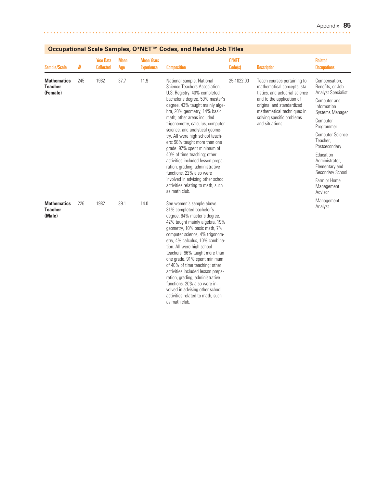| Sample/Scale                                     | $I\!\!N$ | <b>Year Data</b><br><b>Collected</b> | <b>Mean</b><br>Age | <b>Mean Years</b><br><b>Experience</b> | <b>Composition</b>                                                                                                                                                                                                                                                                                                                                                                                                                                                                                                                                                                                                    | 0*NET<br>Code(s) | <b>Description</b>                                                                                                                                                                                                                   | <b>Related</b><br><b>Occupations</b>                                                                                                                                                                                                                                                                         |
|--------------------------------------------------|----------|--------------------------------------|--------------------|----------------------------------------|-----------------------------------------------------------------------------------------------------------------------------------------------------------------------------------------------------------------------------------------------------------------------------------------------------------------------------------------------------------------------------------------------------------------------------------------------------------------------------------------------------------------------------------------------------------------------------------------------------------------------|------------------|--------------------------------------------------------------------------------------------------------------------------------------------------------------------------------------------------------------------------------------|--------------------------------------------------------------------------------------------------------------------------------------------------------------------------------------------------------------------------------------------------------------------------------------------------------------|
| <b>Mathematics</b><br><b>Teacher</b><br>(Female) | 245      | 1982                                 | 37.7               | 11.9                                   | National sample, National<br>Science Teachers Association,<br>U.S. Registry. 40% completed<br>bachelor's degree, 59% master's<br>degree. 43% taught mainly alge-<br>bra, 20% geometry, 14% basic<br>math: other areas included<br>trigonometry, calculus, computer<br>science, and analytical geome-<br>try. All were high school teach-<br>ers; 98% taught more than one<br>grade. 92% spent minimum of<br>40% of time teaching; other<br>activities included lesson prepa-<br>ration, grading, administrative<br>functions. 22% also were<br>involved in advising other school<br>activities relating to math, such | 25-1022.00       | Teach courses pertaining to<br>mathematical concepts, sta-<br>tistics, and actuarial science<br>and to the application of<br>original and standardized<br>mathematical techniques in<br>solving specific problems<br>and situations. | Compensation,<br>Benefits, or Job<br><b>Analyst Specialist</b><br>Computer and<br>Information<br><b>Systems Manager</b><br>Computer<br>Programmer<br><b>Computer Science</b><br>Teacher,<br>Postsecondary<br>Education<br>Administrator.<br>Elementary and<br>Secondary School<br>Farm or Home<br>Management |
| <b>Mathematics</b><br><b>Teacher</b><br>(Male)   | 226      | 1982                                 | 39.1               | 14.0                                   | as math club.<br>See women's sample above.<br>31% completed bachelor's<br>degree, 64% master's degree.<br>42% taught mainly algebra, 19%<br>geometry, 10% basic math, 7%<br>computer science, 4% trigonom-<br>etry, 4% calculus, 10% combina-<br>tion. All were high school<br>teachers; 96% taught more than<br>one grade. 91% spent minimum<br>of 40% of time teaching; other<br>activities included lesson prepa-<br>ration, grading, administrative<br>functions. 20% also were in-<br>volved in advising other school<br>activities related to math, such<br>as math club.                                       |                  |                                                                                                                                                                                                                                      | Advisor<br>Management<br>Analyst                                                                                                                                                                                                                                                                             |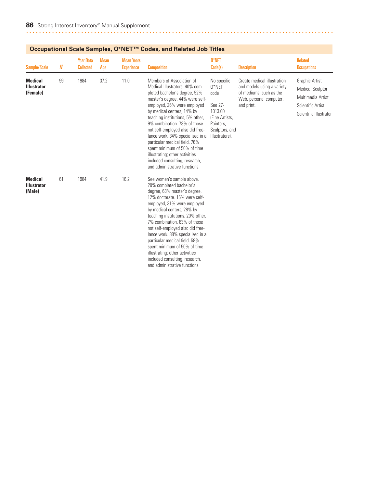| Sample/Scale                                     | N  | <b>Year Data</b><br><b>Collected</b> | <b>Mean</b><br>Age | <b>Mean Years</b><br><b>Experience</b> | <b>Composition</b>                                                                                                                                                                                                                                                                                                                                                                                                                                                                                             | 0*NET<br>Code(s)                                                                                                         | <b>Description</b>                                                                                                            | <b>Related</b><br><b>Occupations</b>                                                                          |
|--------------------------------------------------|----|--------------------------------------|--------------------|----------------------------------------|----------------------------------------------------------------------------------------------------------------------------------------------------------------------------------------------------------------------------------------------------------------------------------------------------------------------------------------------------------------------------------------------------------------------------------------------------------------------------------------------------------------|--------------------------------------------------------------------------------------------------------------------------|-------------------------------------------------------------------------------------------------------------------------------|---------------------------------------------------------------------------------------------------------------|
| <b>Medical</b><br><b>Illustrator</b><br>(Female) | 99 | 1984                                 | 37.2               | 11.0                                   | Members of Association of<br>Medical Illustrators, 40% com-<br>pleted bachelor's degree, 52%<br>master's degree. 44% were self-<br>employed, 26% were employed<br>by medical centers, 14% by<br>teaching institutions, 5% other,<br>9% combination. 78% of those<br>not self-employed also did free-<br>lance work. 34% specialized in a<br>particular medical field. 76%<br>spent minimum of 50% of time<br>illustrating; other activities<br>included consulting, research,<br>and administrative functions. | No specific<br>$0*$ NET<br>code<br>See 27-<br>1013.00<br>(Fine Artists,<br>Painters,<br>Sculptors, and<br>Illustrators). | Create medical illustration<br>and models using a variety<br>of mediums, such as the<br>Web, personal computer,<br>and print. | Graphic Artist<br><b>Medical Sculptor</b><br>Multimedia Artist<br>Scientific Artist<br>Scientific Illustrator |
| <b>Medical</b><br><b>Illustrator</b><br>(Male)   | 61 | 1984                                 | 41.9               | 16.2                                   | See women's sample above.<br>20% completed bachelor's<br>degree, 63% master's degree,<br>12% doctorate. 15% were self-<br>employed, 31% were employed<br>by medical centers, 28% by<br>teaching institutions, 20% other,<br>7% combination, 83% of those<br>not self-employed also did free-<br>lance work. 38% specialized in a<br>particular medical field. 58%<br>spent minimum of 50% of time<br>illustrating; other activities<br>included consulting, research,<br>and administrative functions.         |                                                                                                                          |                                                                                                                               |                                                                                                               |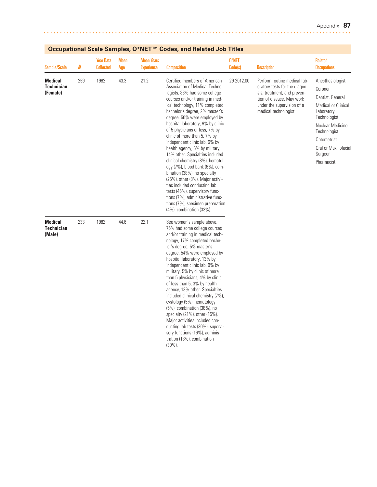| <b>Sample/Scale</b>                             | N   | <b>Year Data</b><br><b>Collected</b> | <b>Mean</b><br>Age | <b>Mean Years</b><br><b>Experience</b> | <b>Composition</b>                                                                                                                                                                                                                                                                                                                                                                                                                                                                                                                                                                                                                                                                                                                                                     | $0*$ NET<br>Code(s) | <b>Description</b>                                                                                                                                                               | <b>Related</b><br><b>Occupations</b>                                                                                                                                                                      |
|-------------------------------------------------|-----|--------------------------------------|--------------------|----------------------------------------|------------------------------------------------------------------------------------------------------------------------------------------------------------------------------------------------------------------------------------------------------------------------------------------------------------------------------------------------------------------------------------------------------------------------------------------------------------------------------------------------------------------------------------------------------------------------------------------------------------------------------------------------------------------------------------------------------------------------------------------------------------------------|---------------------|----------------------------------------------------------------------------------------------------------------------------------------------------------------------------------|-----------------------------------------------------------------------------------------------------------------------------------------------------------------------------------------------------------|
| <b>Medical</b><br><b>Technician</b><br>(Female) | 259 | 1982                                 | 43.3               | 21.2                                   | Certified members of American<br>Association of Medical Techno-<br>logists. 83% had some college<br>courses and/or training in med-<br>ical technology, 11% completed<br>bachelor's degree, 2% master's<br>degree. 50% were employed by<br>hospital laboratory, 9% by clinic<br>of 5 physicians or less, 7% by<br>clinic of more than 5, 7% by<br>independent clinic lab, 6% by<br>health agency, 6% by military,<br>14% other. Specialties included<br>clinical chemistry (8%), hematol-<br>ogy (7%), blood bank (6%), com-<br>bination (38%), no specialty<br>(25%), other (8%). Major activi-<br>ties included conducting lab<br>tests (46%), supervisory func-<br>tions (7%), administrative func-<br>tions (7%), specimen preparation<br>(4%), combination (33%). | 29-2012.00          | Perform routine medical lab-<br>oratory tests for the diagno-<br>sis, treatment, and preven-<br>tion of disease. May work<br>under the supervision of a<br>medical technologist. | Anesthesiologist<br>Coroner<br>Dentist, General<br>Medical or Clinical<br>Laboratory<br>Technologist<br>Nuclear Medicine<br>Technologist<br>Optometrist<br>Oral or Maxillofacial<br>Surgeon<br>Pharmacist |
| <b>Medical</b><br><b>Technician</b><br>(Male)   | 233 | 1982                                 | 44.6               | 22.1                                   | See women's sample above.<br>75% had some college courses<br>and/or training in medical tech-<br>nology, 17% completed bache-<br>lor's degree, 5% master's<br>degree. 54% were employed by<br>hospital laboratory, 13% by<br>independent clinic lab, 9% by<br>military, 5% by clinic of more<br>than 5 physicians, 4% by clinic<br>of less than 5, 3% by health<br>agency, 13% other. Specialties<br>included clinical chemistry (7%),<br>cystology (5%), hematology<br>(5%), combination (38%), no<br>specialty (21%), other (15%).<br>Major activities included con-<br>ducting lab tests (30%), supervi-<br>sory functions (16%), adminis-<br>tration (18%), combination<br>$(30\%)$ .                                                                              |                     |                                                                                                                                                                                  |                                                                                                                                                                                                           |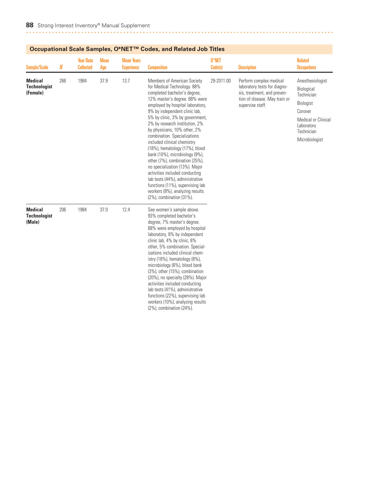| Sample/Scale                                      | N   | <b>Year Data</b><br><b>Collected</b> | Mean<br>Age | <b>Mean Years</b><br><b>Experience</b> | <b>Composition</b>                                                                                                                                                                                                                                                                                                                                                                                                                                                                                                                                                                                                                                                                   | 0*NET<br>Code(s) | <b>Description</b>                                                                                                                          | <b>Related</b><br><b>Occupations</b>                                                                                                             |
|---------------------------------------------------|-----|--------------------------------------|-------------|----------------------------------------|--------------------------------------------------------------------------------------------------------------------------------------------------------------------------------------------------------------------------------------------------------------------------------------------------------------------------------------------------------------------------------------------------------------------------------------------------------------------------------------------------------------------------------------------------------------------------------------------------------------------------------------------------------------------------------------|------------------|---------------------------------------------------------------------------------------------------------------------------------------------|--------------------------------------------------------------------------------------------------------------------------------------------------|
| <b>Medical</b><br><b>Technologist</b><br>(Female) | 266 | 1984                                 | 37.9        | 13.7                                   | Members of American Society<br>for Medical Technology. 88%<br>completed bachelor's degree,<br>12% master's degree. 68% were<br>employed by hospital laboratory,<br>9% by independent clinic lab,<br>5% by clinic, 3% by government,<br>2% by research institution, 2%<br>by physicians, 10% other, 2%<br>combination. Specializations<br>included clinical chemistry<br>(18%), hematology (17%), blood<br>bank (10%), microbiology (9%),<br>other (7%), combination (25%),<br>no specialization (13%). Major<br>activities included conducting<br>lab tests (44%), administrative<br>functions (11%), supervising lab<br>workers (8%), analyzing results<br>(2%), combination (31%). | 29-2011.00       | Perform complex medical<br>laboratory tests for diagno-<br>sis, treatment, and preven-<br>tion of disease. May train or<br>supervise staff. | Anesthesiologist<br>Biological<br>Technician<br>Biologist<br>Coroner<br><b>Medical or Clinical</b><br>Laboratory<br>Technician<br>Microbiologist |
| <b>Medical</b><br><b>Technologist</b><br>(Male)   | 206 | 1984                                 | 37.0        | 12.4                                   | See women's sample above.<br>93% completed bachelor's<br>degree, 7% master's degree.<br>68% were employed by hospital<br>laboratory, 8% by independent<br>clinic lab, 4% by clinic, 8%<br>other, 5% combination. Special-<br>izations included clinical chem-<br>istry (18%), hematology (8%),<br>microbiology (6%), blood bank<br>(3%), other (15%), combination<br>(20%), no specialty (28%). Major<br>activities included conducting<br>lab tests (41%), administrative<br>functions (22%), supervising lab<br>workers (10%), analyzing results<br>(2%), combination (24%).                                                                                                       |                  |                                                                                                                                             |                                                                                                                                                  |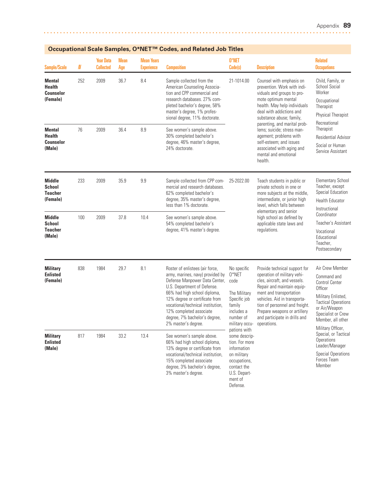| <b>Sample/Scale</b>                                            | N   | <b>Year Data</b><br><b>Collected</b> | <b>Mean</b><br>Age | <b>Mean Years</b><br><b>Experience</b>                                                                                                                                                                              | <b>Composition</b>                                                                                                                                                                                                                                                                                                            | 0*NET<br>Code(s)                                                                                                    | <b>Description</b>                                                                                                                                                                                                                                                                                                                                                                                                                                                                                                                                                   | <b>Related</b><br><b>Occupations</b>                                                                                                                                                                    |
|----------------------------------------------------------------|-----|--------------------------------------|--------------------|---------------------------------------------------------------------------------------------------------------------------------------------------------------------------------------------------------------------|-------------------------------------------------------------------------------------------------------------------------------------------------------------------------------------------------------------------------------------------------------------------------------------------------------------------------------|---------------------------------------------------------------------------------------------------------------------|----------------------------------------------------------------------------------------------------------------------------------------------------------------------------------------------------------------------------------------------------------------------------------------------------------------------------------------------------------------------------------------------------------------------------------------------------------------------------------------------------------------------------------------------------------------------|---------------------------------------------------------------------------------------------------------------------------------------------------------------------------------------------------------|
| <b>Mental</b><br><b>Health</b><br><b>Counselor</b><br>(Female) | 252 | 2009                                 | 36.7               | 8.4                                                                                                                                                                                                                 | Sample collected from the<br>American Counseling Associa-<br>tion and CPP commercial and<br>research databases. 27% com-<br>pleted bachelor's degree, 58%<br>master's degree, 1% profes-<br>sional degree, 11% doctorate.                                                                                                     | 21-1014.00                                                                                                          | Counsel with emphasis on<br>prevention. Work with indi-<br>viduals and groups to pro-<br>mote optimum mental<br>health. May help individuals<br>deal with addictions and<br>substance abuse; family,                                                                                                                                                                                                                                                                                                                                                                 | Child, Family, or<br>School Social<br>Worker<br>Occupational<br>Therapist<br><b>Physical Therapist</b><br>Recreational                                                                                  |
| <b>Mental</b><br><b>Health</b><br><b>Counselor</b><br>(Male)   | 76  | 2009                                 | 36.4               | 8.9                                                                                                                                                                                                                 | See women's sample above.<br>30% completed bachelor's<br>degree, 46% master's degree,<br>24% doctorate.                                                                                                                                                                                                                       |                                                                                                                     | parenting, and marital prob-<br>lems: suicide: stress man-<br>agement; problems with<br>self-esteem; and issues<br>associated with aging and<br>mental and emotional<br>health.                                                                                                                                                                                                                                                                                                                                                                                      | Therapist<br><b>Residential Advisor</b><br>Social or Human<br>Service Assistant                                                                                                                         |
| Middle<br>School<br><b>Teacher</b><br>(Female)                 | 233 | 2009                                 | 35.9               | 9.9                                                                                                                                                                                                                 | Sample collected from CPP com-<br>mercial and research databases.<br>62% completed bachelor's<br>degree, 35% master's degree,<br>less than 1% doctorate.                                                                                                                                                                      | 25-2022.00                                                                                                          | Teach students in public or<br>private schools in one or<br>more subjects at the middle,<br>intermediate, or junior high<br>level, which falls between<br>elementary and senior<br>high school as defined by<br>applicable state laws and<br>regulations.<br>Provide technical support for<br>operation of military vehi-<br>cles, aircraft, and vessels.<br>Repair and maintain equip-<br>ment and transportation<br>vehicles. Aid in transporta-<br>tion of personnel and freight.<br>Prepare weapons or artillery<br>and participate in drills and<br>operations. | <b>Elementary School</b><br>Teacher, except<br>Special Education<br><b>Health Educator</b><br>Instructional                                                                                             |
| <b>Middle</b><br>School<br><b>Teacher</b><br>(Male)            | 100 | 2009                                 | 37.8               | 10.4                                                                                                                                                                                                                | See women's sample above.<br>54% completed bachelor's<br>degree, 41% master's degree.                                                                                                                                                                                                                                         |                                                                                                                     |                                                                                                                                                                                                                                                                                                                                                                                                                                                                                                                                                                      | Coordinator<br>Teacher's Assistant<br>Vocational<br>Educational<br>Teacher,<br>Postsecondary                                                                                                            |
| <b>Military</b><br><b>Enlisted</b><br>(Female)                 | 838 | 1984                                 | 29.7               | 8.1                                                                                                                                                                                                                 | Roster of enlistees (air force,<br>army, marines, navy) provided by<br>Defense Manpower Data Center,<br>U.S. Department of Defense.<br>66% had high school diploma,<br>12% degree or certificate from<br>vocational/technical institution,<br>12% completed associate<br>degree, 7% bachelor's degree,<br>2% master's degree. | No specific<br>0*NET<br>code<br>The Military<br>Specific job<br>family<br>includes a<br>number of<br>military occu- |                                                                                                                                                                                                                                                                                                                                                                                                                                                                                                                                                                      | Air Crew Member<br>Command and<br><b>Control Center</b><br>Officer<br>Military Enlisted,<br><b>Tactical Operations</b><br>or Air/Weapon<br>Specialist or Crew<br>Member, all other<br>Military Officer, |
| <b>Military</b><br><b>Enlisted</b><br>(Male)                   | 817 | 1984                                 | 33.2<br>13.4       | See women's sample above.<br>66% had high school diploma,<br>13% degree or certificate from<br>vocational/technical institution,<br>15% completed associate<br>degree, 3% bachelor's degree,<br>3% master's degree. | pations with<br>some descrip-<br>tion. For more<br>information<br>on military<br>occupations,<br>contact the<br>U.S. Depart-<br>ment of<br>Defense.                                                                                                                                                                           |                                                                                                                     | Special, or Tactical<br>Operations<br>Leader/Manager<br><b>Special Operations</b><br>Forces Team<br>Member                                                                                                                                                                                                                                                                                                                                                                                                                                                           |                                                                                                                                                                                                         |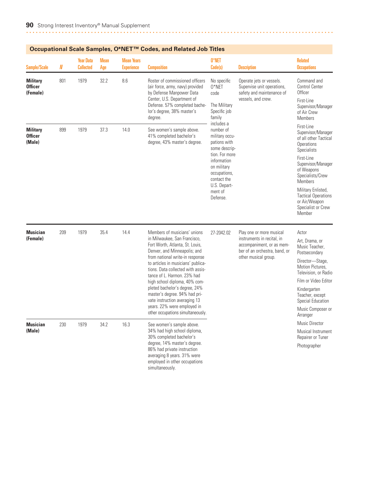| <b>Sample/Scale</b>                           | N   | <b>Year Data</b><br><b>Collected</b> | Mean<br>Age | <b>Mean Years</b><br><b>Experience</b> | <b>Composition</b>                                                                                                                                                                                                                                                                                                                                                                                                                                                                   | 0*NET<br>Code(s)                                                                                                                                                                                 | <b>Description</b>                                                                                                                           | <b>Related</b><br><b>Occupations</b>                                                                                                                                                                                                                                                |
|-----------------------------------------------|-----|--------------------------------------|-------------|----------------------------------------|--------------------------------------------------------------------------------------------------------------------------------------------------------------------------------------------------------------------------------------------------------------------------------------------------------------------------------------------------------------------------------------------------------------------------------------------------------------------------------------|--------------------------------------------------------------------------------------------------------------------------------------------------------------------------------------------------|----------------------------------------------------------------------------------------------------------------------------------------------|-------------------------------------------------------------------------------------------------------------------------------------------------------------------------------------------------------------------------------------------------------------------------------------|
| <b>Military</b><br><b>Officer</b><br>(Female) | 801 | 1979                                 | 32.2        | 8.6                                    | Roster of commissioned officers<br>(air force, army, navy) provided<br>by Defense Manpower Data<br>Center, U.S. Department of<br>Defense. 57% completed bache-<br>lor's degree, 38% master's<br>degree.                                                                                                                                                                                                                                                                              | No specific<br>$0*$ NET<br>code<br>The Military<br>Specific job<br>family                                                                                                                        | Operate jets or vessels.<br>Supervise unit operations,<br>safety and maintenance of<br>vessels, and crew.                                    | Command and<br><b>Control Center</b><br>Officer<br>First-Line<br>Supervisor/Manager<br>of Air Crew<br><b>Members</b>                                                                                                                                                                |
| <b>Military</b><br><b>Officer</b><br>(Male)   | 899 | 1979                                 | 37.3        | 14.0                                   | See women's sample above.<br>41% completed bachelor's<br>degree, 43% master's degree.                                                                                                                                                                                                                                                                                                                                                                                                | includes a<br>number of<br>military occu-<br>pations with<br>some descrip-<br>tion. For more<br>information<br>on military<br>occupations,<br>contact the<br>U.S. Depart-<br>ment of<br>Defense. |                                                                                                                                              | First-Line<br>Supervisor/Manager<br>of all other Tactical<br>Operations<br>Specialists<br>First-Line<br>Supervisor/Manager<br>of Weapons<br>Specialists/Crew<br><b>Members</b><br>Military Enlisted,<br><b>Tactical Operations</b><br>or Air/Weapon<br>Specialist or Crew<br>Member |
| <b>Musician</b><br>(Female)                   | 209 | 1979                                 | 35.4        | 14.4                                   | Members of musicians' unions<br>in Milwaukee, San Francisco,<br>Fort Worth, Atlanta, St. Louis,<br>Denver, and Minneapolis; and<br>from national write-in response<br>to articles in musicians' publica-<br>tions. Data collected with assis-<br>tance of L. Harmon. 23% had<br>high school diploma, 40% com-<br>pleted bachelor's degree, 24%<br>master's degree. 94% had pri-<br>vate instruction averaging 13<br>years. 22% were employed in<br>other occupations simultaneously. | 27-2042.02                                                                                                                                                                                       | Play one or more musical<br>instruments in recital, in<br>accompaniment, or as mem-<br>ber of an orchestra, band, or<br>other musical group. | Actor<br>Art. Drama, or<br>Music Teacher,<br>Postsecondary<br>Director-Stage,<br>Motion Pictures.<br>Television, or Radio<br>Film or Video Editor<br>Kindergarten<br>Teacher, except<br>Special Education<br>Music Composer or<br>Arranger                                          |
| <b>Musician</b><br>(Male)                     | 230 | 1979                                 | 34.2        | 16.3                                   | See women's sample above.<br>34% had high school diploma,<br>30% completed bachelor's<br>degree, 14% master's degree.<br>86% had private instruction<br>averaging 8 years. 31% were<br>employed in other occupations<br>simultaneously.                                                                                                                                                                                                                                              |                                                                                                                                                                                                  |                                                                                                                                              | <b>Music Director</b><br>Musical Instrument<br>Repairer or Tuner<br>Photographer                                                                                                                                                                                                    |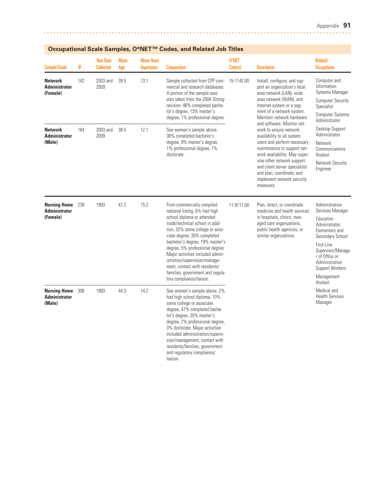| <b>Sample/Scale</b>                                     | $I\!\!N$ | <b>Year Data</b><br><b>Collected</b> | <b>Mean</b><br>Age | <b>Mean Years</b><br><b>Experience</b> | <b>Composition</b>                                                                                                                                                                                                                                                                                                                                                                                                                         | 0*NET<br>Code(s) | <b>Description</b>                                                                                                                                                                                                                                                                                                                                                                                                                                                                                                                     | <b>Related</b><br><b>Occupations</b>                                                                                                                                                                                              |
|---------------------------------------------------------|----------|--------------------------------------|--------------------|----------------------------------------|--------------------------------------------------------------------------------------------------------------------------------------------------------------------------------------------------------------------------------------------------------------------------------------------------------------------------------------------------------------------------------------------------------------------------------------------|------------------|----------------------------------------------------------------------------------------------------------------------------------------------------------------------------------------------------------------------------------------------------------------------------------------------------------------------------------------------------------------------------------------------------------------------------------------------------------------------------------------------------------------------------------------|-----------------------------------------------------------------------------------------------------------------------------------------------------------------------------------------------------------------------------------|
| <b>Network</b><br><b>Administrator</b><br>(Female)      | 142      | 2003 and<br>2009                     | 39.5               | 13.1                                   | Sample collected from CPP com-<br>mercial and research databases.<br>A portion of the sample was<br>also taken from the 2004 Strong<br>revision. 46% completed bache-<br>lor's degree, 13% master's<br>degree, 1% professional degree.                                                                                                                                                                                                     | 15-1142.00       | Install, configure, and sup-<br>port an organization's local<br>area network (LAN), wide<br>area network (WAN), and<br>Internet system or a seg-<br>ment of a network system.<br>Maintain network hardware<br>and software. Monitor net-<br>work to ensure network<br>availability to all system<br>users and perform necessary<br>maintenance to support net-<br>work availability. May super-<br>vise other network support<br>and client server specialists<br>and plan, coordinate, and<br>implement network security<br>measures. | Computer and<br>Information<br><b>Systems Manager</b><br><b>Computer Security</b><br>Specialist<br><b>Computer Systems</b><br>Administrator                                                                                       |
| <b>Network</b><br><b>Administrator</b><br>(Male)        | 184      | 2003 and<br>2009                     | 38.5               | 12.1                                   | See women's sample above.<br>38% completed bachelor's<br>degree, 9% master's degree,<br>1% professional degree, 1%<br>doctorate.                                                                                                                                                                                                                                                                                                           |                  |                                                                                                                                                                                                                                                                                                                                                                                                                                                                                                                                        | Desktop Support<br>Administrator<br>Network<br>Communications<br>Analyst<br>Network Security<br>Engineer                                                                                                                          |
| <b>Nursing Home</b><br><b>Administrator</b><br>(Female) | 238      | 1993                                 | 47.2               | 15.2                                   | From commercially compiled<br>national listing. 6% had high<br>school diploma or attended<br>trade/technical school in addi-<br>tion, 32% some college or asso-<br>ciate degree, 35% completed<br>bachelor's degree, 19% master's<br>degree, 5% professional degree.<br>Major activities included admin-<br>istration/supervision/manage-<br>ment, contact with residents/<br>families, government and regula-<br>tory compliance/liaison. | 11-9111.00       | Plan, direct, or coordinate<br>medicine and health services<br>in hospitals, clinics, man-<br>aged care organizations,<br>public health agencies, or<br>similar organizations.                                                                                                                                                                                                                                                                                                                                                         | Administrative<br>Services Manager<br>Education<br>Administrator.<br>Elementary and<br>Secondary School<br>First-Line<br>Supervisor/Manage<br>r of Office or<br>Administrative<br><b>Support Workers</b><br>Management<br>Analyst |
| <b>Nursing Home</b><br><b>Administrator</b><br>(Male)   | 306      | 1993                                 | 44.3               | 14.2                                   | See women's sample above. 2%<br>had high school diploma, 10%<br>some college or associate<br>degree, 47% completed bache-<br>lor's degree, 35% master's<br>degree, 2% professional degree,<br>3% doctorate. Major activities<br>included administration/supervi-<br>sion/management, contact with<br>residents/families, government<br>and regulatory compliance/<br>liaison.                                                              |                  |                                                                                                                                                                                                                                                                                                                                                                                                                                                                                                                                        | Medical and<br><b>Health Services</b><br>Manager                                                                                                                                                                                  |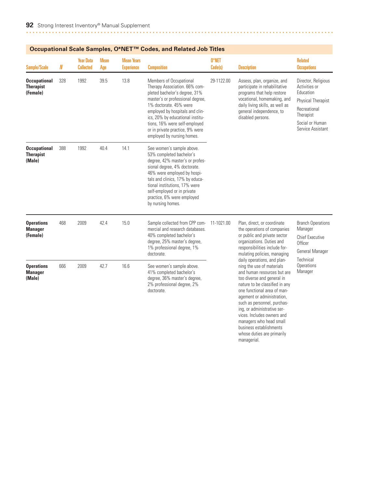| <b>Sample/Scale</b>                                 | N   | <b>Year Data</b><br><b>Collected</b> | <b>Mean</b><br>Age | <b>Mean Years</b><br><b>Experience</b> | <b>Composition</b>                                                                                                                                                                                                                                                                                                               | 0*NET<br>Code(s) | <b>Description</b>                                                                                                                                                                                                                                                                                                                                                                                                                                                                                                                                                | <b>Related</b><br><b>Occupations</b>                                                                                                         |
|-----------------------------------------------------|-----|--------------------------------------|--------------------|----------------------------------------|----------------------------------------------------------------------------------------------------------------------------------------------------------------------------------------------------------------------------------------------------------------------------------------------------------------------------------|------------------|-------------------------------------------------------------------------------------------------------------------------------------------------------------------------------------------------------------------------------------------------------------------------------------------------------------------------------------------------------------------------------------------------------------------------------------------------------------------------------------------------------------------------------------------------------------------|----------------------------------------------------------------------------------------------------------------------------------------------|
| <b>Occupational</b><br><b>Therapist</b><br>(Female) | 328 | 1992                                 | 39.5               | 13.8                                   | Members of Occupational<br>Therapy Association. 66% com-<br>pleted bachelor's degree, 31%<br>master's or professional degree,<br>1% doctorate. 45% were<br>employed by hospitals and clin-<br>ics, 20% by educational institu-<br>tions, 16% were self-employed<br>or in private practice, 9% were<br>employed by nursing homes. | 29-1122.00       | Assess, plan, organize, and<br>participate in rehabilitative<br>programs that help restore<br>vocational, homemaking, and<br>daily living skills, as well as<br>general independence, to<br>disabled persons.                                                                                                                                                                                                                                                                                                                                                     | Director, Religious<br>Activities or<br>Education<br>Physical Therapist<br>Recreational<br>Therapist<br>Social or Human<br>Service Assistant |
| <b>Occupational</b><br><b>Therapist</b><br>(Male)   | 388 | 1992                                 | 40.4               | 14.1                                   | See women's sample above.<br>53% completed bachelor's<br>degree, 42% master's or profes-<br>sional degree, 4% doctorate.<br>46% were employed by hospi-<br>tals and clinics, 17% by educa-<br>tional institutions, 17% were<br>self-employed or in private<br>practice, 6% were employed<br>by nursing homes.                    |                  |                                                                                                                                                                                                                                                                                                                                                                                                                                                                                                                                                                   |                                                                                                                                              |
| <b>Operations</b><br><b>Manager</b><br>(Female)     | 468 | 2009                                 | 42.4               | 15.0                                   | Sample collected from CPP com-<br>mercial and research databases.<br>40% completed bachelor's<br>degree, 25% master's degree,<br>1% professional degree, 1%<br>doctorate.                                                                                                                                                        | 11-1021.00       | Plan, direct, or coordinate<br>the operations of companies<br>or public and private sector<br>organizations. Duties and<br>responsibilities include for-<br>mulating policies, managing<br>daily operations, and plan-<br>ning the use of materials<br>and human resources but are<br>too diverse and general in<br>nature to be classified in any<br>one functional area of man-<br>agement or administration,<br>such as personnel, purchas-<br>ing, or administrative ser-<br>vices. Includes owners and<br>managers who head small<br>business establishments | <b>Branch Operations</b><br>Manager<br><b>Chief Executive</b><br>Officer<br>General Manager                                                  |
| <b>Operations</b><br><b>Manager</b><br>(Male)       | 666 | 2009                                 | 42.7               | 16.6                                   | See women's sample above.<br>41% completed bachelor's<br>degree, 36% master's degree,<br>2% professional degree, 2%<br>doctorate.                                                                                                                                                                                                |                  |                                                                                                                                                                                                                                                                                                                                                                                                                                                                                                                                                                   | Technical<br>Operations<br>Manager                                                                                                           |

whose duties are primarily

managerial.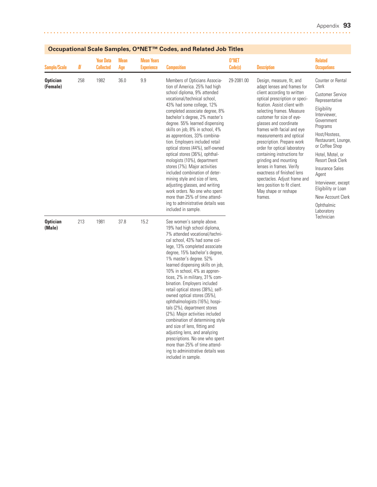| <b>Sample/Scale</b>         | N   | <b>Year Data</b><br><b>Collected</b> | Mean<br>Age | <b>Mean Years</b><br><b>Experience</b> | <b>Composition</b>                                                                                                                                                                                                                                                                                                                                                                                                                                                                                                                                                                                                                                                                                                                                                                 | 0*NET<br>Code(s) | <b>Description</b>                                                                                                                                                                                                                                                                                                                                                                                                                                                                                                                                                                         | <b>Related</b><br><b>Occupations</b>                                                                                                                                                                                                                                                                                                                                  |
|-----------------------------|-----|--------------------------------------|-------------|----------------------------------------|------------------------------------------------------------------------------------------------------------------------------------------------------------------------------------------------------------------------------------------------------------------------------------------------------------------------------------------------------------------------------------------------------------------------------------------------------------------------------------------------------------------------------------------------------------------------------------------------------------------------------------------------------------------------------------------------------------------------------------------------------------------------------------|------------------|--------------------------------------------------------------------------------------------------------------------------------------------------------------------------------------------------------------------------------------------------------------------------------------------------------------------------------------------------------------------------------------------------------------------------------------------------------------------------------------------------------------------------------------------------------------------------------------------|-----------------------------------------------------------------------------------------------------------------------------------------------------------------------------------------------------------------------------------------------------------------------------------------------------------------------------------------------------------------------|
| <b>Optician</b><br>(Female) | 258 | 1982                                 | 36.0        | 9.9                                    | Members of Opticians Associa-<br>tion of America. 25% had high<br>school diploma, 9% attended<br>vocational/technical school,<br>43% had some college, 12%<br>completed associate degree, 8%<br>bachelor's degree, 2% master's<br>degree. 55% learned dispensing<br>skills on job, 8% in school, 4%<br>as apprentices, 33% combina-<br>tion. Employers included retail<br>optical stores (44%), self-owned<br>optical stores (36%), ophthal-<br>mologists (10%), department<br>stores (7%). Major activities<br>included combination of deter-<br>mining style and size of lens,<br>adjusting glasses, and writing<br>work orders. No one who spent<br>more than 25% of time attend-<br>ing to administrative details was<br>included in sample.                                   | 29-2081.00       | Design, measure, fit, and<br>adapt lenses and frames for<br>client according to written<br>optical prescription or speci-<br>fication. Assist client with<br>selecting frames. Measure<br>customer for size of eye-<br>glasses and coordinate<br>frames with facial and eye<br>measurements and optical<br>prescription. Prepare work<br>order for optical laboratory<br>containing instructions for<br>grinding and mounting<br>lenses in frames. Verify<br>exactness of finished lens<br>spectacles. Adjust frame and<br>lens position to fit client.<br>May shape or reshape<br>frames. | Counter or Rental<br>Clerk<br><b>Customer Service</b><br>Representative<br>Eligibility<br>Interviewer.<br>Government<br>Programs<br>Host/Hostess,<br>Restaurant, Lounge,<br>or Coffee Shop<br>Hotel, Motel, or<br><b>Resort Desk Clerk</b><br>Insurance Sales<br>Agent<br>Interviewer, except<br>Eligibility or Loan<br>New Account Clerk<br>Ophthalmic<br>Laboratory |
| <b>Optician</b><br>(Male)   | 213 | 1981                                 | 37.8        | 15.2                                   | See women's sample above.<br>19% had high school diploma,<br>7% attended vocational/techni-<br>cal school, 43% had some col-<br>lege, 13% completed associate<br>degree, 15% bachelor's degree,<br>1% master's degree. 52%<br>learned dispensing skills on job,<br>10% in school, 4% as appren-<br>tices, 2% in military, 31% com-<br>bination. Employers included<br>retail optical stores (38%), self-<br>owned optical stores (35%),<br>ophthalmologists (16%), hospi-<br>tals (2%), department stores<br>(2%). Major activities included<br>combination of determining style<br>and size of lens, fitting and<br>adjusting lens, and analyzing<br>prescriptions. No one who spent<br>more than 25% of time attend-<br>ing to administrative details was<br>included in sample. |                  |                                                                                                                                                                                                                                                                                                                                                                                                                                                                                                                                                                                            | Technician                                                                                                                                                                                                                                                                                                                                                            |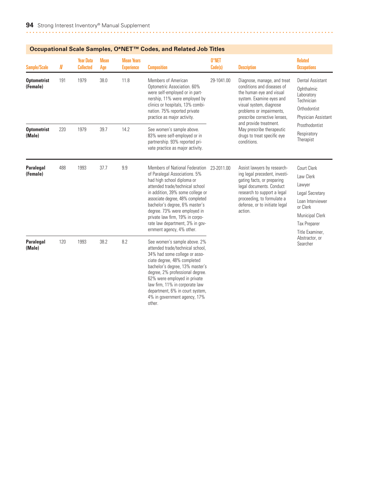| <b>Sample/Scale</b>            | N   | <b>Year Data</b><br><b>Collected</b> | <b>Mean</b><br>Age | <b>Mean Years</b><br><b>Experience</b> | <b>Composition</b>                                                                                                                                                                                                                                                                                                                                                           | 0*NET<br>Code(s)                                                                                                                                                                                                       | <b>Description</b>                                                                                                                                                                                                              | <b>Related</b><br><b>Occupations</b>                                                                                                                             |
|--------------------------------|-----|--------------------------------------|--------------------|----------------------------------------|------------------------------------------------------------------------------------------------------------------------------------------------------------------------------------------------------------------------------------------------------------------------------------------------------------------------------------------------------------------------------|------------------------------------------------------------------------------------------------------------------------------------------------------------------------------------------------------------------------|---------------------------------------------------------------------------------------------------------------------------------------------------------------------------------------------------------------------------------|------------------------------------------------------------------------------------------------------------------------------------------------------------------|
| <b>Optometrist</b><br>(Female) | 191 | 1979                                 | 38.0               | 11.8                                   | Members of American<br>Optometric Association, 60%<br>were self-employed or in part-<br>nership, 11% were employed by<br>clinics or hospitals, 13% combi-<br>nation. 75% reported private<br>practice as major activity.                                                                                                                                                     | 29-1041.00<br>Diagnose, manage, and treat<br>conditions and diseases of<br>the human eve and visual<br>system. Examine eyes and<br>visual system, diagnose<br>problems or impairments,<br>prescribe corrective lenses, | <b>Dental Assistant</b><br>Ophthalmic<br>Laboratory<br>Technician<br>Orthodontist<br>Physician Assistant                                                                                                                        |                                                                                                                                                                  |
| <b>Optometrist</b><br>(Male)   | 220 | 1979                                 | 39.7               | 14.2                                   | See women's sample above.<br>83% were self-employed or in<br>partnership. 93% reported pri-<br>vate practice as major activity.                                                                                                                                                                                                                                              |                                                                                                                                                                                                                        | and provide treatment.<br>May prescribe therapeutic<br>drugs to treat specific eye<br>conditions.                                                                                                                               | Prosthodontist<br>Respiratory<br>Therapist                                                                                                                       |
| <b>Paralegal</b><br>(Female)   | 488 | 1993                                 | 37.7               | 9.9                                    | Members of National Federation<br>of Paralegal Associations. 5%<br>had high school diploma or<br>attended trade/technical school<br>in addition, 39% some college or<br>associate degree, 48% completed<br>bachelor's degree, 6% master's<br>degree. 73% were employed in<br>private law firm, 19% in corpo-<br>rate law department, 3% in gov-<br>ernment agency, 4% other. | 23-2011.00                                                                                                                                                                                                             | Assist lawyers by research-<br>ing legal precedent, investi-<br>gating facts, or preparing<br>legal documents. Conduct<br>research to support a legal<br>proceeding, to formulate a<br>defense, or to initiate legal<br>action. | <b>Court Clerk</b><br>Law Clerk<br>Lawyer<br>Legal Secretary<br>Loan Interviewer<br>or Clerk<br><b>Municipal Clerk</b><br><b>Tax Preparer</b><br>Title Examiner, |
| Paralegal<br>(Male)            | 120 | 1993                                 | 38.2               | 8.2                                    | See women's sample above. 2%<br>attended trade/technical school.<br>34% had some college or asso-<br>ciate degree, 48% completed<br>bachelor's degree, 13% master's<br>degree, 2% professional degree.<br>62% were employed in private<br>law firm, 11% in corporate law<br>department, 6% in court system,<br>4% in government agency, 17%<br>other.                        |                                                                                                                                                                                                                        |                                                                                                                                                                                                                                 | Abstractor, or<br>Searcher                                                                                                                                       |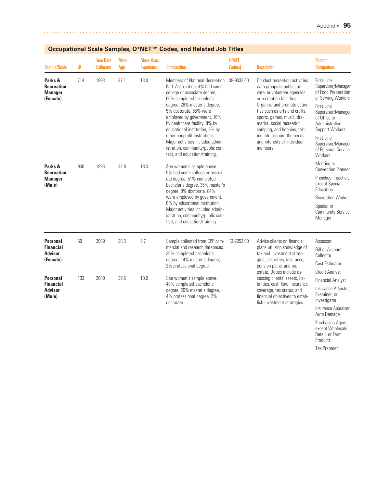Auto Damage Purchasing Agent, except Wholesale, Retail, or Farm Products Tax Preparer

| Sample/Scale                                                      | N   | <b>Year Data</b><br><b>Collected</b> | <b>Mean</b><br>Age | <b>Mean Years</b><br><b>Experience</b> | <b>Composition</b>                                                                                                                                                                                                                                                                                                                                                                                                                | 0*NET<br>Code(s) | <b>Description</b>                                                                                                                                                                                                                                                                                                                                           | <b>Related</b><br><b>Occupations</b>                                                                                                                                                                                                         |
|-------------------------------------------------------------------|-----|--------------------------------------|--------------------|----------------------------------------|-----------------------------------------------------------------------------------------------------------------------------------------------------------------------------------------------------------------------------------------------------------------------------------------------------------------------------------------------------------------------------------------------------------------------------------|------------------|--------------------------------------------------------------------------------------------------------------------------------------------------------------------------------------------------------------------------------------------------------------------------------------------------------------------------------------------------------------|----------------------------------------------------------------------------------------------------------------------------------------------------------------------------------------------------------------------------------------------|
| Parks &<br><b>Recreation</b><br><b>Manager</b><br>(Female)        | 714 | 1993                                 | 37.1               | 13.0                                   | Members of National Recreation<br>Park Association, 4% had some<br>college or associate degree,<br>60% completed bachelor's<br>degree, 28% master's degree,<br>5% doctorate, 65% were<br>employed by government, 16%<br>by healthcare facility, 8% by<br>educational institution, 8% by<br>other nonprofit institutions.<br>Major activities included admin-<br>istration, community/public con-<br>tact, and education/training. | 39-9032.00       | Conduct recreation activities<br>with groups in public, pri-<br>vate, or volunteer agencies<br>or recreation facilities.<br>Organize and promote activi-<br>ties such as arts and crafts,<br>sports, games, music, dra-<br>matics, social recreation,<br>camping, and hobbies, tak-<br>ing into account the needs<br>and interests of individual<br>members. | First-Line<br>Supervisor/Manager<br>of Food Preparation<br>or Serving Workers<br>First-Line<br>Supervisor/Manager<br>of Office or<br>Administrative<br>Support Workers<br>First-Line<br>Supervisor/Manager<br>of Personal Service<br>Workers |
| Parks &<br><b>Recreation</b><br><b>Manager</b><br>(Male)          | 900 | 1993                                 | 42.9               | 18.3                                   | See women's sample above.<br>5% had some college or associ-<br>ate degree, 51% completed<br>bachelor's degree, 35% master's<br>degree, 8% doctorate. 84%<br>were employed by government,<br>8% by educational institution.<br>Major activities included admin-<br>istration, community/public con-<br>tact, and education/training.                                                                                               |                  |                                                                                                                                                                                                                                                                                                                                                              | Meeting or<br><b>Convention Planner</b><br>Preschool Teacher,<br>except Special<br>Education<br><b>Recreation Worker</b><br>Special or<br>Community Service<br>Manager                                                                       |
| <b>Personal</b><br><b>Financial</b><br><b>Advisor</b><br>(Female) | 59  | 2009                                 | 38.3               | 9.7                                    | Sample collected from CPP com-<br>mercial and research databases.<br>36% completed bachelor's<br>degree, 14% master's degree,<br>2% professional degree.                                                                                                                                                                                                                                                                          | 13-2052.00       | Advise clients on financial<br>plans utilizing knowledge of<br>tax and investment strate-<br>gies, securities, insurance,<br>pension plans, and real                                                                                                                                                                                                         | Assessor<br><b>Bill or Account</b><br>Collector<br>Cost Estimator                                                                                                                                                                            |
| <b>Personal</b><br><b>Financial</b><br><b>Advisor</b><br>(Male)   | 133 | 2009                                 | 39.5               | 10.0                                   | See women's sample above.<br>48% completed bachelor's<br>degree, 26% master's degree,<br>4% professional degree, 2%<br>doctorate.                                                                                                                                                                                                                                                                                                 |                  | estate. Duties include as-<br>sessing clients' assets, lia-<br>bilities, cash flow, insurance<br>coverage, tax status, and<br>financial objectives to estab-<br>lish investment strategies.                                                                                                                                                                  | <b>Credit Analyst</b><br><b>Financial Analyst</b><br>Insurance Adjuster,<br>Examiner, or<br>Investigator<br>Insurance Appraiser,                                                                                                             |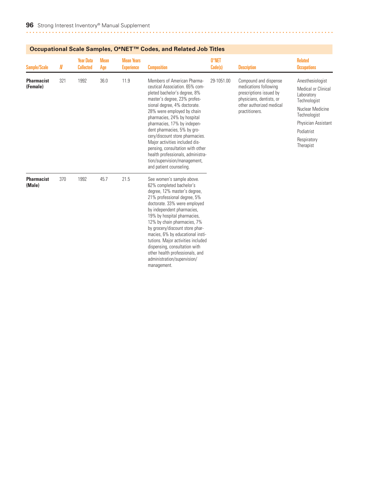| <b>Sample/Scale</b>           | N   | <b>Year Data</b><br><b>Collected</b> | <b>Mean</b><br>Age | <b>Mean Years</b><br><b>Experience</b> | <b>Composition</b>                                                                                                                                                                                                                                                                                                                                                                                                                                                                                | 0*NET<br>Code(s) | <b>Description</b>                                                                                                                                  | <b>Related</b><br><b>Occupations</b>                                                                                                                                              |
|-------------------------------|-----|--------------------------------------|--------------------|----------------------------------------|---------------------------------------------------------------------------------------------------------------------------------------------------------------------------------------------------------------------------------------------------------------------------------------------------------------------------------------------------------------------------------------------------------------------------------------------------------------------------------------------------|------------------|-----------------------------------------------------------------------------------------------------------------------------------------------------|-----------------------------------------------------------------------------------------------------------------------------------------------------------------------------------|
| <b>Pharmacist</b><br>(Female) | 321 | 1992                                 | 36.0               | 11.9                                   | Members of American Pharma-<br>ceutical Association. 65% com-<br>pleted bachelor's degree, 8%<br>master's degree, 23% profes-<br>sional degree, 4% doctorate.<br>28% were employed by chain<br>pharmacies, 24% by hospital<br>pharmacies, 17% by indepen-<br>dent pharmacies, 5% by gro-<br>cery/discount store pharmacies.<br>Major activities included dis-<br>pensing, consultation with other<br>health professionals, administra-<br>tion/supervision/management,<br>and patient counseling. | 29-1051.00       | Compound and dispense<br>medications following<br>prescriptions issued by<br>physicians, dentists, or<br>other authorized medical<br>practitioners. | Anesthesiologist<br><b>Medical or Clinical</b><br>Laboratory<br>Technologist<br>Nuclear Medicine<br>Technologist<br>Physician Assistant<br>Podiatrist<br>Respiratory<br>Therapist |
| <b>Pharmacist</b><br>(Male)   | 370 | 1992                                 | 45.7               | 21.5                                   | See women's sample above.<br>62% completed bachelor's<br>degree, 12% master's degree,<br>21% professional degree, 5%<br>doctorate. 33% were employed<br>by independent pharmacies,<br>19% by hospital pharmacies,<br>12% by chain pharmacies, 7%<br>by grocery/discount store phar-<br>macies, 6% by educational insti-<br>tutions. Major activities included<br>dispensing, consultation with<br>other health professionals, and<br>administration/supervision/<br>management.                   |                  |                                                                                                                                                     |                                                                                                                                                                                   |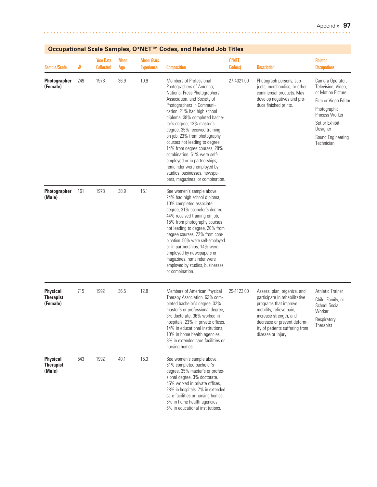| <b>Sample/Scale</b>                             | N   | <b>Year Data</b><br><b>Collected</b> | <b>Mean</b><br>Age | <b>Mean Years</b><br><b>Experience</b> | <b>Composition</b>                                                                                                                                                                                                                                                                                                                                                                                                                                                                                                                                 | 0*NET<br>Code(s) | <b>Description</b>                                                                                                                                                                                                                | <b>Related</b><br><b>Occupations</b>                                                                                                                                                   |
|-------------------------------------------------|-----|--------------------------------------|--------------------|----------------------------------------|----------------------------------------------------------------------------------------------------------------------------------------------------------------------------------------------------------------------------------------------------------------------------------------------------------------------------------------------------------------------------------------------------------------------------------------------------------------------------------------------------------------------------------------------------|------------------|-----------------------------------------------------------------------------------------------------------------------------------------------------------------------------------------------------------------------------------|----------------------------------------------------------------------------------------------------------------------------------------------------------------------------------------|
| Photographer<br>(Female)                        | 249 | 1978                                 | 36.9               | 10.9                                   | Members of Professional<br>Photographers of America,<br>National Press Photographers<br>Association, and Society of<br>Photographers in Communi-<br>cation. 21% had high school<br>diploma, 38% completed bache-<br>lor's degree, 13% master's<br>degree. 35% received training<br>on job, 23% from photography<br>courses not leading to degree,<br>14% from degree courses, 28%<br>combination. 51% were self-<br>employed or in partnerships;<br>remainder were employed by<br>studios, businesses, newspa-<br>pers, magazines, or combination. | 27-4021.00       | Photograph persons, sub-<br>jects, merchandise, or other<br>commercial products. May<br>develop negatives and pro-<br>duce finished prints.                                                                                       | Camera Operator,<br>Television, Video,<br>or Motion Picture<br>Film or Video Editor<br>Photographic<br>Process Worker<br>Set or Exhibit<br>Designer<br>Sound Engineering<br>Technician |
| Photographer<br>(Male)                          | 161 | 1978                                 | 38.9               | 15.1                                   | See women's sample above.<br>24% had high school diploma,<br>10% completed associate<br>degree, 31% bachelor's degree.<br>44% received training on job,<br>15% from photography courses<br>not leading to degree, 20% from<br>degree courses, 22% from com-<br>bination. 56% were self-employed<br>or in partnerships; 14% were<br>employed by newspapers or<br>magazines, remainder were<br>employed by studios, businesses,<br>or combination.                                                                                                   |                  |                                                                                                                                                                                                                                   |                                                                                                                                                                                        |
| <b>Physical</b><br><b>Therapist</b><br>(Female) | 715 | 1992                                 | 36.5               | 12.8                                   | Members of American Physical<br>Therapy Association. 63% com-<br>pleted bachelor's degree, 32%<br>master's or professional degree,<br>3% doctorate. 36% worked in<br>hospitals, 23% in private offices,<br>14% in educational institutions,<br>10% in home health agencies,<br>8% in extended care facilities or<br>nursing homes.                                                                                                                                                                                                                 | 29-1123.00       | Assess, plan, organize, and<br>participate in rehabilitative<br>programs that improve<br>mobility, relieve pain,<br>increase strength, and<br>decrease or prevent deform-<br>ity of patients suffering from<br>disease or injury. | <b>Athletic Trainer</b><br>Child, Family, or<br><b>School Social</b><br>Worker<br>Respiratory<br>Therapist                                                                             |
| <b>Physical</b><br><b>Therapist</b><br>(Male)   | 543 | 1992                                 | 40.1               | 15.3                                   | See women's sample above.<br>61% completed bachelor's<br>degree, 35% master's or profes-<br>sional degree, 3% doctorate.<br>45% worked in private offices,<br>28% in hospitals, 7% in extended<br>care facilities or nursing homes,<br>6% in home health agencies,<br>6% in educational institutions.                                                                                                                                                                                                                                              |                  |                                                                                                                                                                                                                                   |                                                                                                                                                                                        |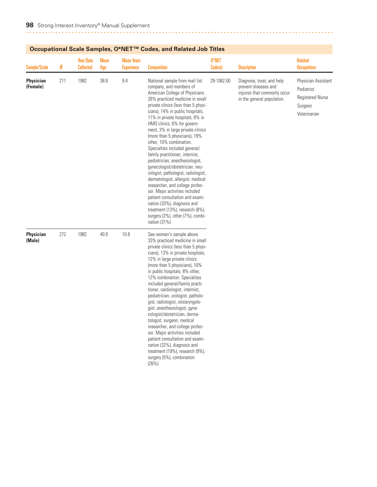| <b>Sample/Scale</b>          | N   | <b>Year Data</b><br><b>Collected</b> | <b>Mean</b><br>Age | <b>Mean Years</b><br><b>Experience</b> | <b>Composition</b>                                                                                                                                                                                                                                                                                                                                                                                                                                                                                                                                                                                                                                                                                                                                                                                                                 | 0*NET<br>Code(s) | <b>Description</b>                                                                                              | <b>Related</b><br><b>Occupations</b>                                                    |
|------------------------------|-----|--------------------------------------|--------------------|----------------------------------------|------------------------------------------------------------------------------------------------------------------------------------------------------------------------------------------------------------------------------------------------------------------------------------------------------------------------------------------------------------------------------------------------------------------------------------------------------------------------------------------------------------------------------------------------------------------------------------------------------------------------------------------------------------------------------------------------------------------------------------------------------------------------------------------------------------------------------------|------------------|-----------------------------------------------------------------------------------------------------------------|-----------------------------------------------------------------------------------------|
| <b>Physician</b><br>(Female) | 211 | 1982                                 | 38.8               | 9.4                                    | National sample from mail list<br>company, and members of<br>American College of Physicians.<br>26% practiced medicine in small<br>private clinics (less than 5 physi-<br>cians), 14% in public hospitals,<br>11% in private hospitals, 8% in<br>HMO clinics, 6% for govern-<br>ment, 3% in large private clinics<br>(more than 5 physicians), 19%<br>other, 10% combination.<br>Specialties included general/<br>family practitioner, internist,<br>pediatrician, anesthesiologist,<br>gynecologist/obstetrician, neu-<br>rologist, pathologist, radiologist,<br>dermatologist, allergist, medical<br>researcher, and college profes-<br>sor. Major activities included<br>patient consultation and exami-<br>nation (33%), diagnosis and<br>treatment (13%), research (8%),<br>surgery (2%), other (7%), combi-<br>nation (31%). | 29-1062.00       | Diagnose, treat, and help<br>prevent diseases and<br>injuries that commonly occur<br>in the general population. | Physician Assistant<br>Podiatrist<br><b>Registered Nurse</b><br>Surgeon<br>Veterinarian |
| <b>Physician</b><br>(Male)   | 272 | 1982                                 | 40.9               | 10.8                                   | See women's sample above.<br>33% practiced medicine in small<br>private clinics (less than 5 physi-<br>cians), 13% in private hospitals,<br>12% in large private clinics<br>(more than 5 physicians), 10%<br>in public hospitals, 8% other,<br>12% combination. Specialties<br>included general/family practi-<br>tioner, cardiologist, internist,<br>pediatrician, urologist, patholo-<br>gist, radiologist, otolaryngolo-<br>gist, anesthesiologist, gyne-<br>cologist/obstetrician, derma-<br>tologist, surgeon, medical<br>researcher, and college profes-<br>sor. Major activities included<br>patient consultation and exami-<br>nation (32%), diagnosis and<br>treatment (19%), research (9%),<br>surgery (5%), combination<br>$(26\%)$ .                                                                                   |                  |                                                                                                                 |                                                                                         |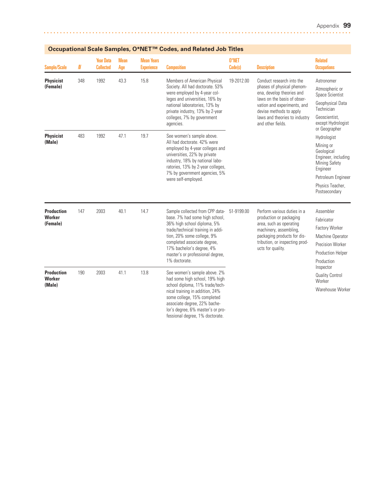| <b>Sample/Scale</b>                            | N   | <b>Year Data</b><br><b>Collected</b> | <b>Mean</b><br>Age | <b>Mean Years</b><br><b>Experience</b> | <b>Composition</b>                                                                                                                                                                                                                                                                   | 0*NET<br>Code(s) | <b>Description</b>                                                                                                                                                                                                                  | <b>Related</b><br><b>Occupations</b>                                                                                                                         |
|------------------------------------------------|-----|--------------------------------------|--------------------|----------------------------------------|--------------------------------------------------------------------------------------------------------------------------------------------------------------------------------------------------------------------------------------------------------------------------------------|------------------|-------------------------------------------------------------------------------------------------------------------------------------------------------------------------------------------------------------------------------------|--------------------------------------------------------------------------------------------------------------------------------------------------------------|
| <b>Physicist</b><br>(Female)                   | 348 | 1992                                 | 43.3               | 15.8                                   | Members of American Physical<br>Society. All had doctorate. 53%<br>were employed by 4-year col-<br>leges and universities, 16% by<br>national laboratories, 13% by<br>private industry, 13% by 2-year<br>colleges, 7% by government<br>agencies.                                     | 19-2012.00       | Conduct research into the<br>phases of physical phenom-<br>ena, develop theories and<br>laws on the basis of obser-<br>vation and experiments, and<br>devise methods to apply<br>laws and theories to industry<br>and other fields. | Astronomer<br>Atmospheric or<br>Space Scientist<br>Geophysical Data<br>Technician<br>Geoscientist.<br>except Hydrologist<br>or Geographer                    |
| <b>Physicist</b><br>(Male)                     | 483 | 1992                                 | 47.1               | 19.7                                   | See women's sample above.<br>All had doctorate. 42% were<br>employed by 4-year colleges and<br>universities, 22% by private<br>industry, 18% by national labo-<br>ratories, 13% by 2-year colleges,<br>7% by government agencies, 5%<br>were self-employed.                          |                  |                                                                                                                                                                                                                                     | Hydrologist<br>Mining or<br>Geological<br>Engineer, including<br><b>Mining Safety</b><br>Engineer<br>Petroleum Engineer<br>Physics Teacher,<br>Postsecondary |
| <b>Production</b><br><b>Worker</b><br>(Female) | 147 | 2003                                 | 40.1               | 14.7                                   | Sample collected from CPP data-<br>base. 7% had some high school,<br>36% high school diploma, 5%<br>trade/technical training in addi-<br>tion, 20% some college, 9%<br>completed associate degree,<br>17% bachelor's degree, 4%<br>master's or professional degree,<br>1% doctorate. | 51-9199.00       | Perform various duties in a<br>production or packaging<br>area, such as operating<br>machinery, assembling,<br>packaging products for dis-<br>tribution, or inspecting prod-<br>ucts for quality.                                   | Assembler<br>Fabricator<br><b>Factory Worker</b><br>Machine Operator<br><b>Precision Worker</b><br>Production Helper<br>Production                           |
| <b>Production</b><br>Worker<br>(Male)          | 190 | 2003                                 | 41.1               | 13.8                                   | See women's sample above. 2%<br>had some high school, 19% high<br>school diploma, 11% trade/tech-<br>nical training in addition, 24%<br>some college, 15% completed<br>associate degree, 22% bache-<br>lor's degree, 6% master's or pro-<br>fessional degree, 1% doctorate.          |                  |                                                                                                                                                                                                                                     | Inspector<br><b>Quality Control</b><br>Worker<br>Warehouse Worker                                                                                            |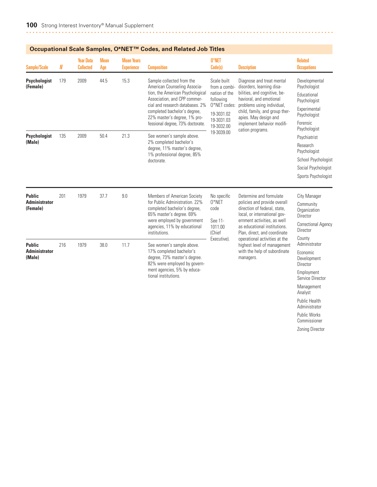|                                                   | Occupational Scale Samples, O*NET™ Codes, and Related Job Titles |                                      |                    |                                        |                                                                                                                                                                                                                                                                      |                                                                                                                      |                                                                                                                                                                                                                                                                                                                                     |                                                                                                                           |  |  |  |  |
|---------------------------------------------------|------------------------------------------------------------------|--------------------------------------|--------------------|----------------------------------------|----------------------------------------------------------------------------------------------------------------------------------------------------------------------------------------------------------------------------------------------------------------------|----------------------------------------------------------------------------------------------------------------------|-------------------------------------------------------------------------------------------------------------------------------------------------------------------------------------------------------------------------------------------------------------------------------------------------------------------------------------|---------------------------------------------------------------------------------------------------------------------------|--|--|--|--|
| Sample/Scale                                      | N                                                                | <b>Year Data</b><br><b>Collected</b> | <b>Mean</b><br>Age | <b>Mean Years</b><br><b>Experience</b> | <b>Composition</b>                                                                                                                                                                                                                                                   | 0*NET<br>Code(s)                                                                                                     | <b>Description</b>                                                                                                                                                                                                                                                                                                                  | <b>Related</b><br><b>Occupations</b>                                                                                      |  |  |  |  |
| Psychologist<br>(Female)                          | 179                                                              | 2009                                 | 44.5               | 15.3                                   | Sample collected from the<br>American Counseling Associa-<br>tion, the American Psychological<br>Association, and CPP commer-<br>cial and research databases. 2%<br>completed bachelor's degree,<br>22% master's degree, 1% pro-<br>fessional degree, 73% doctorate. | Scale built<br>from a combi-<br>nation of the<br>following<br>O*NET codes:<br>19-3031.02<br>19-3031.03<br>19-3032.00 | Diagnose and treat mental<br>disorders, learning disa-<br>bilities, and cognitive, be-<br>havioral, and emotional<br>problems using individual,<br>child, family, and group ther-<br>apies. May design and<br>implement behavior modifi-                                                                                            | Developmental<br>Psychologist<br>Educational<br>Psychologist<br>Experimental<br>Psychologist<br>Forensic<br>Psychologist  |  |  |  |  |
| Psychologist<br>(Male)                            | 135                                                              | 2009                                 | 50.4               | 21.3                                   | See women's sample above.<br>2% completed bachelor's<br>degree, 11% master's degree,<br>1% professional degree, 85%<br>doctorate.                                                                                                                                    | 19-3039.00                                                                                                           | cation programs.                                                                                                                                                                                                                                                                                                                    | Psychiatrist<br>Research<br>Psychologist<br>School Psychologist<br>Social Psychologist<br>Sports Psychologist             |  |  |  |  |
| <b>Public</b><br><b>Administrator</b><br>(Female) | 201                                                              | 1979                                 | 37.7               | 9.0                                    | Members of American Society<br>for Public Administration. 22%<br>completed bachelor's degree,<br>65% master's degree. 69%<br>were employed by government<br>agencies, 11% by educational<br>institutions.                                                            | No specific<br>$0*$ NET<br>code<br>See 11-<br>1011.00<br>(Chief                                                      | Determine and formulate<br>policies and provide overall<br>direction of federal, state,<br>local, or international gov-<br>ernment activities, as well<br>as educational institutions.<br>Plan, direct, and coordinate<br>operational activities at the<br>highest level of management<br>with the help of subordinate<br>managers. | City Manager<br>Community<br>Organization<br>Director<br><b>Correctional Agency</b><br>Director                           |  |  |  |  |
| <b>Public</b><br><b>Administrator</b><br>(Male)   | 216                                                              | 1979                                 | 38.0               | 11.7                                   | See women's sample above.<br>17% completed bachelor's<br>degree, 73% master's degree.<br>82% were employed by govern-<br>ment agencies, 5% by educa-<br>tional institutions.                                                                                         | Executive).                                                                                                          |                                                                                                                                                                                                                                                                                                                                     | County<br>Administrator<br>Economic<br>Development<br>Director<br>Employment<br>Service Director<br>Management<br>Analyst |  |  |  |  |

Public Health Administrator Public Works Commissioner Zoning Director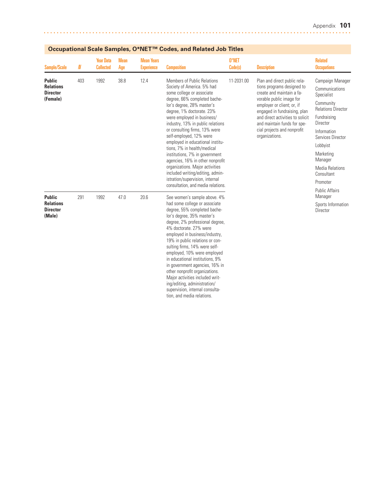| Sample/Scale                                                     | N   | <b>Year Data</b><br><b>Collected</b> | <b>Mean</b><br>Age | <b>Mean Years</b><br><b>Experience</b> | <b>Composition</b>                                                                                                                                                                                                                                                                                                                                                                                                                                                                                                                                                                                        | 0*NET<br>Code(s) | <b>Description</b>                                                                                                                                                                                                                                                                                    | <b>Related</b><br><b>Occupations</b>                                                                                                                                                                                                              |
|------------------------------------------------------------------|-----|--------------------------------------|--------------------|----------------------------------------|-----------------------------------------------------------------------------------------------------------------------------------------------------------------------------------------------------------------------------------------------------------------------------------------------------------------------------------------------------------------------------------------------------------------------------------------------------------------------------------------------------------------------------------------------------------------------------------------------------------|------------------|-------------------------------------------------------------------------------------------------------------------------------------------------------------------------------------------------------------------------------------------------------------------------------------------------------|---------------------------------------------------------------------------------------------------------------------------------------------------------------------------------------------------------------------------------------------------|
| <b>Public</b><br><b>Relations</b><br><b>Director</b><br>(Female) | 403 | 1992                                 | 38.8               | 12.4                                   | Members of Public Relations<br>Society of America. 5% had<br>some college or associate<br>degree, 66% completed bache-<br>lor's degree, 28% master's<br>degree, 1% doctorate. 23%<br>were employed in business/<br>industry, 13% in public relations<br>or consulting firms, 13% were<br>self-employed, 12% were<br>employed in educational institu-<br>tions, 7% in health/medical<br>institutions, 7% in government<br>agencies, 16% in other nonprofit<br>organizations. Major activities<br>included writing/editing, admin-<br>istration/supervision, internal<br>consultation, and media relations. | 11-2031.00       | Plan and direct public rela-<br>tions programs designed to<br>create and maintain a fa-<br>vorable public image for<br>employer or client; or, if<br>engaged in fundraising, plan<br>and direct activities to solicit<br>and maintain funds for spe-<br>cial projects and nonprofit<br>organizations. | Campaign Manager<br>Communications<br>Specialist<br>Community<br><b>Relations Director</b><br>Fundraising<br>Director<br>Information<br>Services Director<br>Lobbyist<br>Marketing<br>Manager<br><b>Media Relations</b><br>Consultant<br>Promoter |
| <b>Public</b><br><b>Relations</b><br><b>Director</b><br>(Male)   | 291 | 1992                                 | 47.0               | 20.6                                   | See women's sample above. 4%<br>had some college or associate<br>degree, 55% completed bache-<br>lor's degree, 35% master's<br>degree, 2% professional degree,<br>4% doctorate, 27% were<br>employed in business/industry,<br>19% in public relations or con-<br>sulting firms, 14% were self-<br>employed, 10% were employed<br>in educational institutions, 9%<br>in government agencies, 16% in<br>other nonprofit organizations.<br>Major activities included writ-<br>ing/editing, administration/<br>supervision, internal consulta-<br>tion, and media relations.                                  |                  |                                                                                                                                                                                                                                                                                                       | <b>Public Affairs</b><br>Manager<br>Sports Information<br>Director                                                                                                                                                                                |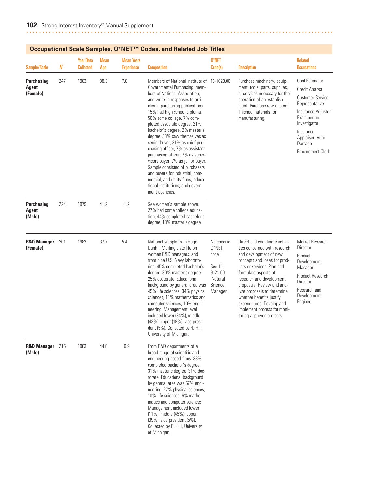|                                             | Occupational Scale Samples, O*NET''" Codes, and Related Job Titles<br>0*NET<br><b>Year Data</b><br><b>Mean Years</b><br><b>Mean</b><br>N<br><b>Collected</b><br><b>Experience</b><br>Code(s)<br>Age<br><b>Composition</b><br><b>Description</b><br>38.3<br>7.8<br>247<br>1983<br>Members of National Institute of 13-1023.00<br>Purchase machinery, equip-<br>Governmental Purchasing, mem-<br>ment, tools, parts, supplies,<br>bers of National Association,<br>or services necessary for the<br>and write-in responses to arti-<br>operation of an establish-<br>cles in purchasing publications.<br>ment. Purchase raw or semi-<br>15% had high school diploma,<br>finished materials for<br>50% some college, 7% com-<br>manufacturing.<br>pleted associate degree, 21%<br>bachelor's degree, 2% master's<br>degree. 33% saw themselves as<br>senior buyer, 31% as chief pur-<br>chasing officer, 7% as assistant<br>purchasing officer, 7% as super-<br>visory buyer, 7% as junior buyer.<br>Sample consisted of purchasers<br>and buyers for industrial, com-<br>mercial, and utility firms; educa-<br>tional institutions; and govern-<br>ment agencies.<br>1979<br>41.2<br>11.2<br>224<br>See women's sample above.<br>27% had some college educa-<br>tion, 44% completed bachelor's<br>degree, 18% master's degree.<br>37.7<br>5.4<br>201<br>1983<br>Direct and coordinate activi-<br>National sample from Hugo<br>No specific<br>$0*$ NET<br>Dunhill Mailing Lists file on<br>ties concerned with research<br>women R&D managers, and<br>and development of new<br>code<br>from nine U.S. Navy laborato-<br>concepts and ideas for prod-<br>ries. 45% completed bachelor's<br>See 11-<br>ucts or services. Plan and<br>9121.00<br>degree, 30% master's degree,<br>formulate aspects of<br>25% doctorate. Educational<br>(Natural<br>research and development |      |      |      |                                                                                                                                                                                                                                                                                                                                                                                                                                                                                  |                      |                                                                                                                                                                                |                                                                                                                                                                                                                   |
|---------------------------------------------|------------------------------------------------------------------------------------------------------------------------------------------------------------------------------------------------------------------------------------------------------------------------------------------------------------------------------------------------------------------------------------------------------------------------------------------------------------------------------------------------------------------------------------------------------------------------------------------------------------------------------------------------------------------------------------------------------------------------------------------------------------------------------------------------------------------------------------------------------------------------------------------------------------------------------------------------------------------------------------------------------------------------------------------------------------------------------------------------------------------------------------------------------------------------------------------------------------------------------------------------------------------------------------------------------------------------------------------------------------------------------------------------------------------------------------------------------------------------------------------------------------------------------------------------------------------------------------------------------------------------------------------------------------------------------------------------------------------------------------------------------------------------------------------------------------------------------------------------------------------------|------|------|------|----------------------------------------------------------------------------------------------------------------------------------------------------------------------------------------------------------------------------------------------------------------------------------------------------------------------------------------------------------------------------------------------------------------------------------------------------------------------------------|----------------------|--------------------------------------------------------------------------------------------------------------------------------------------------------------------------------|-------------------------------------------------------------------------------------------------------------------------------------------------------------------------------------------------------------------|
| <b>Sample/Scale</b>                         |                                                                                                                                                                                                                                                                                                                                                                                                                                                                                                                                                                                                                                                                                                                                                                                                                                                                                                                                                                                                                                                                                                                                                                                                                                                                                                                                                                                                                                                                                                                                                                                                                                                                                                                                                                                                                                                                        |      |      |      |                                                                                                                                                                                                                                                                                                                                                                                                                                                                                  |                      |                                                                                                                                                                                | <b>Related</b><br><b>Occupations</b>                                                                                                                                                                              |
| <b>Purchasing</b><br>Agent<br>(Female)      |                                                                                                                                                                                                                                                                                                                                                                                                                                                                                                                                                                                                                                                                                                                                                                                                                                                                                                                                                                                                                                                                                                                                                                                                                                                                                                                                                                                                                                                                                                                                                                                                                                                                                                                                                                                                                                                                        |      |      |      |                                                                                                                                                                                                                                                                                                                                                                                                                                                                                  |                      |                                                                                                                                                                                | Cost Estimator<br><b>Credit Analyst</b><br><b>Customer Service</b><br>Representative<br>Insurance Adjuster,<br>Examiner, or<br>Investigator<br>Insurance<br>Appraiser, Auto<br>Damage<br><b>Procurement Clerk</b> |
| <b>Purchasing</b><br><b>Agent</b><br>(Male) |                                                                                                                                                                                                                                                                                                                                                                                                                                                                                                                                                                                                                                                                                                                                                                                                                                                                                                                                                                                                                                                                                                                                                                                                                                                                                                                                                                                                                                                                                                                                                                                                                                                                                                                                                                                                                                                                        |      |      |      |                                                                                                                                                                                                                                                                                                                                                                                                                                                                                  |                      |                                                                                                                                                                                |                                                                                                                                                                                                                   |
| <b>R&amp;D Manager</b><br>(Female)          |                                                                                                                                                                                                                                                                                                                                                                                                                                                                                                                                                                                                                                                                                                                                                                                                                                                                                                                                                                                                                                                                                                                                                                                                                                                                                                                                                                                                                                                                                                                                                                                                                                                                                                                                                                                                                                                                        |      |      |      | background by general area was<br>45% life sciences, 34% physical<br>sciences, 11% mathematics and<br>computer sciences, 10% engi-<br>neering. Management level<br>included lower (34%), middle<br>(43%), upper (18%), vice presi-<br>dent (5%). Collected by R. Hill,<br>University of Michigan.                                                                                                                                                                                | Science<br>Manager). | proposals. Review and ana-<br>lyze proposals to determine<br>whether benefits justify<br>expenditures. Develop and<br>implement process for moni-<br>toring approved projects. | Market Research<br>Director<br>Product<br>Development<br>Manager<br>Product Research<br>Director<br>Research and<br>Development<br>Enginee                                                                        |
| <b>R&amp;D Manager</b> 215<br>(Male)        |                                                                                                                                                                                                                                                                                                                                                                                                                                                                                                                                                                                                                                                                                                                                                                                                                                                                                                                                                                                                                                                                                                                                                                                                                                                                                                                                                                                                                                                                                                                                                                                                                                                                                                                                                                                                                                                                        | 1983 | 44.8 | 10.9 | From R&D departments of a<br>broad range of scientific and<br>engineering-based firms. 38%<br>completed bachelor's degree,<br>31% master's degree, 31% doc-<br>torate. Educational background<br>by general area was 57% engi-<br>neering, 27% physical sciences,<br>10% life sciences, 6% mathe-<br>matics and computer sciences.<br>Management included lower<br>(11%), middle (45%), upper<br>(39%), vice president (5%).<br>Collected by R. Hill, University<br>of Michigan. |                      |                                                                                                                                                                                |                                                                                                                                                                                                                   |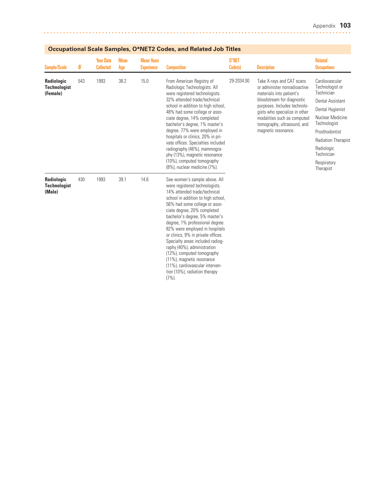| Sample/Scale                                  | $\pmb N$ | <b>Year Data</b><br><b>Collected</b> | <b>Mean</b><br>Age | <b>Mean Years</b><br><b>Experience</b> | <b>Composition</b>                                                                                                                                                                                                                                                                                                                                                                                                                                                                                                                                           | 0*NET<br>Code(s) | <b>Description</b>                                                                                                                                                                                                                                                        | <b>Related</b><br><b>Occupations</b>                                                                                                                                                                                                       |
|-----------------------------------------------|----------|--------------------------------------|--------------------|----------------------------------------|--------------------------------------------------------------------------------------------------------------------------------------------------------------------------------------------------------------------------------------------------------------------------------------------------------------------------------------------------------------------------------------------------------------------------------------------------------------------------------------------------------------------------------------------------------------|------------------|---------------------------------------------------------------------------------------------------------------------------------------------------------------------------------------------------------------------------------------------------------------------------|--------------------------------------------------------------------------------------------------------------------------------------------------------------------------------------------------------------------------------------------|
| Radiologic<br><b>Technologist</b><br>(Female) | 543      | 1993                                 | 38.2               | 15.0                                   | From American Registry of<br>Radiologic Technologists. All<br>were registered technologists.<br>32% attended trade/technical<br>school in addition to high school,<br>48% had some college or asso-<br>ciate degree, 14% completed<br>bachelor's degree, 1% master's<br>degree. 77% were employed in<br>hospitals or clinics, 20% in pri-<br>vate offices. Specialties included<br>radiography (46%), mammogra-<br>phy (13%), magnetic resonance<br>(10%), computed tomography<br>(8%), nuclear medicine (7%).                                               | 29-2034.00       | Take X-rays and CAT scans<br>or administer nonradioactive<br>materials into patient's<br>bloodstream for diagnostic<br>purposes. Includes technolo-<br>gists who specialize in other<br>modalities such as computed<br>tomography, ultrasound, and<br>magnetic resonance. | Cardiovascular<br>Technologist or<br>Technician<br><b>Dental Assistant</b><br>Dental Hygienist<br>Nuclear Medicine<br>Technologist<br>Prosthodontist<br><b>Radiation Therapist</b><br>Radiologic<br>Technician<br>Respiratory<br>Therapist |
| Radiologic<br><b>Technologist</b><br>(Male)   | 430      | 1993                                 | 39.1               | 14.6                                   | See women's sample above. All<br>were registered technologists.<br>14% attended trade/technical<br>school in addition to high school,<br>56% had some college or asso-<br>ciate degree, 20% completed<br>bachelor's degree, 5% master's<br>degree, 1% professional degree.<br>82% were employed in hospitals<br>or clinics, 9% in private offices.<br>Specialty areas included radiog-<br>raphy (40%), administration<br>(12%), computed tomography<br>(11%), magnetic resonance<br>(11%), cardiovascular interven-<br>tion (10%), radiation therapy<br>(7%) |                  |                                                                                                                                                                                                                                                                           |                                                                                                                                                                                                                                            |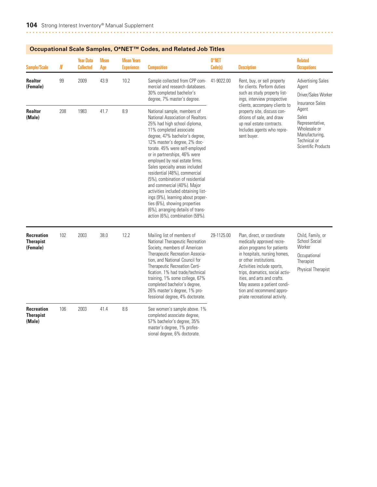| <b>Sample/Scale</b>                               | N   | <b>Year Data</b><br><b>Collected</b> | <b>Mean</b><br>Age | <b>Mean Years</b><br><b>Experience</b> | <b>Composition</b>                                                                                                                                                                                                                                                                                                                                                                                                                                                                                                                                                                                                           | 0*NET<br>Code(s) | <b>Description</b>                                                                                                                                                                                                                                                                                                                             | <b>Related</b><br><b>Occupations</b>                                                                       |
|---------------------------------------------------|-----|--------------------------------------|--------------------|----------------------------------------|------------------------------------------------------------------------------------------------------------------------------------------------------------------------------------------------------------------------------------------------------------------------------------------------------------------------------------------------------------------------------------------------------------------------------------------------------------------------------------------------------------------------------------------------------------------------------------------------------------------------------|------------------|------------------------------------------------------------------------------------------------------------------------------------------------------------------------------------------------------------------------------------------------------------------------------------------------------------------------------------------------|------------------------------------------------------------------------------------------------------------|
| <b>Realtor</b><br>(Female)                        | 99  | 2009                                 | 43.9               | 10.2                                   | Sample collected from CPP com-<br>mercial and research databases.<br>30% completed bachelor's<br>degree, 7% master's degree.                                                                                                                                                                                                                                                                                                                                                                                                                                                                                                 | 41-9022.00       | Rent, buy, or sell property<br>for clients. Perform duties<br>such as study property list-<br>ings, interview prospective<br>clients, accompany clients to                                                                                                                                                                                     | <b>Advertising Sales</b><br>Agent<br>Driver/Sales Worker<br><b>Insurance Sales</b>                         |
| <b>Realtor</b><br>(Male)                          | 208 | 1983                                 | 41.7               | 8.9                                    | National sample, members of<br>National Association of Realtors.<br>25% had high school diploma,<br>11% completed associate<br>degree, 47% bachelor's degree,<br>12% master's degree, 2% doc-<br>torate. 45% were self-employed<br>or in partnerships, 46% were<br>employed by real estate firms.<br>Sales specialty areas included<br>residential (48%), commercial<br>(5%), combination of residential<br>and commercial (40%). Major<br>activities included obtaining list-<br>ings (9%), learning about proper-<br>ties (6%), showing properties<br>(6%), arranging details of trans-<br>action (6%), combination (59%). |                  | property site, discuss con-<br>ditions of sale, and draw<br>up real estate contracts.<br>Includes agents who repre-<br>sent buyer.                                                                                                                                                                                                             | Agent<br>Sales<br>Representative,<br>Wholesale or<br>Manufacturing,<br>Technical or<br>Scientific Products |
| <b>Recreation</b><br><b>Therapist</b><br>(Female) | 102 | 2003                                 | 38.0               | 12.2                                   | Mailing list of members of<br>National Therapeutic Recreation<br>Society, members of American<br>Therapeutic Recreation Associa-<br>tion, and National Council for<br>Therapeutic Recreation Certi-<br>fication. 1% had trade/technical<br>training, 1% some college, 67%<br>completed bachelor's degree,<br>26% master's degree, 1% pro-<br>fessional degree, 4% doctorate.                                                                                                                                                                                                                                                 | 29-1125.00       | Plan, direct, or coordinate<br>medically approved recre-<br>ation programs for patients<br>in hospitals, nursing homes,<br>or other institutions.<br>Activities include sports,<br>trips, dramatics, social activ-<br>ities, and arts and crafts.<br>May assess a patient condi-<br>tion and recommend appro-<br>priate recreational activity. | Child, Family, or<br>School Social<br>Worker<br>Occupational<br>Therapist<br><b>Physical Therapist</b>     |
| <b>Recreation</b><br><b>Therapist</b><br>(Male)   | 106 | 2003                                 | 41.4               | 8.6                                    | See women's sample above. 1%<br>completed associate degree,<br>57% bachelor's degree, 35%<br>master's degree, 1% profes-<br>sional degree, 6% doctorate.                                                                                                                                                                                                                                                                                                                                                                                                                                                                     |                  |                                                                                                                                                                                                                                                                                                                                                |                                                                                                            |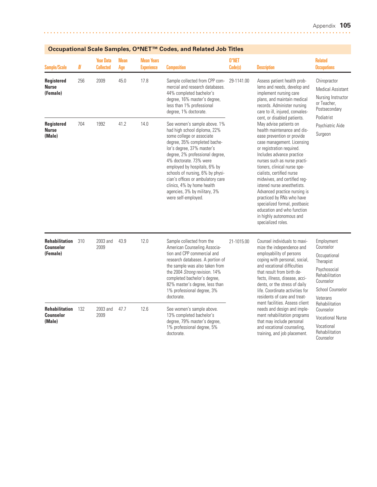| <b>Sample/Scale</b>                                   | N   | <b>Year Data</b><br><b>Collected</b> | <b>Mean</b><br>Age | <b>Mean Years</b><br><b>Experience</b> | <b>Composition</b>                                                                                                                                                                                                                                                                                                                                                                                                 | 0*NET<br>Code(s) | <b>Description</b>                                                                                                                                                                                                                                                                                                                                                                                                                                                                                                                                   | <b>Related</b><br><b>Occupations</b>                                                                                                |
|-------------------------------------------------------|-----|--------------------------------------|--------------------|----------------------------------------|--------------------------------------------------------------------------------------------------------------------------------------------------------------------------------------------------------------------------------------------------------------------------------------------------------------------------------------------------------------------------------------------------------------------|------------------|------------------------------------------------------------------------------------------------------------------------------------------------------------------------------------------------------------------------------------------------------------------------------------------------------------------------------------------------------------------------------------------------------------------------------------------------------------------------------------------------------------------------------------------------------|-------------------------------------------------------------------------------------------------------------------------------------|
| Registered<br><b>Nurse</b><br>(Female)                | 256 | 2009                                 | 45.0               | 17.8                                   | Sample collected from CPP com-<br>mercial and research databases.<br>44% completed bachelor's<br>degree, 16% master's degree,<br>less than 1% professional<br>degree, 1% doctorate.                                                                                                                                                                                                                                | 29-1141.00       | Assess patient health prob-<br>lems and needs, develop and<br>implement nursing care<br>plans, and maintain medical<br>records. Administer nursing<br>care to ill, injured, convales-                                                                                                                                                                                                                                                                                                                                                                | Chiropractor<br><b>Medical Assistant</b><br>Nursing Instructor<br>or Teacher,<br>Postsecondary                                      |
| Registered<br><b>Nurse</b><br>(Male)                  | 704 | 1992                                 | 41.2               | 14.0                                   | See women's sample above. 1%<br>had high school diploma, 22%<br>some college or associate<br>degree, 35% completed bache-<br>lor's degree, 37% master's<br>degree, 2% professional degree,<br>4% doctorate, 73% were<br>employed by hospitals, 6% by<br>schools of nursing, 6% by physi-<br>cian's offices or ambulatory care<br>clinics, 4% by home health<br>agencies, 3% by military, 3%<br>were self-employed. |                  | cent, or disabled patients.<br>May advise patients on<br>health maintenance and dis-<br>ease prevention or provide<br>case management. Licensing<br>or registration required.<br>Includes advance practice<br>nurses such as nurse practi-<br>tioners, clinical nurse spe-<br>cialists, certified nurse<br>midwives, and certified reg-<br>istered nurse anesthetists.<br>Advanced practice nursing is<br>practiced by RNs who have<br>specialized formal, postbasic<br>education and who function<br>in highly autonomous and<br>specialized roles. | Podiatrist<br>Psychiatric Aide<br>Surgeon                                                                                           |
| <b>Rehabilitation</b><br><b>Counselor</b><br>(Female) | 310 | 2003 and<br>2009                     | 43.9               | 12.0                                   | Sample collected from the<br>American Counseling Associa-<br>tion and CPP commercial and<br>research databases. A portion of<br>the sample was also taken from<br>the 2004 Strong revision. 14%<br>completed bachelor's degree,<br>82% master's degree, less than<br>1% professional degree, 3%<br>doctorate.                                                                                                      | 21-1015.00       | Counsel individuals to maxi-<br>mize the independence and<br>employability of persons<br>coping with personal, social,<br>and vocational difficulties<br>that result from birth de-<br>fects, illness, disease, acci-<br>dents, or the stress of daily<br>life. Coordinate activities for<br>residents of care and treat-<br>ment facilities. Assess client<br>needs and design and imple-<br>ment rehabilitation programs<br>that may include personal<br>and vocational counseling,<br>training, and job placement.                                | Employment<br>Counselor<br>Occupational<br>Therapist<br>Psychosocial<br>Rehabilitation<br>Counselor<br>School Counselor<br>Veterans |
| <b>Rehabilitation</b><br><b>Counselor</b><br>(Male)   | 132 | 2003 and<br>2009                     | 47.7               | 12.6                                   | See women's sample above.<br>13% completed bachelor's<br>degree, 79% master's degree,<br>1% professional degree, 5%<br>doctorate.                                                                                                                                                                                                                                                                                  |                  |                                                                                                                                                                                                                                                                                                                                                                                                                                                                                                                                                      | Rehabilitation<br>Counselor<br><b>Vocational Nurse</b><br>Vocational<br>Rehabilitation<br>Counselor                                 |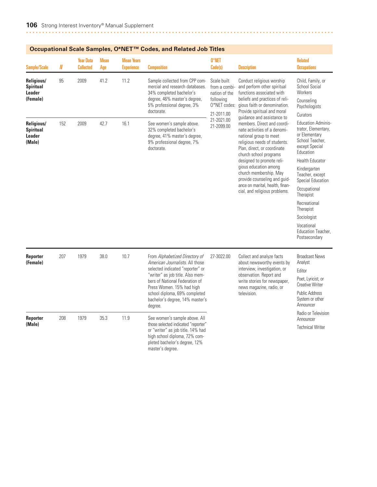| Sample/Scale                                              | N   | <b>Year Data</b><br><b>Collected</b> | <b>Mean</b><br>Age | <b>Mean Years</b><br><b>Experience</b> | <b>Composition</b>                                                                                                                                                                                                                                                                      | 0*NET<br>Code(s)                                                                         | <b>Description</b>                                                                                                                                                                                                                                                                                                                                                                                                                                                                                                                                                                                                                                                                                                                                                                          | <b>Related</b><br><b>Occupations</b>                                                                                                                                                                                                                                                                                                |
|-----------------------------------------------------------|-----|--------------------------------------|--------------------|----------------------------------------|-----------------------------------------------------------------------------------------------------------------------------------------------------------------------------------------------------------------------------------------------------------------------------------------|------------------------------------------------------------------------------------------|---------------------------------------------------------------------------------------------------------------------------------------------------------------------------------------------------------------------------------------------------------------------------------------------------------------------------------------------------------------------------------------------------------------------------------------------------------------------------------------------------------------------------------------------------------------------------------------------------------------------------------------------------------------------------------------------------------------------------------------------------------------------------------------------|-------------------------------------------------------------------------------------------------------------------------------------------------------------------------------------------------------------------------------------------------------------------------------------------------------------------------------------|
| Religious/<br><b>Spiritual</b><br>Leader<br>(Female)      | 95  | 2009                                 | 41.2               | 11.2                                   | Sample collected from CPP com-<br>mercial and research databases.<br>34% completed bachelor's<br>degree, 46% master's degree,<br>5% professional degree, 3%<br>doctorate.                                                                                                               | Scale built<br>from a combi-<br>nation of the<br>following<br>O*NET codes:<br>21-2011.00 | Conduct religious worship<br>and perform other spiritual<br>functions associated with<br>beliefs and practices of reli-<br>gious faith or denomination.<br>Provide spiritual and moral<br>quidance and assistance to<br>members. Direct and coordi-<br>nate activities of a denomi-<br>national group to meet<br>religious needs of students.<br>Plan, direct, or coordinate<br>church school programs<br>designed to promote reli-<br>gious education among<br>church membership. May<br>provide counseling and guid-<br>ance on marital, health, finan-<br>cial, and religious problems.<br>Collect and analyze facts<br>about newsworthy events by<br>interview, investigation, or<br>observation. Report and<br>write stories for newspaper,<br>news magazine, radio, or<br>television. | Child, Family, or<br><b>School Social</b><br>Workers<br>Counseling<br>Psychologists<br>Curators                                                                                                                                                                                                                                     |
| Religious/<br><b>Spiritual</b><br><b>Leader</b><br>(Male) | 152 | 2009                                 | 42.7               | 16.1                                   | See women's sample above.<br>32% completed bachelor's<br>degree, 41% master's degree,<br>9% professional degree, 7%<br>doctorate.                                                                                                                                                       | 21-2021.00<br>21-2099.00                                                                 |                                                                                                                                                                                                                                                                                                                                                                                                                                                                                                                                                                                                                                                                                                                                                                                             | <b>Education Adminis-</b><br>trator, Elementary,<br>or Elementary<br>School Teacher,<br>except Special<br>Education<br><b>Health Educator</b><br>Kindergarten<br>Teacher, except<br>Special Education<br>Occupational<br>Therapist<br>Recreational<br>Therapist<br>Sociologist<br>Vocational<br>Education Teacher,<br>Postsecondary |
| <b>Reporter</b><br>(Female)                               | 207 | 1979                                 | 38.0               | 10.7                                   | From Alphabetized Directory of<br>American Journalists. All those<br>selected indicated "reporter" or<br>"writer" as job title. Also mem-<br>bers of National Federation of<br>Press Women. 15% had high<br>school diploma, 69% completed<br>bachelor's degree, 14% master's<br>degree. | 27-3022.00                                                                               |                                                                                                                                                                                                                                                                                                                                                                                                                                                                                                                                                                                                                                                                                                                                                                                             | <b>Broadcast News</b><br>Analyst<br>Editor<br>Poet, Lyricist, or<br><b>Creative Writer</b><br><b>Public Address</b><br>System or other<br>Announcer                                                                                                                                                                                 |
| <b>Reporter</b><br>(Male)                                 | 208 | 1979                                 | 35.3               | 11.9                                   | See women's sample above. All<br>those selected indicated "reporter"<br>or "writer" as job title. 14% had<br>high school diploma, 72% com-<br>pleted bachelor's degree, 12%<br>master's degree.                                                                                         |                                                                                          |                                                                                                                                                                                                                                                                                                                                                                                                                                                                                                                                                                                                                                                                                                                                                                                             | Radio or Television<br>Announcer<br><b>Technical Writer</b>                                                                                                                                                                                                                                                                         |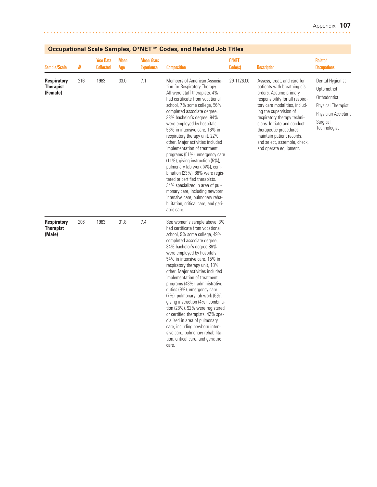| <b>Sample/Scale</b>                                | $\pmb N$ | <b>Year Data</b><br><b>Collected</b> | <b>Mean</b><br>Age | <b>Mean Years</b><br><b>Experience</b> | <b>Composition</b>                                                                                                                                                                                                                                                                                                                                                                                                                                                                                                                                                                                                                                                                                                                                   | 0*NET<br>Code(s) | <b>Description</b>                                                                                                                                                                                                                                                                                                                                                  | <b>Related</b><br><b>Occupations</b>                                                                                            |
|----------------------------------------------------|----------|--------------------------------------|--------------------|----------------------------------------|------------------------------------------------------------------------------------------------------------------------------------------------------------------------------------------------------------------------------------------------------------------------------------------------------------------------------------------------------------------------------------------------------------------------------------------------------------------------------------------------------------------------------------------------------------------------------------------------------------------------------------------------------------------------------------------------------------------------------------------------------|------------------|---------------------------------------------------------------------------------------------------------------------------------------------------------------------------------------------------------------------------------------------------------------------------------------------------------------------------------------------------------------------|---------------------------------------------------------------------------------------------------------------------------------|
| <b>Respiratory</b><br><b>Therapist</b><br>(Female) | 216      | 1983                                 | 33.0               | 7.1                                    | Members of American Associa-<br>tion for Respiratory Therapy.<br>All were staff therapists. 4%<br>had certificate from vocational<br>school, 7% some college, 56%<br>completed associate degree,<br>33% bachelor's degree. 94%<br>were employed by hospitals:<br>53% in intensive care, 16% in<br>respiratory therapy unit, 22%<br>other. Major activities included<br>implementation of treatment<br>programs (51%), emergency care<br>$(11\%)$ , giving instruction $(5\%)$ ,<br>pulmonary lab work (4%), com-<br>bination (23%). 88% were regis-<br>tered or certified therapists.<br>34% specialized in area of pul-<br>monary care, including newborn<br>intensive care, pulmonary reha-<br>bilitation, critical care, and geri-<br>atric care. | 29-1126.00       | Assess, treat, and care for<br>patients with breathing dis-<br>orders. Assume primary<br>responsibility for all respira-<br>tory care modalities, includ-<br>ing the supervision of<br>respiratory therapy techni-<br>cians. Initiate and conduct<br>therapeutic procedures,<br>maintain patient records,<br>and select, assemble, check,<br>and operate equipment. | Dental Hygienist<br>Optometrist<br>Orthodontist<br><b>Physical Therapist</b><br>Physician Assistant<br>Surgical<br>Technologist |
| <b>Respiratory</b><br><b>Therapist</b><br>(Male)   | 206      | 1983                                 | 31.8               | 7.4                                    | See women's sample above. 3%<br>had certificate from vocational<br>school, 9% some college, 49%<br>completed associate degree,<br>34% bachelor's degree 86%<br>were employed by hospitals:<br>54% in intensive care, 15% in<br>respiratory therapy unit, 18%<br>other. Major activities included<br>implementation of treatment<br>programs (43%), administrative<br>duties (9%), emergency care<br>(7%), pulmonary lab work (6%),<br>giving instruction (4%), combina-<br>tion (28%). 92% were registered<br>or certified therapists. 42% spe-<br>cialized in area of pulmonary<br>care, including newborn inten-<br>sive care, pulmonary rehabilita-<br>tion, critical care, and geriatric<br>care.                                                |                  |                                                                                                                                                                                                                                                                                                                                                                     |                                                                                                                                 |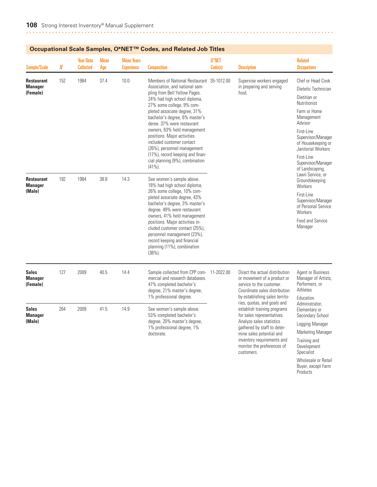| <b>Sample/Scale</b>                             | $\pmb N$ | <b>Year Data</b><br><b>Collected</b> | <b>Mean</b><br>Age | <b>Mean Years</b><br><b>Experience</b> | <b>Composition</b>                                                                                                                                                                                                                                                                                                                                                                                                                                                                      | 0*NET<br>Code(s) | <b>Description</b>                                                                                                                                                                                                                                        | <b>Related</b><br><b>Occupations</b>                                                                                                                                                                                                                     |
|-------------------------------------------------|----------|--------------------------------------|--------------------|----------------------------------------|-----------------------------------------------------------------------------------------------------------------------------------------------------------------------------------------------------------------------------------------------------------------------------------------------------------------------------------------------------------------------------------------------------------------------------------------------------------------------------------------|------------------|-----------------------------------------------------------------------------------------------------------------------------------------------------------------------------------------------------------------------------------------------------------|----------------------------------------------------------------------------------------------------------------------------------------------------------------------------------------------------------------------------------------------------------|
| <b>Restaurant</b><br><b>Manager</b><br>(Female) | 152      | 1984                                 | 37.4               | 10.0                                   | Members of National Restaurant 35-1012.00<br>Association, and national sam-<br>pling from Bell Yellow Pages.<br>24% had high school diploma,<br>27% some college, 9% com-<br>pleted associate degree, 31%<br>bachelor's degree, 6% master's<br>deree. 37% were restaurant<br>owners, 63% held management<br>positions. Major activities<br>included customer contact<br>(26%), personnel management<br>(17%), record keeping and finan-<br>cial planning (9%), combination<br>$(41\%).$ |                  | Supervise workers engaged<br>in preparing and serving<br>food.                                                                                                                                                                                            | Chef or Head Cook<br>Dietetic Technician<br>Dietitian or<br>Nutritionist<br>Farm or Home<br>Management<br>Advisor<br>First-Line<br>Supervisor/Manager<br>of Housekeeping or<br>Janitorial Workers<br>First-Line<br>Supervisor/Manager<br>of Landscaping, |
| <b>Restaurant</b><br><b>Manager</b><br>(Male)   | 192      | 1984                                 | 38.8               | 14.3                                   | See women's sample above.<br>18% had high school diploma,<br>26% some college, 10% com-<br>pleted associate degree, 43%<br>bachelor's degree, 3% master's<br>degree. 49% were restaurant<br>owners, 41% held management<br>positions. Major activities in-<br>cluded customer contact (25%),<br>personnel management (23%),<br>record keeping and financial<br>planning (11%), combination<br>(38%).                                                                                    |                  |                                                                                                                                                                                                                                                           | Lawn Service, or<br>Groundskeeping<br>Workers<br>First-Line<br>Supervisor/Manager<br>of Personal Service<br>Workers<br>Food and Service<br>Manager                                                                                                       |
| <b>Sales</b><br><b>Manager</b><br>(Female)      | 127      | 2009                                 | 40.5               | 14.4                                   | Sample collected from CPP com-<br>mercial and research databases.<br>47% completed bachelor's<br>degree, 21% master's degree,<br>1% professional degree.                                                                                                                                                                                                                                                                                                                                | 11-2022.00       | Direct the actual distribution<br>or movement of a product or<br>service to the customer.<br>Coordinate sales distribution<br>by establishing sales territo-                                                                                              | <b>Agent or Business</b><br>Manager of Artists,<br>Performers, or<br>Athletes<br>Education                                                                                                                                                               |
| <b>Sales</b><br><b>Manager</b><br>(Male)        | 264      | 2009                                 | 41.5               | 14.9                                   | See women's sample above.<br>53% completed bachelor's<br>degree, 20% master's degree,<br>1% professional degree, 1%<br>doctorate.                                                                                                                                                                                                                                                                                                                                                       |                  | ries, quotas, and goals and<br>establish training programs<br>for sales representatives.<br>Analyze sales statistics<br>gathered by staff to deter-<br>mine sales potential and<br>inventory requirements and<br>monitor the preferences of<br>customers. | Administrator.<br>Elementary or<br>Secondary School<br>Logging Manager<br>Marketing Manager<br>Training and<br>Development<br>Specialist                                                                                                                 |

Wholesale or Retail Buyer, except Farm **Products**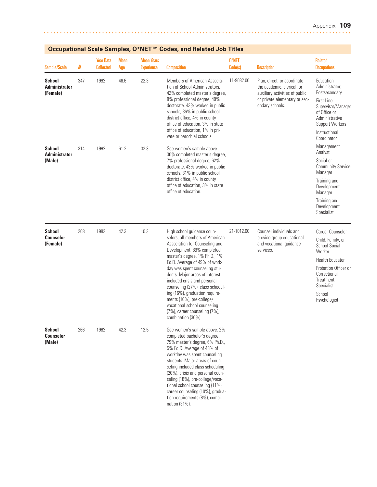| <b>Sample/Scale</b>                               | N   | <b>Year Data</b><br><b>Collected</b> | <b>Mean</b><br>Age | <b>Mean Years</b><br><b>Experience</b> | <b>Composition</b>                                                                                                                                                                                                                                                                                                                                                                                                                                                                           | 0*NET<br>Code(s) | <b>Description</b>                                                                                                                              | <b>Related</b><br><b>Occupations</b>                                                                                                                                                    |
|---------------------------------------------------|-----|--------------------------------------|--------------------|----------------------------------------|----------------------------------------------------------------------------------------------------------------------------------------------------------------------------------------------------------------------------------------------------------------------------------------------------------------------------------------------------------------------------------------------------------------------------------------------------------------------------------------------|------------------|-------------------------------------------------------------------------------------------------------------------------------------------------|-----------------------------------------------------------------------------------------------------------------------------------------------------------------------------------------|
| <b>School</b><br><b>Administrator</b><br>(Female) | 347 | 1992                                 | 48.6               | 22.3                                   | Members of American Associa-<br>tion of School Administrators.<br>42% completed master's degree,<br>8% professional degree, 49%<br>doctorate. 43% worked in public<br>schools, 36% in public school<br>district office, 4% in county<br>office of education, 3% in state<br>office of education, 1% in pri-<br>vate or parochial schools.                                                                                                                                                    | 11-9032.00       | Plan, direct, or coordinate<br>the academic, clerical, or<br>auxiliary activities of public<br>or private elementary or sec-<br>ondary schools. | Education<br>Administrator,<br>Postsecondary<br>First-Line<br>Supervisor/Manager<br>of Office or<br>Administrative<br>Support Workers<br>Instructional<br>Coordinator                   |
| <b>School</b><br><b>Administrator</b><br>(Male)   | 314 | 1992                                 | 61.2               | 32.3                                   | See women's sample above.<br>30% completed master's degree,<br>7% professional degree, 62%<br>doctorate. 43% worked in public<br>schools, 31% in public school<br>district office, 4% in county<br>office of education, 3% in state<br>office of education.                                                                                                                                                                                                                                  |                  |                                                                                                                                                 | Management<br>Analyst<br>Social or<br><b>Community Service</b><br>Manager<br>Training and<br>Development<br>Manager<br>Training and<br>Development<br>Specialist                        |
| <b>School</b><br><b>Counselor</b><br>(Female)     | 208 | 1982                                 | 42.3               | 10.3                                   | High school quidance coun-<br>selors, all members of American<br>Association for Counseling and<br>Development. 89% completed<br>master's degree, 1% Ph.D., 1%<br>Ed.D. Average of 49% of work-<br>day was spent counseling stu-<br>dents. Major areas of interest<br>included crisis and personal<br>counseling (27%), class schedul-<br>ing (16%), graduation require-<br>ments (10%), pre-college/<br>vocational school counseling<br>(7%), career counseling (7%),<br>combination (30%). | 21-1012.00       | Counsel individuals and<br>provide group educational<br>and vocational guidance<br>services.                                                    | Career Counselor<br>Child, Family, or<br>School Social<br>Worker<br><b>Health Educator</b><br>Probation Officer or<br>Correctional<br>Treatment<br>Specialist<br>School<br>Psychologist |
| <b>School</b><br><b>Counselor</b><br>(Male)       | 266 | 1982                                 | 42.3               | 12.5                                   | See women's sample above. 2%<br>completed bachelor's degree,<br>79% master's degree, 6% Ph.D.,<br>5% Ed.D. Average of 48% of<br>workday was spent counseling<br>students. Major areas of coun-<br>seling included class scheduling<br>(20%), crisis and personal coun-<br>seling (18%), pre-college/voca-<br>tional school counseling (11%),<br>career counseling (10%), gradua-<br>tion requirements (8%), combi-<br>nation (31%).                                                          |                  |                                                                                                                                                 |                                                                                                                                                                                         |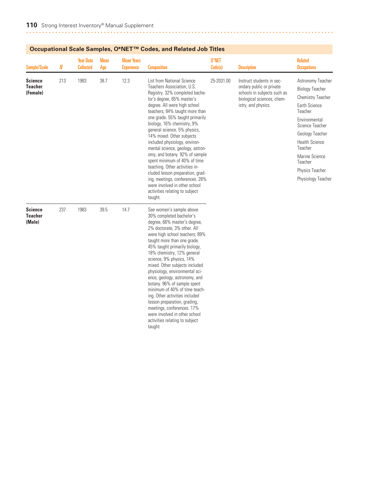|                                            |          | Occupational ocale oamples, O TVL    |                    |                                        | oodes, and neigted oop mies                                                                                                                                                                                                                                                                                                                                                                                                                                                                                                                                                                                                                                   |                  |                                                                                                                                           |                                                                                                                                                                                                                                                                             |
|--------------------------------------------|----------|--------------------------------------|--------------------|----------------------------------------|---------------------------------------------------------------------------------------------------------------------------------------------------------------------------------------------------------------------------------------------------------------------------------------------------------------------------------------------------------------------------------------------------------------------------------------------------------------------------------------------------------------------------------------------------------------------------------------------------------------------------------------------------------------|------------------|-------------------------------------------------------------------------------------------------------------------------------------------|-----------------------------------------------------------------------------------------------------------------------------------------------------------------------------------------------------------------------------------------------------------------------------|
| <b>Sample/Scale</b>                        | $I\!\!N$ | <b>Year Data</b><br><b>Collected</b> | <b>Mean</b><br>Age | <b>Mean Years</b><br><b>Experience</b> | <b>Composition</b>                                                                                                                                                                                                                                                                                                                                                                                                                                                                                                                                                                                                                                            | 0*NET<br>Code(s) | <b>Description</b>                                                                                                                        | <b>Related</b><br><b>Occupations</b>                                                                                                                                                                                                                                        |
| <b>Science</b><br>Teacher<br>(Female)      | 213      | 1983                                 | 38.7               | 12.3                                   | <b>List from National Science</b><br>Teachers Association, U.S.<br>Registry. 32% completed bache-<br>lor's degree, 65% master's<br>degree. All were high school<br>teachers; 84% taught more than<br>one grade. 55% taught primarily<br>biology, 16% chemistry, 9%<br>general science, 5% physics,<br>14% mixed. Other subjects<br>included physiology, environ-<br>mental science, geology, astron-<br>omy, and botany. 92% of sample<br>spent minimum of 40% of time<br>teaching. Other activities in-<br>cluded lesson preparation, grad-<br>ing, meetings, conferences. 28%<br>were involved in other school<br>activities relating to subject<br>taught. | 25-2031.00       | Instruct students in sec-<br>ondary public or private<br>schools in subjects such as<br>biological sciences, chem-<br>istry, and physics. | Astronomy Teacher<br><b>Biology Teacher</b><br><b>Chemistry Teacher</b><br><b>Earth Science</b><br>Teacher<br>Environmental<br>Science Teacher<br>Geology Teacher<br><b>Health Science</b><br>Teacher<br>Marine Science<br>Teacher<br>Physics Teacher<br>Physiology Teacher |
| <b>Science</b><br><b>Teacher</b><br>(Male) | 237      | 1983                                 | 39.5               | 14.7                                   | See women's sample above.<br>30% completed bachelor's<br>degree, 66% master's degree,<br>2% doctorate, 3% other. All<br>were high school teachers; 89%<br>taught more than one grade.<br>45% taught primarily biology,<br>18% chemistry, 12% general<br>science, 9% physics, 14%<br>mixed. Other subjects included<br>physiology, environmental sci-<br>ence, geology, astronomy, and<br>botany. 96% of sample spent<br>minimum of 40% of time teach-<br>ing. Other activities included<br>lesson preparation, grading,<br>meetings, conferences. 17%<br>were involved in other school<br>activities relating to subject<br>taught.                           |                  |                                                                                                                                           |                                                                                                                                                                                                                                                                             |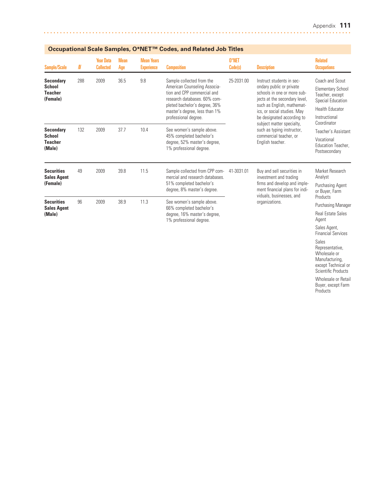Financial Services

Sales Representative, Wholesale or Manufacturing, except Technical or Scientific Products Wholesale or Retail Buyer, except Farm Products

| <b>Sample/Scale</b>                                             | N   | <b>Year Data</b><br><b>Collected</b> | <b>Mean</b><br>Age                                                  | <b>Mean Years</b><br><b>Experience</b>                    | <b>Composition</b>                                                                                                                                                                                                 | 0*NET<br>Code(s)                           | <b>Description</b>                                                                                                                                                                                                                                                                                                        | <b>Related</b><br><b>Occupations</b>                                                                                                   |
|-----------------------------------------------------------------|-----|--------------------------------------|---------------------------------------------------------------------|-----------------------------------------------------------|--------------------------------------------------------------------------------------------------------------------------------------------------------------------------------------------------------------------|--------------------------------------------|---------------------------------------------------------------------------------------------------------------------------------------------------------------------------------------------------------------------------------------------------------------------------------------------------------------------------|----------------------------------------------------------------------------------------------------------------------------------------|
| <b>Secondary</b><br><b>School</b><br><b>Teacher</b><br>(Female) | 288 | 2009                                 | 36.5                                                                | 9.8                                                       | Sample collected from the<br>American Counseling Associa-<br>tion and CPP commercial and<br>research databases. 60% com-<br>pleted bachelor's degree, 36%<br>master's degree, less than 1%<br>professional degree. | 25-2031.00                                 | Instruct students in sec-<br>ondary public or private<br>schools in one or more sub-<br>jects at the secondary level,<br>such as English, mathemat-<br>ics, or social studies. May<br>be designated according to<br>subject matter specialty,<br>such as typing instructor,<br>commercial teacher, or<br>English teacher. | Coach and Scout<br><b>Elementary School</b><br>Teacher, except<br>Special Education<br>Health Educator<br>Instructional<br>Coordinator |
| <b>Secondary</b><br><b>School</b><br><b>Teacher</b><br>(Male)   | 132 | 2009                                 | 37.7                                                                | 10.4                                                      | See women's sample above.<br>45% completed bachelor's<br>degree, 52% master's degree,<br>1% professional degree.                                                                                                   |                                            |                                                                                                                                                                                                                                                                                                                           | Teacher's Assistant<br>Vocational<br>Education Teacher.<br>Postsecondary                                                               |
| <b>Securities</b><br><b>Sales Agent</b><br>(Female)             | 49  | 2009                                 | 39.8                                                                | 11.5                                                      | Sample collected from CPP com-<br>mercial and research databases.<br>51% completed bachelor's<br>degree, 8% master's degree.                                                                                       | 41-3031.01                                 | Buy and sell securities in<br>investment and trading<br>firms and develop and imple-<br>ment financial plans for indi-                                                                                                                                                                                                    | Market Research<br>Analyst<br><b>Purchasing Agent</b><br>or Buyer, Farm                                                                |
| <b>Securities</b><br><b>Sales Agent</b><br>(Male)               | 96  | 2009                                 | 38.9<br>11.3<br>66% completed bachelor's<br>1% professional degree. | See women's sample above.<br>degree, 16% master's degree, |                                                                                                                                                                                                                    | viduals, businesses, and<br>organizations. | Products<br>Purchasing Manager<br><b>Real Estate Sales</b><br>Agent<br>Sales Agent,                                                                                                                                                                                                                                       |                                                                                                                                        |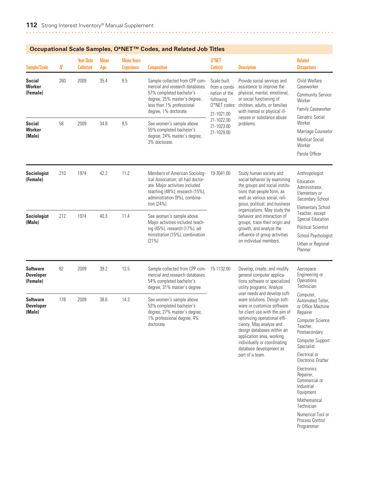| <b>Sample/Scale</b>                             | N   | <b>Year Data</b><br><b>Collected</b> | <b>Mean</b><br>Age | <b>Mean Years</b><br><b>Experience</b> | Occupational Scale Samples, O*NET™ Codes, and Related Job Titles<br><b>Composition</b>                                                                                                  | 0*NET<br>Code(s)                                                                         | <b>Description</b>                                                                                                                                                                                                                                                                                                                                                                | <b>Related</b><br><b>Occupations</b>                                                                                                                                                                                                                                     |
|-------------------------------------------------|-----|--------------------------------------|--------------------|----------------------------------------|-----------------------------------------------------------------------------------------------------------------------------------------------------------------------------------------|------------------------------------------------------------------------------------------|-----------------------------------------------------------------------------------------------------------------------------------------------------------------------------------------------------------------------------------------------------------------------------------------------------------------------------------------------------------------------------------|--------------------------------------------------------------------------------------------------------------------------------------------------------------------------------------------------------------------------------------------------------------------------|
| <b>Social</b><br>Worker<br>(Female)             | 260 | 2009                                 | 35.4               | 8.5                                    | Sample collected from CPP com-<br>mercial and research databases.<br>57% completed bachelor's<br>degree, 25% master's degree,<br>less than 1% professional<br>degree, 1% doctorate.     | Scale built<br>from a combi-<br>nation of the<br>following<br>O*NET codes:<br>21-1021.00 | Provide social services and<br>assistance to improve the<br>physical, mental, emotional,<br>or social functioning of<br>children, adults, or families<br>with mental or physical ill-                                                                                                                                                                                             | Child Welfare<br>Caseworker<br><b>Community Service</b><br>Worker<br>Family Caseworker<br>Geriatric Social                                                                                                                                                               |
| Social<br>Worker<br>(Male)                      | 58  | 2009                                 | 34.8               | 8.5                                    | See women's sample above.<br>55% completed bachelor's<br>degree, 24% master's degree,<br>3% doctorate.                                                                                  | 21-1022.00<br>21-1023.00<br>21-1029.00                                                   | nesses or substance abuse<br>problems.                                                                                                                                                                                                                                                                                                                                            | Worker<br>Marriage Counselor<br><b>Medical Social</b><br>Worker<br>Parole Officer                                                                                                                                                                                        |
| <b>Sociologist</b><br>(Female)                  | 210 | 1974                                 | 42.2               | 11.2                                   | Members of American Sociolog-<br>ical Association; all had doctor-<br>ate. Major activities included<br>teaching (48%), research (15%),<br>administration (9%), combina-<br>tion (24%). | 19-3041.00                                                                               | Study human society and<br>social behavior by examining<br>the groups and social institu-<br>tions that people form, as<br>well as various social, reli-<br>gious, political, and business<br>organizations. May study the<br>behavior and interaction of<br>groups, trace their origin and<br>growth, and analyze the<br>influence of group activities<br>on individual members. | Anthropologist<br>Education<br>Administrator,<br>Elementary or<br>Secondary School<br><b>Elementary School</b>                                                                                                                                                           |
| <b>Sociologist</b><br>(Male)                    | 212 | 1974                                 | 40.3               | 11.4                                   | See women's sample above.<br>Major activities included teach-<br>ing (45%), research (17%), ad-<br>ministration (15%), combination<br>$(21\%)$ .                                        |                                                                                          |                                                                                                                                                                                                                                                                                                                                                                                   | Teacher, except<br>Special Education<br><b>Political Scientist</b><br>School Psychologist<br>Urban or Regional<br>Planner                                                                                                                                                |
| <b>Software</b><br><b>Developer</b><br>(Female) | 82  | 2009                                 | 39.2               | 13.5                                   | Sample collected from CPP com-<br>mercial and research databases.<br>54% completed bachelor's<br>degree, 31% master's degree.                                                           | 15-1132.00                                                                               | Develop, create, and modify<br>general computer applica-<br>tions software or specialized<br>utility programs. Analyze                                                                                                                                                                                                                                                            | Aerospace<br>Engineering or<br><b>Operations</b><br>Technician                                                                                                                                                                                                           |
| <b>Software</b><br><b>Developer</b><br>(Male)   | 178 | 2009                                 | 38.6               | 14.3                                   | See women's sample above.<br>53% completed bachelor's<br>degree, 27% master's degree,<br>1% professional degree, 4%<br>doctorate.                                                       |                                                                                          | user needs and develop soft-<br>ware solutions. Design soft-<br>ware or customize software<br>for client use with the aim of<br>optimizing operational effi-<br>ciency. May analyze and<br>design databases within an<br>application area, working<br>individually or coordinating<br>database development as<br>part of a team.                                                  | Computer,<br>Automated Teller,<br>or Office Machine<br>Repairer<br><b>Computer Science</b><br>Teacher,<br>Postsecondary<br>Computer Support<br>Specialist<br>Electrical or<br>Electronic Drafter<br>Electronics<br>Repairer,<br>Commercial or<br>Industrial<br>Equipment |

Technician Numerical Tool or Process Control Programmer

Mathematical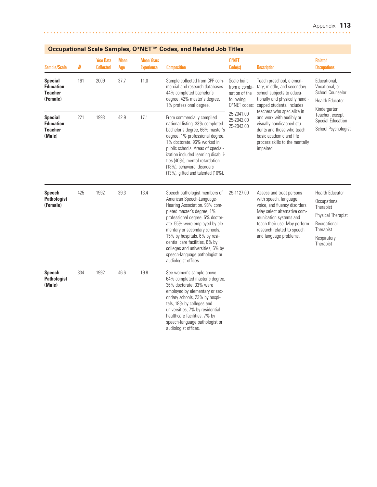|                                                                  |          |                                      |             |                                        | Occupational Scale Samples, O*NET "" Codes, and Related Job Titles                                                                                                                                                                                                                                                                                                                               |                                                                            |                                                                                                                                                                                                                                      |                                                                                                                                    |
|------------------------------------------------------------------|----------|--------------------------------------|-------------|----------------------------------------|--------------------------------------------------------------------------------------------------------------------------------------------------------------------------------------------------------------------------------------------------------------------------------------------------------------------------------------------------------------------------------------------------|----------------------------------------------------------------------------|--------------------------------------------------------------------------------------------------------------------------------------------------------------------------------------------------------------------------------------|------------------------------------------------------------------------------------------------------------------------------------|
| <b>Sample/Scale</b>                                              | $I\!\!N$ | <b>Year Data</b><br><b>Collected</b> | Mean<br>Age | <b>Mean Years</b><br><b>Experience</b> | <b>Composition</b>                                                                                                                                                                                                                                                                                                                                                                               | 0*NET<br>Code(s)                                                           | <b>Description</b>                                                                                                                                                                                                                   | <b>Related</b><br><b>Occupations</b>                                                                                               |
| <b>Special</b><br><b>Education</b><br><b>Teacher</b><br>(Female) | 161      | 2009                                 | 37.7        | 11.0                                   | Sample collected from CPP com-<br>mercial and research databases.<br>44% completed bachelor's<br>degree, 42% master's degree,<br>1% professional degree.                                                                                                                                                                                                                                         | Scale built<br>from a combi-<br>nation of the<br>following<br>0*NET codes: | Teach preschool, elemen-<br>tary, middle, and secondary<br>school subjects to educa-<br>tionally and physically handi-<br>capped students. Includes                                                                                  | Educational.<br>Vocational, or<br>School Counselor<br><b>Health Educator</b><br>Kindergarten                                       |
| <b>Special</b><br><b>Education</b><br><b>Teacher</b><br>(Male)   | 221      | 1993                                 | 42.9        | 17.1                                   | From commercially compiled<br>national listing. 33% completed<br>bachelor's degree, 66% master's<br>degree, 1% professional degree,<br>1% doctorate. 96% worked in<br>public schools. Areas of special-<br>ization included learning disabili-<br>ties (40%), mental retardation<br>(18%), behavioral disorders<br>(13%), gifted and talented (10%).                                             | 25-2041.00<br>25-2042.00<br>25-2043.00                                     | teachers who specialize in<br>and work with audibly or<br>visually handicapped stu-<br>dents and those who teach<br>basic academic and life<br>process skills to the mentally<br>impaired.                                           | Teacher, except<br>Special Education<br>School Psychologist                                                                        |
| <b>Speech</b><br><b>Pathologist</b><br>(Female)                  | 425      | 1992                                 | 39.3        | 13.4                                   | Speech pathologist members of<br>American Speech-Language-<br>Hearing Association. 93% com-<br>pleted master's degree, 1%<br>professional degree, 5% doctor-<br>ate. 55% were employed by ele-<br>mentary or secondary schools,<br>15% by hospitals, 6% by resi-<br>dential care facilities, 6% by<br>colleges and universities, 6% by<br>speech-language pathologist or<br>audiologist offices. | 29-1127.00                                                                 | Assess and treat persons<br>with speech, language,<br>voice, and fluency disorders.<br>May select alternative com-<br>munication systems and<br>teach their use. May perform<br>research related to speech<br>and language problems. | <b>Health Educator</b><br>Occupational<br>Therapist<br>Physical Therapist<br>Recreational<br>Therapist<br>Respiratory<br>Therapist |
| <b>Speech</b><br><b>Pathologist</b><br>(Male)                    | 334      | 1992                                 | 46.6        | 19.8                                   | See women's sample above.<br>64% completed master's degree,<br>36% doctorate. 33% were<br>employed by elementary or sec-<br>ondary schools, 23% by hospi-<br>tals, 18% by colleges and<br>universities, 7% by residential<br>healthcare facilities, 7% by<br>speech-language pathologist or<br>audiologist offices.                                                                              |                                                                            |                                                                                                                                                                                                                                      |                                                                                                                                    |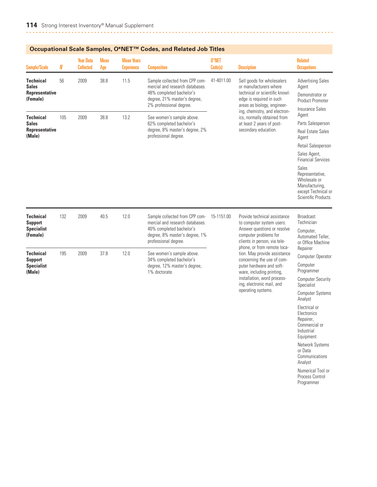| <b>Sample/Scale</b>                                                   | N   | <b>Year Data</b><br><b>Collected</b> | <b>Mean</b><br>Age | <b>Mean Years</b><br><b>Experience</b> | <b>Composition</b>                                                                                                                                       | 0*NET<br>Code(s) | <b>Description</b>                                                                                                                                                                                                                                                     | <b>Related</b><br><b>Occupations</b>                                                                                                                                                                                                                              |
|-----------------------------------------------------------------------|-----|--------------------------------------|--------------------|----------------------------------------|----------------------------------------------------------------------------------------------------------------------------------------------------------|------------------|------------------------------------------------------------------------------------------------------------------------------------------------------------------------------------------------------------------------------------------------------------------------|-------------------------------------------------------------------------------------------------------------------------------------------------------------------------------------------------------------------------------------------------------------------|
| <b>Technical</b><br><b>Sales</b><br><b>Representative</b><br>(Female) | 56  | 2009                                 | 38.8               | 11.5                                   | Sample collected from CPP com-<br>mercial and research databases.<br>48% completed bachelor's<br>degree, 21% master's degree,<br>2% professional degree. | 41-4011.00       | Sell goods for wholesalers<br>or manufacturers where<br>technical or scientific knowl-<br>edge is required in such<br>areas as biology, engineer-<br>ing, chemistry, and electron-<br>ics, normally obtained from<br>at least 2 years of post-<br>secondary education. | <b>Advertising Sales</b><br>Agent<br>Demonstrator or<br><b>Product Promoter</b>                                                                                                                                                                                   |
| <b>Technical</b><br><b>Sales</b><br><b>Representative</b><br>(Male)   | 105 | 2009                                 | 38.8               | 13.2                                   | See women's sample above.<br>62% completed bachelor's<br>degree, 8% master's degree, 2%<br>professional degree.                                          |                  |                                                                                                                                                                                                                                                                        | Insurance Sales<br>Agent<br>Parts Salesperson<br><b>Real Estate Sales</b><br>Agent<br>Retail Salesperson<br>Sales Agent,<br><b>Financial Services</b><br>Sales<br>Representative,<br>Wholesale or<br>Manufacturing,<br>except Technical or<br>Scientific Products |
| <b>Technical</b><br><b>Support</b><br><b>Specialist</b><br>(Female)   | 132 | 2009                                 | 40.5               | 12.0                                   | Sample collected from CPP com-<br>mercial and research databases.<br>40% completed bachelor's<br>degree, 8% master's degree, 1%<br>professional degree.  | 15-1151.00       | Provide technical assistance<br>to computer system users.<br>Answer questions or resolve<br>computer problems for<br>clients in person, via tele-                                                                                                                      | <b>Broadcast</b><br>Technician<br>Computer,<br>Automated Teller.<br>or Office Machine                                                                                                                                                                             |
| <b>Technical</b><br><b>Support</b><br><b>Specialist</b><br>(Male)     | 195 | 2009                                 | 37.8               | 12.0                                   | See women's sample above.<br>34% completed bachelor's<br>degree, 12% master's degree,<br>1% doctorate.                                                   |                  | phone, or from remote loca-<br>tion. May provide assistance<br>concerning the use of com-<br>puter hardware and soft-<br>ware, including printing,<br>installation, word process-<br>ing, electronic mail, and<br>operating systems.                                   | Repairer<br>Computer Operator<br>Computer<br>Programmer<br><b>Computer Security</b><br>Specialist<br><b>Computer Systems</b>                                                                                                                                      |

Analyst Electrical or Electronics Repairer, Commercial or Industrial Equipment Network Systems or Data **Communications** Analyst

Numerical Tool or Process Control Programmer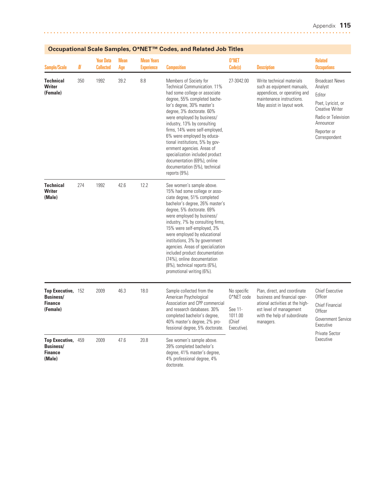| Sample/Scale                                                            | N   | <b>Year Data</b><br><b>Collected</b> | <b>Mean</b><br>Age | <b>Mean Years</b><br><b>Experience</b> | <b>Composition</b>                                                                                                                                                                                                                                                                                                                                                                                                                                                                                   | 0*NET<br>Code(s)                                                         | <b>Description</b>                                                                                                                                                      | <b>Related</b><br><b>Occupations</b>                                                                                                                           |
|-------------------------------------------------------------------------|-----|--------------------------------------|--------------------|----------------------------------------|------------------------------------------------------------------------------------------------------------------------------------------------------------------------------------------------------------------------------------------------------------------------------------------------------------------------------------------------------------------------------------------------------------------------------------------------------------------------------------------------------|--------------------------------------------------------------------------|-------------------------------------------------------------------------------------------------------------------------------------------------------------------------|----------------------------------------------------------------------------------------------------------------------------------------------------------------|
| <b>Technical</b><br>Writer<br>(Female)                                  | 350 | 1992                                 | 39.2               | 8.8                                    | Members of Society for<br>Technical Communication. 11%<br>had some college or associate<br>degree, 55% completed bache-<br>lor's degree, 30% master's<br>degree, 3% doctorate. 60%<br>were employed by business/<br>industry, 13% by consulting<br>firms, 14% were self-employed,<br>6% were employed by educa-<br>tional institutions, 5% by gov-<br>ernment agencies. Areas of<br>specialization included product<br>documentation (69%), online<br>documentation (5%), technical<br>reports (9%). | 27-3042.00                                                               | Write technical materials<br>such as equipment manuals,<br>appendices, or operating and<br>maintenance instructions.<br>May assist in layout work.                      | <b>Broadcast News</b><br>Analyst<br>Editor<br>Poet, Lyricist, or<br><b>Creative Writer</b><br>Radio or Television<br>Announcer<br>Reporter or<br>Correspondent |
| <b>Technical</b><br>Writer<br>(Male)                                    | 274 | 1992                                 | 42.6               | 12.2                                   | See women's sample above.<br>15% had some college or asso-<br>ciate degree, 51% completed<br>bachelor's degree, 26% master's<br>degree, 5% doctorate. 69%<br>were employed by business/<br>industry, 7% by consulting firms,<br>15% were self-employed, 3%<br>were employed by educational<br>institutions, 3% by government<br>agencies. Areas of specialization<br>included product documentation<br>(74%), online documentation<br>(8%), technical reports (6%),<br>promotional writing (6%).     |                                                                          |                                                                                                                                                                         |                                                                                                                                                                |
| <b>Top Executive,</b><br><b>Business/</b><br><b>Finance</b><br>(Female) | 152 | 2009                                 | 46.3               | 18.0                                   | Sample collected from the<br>American Psychological<br>Association and CPP commercial<br>and research databases. 30%<br>completed bachelor's degree,<br>40% master's degree, 2% pro-<br>fessional degree, 5% doctorate.                                                                                                                                                                                                                                                                              | No specific<br>0*NET code<br>See 11-<br>1011.00<br>(Chief<br>Executive). | Plan, direct, and coordinate<br>business and financial oper-<br>ational activities at the high-<br>est level of management<br>with the help of subordinate<br>managers. | <b>Chief Executive</b><br>Officer<br><b>Chief Financial</b><br>Officer<br>Government Service<br>Executive<br><b>Private Sector</b><br>Executive                |
| <b>Top Executive,</b><br><b>Business/</b><br><b>Finance</b><br>(Male)   | 459 | 2009                                 | 47.6               | 20.8                                   | See women's sample above.<br>39% completed bachelor's<br>degree, 41% master's degree,<br>4% professional degree, 4%<br>doctorate.                                                                                                                                                                                                                                                                                                                                                                    |                                                                          |                                                                                                                                                                         |                                                                                                                                                                |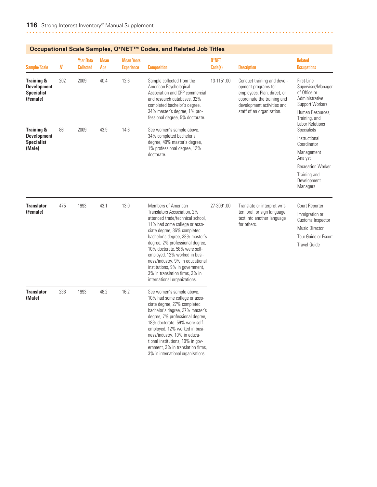| <b>Sample/Scale</b>                                                          | N   | <b>Year Data</b><br><b>Collected</b> | <b>Mean</b><br>Age | <b>Mean Years</b><br><b>Experience</b> | <b>Composition</b>                                                                                                                                                                                                                                                                                                                                                               | 0*NET<br>Code(s) | <b>Description</b>                                                                                                                                                          | <b>Related</b><br><b>Occupations</b>                                                         |
|------------------------------------------------------------------------------|-----|--------------------------------------|--------------------|----------------------------------------|----------------------------------------------------------------------------------------------------------------------------------------------------------------------------------------------------------------------------------------------------------------------------------------------------------------------------------------------------------------------------------|------------------|-----------------------------------------------------------------------------------------------------------------------------------------------------------------------------|----------------------------------------------------------------------------------------------|
| <b>Training &amp;</b><br><b>Development</b><br><b>Specialist</b><br>(Female) | 202 | 2009                                 | 40.4               | 12.6                                   | Sample collected from the<br>American Psychological<br>Association and CPP commercial<br>and research databases. 32%<br>completed bachelor's degree,<br>34% master's degree, 1% pro-<br>fessional degree, 5% doctorate.                                                                                                                                                          | 13-1151.00       | Conduct training and devel-<br>opment programs for<br>employees. Plan, direct, or<br>coordinate the training and<br>development activities and<br>staff of an organization. | First-Line<br>Supervisor/Manager<br>of Office or<br>Administrative<br><b>Support Workers</b> |
|                                                                              | 86  |                                      | 43.9               |                                        |                                                                                                                                                                                                                                                                                                                                                                                  |                  |                                                                                                                                                                             | Human Resources,<br>Training, and<br>Labor Relations<br>Specialists                          |
| <b>Training &amp;</b><br><b>Development</b><br><b>Specialist</b>             |     | 2009                                 |                    | 14.6                                   | See women's sample above.<br>34% completed bachelor's<br>degree, 40% master's degree,<br>1% professional degree, 12%<br>doctorate.                                                                                                                                                                                                                                               |                  |                                                                                                                                                                             | Instructional<br>Coordinator                                                                 |
| (Male)                                                                       |     |                                      |                    |                                        |                                                                                                                                                                                                                                                                                                                                                                                  |                  |                                                                                                                                                                             | Management<br>Analyst                                                                        |
|                                                                              |     |                                      |                    |                                        |                                                                                                                                                                                                                                                                                                                                                                                  |                  |                                                                                                                                                                             | <b>Recreation Worker</b>                                                                     |
|                                                                              |     |                                      |                    |                                        |                                                                                                                                                                                                                                                                                                                                                                                  |                  |                                                                                                                                                                             | Training and<br>Development<br><b>Managers</b>                                               |
| <b>Translator</b>                                                            | 475 | 1993                                 | 43.1               | 13.0                                   | Members of American<br>Translators Association, 2%<br>attended trade/technical school,<br>11% had some college or asso-<br>ciate degree, 36% completed<br>bachelor's degree, 38% master's                                                                                                                                                                                        | 27-3091.00       | Translate or interpret writ-<br>ten, oral, or sign language<br>text into another language<br>for others.                                                                    | Court Reporter                                                                               |
| (Female)                                                                     |     |                                      |                    |                                        |                                                                                                                                                                                                                                                                                                                                                                                  |                  |                                                                                                                                                                             | Immigration or<br>Customs Inspector                                                          |
|                                                                              |     |                                      |                    |                                        |                                                                                                                                                                                                                                                                                                                                                                                  |                  |                                                                                                                                                                             | Music Director                                                                               |
|                                                                              |     |                                      |                    |                                        |                                                                                                                                                                                                                                                                                                                                                                                  |                  |                                                                                                                                                                             | Tour Guide or Escort                                                                         |
|                                                                              |     |                                      |                    |                                        | degree, 2% professional degree,<br>10% doctorate. 58% were self-<br>employed, 12% worked in busi-<br>ness/industry, 9% in educational<br>institutions, 9% in government,<br>3% in translation firms, 3% in<br>international organizations.                                                                                                                                       |                  |                                                                                                                                                                             | <b>Travel Guide</b>                                                                          |
| <b>Translator</b><br>(Male)                                                  | 238 | 1993                                 | 48.2               | 16.2                                   | See women's sample above.<br>10% had some college or asso-<br>ciate degree, 27% completed<br>bachelor's degree, 37% master's<br>degree, 7% professional degree,<br>18% doctorate. 59% were self-<br>employed, 12% worked in busi-<br>ness/industry, 10% in educa-<br>tional institutions, 10% in gov-<br>ernment, 3% in translation firms,<br>3% in international organizations. |                  |                                                                                                                                                                             |                                                                                              |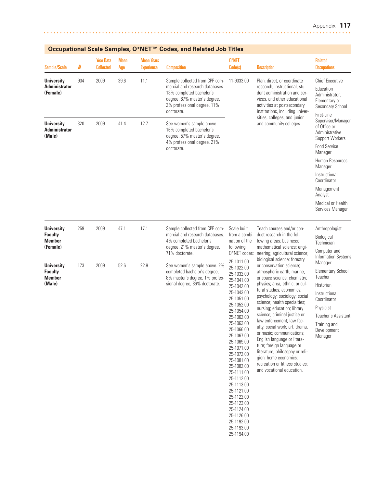| <b>Sample/Scale</b>                                              | N   | <b>Year Data</b><br><b>Collected</b> | <b>Mean</b><br>Age | <b>Mean Years</b><br><b>Experience</b> | <b>Composition</b>                                                                                                                                                         | 0*NET<br>Code(s)                                                                                                                                                                                                                                                                                                                                                                                     | <b>Description</b>                                                                                                                                                                                                                                                                                                                                                                                                                                                                                                                                                                                                                                                                                                                                             | <b>Related</b><br><b>Occupations</b>                                                                                                                                                                                                                           |
|------------------------------------------------------------------|-----|--------------------------------------|--------------------|----------------------------------------|----------------------------------------------------------------------------------------------------------------------------------------------------------------------------|------------------------------------------------------------------------------------------------------------------------------------------------------------------------------------------------------------------------------------------------------------------------------------------------------------------------------------------------------------------------------------------------------|----------------------------------------------------------------------------------------------------------------------------------------------------------------------------------------------------------------------------------------------------------------------------------------------------------------------------------------------------------------------------------------------------------------------------------------------------------------------------------------------------------------------------------------------------------------------------------------------------------------------------------------------------------------------------------------------------------------------------------------------------------------|----------------------------------------------------------------------------------------------------------------------------------------------------------------------------------------------------------------------------------------------------------------|
| <b>University</b><br><b>Administrator</b><br>(Female)            | 904 | 2009                                 | 39.6               | 11.1                                   | Sample collected from CPP com-<br>mercial and research databases.<br>18% completed bachelor's<br>degree, 67% master's degree,<br>2% professional degree, 11%<br>doctorate. | 11-9033.00                                                                                                                                                                                                                                                                                                                                                                                           | Plan, direct, or coordinate<br>research, instructional, stu-<br>dent administration and ser-<br>vices, and other educational<br>activities at postsecondary<br>institutions, including univer-                                                                                                                                                                                                                                                                                                                                                                                                                                                                                                                                                                 | <b>Chief Executive</b><br>Education<br>Administrator,<br>Elementary or<br>Secondary School<br>First-Line                                                                                                                                                       |
| <b>University</b><br><b>Administrator</b><br>(Male)              | 320 | 2009                                 | 41.4               | 12.7                                   | See women's sample above.<br>16% completed bachelor's<br>degree, 57% master's degree,<br>4% professional degree, 21%                                                       |                                                                                                                                                                                                                                                                                                                                                                                                      | sities, colleges, and junior<br>and community colleges.                                                                                                                                                                                                                                                                                                                                                                                                                                                                                                                                                                                                                                                                                                        | Supervisor/Manager<br>of Office or<br>Administrative<br><b>Support Workers</b>                                                                                                                                                                                 |
|                                                                  |     |                                      |                    |                                        | doctorate.                                                                                                                                                                 |                                                                                                                                                                                                                                                                                                                                                                                                      |                                                                                                                                                                                                                                                                                                                                                                                                                                                                                                                                                                                                                                                                                                                                                                | Food Service<br>Manager                                                                                                                                                                                                                                        |
|                                                                  |     |                                      |                    |                                        |                                                                                                                                                                            |                                                                                                                                                                                                                                                                                                                                                                                                      |                                                                                                                                                                                                                                                                                                                                                                                                                                                                                                                                                                                                                                                                                                                                                                | Human Resources<br>Manager                                                                                                                                                                                                                                     |
|                                                                  |     |                                      |                    |                                        |                                                                                                                                                                            |                                                                                                                                                                                                                                                                                                                                                                                                      |                                                                                                                                                                                                                                                                                                                                                                                                                                                                                                                                                                                                                                                                                                                                                                | Instructional<br>Coordinator                                                                                                                                                                                                                                   |
|                                                                  |     |                                      |                    |                                        |                                                                                                                                                                            |                                                                                                                                                                                                                                                                                                                                                                                                      |                                                                                                                                                                                                                                                                                                                                                                                                                                                                                                                                                                                                                                                                                                                                                                | Management<br>Analyst                                                                                                                                                                                                                                          |
|                                                                  |     |                                      |                    |                                        |                                                                                                                                                                            |                                                                                                                                                                                                                                                                                                                                                                                                      |                                                                                                                                                                                                                                                                                                                                                                                                                                                                                                                                                                                                                                                                                                                                                                | Medical or Health<br>Services Manager                                                                                                                                                                                                                          |
| <b>University</b><br><b>Faculty</b><br><b>Member</b><br>(Female) | 259 | 2009                                 | 47.1               | 17.1                                   | Sample collected from CPP com-<br>mercial and research databases.<br>4% completed bachelor's<br>degree, 21% master's degree,<br>71% doctorate.                             | Scale built<br>from a combi-<br>nation of the<br>following<br>O*NET codes:                                                                                                                                                                                                                                                                                                                           | Teach courses and/or con-<br>duct research in the fol-<br>lowing areas: business;<br>mathematical science; engi-<br>neering; agricultural science;<br>biological science; forestry<br>or conservation science;<br>atmospheric earth, marine,<br>or space science; chemistry;<br>physics; area, ethnic, or cul-<br>tural studies; economics;<br>psychology; sociology; social<br>science; health specialties;<br>nursing; education; library<br>science; criminal justice or<br>law enforcement; law fac-<br>ulty; social work; art, drama,<br>or music; communications;<br>English language or litera-<br>ture; foreign language or<br>literature; philosophy or reli-<br>gion; home economics;<br>recreation or fitness studies;<br>and vocational education. | Anthropologist<br>Biological<br>Technician<br>Computer and<br>Information Systems<br>Manager<br><b>Elementary School</b><br>Teacher<br>Historian<br>Instructional<br>Coordinator<br>Physicist<br>Teacher's Assistant<br>Training and<br>Development<br>Manager |
| <b>University</b><br><b>Faculty</b><br><b>Member</b><br>(Male)   | 173 | 2009                                 | 52.6               | 22.9                                   | See women's sample above. 2%<br>completed bachelor's degree,<br>8% master's degree, 1% profes-<br>sional degree, 86% doctorate.                                            | 25-1011.00<br>25-1022.00<br>25-1032.00<br>25-1041.00<br>25-1042.00<br>25-1043.00<br>25-1051.00<br>25-1052.00<br>25-1054.00<br>25-1062.00<br>25-1063.00<br>25-1066.00<br>25-1067.00<br>25-1069.00<br>25-1071.00<br>25-1072.00<br>25-1081.00<br>25-1082.00<br>25-1111.00<br>25-1112.00<br>25-1113.00<br>25-1121.00<br>25-1122.00<br>25-1123.00<br>25-1124.00<br>25-1126.00<br>25-1192.00<br>25-1193.00 |                                                                                                                                                                                                                                                                                                                                                                                                                                                                                                                                                                                                                                                                                                                                                                |                                                                                                                                                                                                                                                                |

25-1194.00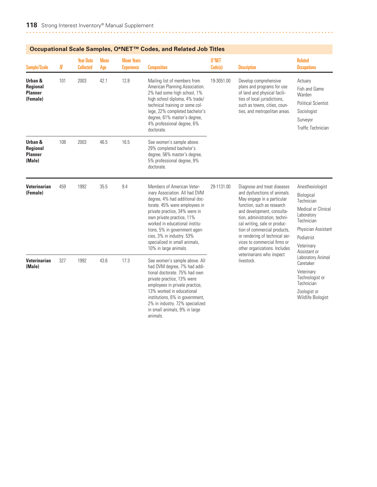| Sample/Scale                                      | N   | <b>Year Data</b><br><b>Collected</b> | <b>Mean</b><br>Age | <b>Mean Years</b><br><b>Experience</b> | <b>Composition</b>                                                                                                                                                                                                                                                                                                                                      | 0*NET<br>Code(s) | <b>Description</b>                                                                                                                                                                                                                                                                                                                                                                                   | <b>Related</b><br><b>Occupations</b>                                                                                                                               |
|---------------------------------------------------|-----|--------------------------------------|--------------------|----------------------------------------|---------------------------------------------------------------------------------------------------------------------------------------------------------------------------------------------------------------------------------------------------------------------------------------------------------------------------------------------------------|------------------|------------------------------------------------------------------------------------------------------------------------------------------------------------------------------------------------------------------------------------------------------------------------------------------------------------------------------------------------------------------------------------------------------|--------------------------------------------------------------------------------------------------------------------------------------------------------------------|
| Urban &<br>Regional<br><b>Planner</b><br>(Female) | 101 | 2003                                 | 42.1               | 12.8                                   | Mailing list of members from<br>American Planning Association.<br>2% had some high school, 1%<br>high school diploma, 4% trade/<br>technical training or some col-<br>lege, 22% completed bachelor's<br>degree, 61% master's degree,<br>4% professional degree, 6%<br>doctorate.                                                                        | 19-3051.00       | Develop comprehensive<br>plans and programs for use<br>of land and physical facili-<br>ties of local jurisdictions,<br>such as towns, cities, coun-<br>ties, and metropolitan areas.                                                                                                                                                                                                                 | Actuary<br>Fish and Game<br>Warden<br><b>Political Scientist</b><br>Sociologist<br>Surveyor<br>Traffic Technician                                                  |
| Urban &<br>Regional<br><b>Planner</b><br>(Male)   | 108 | 2003                                 | 46.5               | 16.5                                   | See women's sample above.<br>29% completed bachelor's<br>degree, 56% master's degree,<br>5% professional degree, 9%<br>doctorate.                                                                                                                                                                                                                       |                  |                                                                                                                                                                                                                                                                                                                                                                                                      |                                                                                                                                                                    |
| <b>Veterinarian</b><br>(Female)                   | 459 | 1992                                 | 35.5               | 9.4                                    | Members of American Veter-<br>inary Association. All had DVM<br>degree, 4% had additional doc-<br>torate. 45% were employees in<br>private practice, 34% were in<br>own private practice, 11%<br>worked in educational institu-<br>tions, 5% in government agen-<br>cies, 3% in industry. 53%<br>specialized in small animals,<br>10% in large animals. | 29-1131.00       | Diagnose and treat diseases<br>and dysfunctions of animals.<br>May engage in a particular<br>function, such as research<br>and development, consulta-<br>tion, administration, techni-<br>cal writing, sale or produc-<br>tion of commercial products,<br>or rendering of technical ser-<br>vices to commercial firms or<br>other organizations. Includes<br>veterinarians who inspect<br>livestock. | Anesthesiologist<br>Biological<br>Technician<br>Medical or Clinical<br>Laboratory<br>Technician<br>Physician Assistant<br>Podiatrist<br>Veterinary<br>Assistant or |
| <b>Veterinarian</b><br>(Male)                     | 327 | 1992                                 | 43.6               | 17.3                                   | See women's sample above. All<br>had DVM degree, 7% had addi-<br>tional doctorate. 75% had own<br>private practice, 13% were<br>employees in private practice,<br>13% worked in educational<br>institutions, 6% in government,<br>2% in industry. 72% specialized<br>in small animals, 9% in large<br>animals.                                          |                  |                                                                                                                                                                                                                                                                                                                                                                                                      | Laboratory Animal<br>Caretaker<br>Veterinary<br>Technologist or<br>Technician<br>Zoologist or<br>Wildlife Biologist                                                |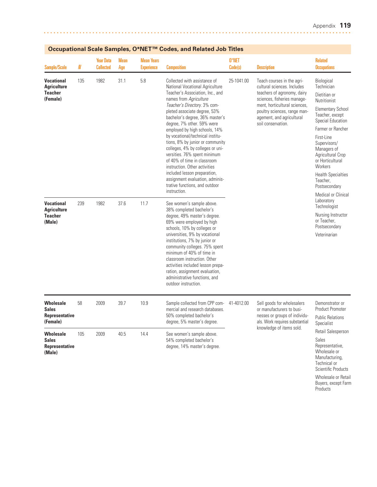Technical or Scientific Products Wholesale or Retail Buyers, except Farm **Products** 

| <b>Sample/Scale</b>                                                   | N   | <b>Year Data</b><br><b>Collected</b> | <b>Mean</b><br>Age | <b>Mean Years</b><br><b>Experience</b> | <b>Composition</b>                                                                                                                                                                                                                                                                                                                                                                                                                                                                                                                                                                                                               | 0*NET<br>Code(s) | <b>Description</b>                                                                                                                                                                                                                          | <b>Related</b><br><b>Occupations</b>                                                                                                                                                                                                                                                                                                       |
|-----------------------------------------------------------------------|-----|--------------------------------------|--------------------|----------------------------------------|----------------------------------------------------------------------------------------------------------------------------------------------------------------------------------------------------------------------------------------------------------------------------------------------------------------------------------------------------------------------------------------------------------------------------------------------------------------------------------------------------------------------------------------------------------------------------------------------------------------------------------|------------------|---------------------------------------------------------------------------------------------------------------------------------------------------------------------------------------------------------------------------------------------|--------------------------------------------------------------------------------------------------------------------------------------------------------------------------------------------------------------------------------------------------------------------------------------------------------------------------------------------|
| <b>Vocational</b><br><b>Agriculture</b><br><b>Teacher</b><br>(Female) | 135 | 1982                                 | 31.1               | 5.8                                    | Collected with assistance of<br>National Vocational Agriculture<br>Teacher's Association, Inc., and<br>names from Agriculture<br>Teacher's Directory. 3% com-<br>pleted associate degree, 53%<br>bachelor's degree, 36% master's<br>degree, 7% other. 59% were<br>employed by high schools, 14%<br>by vocational/technical institu-<br>tions, 8% by junior or community<br>colleges, 4% by colleges or uni-<br>versities. 76% spent minimum<br>of 40% of time in classroom<br>instruction. Other activities<br>included lesson preparation,<br>assignment evaluation, adminis-<br>trative functions, and outdoor<br>instruction. | 25-1041.00       | Teach courses in the agri-<br>cultural sciences. Includes<br>teachers of agronomy, dairy<br>sciences, fisheries manage-<br>ment, horticultural sciences,<br>poultry sciences, range man-<br>agement, and agricultural<br>soil conservation. | Biological<br>Technician<br>Dietitian or<br>Nutritionist<br><b>Elementary School</b><br>Teacher, except<br>Special Education<br>Farmer or Rancher<br>First-Line<br>Supervisors/<br>Managers of<br>Agricultural Crop<br>or Horticultural<br>Workers<br><b>Health Specialties</b><br>Teacher,<br>Postsecondary<br><b>Medical or Clinical</b> |
| <b>Vocational</b><br><b>Agriculture</b><br><b>Teacher</b><br>(Male)   | 239 | 1982                                 | 37.6               | 11.7                                   | See women's sample above.<br>38% completed bachelor's<br>degree, 49% master's degree.<br>69% were employed by high<br>schools, 10% by colleges or<br>universities, 9% by vocational<br>institutions, 7% by junior or<br>community colleges. 75% spent<br>minimum of 40% of time in<br>classroom instruction. Other<br>activities included lesson prepa-<br>ration, assignment evaluation,<br>administrative functions, and<br>outdoor instruction.                                                                                                                                                                               |                  |                                                                                                                                                                                                                                             | Laboratory<br>Technologist<br>Nursing Instructor<br>or Teacher,<br>Postsecondary<br>Veterinarian                                                                                                                                                                                                                                           |
| <b>Wholesale</b><br><b>Sales</b><br>Representative<br>(Female)        | 58  | 2009                                 | 39.7               | 10.9                                   | Sample collected from CPP com-<br>mercial and research databases.<br>50% completed bachelor's<br>degree, 5% master's degree.                                                                                                                                                                                                                                                                                                                                                                                                                                                                                                     | 41-4012.00       | Sell goods for wholesalers<br>or manufacturers to busi-<br>nesses or groups of individu-<br>als. Work requires substantial                                                                                                                  | Demonstrator or<br><b>Product Promoter</b><br><b>Public Relations</b><br>Specialist                                                                                                                                                                                                                                                        |
| <b>Wholesale</b><br><b>Sales</b><br>Representative<br>(Male)          | 105 | 2009                                 | 40.5               | 14.4                                   | See women's sample above.<br>54% completed bachelor's<br>degree, 14% master's degree.                                                                                                                                                                                                                                                                                                                                                                                                                                                                                                                                            |                  | knowledge of items sold.                                                                                                                                                                                                                    | Retail Salesperson<br>Sales<br>Representative,<br>Wholesale or<br>Manufacturing                                                                                                                                                                                                                                                            |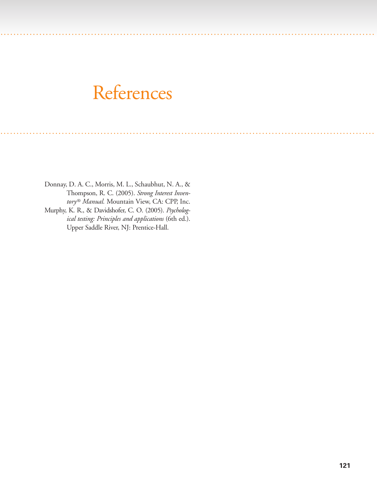# References

. . . ... . . . . . . . . . . . . . . . . . . . . . . ............... .............. . . . . . . . . . . . . . . . . . . . . . . . . . . . . . ............ . . . . . . . . . . . . . . . . . .

. . . ... . . . . . . . . . . . . . . . . ..................... ....... . . . . . . . . . . . . . . . . . . . . . . . . . . . . . . . . . . . . ............ . . . . . . . . . . . . . . . . . .

Donnay, D. A. C., Morris, M. L., Schaubhut, N. A., & Thompson, R. C. (2005). *Strong Interest Inventory® Manual.* Mountain View, CA: CPP, Inc. Murphy, K. R., & Davidshofer, C. O. (2005). *Psycholog-*

*ical testing: Principles and applications* (6th ed.). Upper Saddle River, NJ: Prentice-Hall.